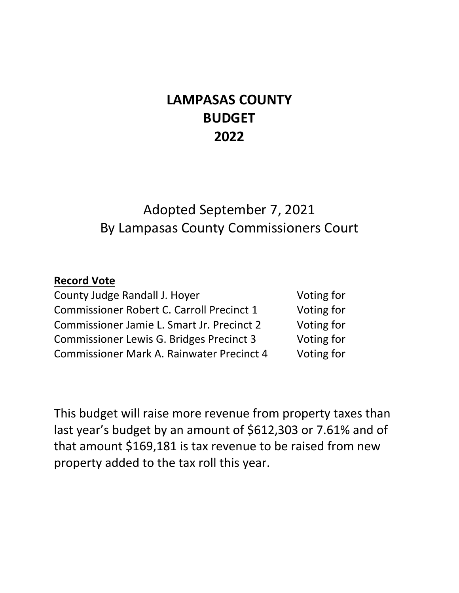# **LAMPASAS COUNTY BUDGET 2022**

# Adopted September 7, 2021 By Lampasas County Commissioners Court

# **Record Vote**

| County Judge Randall J. Hoyer                    |
|--------------------------------------------------|
| <b>Commissioner Robert C. Carroll Precinct 1</b> |
| Commissioner Jamie L. Smart Jr. Precinct 2       |
| Commissioner Lewis G. Bridges Precinct 3         |
| <b>Commissioner Mark A. Rainwater Precinct 4</b> |

Voting for Voting for Voting for Voting for Voting for

This budget will raise more revenue from property taxes than last year's budget by an amount of \$612,303 or 7.61% and of that amount \$169,181 is tax revenue to be raised from new property added to the tax roll this year.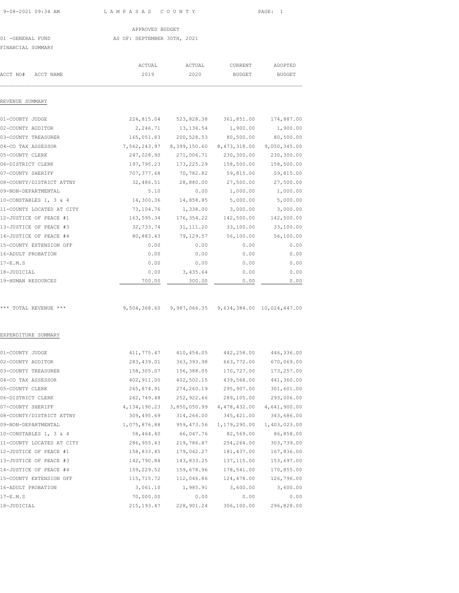APPROVED BUDGET<br>45 OF: SEPTEMBER 30TH, 2007 AS OF: SEPTEMBER 30TH, 2021

FINANCIAL SUMMARY

|                           | ACTUAL         | ACTUAL       | CURRENT       | ADOPTED       |
|---------------------------|----------------|--------------|---------------|---------------|
| ACCT NO#<br>ACCT NAME     | 2019           | 2020         | <b>BUDGET</b> | <b>BUDGET</b> |
| REVENUE SUMMARY           |                |              |               |               |
| 01-COUNTY JUDGE           | 224,815.04     | 523,828.38   | 361,851.00    | 174,887.00    |
| 02-COUNTY AUDITOR         | 2,246.71       | 13, 136.54   | 1,900.00      | 1,900.00      |
| 03-COUNTY TREASURER       | 165,051.83     | 200, 528.53  | 80,500.00     | 80,500.00     |
| 04-CO TAX ASSESSOR        | 7,562,243.97   | 8,399,150.60 | 8,473,318.00  | 9,050,345.00  |
| 05-COUNTY CLERK           | 247,028.90     | 271,006.71   | 230,300.00    | 230,300.00    |
| 06-DISTRICT CLERK         | 197,795.23     | 173, 225.29  | 158,500.00    | 158,500.00    |
| 07-COUNTY SHERIFF         | 707, 377.68    | 70,782.82    | 59,815.00     | 59,815.00     |
| 08-COUNTY/DISTRICT ATTNY  | 32,486.51      | 28,880.00    | 27,500.00     | 27,500.00     |
| 09-NON-DEPARTMENTAL       | 5.10           | 0.00         | 1,000.00      | 1,000.00      |
| 10-CONSTABLES 1, 3 & 4    | 14,300.36      | 14,858.85    | 5,000.00      | 5,000.00      |
| 11-COUNTY LOCATED AT CITY | 73,104.76      | 1,338.00     | 3,000.00      | 3,000.00      |
| 12-JUSTICE OF PEACE #1    | 163,595.34     | 176, 354.22  | 142,500.00    | 142,500.00    |
| 13-JUSTICE OF PEACE #3    | 32,733.74      | 31, 111.20   | 33,100.00     | 33,100.00     |
| 14-JUSTICE OF PEACE #4    | 80,883.43      | 79,129.57    | 56,100.00     | 56,100.00     |
| 15-COUNTY EXTENSION OFF   | 0.00           | 0.00         | 0.00          | 0.00          |
| 16-ADULT PROBATION        | 0.00           | 0.00         | 0.00          | 0.00          |
| $17-E.M.S$                | 0.00           | 0.00         | 0.00          | 0.00          |
| 18-JUDICIAL               | 0.00           | 3,435.64     | 0.00          | 0.00          |
| 19-HUMAN RESOURCES        | 700.00         | 300.00       | 0.00          | 0.00          |
|                           |                |              |               |               |
| *** TOTAL REVENUE ***     | 9,504,368.60   | 9,987,066.35 | 9,634,384.00  | 10,024,447.00 |
| EXPENDITURE SUMMARY       |                |              |               |               |
| 01-COUNTY JUDGE           | 411,775.47     | 410, 454.05  | 442,258.00    | 446,336.00    |
| 02-COUNTY AUDITOR         | 283, 439.01    | 363, 393.98  | 663,772.00    | 670,069.00    |
| 03-COUNTY TREASURER       | 158,305.07     | 156,388.05   | 170,727.00    | 173,257.00    |
| 04-CO TAX ASSESSOR        | 402, 911.00    | 402,502.15   | 439,568.00    | 441,360.00    |
| 05-COUNTY CLERK           | 265,874.91     | 274,260.19   | 295,907.00    | 301,601.00    |
| 06-DISTRICT CLERK         | 262,749.48     | 252,922.66   | 289,105.00    | 293,006.00    |
| 07-COUNTY SHERIFF         | 4, 134, 190.23 | 3,850,050.99 | 4,478,432.00  | 4,641,900.00  |
| 08-COUNTY/DISTRICT ATTNY  | 309,495.69     | 314,266.00   | 345, 421.00   | 343,686.00    |
| 09-NON-DEPARTMENTAL       | 1,075,876.88   | 959, 473.56  | 1,179,290.00  | 1,403,023.00  |
| 10-CONSTABLES 1, 3 & 4    | 58,464.40      | 66,047.76    | 82,569.00     | 86,858.00     |
| 11-COUNTY LOCATED AT CITY | 286, 955.43    | 219,786.87   | 254,264.00    | 303,739.00    |
| 12-JUSTICE OF PEACE #1    | 158,833.45     | 179,042.27   | 181, 437.00   | 167,836.00    |
| 13-JUSTICE OF PEACE #3    | 142,790.84     | 143,833.25   | 137, 115.00   | 153,697.00    |
| 14-JUSTICE OF PEACE #4    | 159,229.52     | 159,678.96   | 178,541.00    | 170,855.00    |
| 15-COUNTY EXTENSION OFF   | 115,715.72     | 112,046.86   | 124,478.00    | 126,796.00    |
| 16-ADULT PROBATION        | 3,061.10       | 1,985.91     | 3,600.00      | 3,600.00      |
| $17-E.M.S$                | 70,000.00      | 0.00         | 0.00          | 0.00          |
| 18-JUDICIAL               | 215, 193.47    | 228,901.24   | 306,100.00    | 296,828.00    |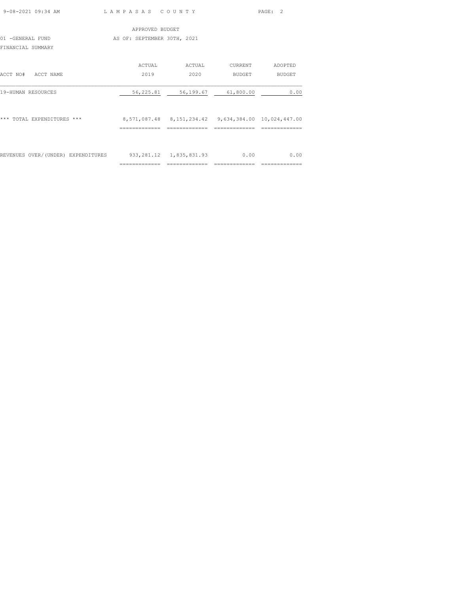| 9-08-2021 09:34 AM                 | LAMPASAS COUNTY             |                                                         |         | $\overline{2}$<br>PAGE: |
|------------------------------------|-----------------------------|---------------------------------------------------------|---------|-------------------------|
|                                    | APPROVED BUDGET             |                                                         |         |                         |
| 01 -GENERAL FUND                   | AS OF: SEPTEMBER 30TH, 2021 |                                                         |         |                         |
| FINANCIAL SUMMARY                  |                             |                                                         |         |                         |
|                                    | ACTUAL                      | ACTUAL                                                  | CURRENT | ADOPTED                 |
| ACCT NO#<br>ACCT NAME              | 2019                        | 2020                                                    | BUDGET  | BUDGET                  |
| 19-HUMAN RESOURCES                 | 56,225.81                   | 56,199.67 61,800.00                                     |         | 0.00                    |
| *** TOTAL EXPENDITURES ***         |                             | 8,571,087.48  8,151,234.42  9,634,384.00  10,024,447.00 |         |                         |
|                                    |                             |                                                         |         |                         |
| REVENUES OVER/(UNDER) EXPENDITURES |                             | 933, 281.12 1, 835, 831.93                              | 0.00    | 0.00                    |
|                                    | --------------              |                                                         |         |                         |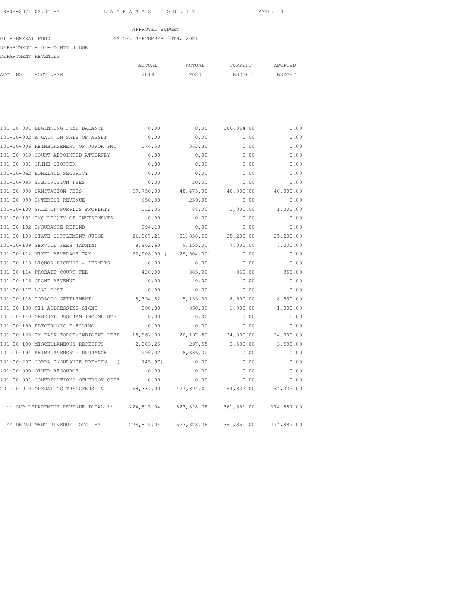01 -GENERAL FUND AS OF: SEPTEMBER 30TH, 2021 DEPARTMENT - 01-COUNTY JUDGE

| DEPARTMENT REVENUES |  |        |        |         |         |
|---------------------|--|--------|--------|---------|---------|
|                     |  | ACTUAL | ACTUAL | CURRENT | ADOPTED |
| ACCT NO# ACCT NAME  |  | 2019   | 2020   | BUDGET  | BUDGET  |
|                     |  |        |        |         |         |

|                      | 101-00-001 BEGINNING FUND BALANCE                          | 0.00            | 0.00       | 186,964.00            | 0.00       |
|----------------------|------------------------------------------------------------|-----------------|------------|-----------------------|------------|
|                      | 101-00-002 A GAIN ON SALE OF ASSET                         | 0.00            | 0.00       | 0.00                  | 0.00       |
|                      | 101-00-006 REIMBURSEMENT OF JUROR PMT                      | 174.50          | 363.33     | 0.00                  | 0.00       |
|                      | 101-00-018 COURT APPOINTED ATTORNEY                        | 0.00            | 0.00       | 0.00                  | 0.00       |
|                      | 101-00-031 CRIME STOPPER                                   | 0.00            | 0.00       | 0.00                  | 0.00       |
|                      | 101-00-062 HOMELAND SECURITY                               | 0.00            | 0.00       | 0.00                  | 0.00       |
|                      | 101-00-085 SUBDIVISION FEES                                | 0.00            | 10.00      | 0.00                  | 0.00       |
|                      | 101-00-098 SANITATION FEES                                 | 59,750.00       | 48,475.00  | 40,000.00             | 40,000.00  |
|                      | 101-00-099 INTEREST REVENUE                                | 650.38          | 259.08     | 0.00                  | 0.00       |
|                      | 101-00-100 SALE OF SURPLUS PROPERTY                        | 112.05          | 88.00      | 1,000.00              | 1,000.00   |
|                      | 101-00-101 INC(DEC) FV OF INVESTMENTS                      | 0.00            | 0.00       | 0.00                  | 0.00       |
|                      | 101-00-102 INSURANCE REFUND                                | 894.18          | 0.00       | 0.00                  | 0.00       |
|                      | 101-00-103 STATE SUPPLEMENT-JUDGE 26,807.21 31,858.59      |                 |            | 25,200.00             | 25,200.00  |
|                      | 101-00-109 SERVICE FEES (ADMIN)                            | 8,962.60        | 9,155.00   | 7,000.00              | 7,000.00   |
|                      | 101-00-112 MIXED BEVERAGE TAX                              | 32,908.00 (     | 29,504.00) | 0.00                  | 0.00       |
|                      | 101-00-113 LIQUOR LICENSE & PERMITS                        | 0.00            | 0.00       | 0.00                  | 0.00       |
|                      | 101-00-114 PROBATE COURT FEE                               | 420.00          | 385.00     | 350.00                | 350.00     |
|                      | 101-00-116 GRANT REVENUE                                   | 0.00            | 0.00       | 0.00                  | 0.00       |
| 101-00-117 LCAD COST |                                                            | 0.00            | 0.00       | 0.00                  | 0.00       |
|                      | 101-00-118 TOBACCO SETTLEMENT                              | 8,394.82        | 5,153.01   | 8,500.00              | 8,500.00   |
|                      | 101-00-130 911-ADDRESSING SIGNS                            | 890.00          | 860.00     | 1,000.00              | 1,000.00   |
|                      | 101-00-140 GENERAL PROGRAM INCOME NTF                      | 0.00            | 0.00       | 0.00                  | 0.00       |
|                      | 101-00-150 ELECTRONIC E-FILING                             | 0.00            | 0.00       | 0.00                  | 0.00       |
|                      | 101-00-166 TX TASK FORCE/INDIGENT DEFE 18,962.00 20,197.50 |                 |            | 24,000.00             | 24,000.00  |
|                      | 101-00-190 MISCELLANEOUS RECEIPTS                          | 2,003.25        | 297.55     | 3,500.00 3,500.00     |            |
|                      | 101-00-194 REIMBURSEMENT-INSURANCE                         | 295.02 8,836.32 |            | 0.00                  | 0.00       |
|                      | 101-00-207 COBRA INSURANCE PREMIUM (                       | 745.97)         | 0.00       | 0.00                  | 0.00       |
|                      | 201-00-000 OTHER RESOURCE                                  | 0.00            | 0.00       | 0.00                  | 0.00       |
|                      | 201-00-001 CONTRIBUTIONS-OTHERGOV-CITY                     | 0.00            | 0.00       | 0.00                  | 0.00       |
|                      | 201-00-010 OPERATING TRANSFERS-IN                          | 64,337.00       | 427,394.00 | 64,337.00             | 64,337.00  |
|                      | ** SUB-DEPARTMENT REVENUE TOTAL ** 224,815.04              |                 |            | 523,828.38 361,851.00 | 174,887.00 |
|                      | ** DEPARTMENT REVENUE TOTAL **                             | 224,815.04      |            | 523,828.38 361,851.00 | 174,887.00 |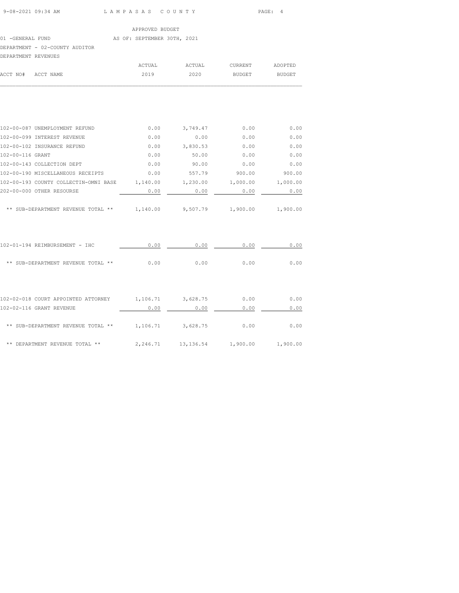#### 01 -GENERAL FUND AS OF: SEPTEMBER 30TH, 2021

### DEPARTMENT - 02-COUNTY AUDITOR

|  | DEPARTMENT REVENUES |
|--|---------------------|
|  |                     |

| DEPARTMENT REVENUES |        |        |         |         |
|---------------------|--------|--------|---------|---------|
|                     | ACTUAL | ACTUAL | CURRENT | ADOPTED |
| ACCT NO# ACCT NAME  | 2019   | 2020   | BUDGET  | BUDGET  |
|                     |        |        |         |         |

| 102-00-087 UNEMPLOYMENT REFUND                                    | 0.00 | 3,749.47 | 0.00   | 0.00     |
|-------------------------------------------------------------------|------|----------|--------|----------|
| 102-00-099 INTEREST REVENUE                                       | 0.00 | 0.00     | 0.00   | 0.00     |
| 102-00-102 INSURANCE REFUND                                       | 0.00 | 3,830.53 | 0.00   | 0.00     |
| 102-00-116 GRANT                                                  | 0.00 | 50.00    | 0.00   | 0.00     |
| 102-00-143 COLLECTION DEPT                                        | 0.00 | 90.00    | 0.00   | 0.00     |
| 102-00-190 MISCELLANEOUS RECEIPTS                                 | 0.00 | 557.79   | 900.00 | 900.00   |
| 102-00-193 COUNTY COLLECTIN-OMNI BASE 1,140.00 1,230.00 1,000.00  |      |          |        | 1,000.00 |
| 202-00-000 OTHER RESOURSE                                         | 0.00 | 0.00     | 0.00   | 0.00     |
| ** SUB-DEPARTMENT REVENUE TOTAL ** $1,140.00$ 9,507.79 $1,900.00$ |      |          |        | 1,900.00 |
| 102-01-194 REIMBURSEMENT - IHC                                    | 0.00 | 0.00     | 0.00   | 0.00     |
| ** SUB-DEPARTMENT REVENUE TOTAL **                                | 0.00 | 0.00     | 0.00   | 0.00     |
|                                                                   |      |          |        |          |
| 102-02-018 COURT APPOINTED ATTORNEY 1, 106.71 3, 628.75           |      |          | 0.00   | 0.00     |
| 102-02-116 GRANT REVENUE                                          | 0.00 | 0.00     | 0.00   | 0.00     |
| ** SUB-DEPARTMENT REVENUE TOTAL ** $1,106.71$ 3,628.75            |      |          | 0.00   | 0.00     |
|                                                                   |      |          |        |          |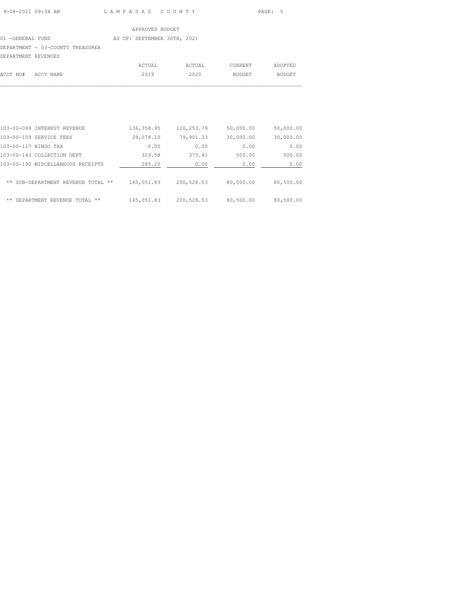### 01 -GENERAL FUND AS OF: SEPTEMBER 30TH, 2021

# DEPARTMENT - 03-COUNTY TREASURER

| DEPARTMENT REVENUES |  |
|---------------------|--|

|                    | ACTUAL | ACTUAL | CURRENT | ADOPTED |
|--------------------|--------|--------|---------|---------|
| ACCT NO# ACCT NAME | 2019   | 2020   | BUDGET  | BUDGET  |
|                    |        |        |         |         |

| 103-00-099 INTEREST REVENUE        | 136, 358.95 | 120,253.79 | 50,000.00 | 50,000.00 |
|------------------------------------|-------------|------------|-----------|-----------|
| 103-00-109 SERVICE FEES            | 28,078.10   | 79,901.33  | 30,000.00 | 30,000.00 |
| 103-00-117 BINGO TAX               | 0.00        | 0.00       | 0.00      | 0.00      |
| 103-00-143 COLLECTION DEPT         | 329.58      | 373.41     | 500.00    | 500.00    |
| 103-00-190 MISCELLANEOUS RECEIPTS  | 285.20      | 0.00       | 0.00      | 0.00      |
| ** SUB-DEPARTMENT REVENUE TOTAL ** | 165,051.83  | 200,528.53 | 80,500.00 | 80,500.00 |
| **<br>DEPARTMENT REVENUE TOTAL **  | 165,051.83  | 200,528.53 | 80,500.00 | 80,500.00 |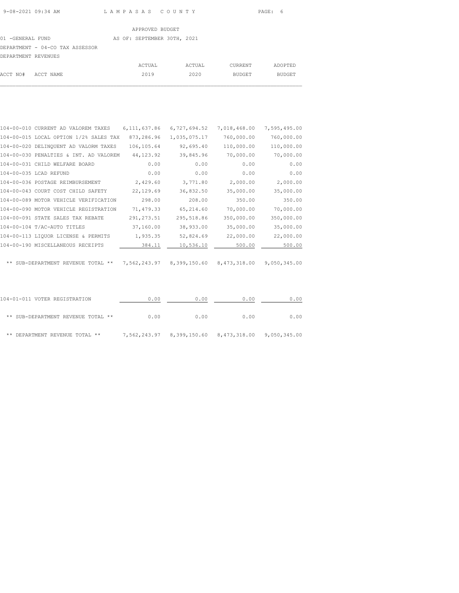# 01 -GENERAL FUND AS OF: SEPTEMBER 30TH, 2021 DEPARTMENT - 04-CO TAX ASSESSOR DEPARTMENT REVENUES

| ------------- |                    |        |        |         |         |
|---------------|--------------------|--------|--------|---------|---------|
|               |                    | ACTUAL | ACTUAL | CURRENT | ADOPTED |
|               | ACCT NO# ACCT NAME | 2019   | 2020   | BUDGET  | BUDGET  |
|               |                    |        |        |         |         |

| 104-00-010 CURRENT AD VALOREM TAXES    | 6,111,637.86 | 6,727,694.52 | 7,018,468.00                           | 7,595,495.00 |
|----------------------------------------|--------------|--------------|----------------------------------------|--------------|
| 104-00-015 LOCAL OPTION 1/2% SALES TAX | 873,286.96   | 1,035,075.17 | 760,000.00                             | 760,000.00   |
| 104-00-020 DELINQUENT AD VALORM TAXES  | 106,105.64   | 92,695.40    | 110,000.00                             | 110,000.00   |
| 104-00-030 PENALTIES & INT. AD VALOREM | 44, 123.92   | 39,845.96    | 70,000.00                              | 70,000.00    |
| 104-00-031 CHILD WELFARE BOARD         | 0.00         | 0.00         | 0.00                                   | 0.00         |
| 104-00-035 LCAD REFUND                 | 0.00         | 0.00         | 0.00                                   | 0.00         |
| 104-00-036 POSTAGE REIMBURSEMENT       | 2,429.60     | 3,771.80     | 2,000.00                               | 2,000.00     |
| 104-00-043 COURT COST CHILD SAFETY     | 22,129.69    | 36,832.50    | 35,000.00                              | 35,000.00    |
| 104-00-089 MOTOR VEHICLE VERIFICATION  | 298.00       | 208.00       | 350.00                                 | 350.00       |
| 104-00-090 MOTOR VEHICLE REGISTRATION  | 71,479.33    | 65,214.60    | 70,000.00                              | 70,000.00    |
| 104-00-091 STATE SALES TAX REBATE      | 291, 273.51  | 295,518.86   | 350,000.00                             | 350,000.00   |
| 104-00-104 T/AC-AUTO TITLES            | 37,160.00    | 38,933.00    | 35,000.00                              | 35,000.00    |
| 104-00-113 LIQUOR LICENSE & PERMITS    | 1,935.35     | 52,824.69    | 22,000.00                              | 22,000.00    |
| 104-00-190 MISCELLANEOUS RECEIPTS      | 384.11       | 10,536.10    | 500.00                                 | 500.00       |
|                                        |              |              |                                        |              |
| ** SUB-DEPARTMENT REVENUE TOTAL **     |              |              | 7,562,243.97 8,399,150.60 8,473,318.00 | 9,050,345.00 |
|                                        |              |              |                                        |              |
|                                        |              |              |                                        |              |
|                                        |              |              |                                        |              |

| 104-01-011 VOTER REGISTRATION      | 0.00         | 0.00 | 0.00                                   | 0.00 |
|------------------------------------|--------------|------|----------------------------------------|------|
| ** SUB-DEPARTMENT REVENUE TOTAL ** | 0.00         | 0.00 | 0.00                                   | 0.00 |
| ** DEPARTMENT REVENUE TOTAL **     | 7,562,243.97 |      | 8,399,150.60 8,473,318.00 9,050,345.00 |      |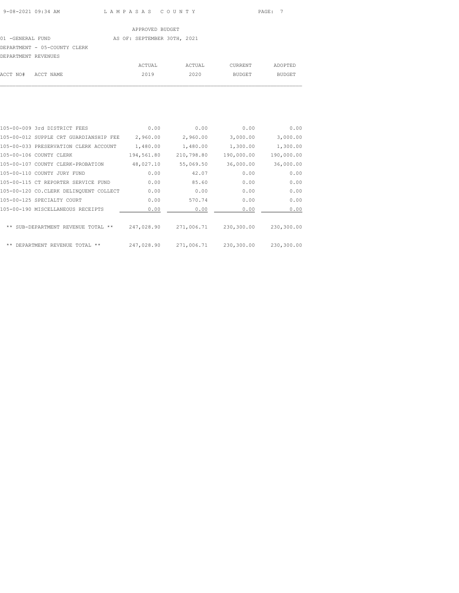# APPROVED BUDGET 01 -GENERAL FUND AS OF: SEPTEMBER 30TH, 2021 DEPARTMENT - 05-COUNTY CLERK DEPARTMENT REVENUES

|                    | ACTUAL | ACTUAL | CURRENT | ADOPTED |
|--------------------|--------|--------|---------|---------|
| ACCT NO# ACCT NAME | 2019   | 2020   | BUDGET  | BUDGET  |
|                    |        |        |         |         |

| 105-00-009 3rd DISTRICT FEES           | 0.00       | 0.00       | 0.00       | 0.00       |
|----------------------------------------|------------|------------|------------|------------|
| 105-00-012 SUPPLE CRT GUARDIANSHIP FEE | 2,960.00   | 2,960.00   | 3,000.00   | 3,000.00   |
| 105-00-033 PRESERVATION CLERK ACCOUNT  | 1,480.00   | 1,480.00   | 1,300.00   | 1,300.00   |
| 105-00-106 COUNTY CLERK                | 194,561.80 | 210,798.80 | 190,000.00 | 190,000.00 |
| 105-00-107 COUNTY CLERK-PROBATION      | 48,027.10  | 55,069.50  | 36,000.00  | 36,000.00  |
| 105-00-110 COUNTY JURY FUND            | 0.00       | 42.07      | 0.00       | 0.00       |
| 105-00-115 CT REPORTER SERVICE FUND    | 0.00       | 85.60      | 0.00       | 0.00       |
| 105-00-120 CO.CLERK DELINQUENT COLLECT | 0.00       | 0.00       | 0.00       | 0.00       |
| 105-00-125 SPECIALTY COURT             | 0.00       | 570.74     | 0.00       | 0.00       |
| 105-00-190 MISCELLANEOUS RECEIPTS      | 0.00       | 0.00       | 0.00       | 0.00       |
|                                        |            |            |            |            |
| ** SUB-DEPARTMENT REVENUE TOTAL **     | 247,028.90 | 271,006.71 | 230,300.00 | 230,300.00 |
|                                        |            |            |            |            |
| **<br>DEPARTMENT REVENUE TOTAL<br>**   | 247,028.90 | 271,006.71 | 230,300.00 | 230,300.00 |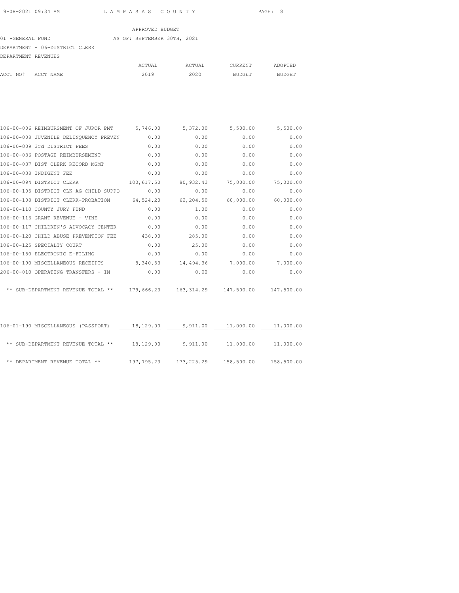# 01 -GENERAL FUND AS OF: SEPTEMBER 30TH, 2021 DEPARTMENT - 06-DISTRICT CLERK

| DEPARTMENT REVENUES |        |        |         |         |
|---------------------|--------|--------|---------|---------|
|                     | ACTUAL | ACTUAL | CURRENT | ADOPTED |
| ACCT NO# ACCT NAME  | 2019   | 2020   | BUDGET  | BUDGET  |
|                     |        |        |         |         |

| 106-00-006 REIMBURSMENT OF JUROR PMT 5,746.00 |            | 5,372.00                               | 5,500.00  | 5,500.00   |
|-----------------------------------------------|------------|----------------------------------------|-----------|------------|
| 106-00-008 JUVENILE DELINQUENCY PREVEN        | 0.00       | 0.00                                   | 0.00      | 0.00       |
| 106-00-009 3rd DISTRICT FEES                  | 0.00       | 0.00                                   | 0.00      | 0.00       |
| 106-00-036 POSTAGE REIMBURSEMENT              | 0.00       | 0.00                                   | 0.00      | 0.00       |
| 106-00-037 DIST CLERK RECORD MGMT             | 0.00       | 0.00                                   | 0.00      | 0.00       |
| 106-00-038 INDIGENT FEE                       | 0.00       | 0.00                                   | 0.00      | 0.00       |
| 106-00-094 DISTRICT CLERK                     | 100,617.50 | 80,932.43                              | 75,000.00 | 75,000.00  |
| 106-00-105 DISTRICT CLK AG CHILD SUPPO        | 0.00       | 0.00                                   | 0.00      | 0.00       |
| 106-00-108 DISTRICT CLERK-PROBATION           | 64,524.20  | 62,204.50                              | 60,000.00 | 60,000.00  |
| 106-00-110 COUNTY JURY FUND                   | 0.00       | 1.00                                   | 0.00      | 0.00       |
| 106-00-116 GRANT REVENUE - VINE               | 0.00       | 0.00                                   | 0.00      | 0.00       |
| 106-00-117 CHILDREN'S ADVOCACY CENTER         | 0.00       | 0.00                                   | 0.00      | 0.00       |
| 106-00-120 CHILD ABUSE PREVENTION FEE         | 438.00     | 285.00                                 | 0.00      | 0.00       |
| 106-00-125 SPECIALTY COURT                    | 0.00       | 25.00                                  | 0.00      | 0.00       |
| 106-00-150 ELECTRONIC E-FILING                | 0.00       | 0.00                                   | 0.00      | 0.00       |
| 106-00-190 MISCELLANEOUS RECEIPTS             | 8,340.53   | 14,494.36                              | 7,000.00  | 7,000.00   |
| 206-00-010 OPERATING TRANSFERS - IN           | 0.00       | 0.00                                   | 0.00      | 0.00       |
|                                               |            |                                        |           |            |
| ** SUB-DEPARTMENT REVENUE TOTAL **            |            | 179,666.23    163,314.29    147,500.00 |           | 147,500.00 |

| 106-01-190 MISCELLANEOUS (PASSPORT) | 18,129.00  | 9,911.00   | 11,000.00  | 11,000.00  |
|-------------------------------------|------------|------------|------------|------------|
| ** SUB-DEPARTMENT REVENUE TOTAL **  | 18,129.00  | 9,911.00   | 11,000.00  | 11,000.00  |
| DEPARTMENT REVENUE TOTAL **<br>**   | 197,795.23 | 173,225.29 | 158,500.00 | 158,500.00 |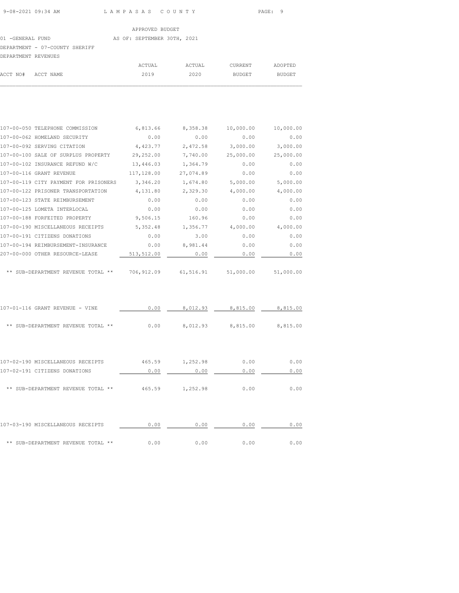# 01 -GENERAL FUND AS OF: SEPTEMBER 30TH, 2021 DEPARTMENT - 07-COUNTY SHERIFF

| DEPARTMENT REVENUES |        |        |         |         |
|---------------------|--------|--------|---------|---------|
|                     | ACTUAL | ACTUAL | CURRENT | ADOPTED |
| ACCT NO# ACCT NAME  | 2019   | 2020   | BUDGET  | BUDGET  |
|                     |        |        |         |         |

| 107-00-050 TELEPHONE COMMISSION       | 6,813.66   | 8,358.38  | 10,000.00 | 10,000.00 |
|---------------------------------------|------------|-----------|-----------|-----------|
| 107-00-062 HOMELAND SECURITY          | 0.00       | 0.00      | 0.00      | 0.00      |
| 107-00-092 SERVING CITATION           | 4,423.77   | 2,472.58  | 3,000.00  | 3,000.00  |
| 107-00-100 SALE OF SURPLUS PROPERTY   | 29,252.00  | 7,740.00  | 25,000.00 | 25,000.00 |
| 107-00-102 INSURANCE REFUND W/C       | 13,446.03  | 1,364.79  | 0.00      | 0.00      |
| 107-00-116 GRANT REVENUE              | 117,128.00 | 27,074.89 | 0.00      | 0.00      |
| 107-00-119 CITY PAYMENT FOR PRISONERS | 3,346.20   | 1,674.80  | 5,000.00  | 5,000.00  |
| 107-00-122 PRISONER TRANSPORTATION    | 4,131.80   | 2,329.30  | 4,000.00  | 4,000.00  |
| 107-00-123 STATE REIMBURSEMENT        | 0.00       | 0.00      | 0.00      | 0.00      |
| 107-00-125 LOMETA INTERLOCAL          | 0.00       | 0.00      | 0.00      | 0.00      |
| 107-00-188 FORFEITED PROPERTY         | 9,506.15   | 160.96    | 0.00      | 0.00      |
| 107-00-190 MISCELLANEOUS RECEIPTS     | 5,352.48   | 1,356.77  | 4,000.00  | 4,000.00  |
| 107-00-191 CITIZENS DONATIONS         | 0.00       | 3.00      | 0.00      | 0.00      |
| 107-00-194 REIMBURSEMENT-INSURANCE    | 0.00       | 8,981.44  | 0.00      | 0.00      |
| 207-00-000 OTHER RESOURCE-LEASE       | 513,512.00 | 0.00      | 0.00      | 0.00      |
|                                       |            |           |           |           |
| SUB-DEPARTMENT REVENUE TOTAL **       | 706,912.09 | 61,516.91 | 51,000.00 | 51,000.00 |
|                                       |            |           |           |           |

| 107-01-116 GRANT REVENUE - VINE       | 0.00   | 8,012.93 | 8,815.00 | 8,815.00 |
|---------------------------------------|--------|----------|----------|----------|
| SUB-DEPARTMENT REVENUE TOTAL **<br>** | 0.00   | 8,012.93 | 8,815.00 | 8,815.00 |
|                                       |        |          |          |          |
| 107-02-190 MISCELLANEOUS RECEIPTS     | 465.59 | 1,252.98 | 0.00     | 0.00     |
| 107-02-191 CITIZENS DONATIONS         | 0.00   | 0.00     | 0.00     | 0.00     |
| ** SUB-DEPARTMENT REVENUE TOTAL<br>** | 465.59 | 1,252.98 | 0.00     | 0.00     |
| 107-03-190 MISCELLANEOUS RECEIPTS     | 0.00   | 0.00     | 0.00     | 0.00     |
| ** SUB-DEPARTMENT REVENUE TOTAL<br>** | 0.00   | 0.00     | 0.00     | 0.00     |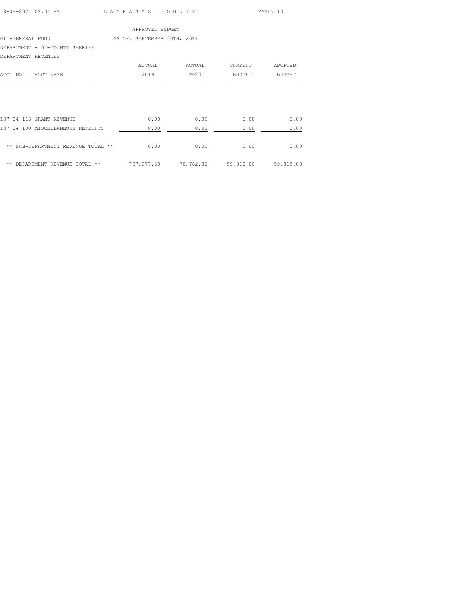| 9-08-2021 09:34 AM | LAMPASAS COUNTY | PAGE: 10 |
|--------------------|-----------------|----------|

|                                | APPROVED BUDGET             |        |               |               |
|--------------------------------|-----------------------------|--------|---------------|---------------|
| 01 -GENERAL FUND               | AS OF: SEPTEMBER 30TH, 2021 |        |               |               |
| DEPARTMENT - 07-COUNTY SHERIFF |                             |        |               |               |
| DEPARTMENT REVENUES            |                             |        |               |               |
|                                | ACTUAL                      | ACTUAL | CURRENT       | ADOPTED       |
| ACCT NO#<br>ACCT NAME          | 2019                        | 2020   | <b>BUDGET</b> | <b>BUDGET</b> |
|                                |                             |        |               |               |

| 107-04-116 GRANT REVENUE           | 0.00        | 0.00      | 0.00      | 0.00      |
|------------------------------------|-------------|-----------|-----------|-----------|
| 107-04-190 MISCELLANEOUS RECEIPTS  | 0.00        | 0.00      | 0.00      | 0.00      |
| ** SUB-DEPARTMENT REVENUE TOTAL ** | 0.00        | 0.00      | 0.00      | 0.00      |
| DEPARTMENT REVENUE TOTAL **<br>**  | 707, 377.68 | 70,782.82 | 59,815.00 | 59,815.00 |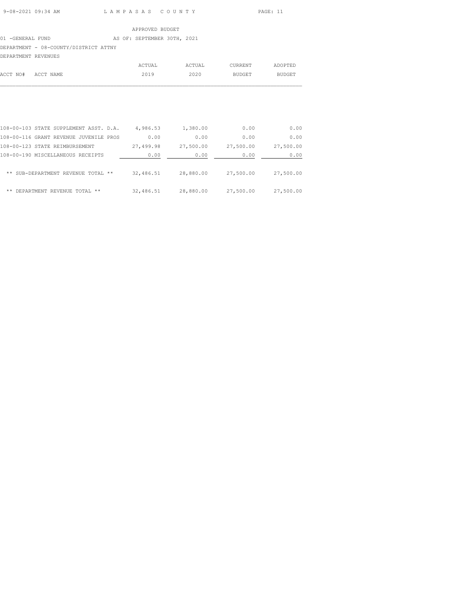## 01 -GENERAL FUND AS OF: SEPTEMBER 30TH, 2021

DEPARTMENT - 08-COUNTY/DISTRICT ATTNY

| DEPARTMENT REVENUES |        |        |         |         |
|---------------------|--------|--------|---------|---------|
|                     | ACTUAL | ACTUAL | CURRENT | ADOPTED |
| ACCT NO# ACCT NAME  | 2019   | 2020   | BUDGET  | BUDGET  |
|                     |        |        |         |         |

| 0.00      | 0.00      | 1,380.00  | 4,986.53  | 108-00-103 STATE SUPPLEMENT ASST. D.A. |    |
|-----------|-----------|-----------|-----------|----------------------------------------|----|
| 0.00      | 0.00      | 0.00      | 0.00      | 108-00-116 GRANT REVENUE JUVENILE PROS |    |
| 27,500.00 | 27,500.00 | 27,500.00 | 27,499.98 | 108-00-123 STATE REIMBURSEMENT         |    |
| 0.00      | 0.00      | 0.00      | 0.00      | 108-00-190 MISCELLANEOUS RECEIPTS      |    |
| 27,500.00 | 27,500.00 | 28,880.00 | 32,486.51 | ** SUB-DEPARTMENT REVENUE TOTAL **     |    |
| 27,500.00 | 27,500.00 | 28,880.00 | 32,486.51 | DEPARTMENT REVENUE TOTAL **            | ** |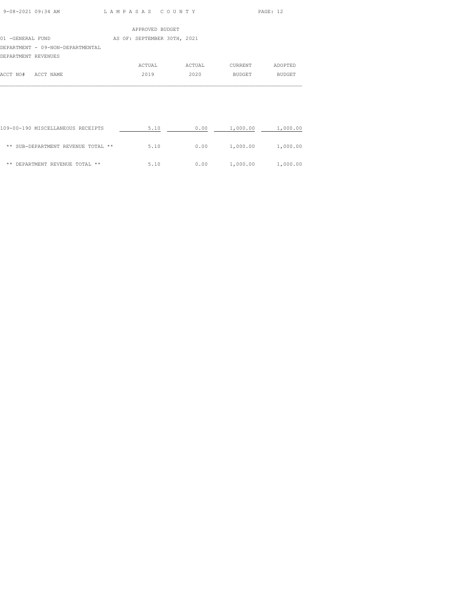| 9-08-2021 09:34 AM | LAMPASAS COUNTY | PAGE: 12 |
|--------------------|-----------------|----------|

|                     |                                  | APPROVED BUDGET             |        |         |               |
|---------------------|----------------------------------|-----------------------------|--------|---------|---------------|
| 01 -GENERAL FUND    |                                  | AS OF: SEPTEMBER 30TH, 2021 |        |         |               |
|                     | DEPARTMENT - 09-NON-DEPARTMENTAL |                             |        |         |               |
| DEPARTMENT REVENUES |                                  |                             |        |         |               |
|                     |                                  | ACTUAL                      | ACTUAL | CURRENT | ADOPTED       |
| ACCT NO#            | ACCT NAME                        | 2019                        | 2020   | BUDGET  | <b>BUDGET</b> |

| 109-00-190 MISCELLANEOUS RECEIPTS  | 5.10 | 0.00 | 1,000.00 | 1,000.00 |
|------------------------------------|------|------|----------|----------|
| ** SUB-DEPARTMENT REVENUE TOTAL ** | 5.10 | 0.00 | 1,000.00 | 1,000.00 |
| DEPARTMENT REVENUE TOTAL **<br>**  | 5.10 | 0.00 | 1,000.00 | 1,000.00 |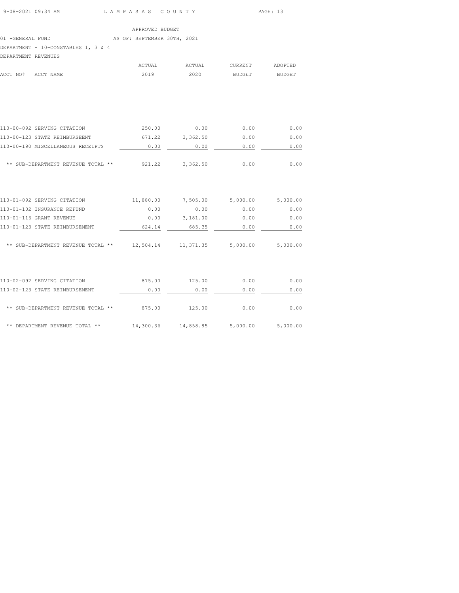|                                     |  |  |  | APPROVED BUDGET             |  |  |
|-------------------------------------|--|--|--|-----------------------------|--|--|
| 01 -GENERAL FUND                    |  |  |  | AS OF: SEPTEMBER 30TH, 2021 |  |  |
| DEPARTMENT - 10-CONSTABLES 1, 3 & 4 |  |  |  |                             |  |  |
| DEPARTMENT REVENUES                 |  |  |  |                             |  |  |

| ACCT NAME<br>ACCT NO#                        | ACTUAL<br>2019 | ACTUAL<br>2020    | CURRENT<br><b>BUDGET</b> | ADOPTED<br><b>BUDGET</b> |
|----------------------------------------------|----------------|-------------------|--------------------------|--------------------------|
|                                              |                |                   |                          |                          |
| 110-00-092 SERVING CITATION                  | 250.00 0.00    |                   | 0.00                     | 0.00                     |
| 110-00-123 STATE REIMBURSEENT                | 671.22         | 3,362.50          | 0.00                     | 0.00                     |
| 110-00-190 MISCELLANEOUS RECEIPTS            | 0.00           | 0.00              | 0.00                     | 0.00                     |
| ** SUB-DEPARTMENT REVENUE TOTAL **           |                | 921.22 3,362.50   | 0.00                     | 0.00                     |
| 110-01-092 SERVING CITATION                  | 11,880.00      | 7,505.00 5,000.00 |                          | 5,000.00                 |
| 110-01-102 INSURANCE REFUND                  | 0.00           | 0.00              | 0.00                     | 0.00                     |
| 110-01-116 GRANT REVENUE                     | 0.00           | 3,181.00          | 0.00                     | 0.00                     |
| 110-01-123 STATE REIMBURSEMENT               | 624.14         | 685.35            | 0.00                     | 0.00                     |
| ** SUB-DEPARTMENT REVENUE TOTAL ** 12,504.14 |                | 11,371.35         | 5,000.00                 | 5,000.00                 |
| 110-02-092 SERVING CITATION                  | 875.00         | 125.00            | 0.00                     | 0.00                     |
| 110-02-123 STATE REIMBURSEMENT               | 0.00           | 0.00              | 0.00                     | 0.00                     |
|                                              |                |                   |                          |                          |
| ** SUB-DEPARTMENT REVENUE TOTAL **           | 875.00         | 125.00            | 0.00                     | 0.00                     |
| ** DEPARTMENT REVENUE TOTAL **               | 14,300.36      | 14,858.85         | 5,000.00                 | 5,000.00                 |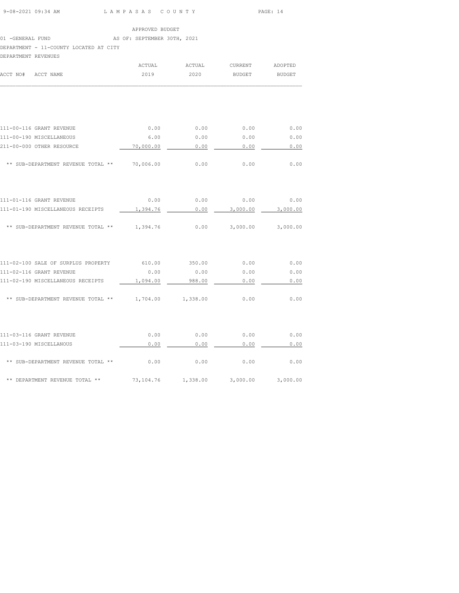|                     | 9-08-2021 09:34 AM                                           | LAMPASAS COUNTY |                             |                                    | PAGE: 14      |
|---------------------|--------------------------------------------------------------|-----------------|-----------------------------|------------------------------------|---------------|
|                     |                                                              | APPROVED BUDGET |                             |                                    |               |
|                     | 01 - GENERAL FUND THE RESOLUTION AS OF: SEPTEMBER 30TH, 2021 |                 |                             |                                    |               |
|                     | DEPARTMENT - 11-COUNTY LOCATED AT CITY                       |                 |                             |                                    |               |
| DEPARTMENT REVENUES |                                                              |                 |                             |                                    |               |
|                     |                                                              | ACTUAL          | ACTUAL                      | <b>CURRENT</b>                     | ADOPTED       |
| ACCT NO# ACCT NAME  |                                                              | 2019            | 2020                        | <b>BUDGET</b>                      | <b>BUDGET</b> |
|                     |                                                              |                 |                             |                                    |               |
|                     | 111-00-116 GRANT REVENUE                                     | 0.00            |                             | $0.00$ 0.00                        | 0.00          |
|                     | 111-00-190 MISCELLANEOUS                                     | 6.00            | 0.00                        | 0.00                               | 0.00          |
|                     | 211-00-000 OTHER RESOURCE                                    | 70,000.00       | 0.00                        | 0.00                               | 0.00          |
|                     |                                                              |                 |                             |                                    |               |
|                     | ** SUB-DEPARTMENT REVENUE TOTAL ** 70,006.00                 |                 | 0.00                        | 0.00                               | 0.00          |
|                     |                                                              |                 |                             |                                    |               |
|                     | 111-01-116 GRANT REVENUE                                     |                 |                             | $0.00$ $0.00$ $0.00$ $0.00$ $0.00$ |               |
|                     | 111-01-190 MISCELLANEOUS RECEIPTS                            | 1,394.76        | 0.00                        | 3,000.00                           | 3,000.00      |
|                     | ** SUB-DEPARTMENT REVENUE TOTAL ** 1,394.76                  |                 | 0.00                        | 3,000.00                           | 3,000.00      |
|                     |                                                              |                 |                             |                                    |               |
|                     | 111-02-100 SALE OF SURPLUS PROPERTY 610.00 350.00 0.00       |                 |                             |                                    | 0.00          |
|                     | 111-02-116 GRANT REVENUE                                     |                 | $0.00$ $0.00$ $0.00$ $0.00$ |                                    | 0.00          |
|                     | 111-02-190 MISCELLANEOUS RECEIPTS                            | 1,094.00        | 988.00                      | 0.00                               | 0.00          |
|                     | ** SUB-DEPARTMENT REVENUE TOTAL ** 1,704.00                  |                 | 1,338.00                    | 0.00                               | 0.00          |

| 111-03-116 GRANT REVENUE           | 0.00      | 0.00     | 0.00     | 0.00     |
|------------------------------------|-----------|----------|----------|----------|
| 111-03-190 MISCELLANOUS            | 0.00      | 0.00     | 0.00     | 0.00     |
| ** SUB-DEPARTMENT REVENUE TOTAL ** | 0.00      | 0.00     | 0.00     | 0.00     |
| ** DEPARTMENT REVENUE TOTAL **     | 73,104.76 | 1,338.00 | 3,000.00 | 3,000.00 |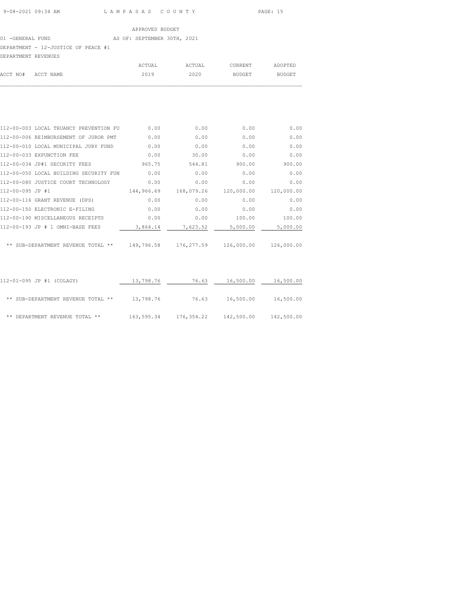# 01 -GENERAL FUND AS OF: SEPTEMBER 30TH, 2021 DEPARTMENT - 12-JUSTICE OF PEACE #1

| DEPARTMENT REVENUES |           |        |        |         |         |
|---------------------|-----------|--------|--------|---------|---------|
|                     |           | ACTUAL | ACTUAL | CURRENT | ADOPTED |
| ACCT NO#            | ACCT NAME | 2019   | 2020   | BUDGET  | BUDGET  |
|                     |           |        |        |         |         |

| 112-00-003 LOCAL TRUANCY PREVENTION FU   | 0.00       | 0.00        | 0.00       | 0.00       |
|------------------------------------------|------------|-------------|------------|------------|
| 112-00-006 REIMBURSEMENT OF JUROR PMT    | 0.00       | 0.00        | 0.00       | 0.00       |
| 112-00-010 LOCAL MUNICIPAL JURY FUND     | 0.00       | 0.00        | 0.00       | 0.00       |
| 112-00-033 EXPUNCTION FEE                | 0.00       | 30.00       | 0.00       | 0.00       |
| 112-00-034 JP#1 SECURITY FEES            | 965.75     | 544.81      | 900.00     | 900.00     |
| 112-00-050 LOCAL BUILDING SECURITY FUN   | 0.00       | 0.00        | 0.00       | 0.00       |
| 112-00-080 JUSTICE COURT TECHNOLOGY      | 0.00       | 0.00        | 0.00       | 0.00       |
| 112-00-095 JP #1                         | 144,966.69 | 168,079.26  | 120,000.00 | 120,000.00 |
| 112-00-116 GRANT REVENUE (DPS)           | 0.00       | 0.00        | 0.00       | 0.00       |
| 112-00-150 ELECTRONIC E-FILING           | 0.00       | 0.00        | 0.00       | 0.00       |
| 112-00-190 MISCELLANEOUS RECEIPTS        | 0.00       | 0.00        | 100.00     | 100.00     |
| 112-00-193 JP # 1 OMNI-BASE FEES         | 3,864.14   | 7,623.52    | 5,000.00   | 5,000.00   |
|                                          |            |             |            |            |
| ** SUB-DEPARTMENT REVENUE TOTAL<br>$* *$ | 149,796.58 | 176, 277.59 | 126,000.00 | 126,000.00 |

| 112-01-095 JP #1 (COLAGY)          | 13,798.76  | 76.63      | 16,500.00  | 16,500.00  |
|------------------------------------|------------|------------|------------|------------|
| ** SUB-DEPARTMENT REVENUE TOTAL ** | 13,798.76  | 76.63      | 16,500.00  | 16,500.00  |
| DEPARTMENT REVENUE TOTAL **<br>**  | 163,595.34 | 176,354.22 | 142,500.00 | 142,500.00 |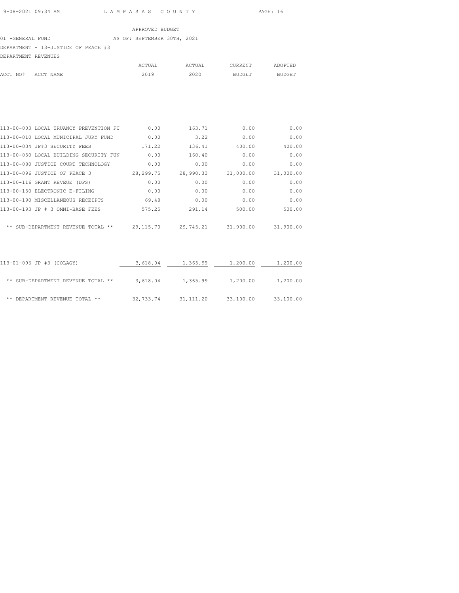# 01 -GENERAL FUND AS OF: SEPTEMBER 30TH, 2021 DEPARTMENT - 13-JUSTICE OF PEACE #3

| DEPARTMENT REVENUES |        |        |         |         |
|---------------------|--------|--------|---------|---------|
|                     | ACTUAL | ACTUAL | CURRENT | ADOPTED |
| ACCT NO# ACCT NAME  | 2019   | 2020   | BUDGET  | BUDGET  |
|                     |        |        |         |         |

| 113-00-003 LOCAL TRUANCY PREVENTION FU | 0.00        | 163.71    | 0.00      | 0.00      |
|----------------------------------------|-------------|-----------|-----------|-----------|
| 113-00-010 LOCAL MUNICIPAL JURY FUND   | 0.00        | 3.22      | 0.00      | 0.00      |
| 113-00-034 JP#3 SECURITY FEES          | 171.22      | 136.41    | 400.00    | 400.00    |
| 113-00-050 LOCAL BUILDING SECURITY FUN | 0.00        | 160.40    | 0.00      | 0.00      |
| 113-00-080 JUSTICE COURT TECHNOLOGY    | 0.00        | 0.00      | 0.00      | 0.00      |
| 113-00-096 JUSTICE OF PEACE 3          | 28, 299. 75 | 28,990.33 | 31,000.00 | 31,000.00 |
| 113-00-116 GRANT REVEUE (DPS)          | 0.00        | 0.00      | 0.00      | 0.00      |
| 113-00-150 ELECTRONIC E-FILING         | 0.00        | 0.00      | 0.00      | 0.00      |
| 113-00-190 MISCELLANEOUS RECEIPTS      | 69.48       | 0.00      | 0.00      | 0.00      |
| 113-00-193 JP # 3 OMNI-BASE FEES       | 575.25      | 291.14    | 500.00    | 500.00    |
|                                        |             |           |           |           |
| ** SUB-DEPARTMENT REVENUE TOTAL **     | 29, 115.70  | 29,745.21 | 31,900.00 | 31,900.00 |
|                                        |             |           |           |           |

| 113-01-096 JP #3 (COLAGY)            | 3,618.04  | 1,365.99   | 1,200.00  | 1,200.00  |
|--------------------------------------|-----------|------------|-----------|-----------|
| ** SUB-DEPARTMENT REVENUE TOTAL **   | 3,618.04  | 1,365.99   | 1,200.00  | 1,200.00  |
| DEPARTMENT REVENUE TOTAL **<br>$* *$ | 32,733.74 | 31, 111.20 | 33,100.00 | 33,100.00 |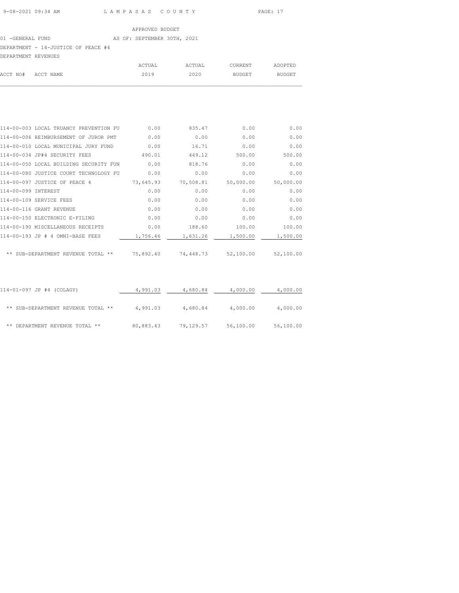# 01 -GENERAL FUND AS OF: SEPTEMBER 30TH, 2021 DEPARTMENT - 14-JUSTICE OF PEACE #4

| DEPARTMENT REVENUES |           |        |        |         |         |
|---------------------|-----------|--------|--------|---------|---------|
|                     |           | ACTUAL | ACTUAL | CURRENT | ADOPTED |
| ACCT NO#            | ACCT NAME | 2019   | 2020   | BUDGET  | BUDGET  |
|                     |           |        |        |         |         |

| 114-00-003 LOCAL TRUANCY PREVENTION FU | 0.00      | 835.47    | 0.00      | 0.00      |
|----------------------------------------|-----------|-----------|-----------|-----------|
| 114-00-006 REIMBURSEMENT OF JUROR PMT  | 0.00      | 0.00      | 0.00      | 0.00      |
| 114-00-010 LOCAL MUNICIPAL JURY FUND   | 0.00      | 16.71     | 0.00      | 0.00      |
| 114-00-034 JP#4 SECURITY FEES          | 490.01    | 449.12    | 500.00    | 500.00    |
| 114-00-050 LOCAL BUILDING SECURITY FUN | 0.00      | 818.76    | 0.00      | 0.00      |
| 114-00-080 JUSTICE COURT TECHNOLOGY FU | 0.00      | 0.00      | 0.00      | 0.00      |
| 114-00-097 JUSTICE OF PEACE 4          | 73,645.93 | 70,508.81 | 50,000.00 | 50,000.00 |
| 114-00-099 INTEREST                    | 0.00      | 0.00      | 0.00      | 0.00      |
| 114-00-109 SERVICE FEES                | 0.00      | 0.00      | 0.00      | 0.00      |
| 114-00-116 GRANT REVENUE               | 0.00      | 0.00      | 0.00      | 0.00      |
| 114-00-150 ELECTRONIC E-FILING         | 0.00      | 0.00      | 0.00      | 0.00      |
| 114-00-190 MISCELLANEOUS RECEIPTS      | 0.00      | 188.60    | 100.00    | 100.00    |
| 114-00-193 JP # 4 OMNI-BASE FEES       | 1,756.46  | 1,631.26  | 1,500.00  | 1,500.00  |
|                                        |           |           |           |           |
| ** SUB-DEPARTMENT REVENUE TOTAL **     | 75,892.40 | 74,448.73 | 52,100.00 | 52,100.00 |

| 114-01-097 JP #4 (COLAGY)          | 4,991.03  | 4,680.84  | 4,000.00  | 4,000.00  |
|------------------------------------|-----------|-----------|-----------|-----------|
| ** SUB-DEPARTMENT REVENUE TOTAL ** | 4,991.03  | 4,680.84  | 4,000.00  | 4,000.00  |
| ** DEPARTMENT REVENUE TOTAL **     | 80,883.43 | 79,129.57 | 56,100.00 | 56,100.00 |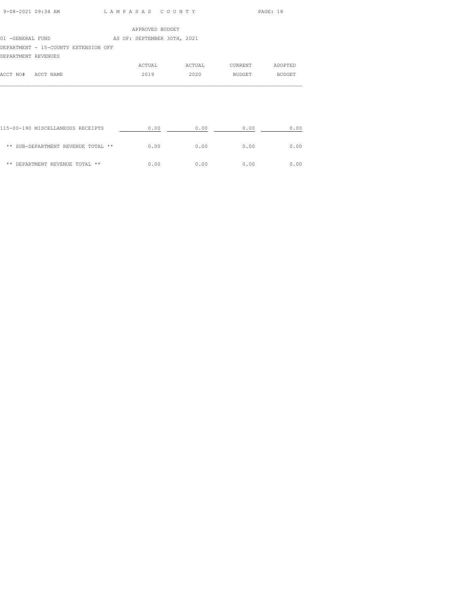| 9-08-2021 09:34 AM | LAMPASAS COUNTY | PAGE: 18 |
|--------------------|-----------------|----------|

|                                      | APPROVED BUDGET             |
|--------------------------------------|-----------------------------|
| 01 -GENERAL FUND                     | AS OF: SEPTEMBER 30TH, 2021 |
| DEPARTMENT - 15-COUNTY EXTENSION OFF |                             |
| DEPARTMENT REVENUES                  |                             |
|                                      |                             |

|          |           | ACTUAL | ACTUAL | CURRENT       | ADOPTED       |
|----------|-----------|--------|--------|---------------|---------------|
| ACCT NO# | ACCT NAME | 2019   | 2020   | <b>BUDGET</b> | <b>BUDGET</b> |
|          |           |        |        |               |               |

| 115-00-190 MISCELLANEOUS RECEIPTS  | 0.00 | 0.00 | 0.00 | 0.00 |
|------------------------------------|------|------|------|------|
| ** SUB-DEPARTMENT REVENUE TOTAL ** | 0.00 | 0.00 | 0.00 | 0.00 |
| DEPARTMENT REVENUE TOTAL **<br>**  | 0.00 | 0.00 | 0.00 | 0.00 |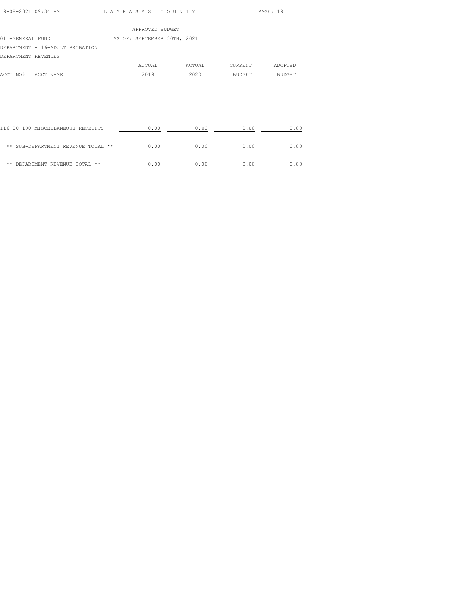| 9-08-2021 09:34 AM |                 | PAGE: 19 |
|--------------------|-----------------|----------|
|                    | LAMPASAS COUNTY |          |

|                     |                                 | APPROVED BUDGET             |        |         |               |  |
|---------------------|---------------------------------|-----------------------------|--------|---------|---------------|--|
| 01 -GENERAL FUND    |                                 | AS OF: SEPTEMBER 30TH, 2021 |        |         |               |  |
|                     | DEPARTMENT - 16-ADULT PROBATION |                             |        |         |               |  |
| DEPARTMENT REVENUES |                                 |                             |        |         |               |  |
|                     |                                 | ACTUAL                      | ACTUAL | CURRENT | ADOPTED       |  |
| ACCT NO#            | ACCT NAME                       | 2019                        | 2020   | BUDGET  | <b>BUDGET</b> |  |
|                     |                                 |                             |        |         |               |  |

| 116-00-190 MISCELLANEOUS RECEIPTS  | 0.00 | 0.00 | 0.00 | 0.00 |
|------------------------------------|------|------|------|------|
| ** SUB-DEPARTMENT REVENUE TOTAL ** | 0.00 | 0.00 | 0.00 | 0.00 |
| DEPARTMENT REVENUE TOTAL **<br>**  | 0.00 | 0.00 | 0.00 | 0.00 |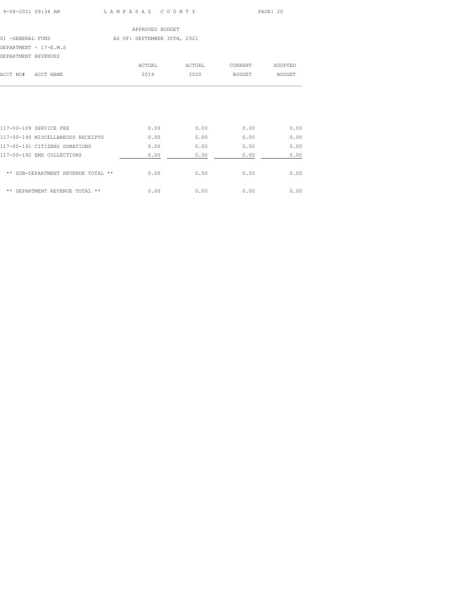9-08-2021 09:34 AM L A M P A S A S C O U N T Y PAGE: 20

| APPROVED BUDGET       |           |  |                             |  |        |         |               |
|-----------------------|-----------|--|-----------------------------|--|--------|---------|---------------|
| 01 -GENERAL FUND      |           |  | AS OF: SEPTEMBER 30TH, 2021 |  |        |         |               |
| DEPARTMENT - 17-E.M.S |           |  |                             |  |        |         |               |
| DEPARTMENT REVENUES   |           |  |                             |  |        |         |               |
|                       |           |  | ACTUAL                      |  | ACTUAL | CURRENT | ADOPTED       |
| ACCT NO#              | ACCT NAME |  | 2019                        |  | 2020   | BUDGET  | <b>BUDGET</b> |
|                       |           |  |                             |  |        |         |               |
|                       |           |  |                             |  |        |         |               |
|                       |           |  |                             |  |        |         |               |

| 117-00-109 SERVICE FEE               | 0.00 | 0.00 | 0.00 | 0.00 |
|--------------------------------------|------|------|------|------|
| 117-00-190 MISCELLANEOUS RECEIPTS    | 0.00 | 0.00 | 0.00 | 0.00 |
| 117-00-191 CITIZENS DONATIONS        | 0.00 | 0.00 | 0.00 | 0.00 |
| 117-00-192 EMS COLLECTIONS           | 0.00 | 0.00 | 0.00 | 0.00 |
| ** SUB-DEPARTMENT REVENUE TOTAL **   | 0.00 | 0.00 | 0.00 | 0.00 |
| $* *$<br>DEPARTMENT REVENUE TOTAL ** | 0.00 | 0.00 | 0.00 | 0.00 |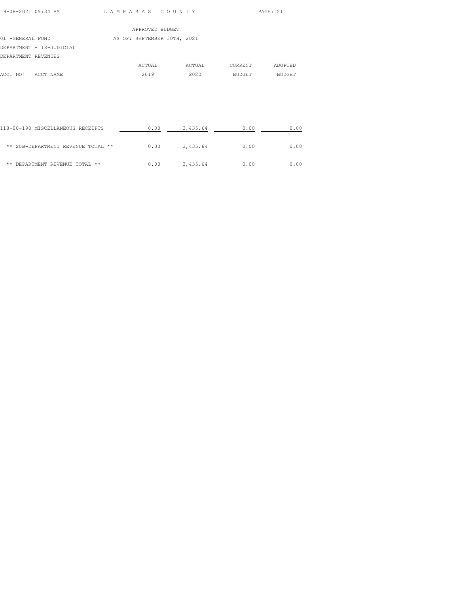| 9-08-2021 09:34 AM | LAMPASAS COUNTY | PAGE: 21 |
|--------------------|-----------------|----------|
|                    |                 |          |

| APPROVED BUDGET     |                          |  |                             |        |         |               |
|---------------------|--------------------------|--|-----------------------------|--------|---------|---------------|
| 01 -GENERAL FUND    |                          |  | AS OF: SEPTEMBER 30TH, 2021 |        |         |               |
|                     | DEPARTMENT - 18-JUDICIAL |  |                             |        |         |               |
| DEPARTMENT REVENUES |                          |  |                             |        |         |               |
|                     |                          |  | ACTUAL                      | ACTUAL | CURRENT | ADOPTED       |
| ACCT NO#            | ACCT NAME                |  | 2019                        | 2020   | BUDGET  | <b>BUDGET</b> |
|                     |                          |  |                             |        |         |               |
|                     |                          |  |                             |        |         |               |

| 118-00-190 MISCELLANEOUS RECEIPTS  | 0.00 | 3,435.64 | 0.00 | 0.00 |
|------------------------------------|------|----------|------|------|
| ** SUB-DEPARTMENT REVENUE TOTAL ** | 0.00 | 3,435.64 | 0.00 | 0.00 |
| ** DEPARTMENT REVENUE TOTAL **     | 0.00 | 3,435.64 | 0.00 | 0.00 |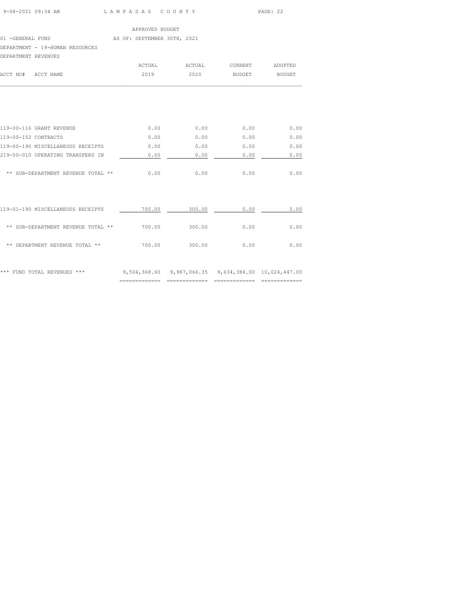| 9-08-2021 09:34 AM | LAMPASAS COUNTY | PAGE: 22 |
|--------------------|-----------------|----------|

# APPROVED BUDGET 01 -GENERAL FUND AS OF: SEPTEMBER 30TH, 2021 DEPARTMENT - 19-HUMAN RESOURCES

| DEPARTMENT REVENUES                |        |        |         |               |
|------------------------------------|--------|--------|---------|---------------|
|                                    | ACTUAL | ACTUAL | CURRENT | ADOPTED       |
| ACCT NO#<br>ACCT NAME              | 2019   | 2020   | BUDGET  | <b>BUDGET</b> |
|                                    |        |        |         |               |
| 119-00-116 GRANT REVENUE           | 0.00   | 0.00   | 0.00    | 0.00          |
| 119-00-152 CONTRACTS               | 0.00   | 0.00   | 0.00    | 0.00          |
| 119-00-190 MISCELLANEOUS RECEIPTS  | 0.00   | 0.00   | 0.00    | 0.00          |
| 219-00-010 OPERATING TRANSFERS IN  | 0.00   | 0.00   | 0.00    | 0.00          |
| ** SUB-DEPARTMENT REVENUE TOTAL ** | 0.00   | 0.00   | 0.00    | 0.00          |
|                                    |        |        |         |               |
|                                    |        |        |         |               |

| ***<br>FUND TOTAL REVENUES<br>***  | 9,504,368.60 | 9,987,066.35 |      | 9,634,384.00 10,024,447.00 |
|------------------------------------|--------------|--------------|------|----------------------------|
| DEPARTMENT REVENUE TOTAL **<br>**  | 700.00       | 300.00       | 0.00 | 0.00                       |
| ** SUB-DEPARTMENT REVENUE TOTAL ** | 700.00       | 300.00       | 0.00 | 0.00                       |
| 119-01-190 MISCELLANEOUS RECEIPTS  | 700.00       | 300.00       | 0.00 | 0.00                       |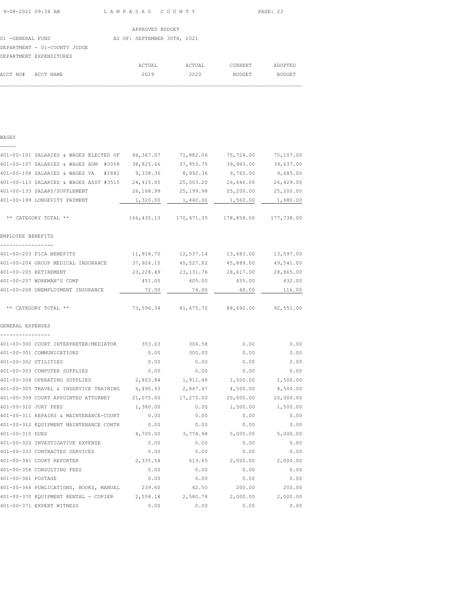| APPROVED BUDGET  |                              |  |                             |  |        |               |               |
|------------------|------------------------------|--|-----------------------------|--|--------|---------------|---------------|
| 01 -GENERAL FUND |                              |  | AS OF: SEPTEMBER 30TH, 2021 |  |        |               |               |
|                  | DEPARTMENT - 01-COUNTY JUDGE |  |                             |  |        |               |               |
|                  | DEPARTMENT EXPENDITURES      |  |                             |  |        |               |               |
|                  |                              |  | ACTUAL                      |  | ACTUAL | CURRENT       | ADOPTED       |
| ACCT NO#         | ACCT NAME                    |  | 2019                        |  | 2020   | <b>BUDGET</b> | <b>BUDGET</b> |

# WAGES ----- 401-00-101 SALARIES & WAGES ELECTED OF 66,367.07 71,882.06 75,724.00 75,107.00 401-00-107 SALARIES & WAGES ADM #3058 38,825.66 37,953.75 39,963.00 39,637.00 401-00-108 SALARIES & WAGES VA #2882 9,338.36 8,992.36 9,765.00 9,685.00 401-00-113 SALARIES & WAGES ASST #3515 24,415.05 25,003.20 26,646.00 26,429.00 401-00-133 SALARY/SUPPLEMENT 26,168.99 25,199.98 25,200.00 25,200.00 401-00-199 LONGEVITY PAYMENT  $1,320.00$   $1,440.00$   $1,560.00$   $1,680.00$  \*\* CATEGORY TOTAL \*\* 166,435.13 170,471.35 178,858.00 177,738.00 EMPLOYEE BENEFITS ----------------- 401-00-203 FICA BENEFITS 11,918.70 12,537.14 13,683.00 13,597.00 401-00-204 GROUP MEDICAL INSURANCE 37,926.15 45,527.82 45,889.00 49,541.00 401-00-205 RETIREMENT 23,228.49 23,131.76 28,617.00 28,865.00<br>
401-00-207 WORKMAN'S COMP 451.00 405.00 455.00 432.00 401-00-207 WORKMAN'S COMP 451.00 405.00 455.00 432.00 401-00-208 UNEMPLOYMENT INSURANCE 22.00 72.00 74.00 48.00 116.00 \*\* CATEGORY TOTAL \*\* 73,596.34 81,675.72 88,692.00 92,551.00 GENERAL EXPENSES ---------------- 401-00-300 COURT INTERPRETER/MEDIATOR 353.63 306.58 0.00 0.00 401-00-301 COMMUNICATIONS 0.00 300.00 0.00 0.00 401-00-302 UTILITIES 0.00 0.00 0.00 0.00 401-00-303 COMPUTER SUPPLIES 0.00 0.00 0.00 0.00 401-00-304 OPERATING SUPPLIES 2,803.84 1,911.48 1,500.00 1,500.00 401-00-305 TRAVEL & INSERVICE TRAINING 6,495.93 2,847.97 4,500.00 4,500.00 401-00-309 COURT APPOINTED ATTORNEY 21,075.00 17,275.00 20,000.00 20,000.00 401-00-310 JURY FEES 1,380.00 0.00 1,500.00 1,500.00 401-00-311 REPAIRS & MAINTENANCE-COURT 0.00 0.00 0.00 0.00 401-00-312 EQUIPMENT MAINTENANCE CONTR 0.00 0.00 0.00 0.00 401-00-315 DUES 4,705.00 3,774.98 5,000.00 5,000.00 401-00-320 INVESTIGATIVE EXPENSE 0.00 0.00 0.00 0.00 401-00-333 CONTRACTED SERVICES 0.00 0.00 0.00 0.00 401-00-341 COURT REPORTER 2,335.54 613.65 2,000.00 2,000.00 401-00-358 CONSULTING FEES 0.00 0.00 0.00 0.00 401-00-361 POSTAGE 0.00 0.00 0.00 0.00 401-00-364 PUBLICATIONS, BOOKS, MANUAL 239.60 42.50 200.00 200.00 401-00-370 EQUIPMENT RENTAL - COPIER 2,558.18 2,580.78 2,000.00 2,000.00 401-00-371 EXPERT WITNESS 0.00 0.00 0.00 0.00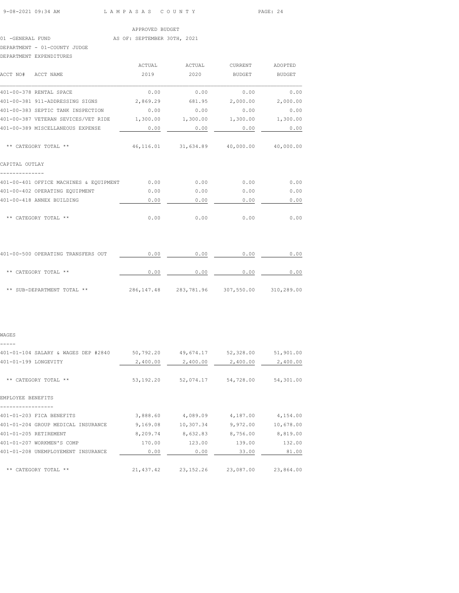| 9-08-2021 09:34 AM |  |
|--------------------|--|
|                    |  |

L A M P A S A S C O U N T Y PAGE: 24

#### APPROVED BUDGET

# 01 -GENERAL FUND AS OF: SEPTEMBER 30TH, 2021

DEPARTMENT - 01-COUNTY JUDGE

| DEPARTMENT EXPENDITURES                                                 |      |                                             |                |               |
|-------------------------------------------------------------------------|------|---------------------------------------------|----------------|---------------|
|                                                                         |      | ACTUAL ACTUAL                               | <b>CURRENT</b> | ADOPTED       |
| ACCT NO# ACCT NAME                                                      | 2019 | 2020                                        | BUDGET         | <b>BUDGET</b> |
| 401-00-378 RENTAL SPACE                                                 | 0.00 | 0.00                                        | 0.00           | 0.00          |
| 401-00-381 911-ADDRESSING SIGNS                                         |      | $2,869.29$ 681.95 2,000.00 2,000.00         |                |               |
| 401-00-383 SEPTIC TANK INSPECTION                                       | 0.00 | 0.00                                        | 0.00           | 0.00          |
| 401-00-387 VETERAN SEVICES/VET RIDE 1,300.00 1,300.00 1,300.00 1,300.00 |      |                                             |                |               |
| 401-00-389 MISCELLANEOUS EXPENSE                                        | 0.00 | 0.00                                        | 0.00           | 0.00          |
| ** CATEGORY TOTAL **                                                    |      | 46,116.01 31,634.89 40,000.00 40,000.00     |                |               |
| CAPITAL OUTLAY                                                          |      |                                             |                |               |
| 401-00-401 OFFICE MACHINES & EQUIPMENT 0.00                             |      | 0.00                                        | 0.00           | 0.00          |
| 401-00-402 OPERATING EQUIPMENT                                          | 0.00 | 0.00                                        | 0.00           | 0.00          |
| 401-00-418 ANNEX BUILDING                                               | 0.00 | 0.00                                        | 0.00           | 0.00          |
| ** CATEGORY TOTAL **                                                    | 0.00 | 0.00                                        | 0.00           | 0.00          |
| 401-00-500 OPERATING TRANSFERS OUT                                      | 0.00 | 0.00                                        | 0.00           | 0.00          |
| ** CATEGORY TOTAL **                                                    | 0.00 | 0.00                                        | 0.00           | 0.00          |
| ** SUB-DEPARTMENT TOTAL **                                              |      | 286,147.48 283,781.96 307,550.00 310,289.00 |                |               |
|                                                                         |      |                                             |                |               |

# WAGES

| 401-01-104 SALARY & WAGES DEP #2840 | 50,792.20  | 49,674.17   | 52,328.00 | 51,901.00 |
|-------------------------------------|------------|-------------|-----------|-----------|
| 401-01-199 LONGEVITY                | 2,400.00   | 2,400.00    | 2,400.00  | 2,400.00  |
|                                     |            |             |           |           |
| CATEGORY TOTAL **                   | 53, 192.20 | 52,074.17   | 54,728.00 | 54,301.00 |
|                                     |            |             |           |           |
| EMPLOYEE BENEFITS                   |            |             |           |           |
| 401-01-203 FICA BENEFITS            | 3,888.60   | 4,089.09    | 4,187.00  | 4,154.00  |
| 401-01-204 GROUP MEDICAL INSURANCE  | 9,169.08   | 10,307.34   | 9,972.00  | 10,678.00 |
| 401-01-205 RETIREMENT               | 8,209.74   | 8,632.83    | 8,756.00  | 8,819.00  |
| 401-01-207 WORKMEN'S COMP           | 170.00     | 123.00      | 139.00    | 132.00    |
| 401-01-208 UNEMPLOYEMENT INSURANCE  | 0.00       | 0.00        | 33.00     | 81.00     |
|                                     |            |             |           |           |
| CATEGORY TOTAL **<br>$* *$          | 21, 437.42 | 23, 152. 26 | 23,087.00 | 23,864.00 |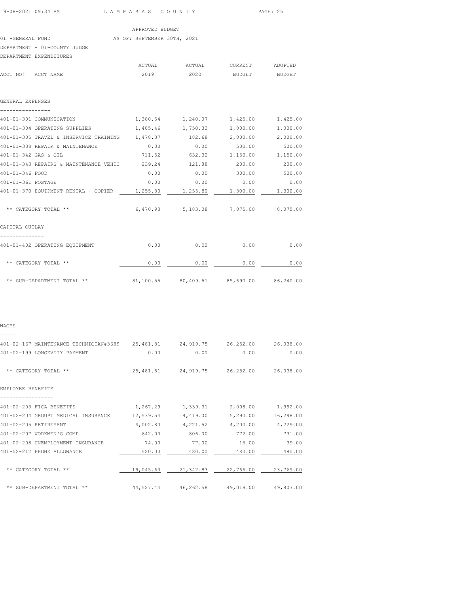|                                                                           |                                     |      |                                             | PAGE: 25 |
|---------------------------------------------------------------------------|-------------------------------------|------|---------------------------------------------|----------|
|                                                                           | APPROVED BUDGET                     |      |                                             |          |
| 01 -GENERAL FUND AS OF: SEPTEMBER 30TH, 2021                              |                                     |      |                                             |          |
| DEPARTMENT - 01-COUNTY JUDGE                                              |                                     |      |                                             |          |
| DEPARTMENT EXPENDITURES                                                   |                                     |      |                                             |          |
|                                                                           |                                     |      |                                             |          |
| ACCT NO# ACCT NAME                                                        | 2019                                |      | 2020 BUDGET BUDGET                          |          |
| GENERAL EXPENSES                                                          |                                     |      |                                             |          |
| 401-01-301 COMMUNICATION                                                  | 1,380.54 1,240.07 1,425.00 1,425.00 |      |                                             |          |
| 401-01-304 OPERATING SUPPLIES $1,405.46$ $1,750.33$ $1,000.00$ $1,000.00$ |                                     |      |                                             |          |
| 401-01-305 TRAVEL & INSERVICE TRAINING 1,478.37 182.68 2,000.00 2,000.00  |                                     |      |                                             |          |
| 401-01-308 REPAIR & MAINTENANCE                                           | 0.00                                | 0.00 | 500.00                                      | 500.00   |
| 401-01-342 GAS & OIL                                                      | 711.52 632.32 1,150.00 1,150.00     |      |                                             |          |
| 401-01-343 REPAIRS & MAINTENANCE VEHIC 239.24 121.88                      |                                     |      | 200.00                                      | 200.00   |
| 401-01-346 FOOD                                                           |                                     |      | $0.00$ $0.00$ $300.00$ $500.00$             |          |
| 401-01-361 POSTAGE                                                        | 0.00                                |      | $0.00$ 0.00                                 | 0.00     |
| 401-01-370 EQUIPMENT RENTAL - COPIER 1,255.80 1,255.80 1,300.00 1,300.00  |                                     |      |                                             |          |
| ** CATEGORY TOTAL **                                                      |                                     |      | $6,470.93$ $5,183.08$ $7,875.00$ $8,075.00$ |          |
| CAPITAL OUTLAY                                                            |                                     |      |                                             |          |
| 401-01-402 OPERATING EQUIPMENT                                            |                                     |      | $0.00$ 0.00 0.00 0.00                       |          |
| ** CATEGORY TOTAL **                                                      |                                     |      | $0.00$ 0.00 0.00 0.00                       |          |

\*\* SUB-DEPARTMENT TOTAL \*\* 81,100.55 80,409.51 85,690.00 86,240.00

| WAGES                                                                                   |        |                                             |               |           |
|-----------------------------------------------------------------------------------------|--------|---------------------------------------------|---------------|-----------|
| -----<br>401-02-167 MAINTENANCE TECHNICIAN#3689 25,481.81 24,919.75 26,252.00 26,038.00 |        |                                             |               |           |
| 401-02-199 LONGEVITY PAYMENT                                                            | 0.00   | 0.00                                        | 0.00          | 0.00      |
| ** CATEGORY TOTAL **                                                                    |        | 25,481.81 24,919.75 26,252.00 26,038.00     |               |           |
| EMPLOYEE BENEFITS                                                                       |        |                                             |               |           |
| 401-02-203 FICA BENEFITS                                                                |        | $1,267.29$ $1,339.31$ $2,008.00$ $1,992.00$ |               |           |
| 401-02-204 GROUPT MEDICAL INSURANCE 12,539.54 14,419.00 15,290.00                       |        |                                             |               | 16,298.00 |
| 401-02-205 RETIREMENT                                                                   |        | $4,002.80$ $4,221.52$ $4,200.00$ $4,229.00$ |               |           |
| 401-02-207 WORKMEN'S COMP                                                               |        | 642.00 806.00 772.00                        |               | 731.00    |
| 401-02-208 UNEMPLOYMENT INSURANCE                                                       | 74.00  | 77.00 16.00                                 |               | 39.00     |
| 401-02-212 PHONE ALLOWANCE                                                              | 520.00 |                                             | 480.00 480.00 | 480.00    |
| ** CATEGORY TOTAL **                                                                    |        | 19,045.63 21,342.83 22,766.00 23,769.00     |               |           |
| ** SUB-DEPARTMENT TOTAL **                                                              |        | 44,527.44 46,262.58 49,018.00 49,807.00     |               |           |
|                                                                                         |        |                                             |               |           |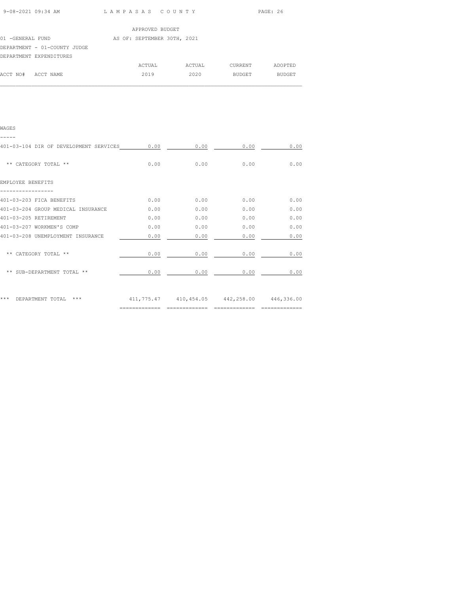| 9-08-2021 09:34 AM | LAMPASAS COUNTY | PAGE: 26 |
|--------------------|-----------------|----------|
|                    |                 |          |

|                              | APPROVED BUDGET             |        |         |               |
|------------------------------|-----------------------------|--------|---------|---------------|
| 01 -GENERAL FUND             | AS OF: SEPTEMBER 30TH, 2021 |        |         |               |
| DEPARTMENT - 01-COUNTY JUDGE |                             |        |         |               |
| DEPARTMENT EXPENDITURES      |                             |        |         |               |
|                              | ACTUAL                      | ACTUAL | CURRENT | ADOPTED       |
| ACCT NO#<br>ACCT NAME        | 2019                        | 2020   | BUDGET  | <b>BUDGET</b> |

| WAGES                                  |      |      |                                             |      |
|----------------------------------------|------|------|---------------------------------------------|------|
| 401-03-104 DIR OF DEVELOPMENT SERVICES | 0.00 | 0.00 | 0.00                                        | 0.00 |
| ** CATEGORY TOTAL **                   | 0.00 | 0.00 | 0.00                                        | 0.00 |
| EMPLOYEE BENEFITS                      |      |      |                                             |      |
| 401-03-203 FICA BENEFITS               | 0.00 | 0.00 | 0.00                                        | 0.00 |
| 401-03-204 GROUP MEDICAL INSURANCE     | 0.00 | 0.00 | 0.00                                        | 0.00 |
| 401-03-205 RETIREMENT                  | 0.00 | 0.00 | 0.00                                        | 0.00 |
| 401-03-207 WORKMEN'S COMP              | 0.00 | 0.00 | 0.00                                        | 0.00 |
| 401-03-208 UNEMPLOYMENT INSURANCE      | 0.00 | 0.00 | 0.00                                        | 0.00 |
| ** CATEGORY TOTAL **                   | 0.00 | 0.00 | 0.00                                        | 0.00 |
| ** SUB-DEPARTMENT TOTAL **             | 0.00 | 0.00 | 0.00                                        | 0.00 |
| *** DEPARTMENT TOTAL<br>$***$          |      |      | 411,775.47 410,454.05 442,258.00 446,336.00 |      |

============= ============= ============= =============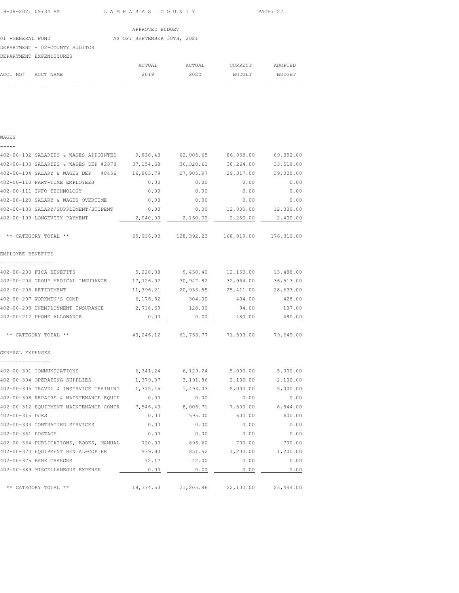ACCT NO# ACCT NAME 2019 2020 BUDGET BUDGET  $\mathcal{L}_\text{max}$ 

|                                | APPROVED BUDGET             |        |         |         |
|--------------------------------|-----------------------------|--------|---------|---------|
| 01 -GENERAL FUND               | AS OF: SEPTEMBER 30TH, 2021 |        |         |         |
| DEPARTMENT - 02-COUNTY AUDITOR |                             |        |         |         |
| DEPARTMENT EXPENDITURES        |                             |        |         |         |
|                                | ACTUAL                      | ACTUAL | CURRENT | ADOPTED |

WAGES

| -----                                         |            |                                 |           |            |
|-----------------------------------------------|------------|---------------------------------|-----------|------------|
| 402-00-102 SALARIES & WAGES APPOINTED         | 9,838.43   | 62,005.65                       | 86,958.00 | 89,392.00  |
| 402-00-103 SALARIES & WAGES DEP #2878         | 37,154.68  | 36,320.61                       | 38,264.00 | 33,518.00  |
| 402-00-104 SALARY & WAGES DEP<br>#0456        | 16,883.79  | 27,905.97                       | 29,317.00 | 39,000.00  |
| 402-00-110 PART-TIME EMPLOYEES                | 0.00       | 0.00                            | 0.00      | 0.00       |
| 402-00-111 INFO TECHNOLOGY                    | 0.00       | 0.00                            | 0.00      | 0.00       |
| 402-00-120 SALARY & WAGES OVERTIME            | 0.00       | 0.00                            | 0.00      | 0.00       |
| 402-00-133 SALARY/SUPPLEMENT/STIPENT          | 0.00       | 0.00                            | 12,000.00 | 12,000.00  |
| 402-00-199 LONGEVITY PAYMENT                  | 2,040.00   | 2,160.00                        | 2,280.00  | 2,400.00   |
| ** CATEGORY TOTAL **                          |            | 65,916.90 128,392.23 168,819.00 |           | 176,310.00 |
| EMPLOYEE BENEFITS                             |            |                                 |           |            |
| -----------------                             |            |                                 |           |            |
| 402-00-203 FICA BENEFITS                      | 5,228.38   | 9,450.40                        | 12,150.00 | 13,488.00  |
| 402-00-204 GROUP MEDICAL INSURANCE            | 17,726.02  | 30,947.82                       | 32,964.00 | 36,513.00  |
| 402-00-205 RETIREMENT                         | 11,396.21  | 20,933.55                       | 25,411.00 | 28,633.00  |
| 402-00-207 WORKMEN'S COMP                     | 6,176.82   | 304.00                          | 404.00    | 428.00     |
| 402-00-208 UNEMPLOYMENT INSURANCE             | 2,718.69   | 128.00                          | 94.00     | 107.00     |
| 402-00-212 PHONE ALLOWANCE                    | 0.00       | 0.00                            | 480.00    | 480.00     |
| ** CATEGORY TOTAL **                          |            | 43, 246.12 61, 763.77           | 71,503.00 | 79,649.00  |
| GENERAL EXPENSES                              |            |                                 |           |            |
| ----------------<br>402-00-301 COMMUNICATIONS | 6,341.24   | 6,129.24                        | 5,000.00  | 5,000.00   |
| 402-00-304 OPERATING SUPPLIES                 | 1,379.37   | 3,191.86                        | 2,100.00  | 2,100.00   |
| 402-00-305 TRAVEL & INSERVICE TRAINING        | 1,375.45   | 1,493.03                        | 5,000.00  | 5,000.00   |
| 402-00-308 REPAIRS & MAINTENANCE EQUIP        | 0.00       | 0.00                            | 0.00      | 0.00       |
| 402-00-312 EQUIPMENT MAINTENANCE CONTR        | 7,546.40   | 8,006.71                        | 7,500.00  | 8,844.00   |
| 402-00-315 DUES                               | 0.00       | 595.00                          | 600.00    | 600.00     |
| 402-00-333 CONTRACTED SERVICES                | 0.00       | 0.00                            | 0.00      | 0.00       |
| 402-00-361 POSTAGE                            | 0.00       | 0.00                            | 0.00      | 0.00       |
| 402-00-364 PUBLICATIONS, BOOKS, MANUAL        | 720.00     | 896.60                          | 700.00    | 700.00     |
| 402-00-370 EQUIPMENT RENTAL-COPIER            | 939.90     | 851.52                          | 1,200.00  | 1,200.00   |
| 402-00-375 BANK CHARGES                       | 72.17      | 42.00                           | 0.00      | 0.00       |
| 402-00-389 MISCELLANEOUS EXPENSE              | 0.00       | 0.00                            | 0.00      | 0.00       |
| ** CATEGORY TOTAL **                          | 18, 374.53 | 21,205.96                       | 22,100.00 | 23,444.00  |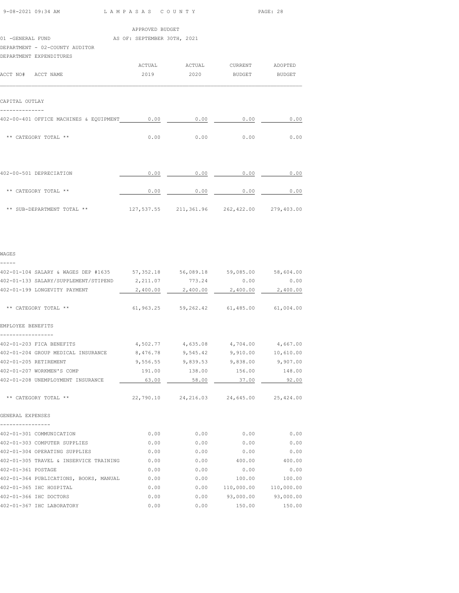| 08-2021 09:34 AM |  | LAMPASAS COUNTY | PAGE: |
|------------------|--|-----------------|-------|

| 9-08-2021 09:34 AM                                              |                 | LAMPASAS COUNTY                             |      | PAGE: 28 |  |
|-----------------------------------------------------------------|-----------------|---------------------------------------------|------|----------|--|
|                                                                 | APPROVED BUDGET |                                             |      |          |  |
| 01 -GENERAL FUND AS OF: SEPTEMBER 30TH, 2021                    |                 |                                             |      |          |  |
| DEPARTMENT - 02-COUNTY AUDITOR                                  |                 |                                             |      |          |  |
| DEPARTMENT EXPENDITURES                                         |                 |                                             |      |          |  |
|                                                                 |                 |                                             |      |          |  |
| ACCT NO# ACCT NAME                                              |                 | 2019  2020 BUDGET BUDGET                    |      |          |  |
| CAPITAL OUTLAY                                                  |                 |                                             |      |          |  |
| 402-00-401 OFFICE MACHINES & EQUIPMENT 0.00 0.00 0.00 0.00 0.00 |                 |                                             |      | 0.00     |  |
| ** CATEGORY TOTAL **                                            |                 | $0.00$ 0.00                                 | 0.00 | 0.00     |  |
| 402-00-501 DEPRECIATION                                         | 0.00            | 0.00                                        | 0.00 | 0.00     |  |
| ** CATEGORY TOTAL **                                            |                 | $0.00$ 0.00 0.00 0.00                       |      |          |  |
| ** SUB-DEPARTMENT TOTAL **                                      |                 | 127,537.55 211,361.96 262,422.00 279,403.00 |      |          |  |
|                                                                 |                 |                                             |      |          |  |
| WAGES                                                           |                 |                                             |      |          |  |

-----

| 402-01-104 SALARY & WAGES DEP #1635 57,352.18 56,089.18 59,085.00 58,604.00 |        |       |                                             |          |
|-----------------------------------------------------------------------------|--------|-------|---------------------------------------------|----------|
| 402-01-133 SALARY/SUPPLEMENT/STIPEND 2, 211.07 773.24                       |        |       | 0.00                                        | 0.00     |
| 402-01-199 LONGEVITY PAYMENT                                                |        |       | 2,400.00 2,400.00 2,400.00                  | 2,400.00 |
| ** CATEGORY TOTAL **                                                        |        |       | 61,963.25 59,262.42 61,485.00 61,004.00     |          |
| EMPLOYEE BENEFITS                                                           |        |       |                                             |          |
| 402-01-203 FICA BENEFITS                                                    |        |       | $4,502.77$ $4,635.08$ $4,704.00$ $4,667.00$ |          |
| 402-01-204 GROUP MEDICAL INSURANCE                                          |        |       | 8,476.78 9,545.42 9,910.00 10,610.00        |          |
| 402-01-205 RETIREMENT                                                       |        |       | 9,556.55 9,839.53 9,838.00 9,907.00         |          |
| 402-01-207 WORKMEN'S COMP                                                   | 191.00 |       | 138.00 156.00 148.00                        |          |
| 402-01-208 UNEMPLOYMENT INSURANCE                                           | 63.00  | 58.00 | 37.00                                       | 92.00    |
| ** CATEGORY TOTAL **                                                        |        |       | 22,790.10 24,216.03 24,645.00 25,424.00     |          |
| GENERAL EXPENSES                                                            |        |       |                                             |          |
| 402-01-301 COMMUNICATION                                                    | 0.00   | 0.00  | 0.00                                        | 0.00     |
| 402-01-303 COMPUTER SUPPLIES                                                | 0.00   | 0.00  | 0.00                                        | 0.00     |
| 402-01-304 OPERATING SUPPLIES                                               | 0.00   | 0.00  | 0.00                                        | 0.00     |
| 402-01-305 TRAVEL & INSERVICE TRAINING                                      | 0.00   | 0.00  | 400.00                                      | 400.00   |
| 402-01-361 POSTAGE                                                          | 0.00   | 0.00  | 0.00                                        | 0.00     |
| 402-01-364 PUBLICATIONS, BOOKS, MANUAL                                      | 0.00   | 0.00  | 100.00                                      | 100.00   |
| 402-01-365 IHC HOSPITAL                                                     | 0.00   |       | $0.00$ 110,000.00 110,000.00                |          |
| 402-01-366 IHC DOCTORS                                                      | 0.00   |       | $0.00$ 93,000.00 93,000.00                  |          |
| 402-01-367 IHC LABORATORY                                                   | 0.00   | 0.00  | 150.00                                      | 150.00   |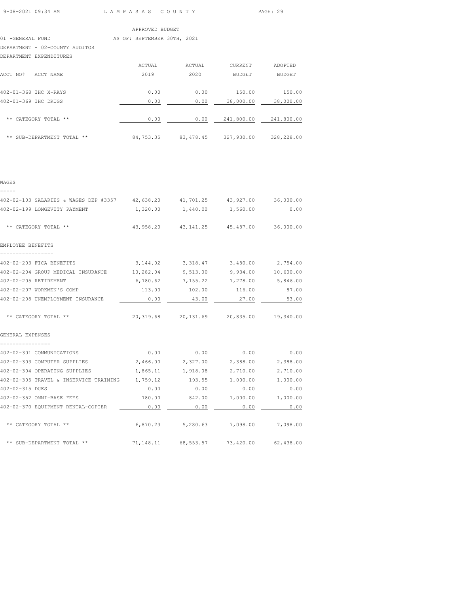### 01 -GENERAL FUND AS OF: SEPTEMBER 30TH, 2021

DEPARTMENT - 02-COUNTY AUDITOR

## DEPARTMENT EXPENDITURES

| ACCT NO#<br>ACCT NAME      | ACTUAL<br>2019 | ACTUAL<br>2020 | CURRENT<br><b>BUDGET</b> | ADOPTED<br><b>BUDGET</b> |
|----------------------------|----------------|----------------|--------------------------|--------------------------|
| 402-01-368 IHC X-RAYS      | 0.00           | 0.00           | 150.00                   | 150.00                   |
| 402-01-369 IHC DRUGS       | 0.00           | 0.00           | 38,000.00                | 38,000.00                |
| ** CATEGORY TOTAL **       | 0.00           | 0.00           | 241,800.00               | 241,800.00               |
| ** SUB-DEPARTMENT TOTAL ** | 84,753.35      | 83, 478.45     | 327,930.00               | 328,228.00               |

# WAGES -----

| 402-02-103 SALARIES & WAGES DEP #3357 42,638.20 41,701.25 43,927.00 36,000.00 |      |                                             |             |       |
|-------------------------------------------------------------------------------|------|---------------------------------------------|-------------|-------|
| 402-02-199 LONGEVITY PAYMENT                                                  |      | 1,320.00  1,440.00  1,560.00                |             | 0.00  |
|                                                                               |      |                                             |             |       |
| ** CATEGORY TOTAL **                                                          |      | 43,958.20  43,141.25  45,487.00  36,000.00  |             |       |
|                                                                               |      |                                             |             |       |
| EMPLOYEE BENEFITS                                                             |      |                                             |             |       |
| -----------------                                                             |      |                                             |             |       |
| 402-02-203 FICA BENEFITS 6.144.02 3,318.47 3,480.00 2,754.00                  |      |                                             |             |       |
| 402-02-204 GROUP MEDICAL INSURANCE $10,282.04$ 9,513.00 9,934.00 10,600.00    |      |                                             |             |       |
| 402-02-205 RETIREMENT                                                         |      | $6,780.62$ $7,155.22$ $7,278.00$ $5,846.00$ |             |       |
| 402-02-207 WORKMEN'S COMP                                                     |      | 113.00  102.00  116.00  87.00               |             |       |
| 402-02-208 UNEMPLOYMENT INSURANCE                                             | 0.00 | 43.00                                       | 27.00       | 53.00 |
|                                                                               |      |                                             |             |       |
| ** CATEGORY TOTAL **                                                          |      | 20,319.68 20,131.69 20,835.00 19,340.00     |             |       |
|                                                                               |      |                                             |             |       |
| GENERAL EXPENSES<br>----------------                                          |      |                                             |             |       |
| 402-02-301 COMMUNICATIONS                                                     |      | $0.00$ $0.00$ $0.00$ $0.00$ $0.00$          |             |       |
| 402-02-303 COMPUTER SUPPLIES 2,466.00 2,327.00 2,388.00 2,388.00              |      |                                             |             |       |
| 402-02-304 OPERATING SUPPLIES                                                 |      | $1,865.11$ $1,918.08$ $2,710.00$ $2,710.00$ |             |       |
| 402-02-305 TRAVEL & INSERVICE TRAINING 1,759.12 193.55 1,000.00 1,000.00      |      |                                             |             |       |
| 402-02-315 DUES                                                               | 0.00 |                                             | $0.00$ 0.00 | 0.00  |
| 402-02-352 OMNI-BASE FEES                                                     |      | 780.00 842.00 1,000.00 1,000.00             |             |       |
| 402-02-370 EQUIPMENT RENTAL-COPIER                                            | 0.00 | 0.00                                        | 0.00        | 0.00  |
|                                                                               |      |                                             |             |       |
| ** CATEGORY TOTAL **                                                          |      | $6,870.23$ $5,280.63$ $7,098.00$ $7,098.00$ |             |       |
| ** SUB-DEPARTMENT TOTAL **                                                    |      | $71,148.11$ 68,553.57 73,420.00 62,438.00   |             |       |
|                                                                               |      |                                             |             |       |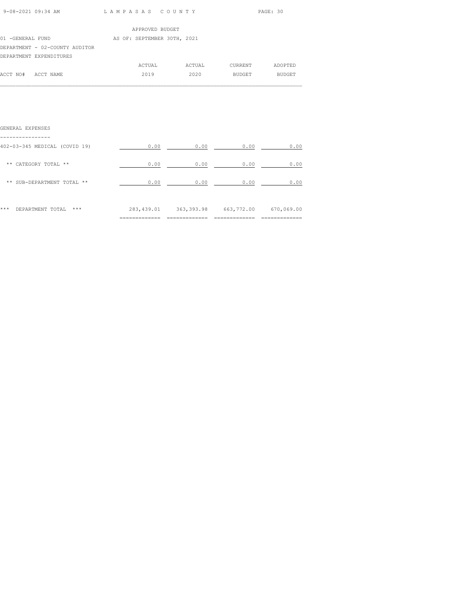| 9-08-2021 09:34 AM | LAMPASAS COUNTY | PAGE: 30 |
|--------------------|-----------------|----------|
|                    |                 |          |

|                                | APPROVED BUDGET             |        |         |               |
|--------------------------------|-----------------------------|--------|---------|---------------|
| 01 -GENERAL FUND               | AS OF: SEPTEMBER 30TH, 2021 |        |         |               |
| DEPARTMENT - 02-COUNTY AUDITOR |                             |        |         |               |
| DEPARTMENT EXPENDITURES        |                             |        |         |               |
|                                | ACTUAL                      | ACTUAL | CURRENT | ADOPTED       |
| ACCT NO#<br>ACCT NAME          | 2019                        | 2020   | BUDGET  | <b>BUDGET</b> |

# GENERAL EXPENSES

|                                          | ============ | -------------<br>------- | --------------<br>_________ | --------------<br>---------- |
|------------------------------------------|--------------|--------------------------|-----------------------------|------------------------------|
| ***<br>***<br>DEPARTMENT TOTAL           | 283, 439.01  | 363, 393.98              | 663,772.00                  | 670,069.00                   |
| ** SUB-DEPARTMENT TOTAL **               | 0.00         | 0.00                     | 0.00                        | 0.00                         |
| ** CATEGORY TOTAL **                     | 0.00         | 0.00                     | 0.00                        | 0.00                         |
| -------<br>402-03-345 MEDICAL (COVID 19) | 0.00         | 0.00                     | 0.00                        | 0.00                         |
|                                          |              |                          |                             |                              |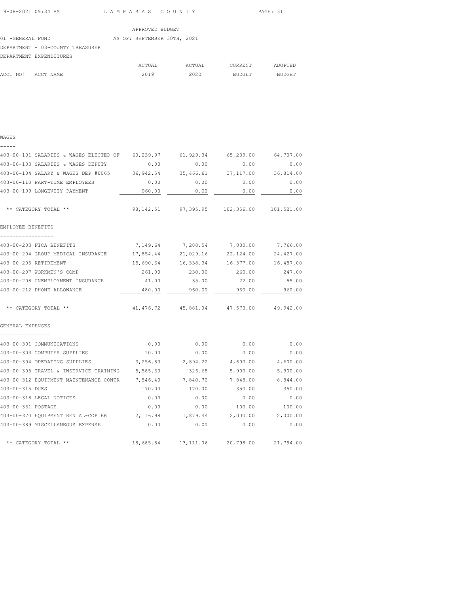ACCT NO# ACCT NAME 2019 2020 BUDGET BUDGET  $\mathcal{L}_\text{max}$ 

|                                  | APPROVED BUDGET             |        |         |         |
|----------------------------------|-----------------------------|--------|---------|---------|
| 01 -GENERAL FUND                 | AS OF: SEPTEMBER 30TH, 2021 |        |         |         |
| DEPARTMENT - 03-COUNTY TREASURER |                             |        |         |         |
| DEPARTMENT EXPENDITURES          |                             |        |         |         |
|                                  | ACTUAL                      | ACTUAL | CURRENT | ADOPTED |

WAGES

| 0.00     | 0.00                                                        | 0.00                                                       | 0.00                                                                                                                                                                                                                                                                                                                                                                                                      |
|----------|-------------------------------------------------------------|------------------------------------------------------------|-----------------------------------------------------------------------------------------------------------------------------------------------------------------------------------------------------------------------------------------------------------------------------------------------------------------------------------------------------------------------------------------------------------|
|          | 35,466.61                                                   | 37,117.00                                                  | 36,814.00                                                                                                                                                                                                                                                                                                                                                                                                 |
| 0.00     | 0.00                                                        | 0.00                                                       | 0.00                                                                                                                                                                                                                                                                                                                                                                                                      |
| 960.00   | 0.00                                                        | 0.00                                                       | 0.00                                                                                                                                                                                                                                                                                                                                                                                                      |
|          |                                                             |                                                            |                                                                                                                                                                                                                                                                                                                                                                                                           |
|          |                                                             |                                                            |                                                                                                                                                                                                                                                                                                                                                                                                           |
|          |                                                             |                                                            |                                                                                                                                                                                                                                                                                                                                                                                                           |
|          |                                                             | 22,124.00                                                  | 24,427.00                                                                                                                                                                                                                                                                                                                                                                                                 |
|          |                                                             | 16,377.00                                                  | 16,487.00                                                                                                                                                                                                                                                                                                                                                                                                 |
| 261.00   | 230.00                                                      | 260.00                                                     | 247.00                                                                                                                                                                                                                                                                                                                                                                                                    |
| 41.00    | 35.00                                                       | 22.00                                                      | 55.00                                                                                                                                                                                                                                                                                                                                                                                                     |
| 480.00   | 960.00                                                      | 960.00                                                     | 960.00                                                                                                                                                                                                                                                                                                                                                                                                    |
|          |                                                             |                                                            | 49,942.00                                                                                                                                                                                                                                                                                                                                                                                                 |
|          |                                                             |                                                            |                                                                                                                                                                                                                                                                                                                                                                                                           |
| 0.00     | 0.00                                                        | 0.00                                                       | 0.00                                                                                                                                                                                                                                                                                                                                                                                                      |
| 10.00    | 0.00                                                        | 0.00                                                       | 0.00                                                                                                                                                                                                                                                                                                                                                                                                      |
| 3,256.83 | 2,894.22                                                    | 4,600.00                                                   | 4,600.00                                                                                                                                                                                                                                                                                                                                                                                                  |
|          | 326.68                                                      | 5,900.00                                                   | 5,900.00                                                                                                                                                                                                                                                                                                                                                                                                  |
|          | 7,840.72                                                    |                                                            | 8,844.00                                                                                                                                                                                                                                                                                                                                                                                                  |
| 170.00   | 170.00                                                      | 350.00                                                     | 350.00                                                                                                                                                                                                                                                                                                                                                                                                    |
| 0.00     | 0.00                                                        | 0.00                                                       | 0.00                                                                                                                                                                                                                                                                                                                                                                                                      |
| 0.00     | 0.00                                                        | 100.00                                                     | 100.00                                                                                                                                                                                                                                                                                                                                                                                                    |
|          |                                                             |                                                            | 2,000.00                                                                                                                                                                                                                                                                                                                                                                                                  |
| 0.00     | 0.00                                                        | 0.00                                                       | 0.00                                                                                                                                                                                                                                                                                                                                                                                                      |
|          |                                                             |                                                            |                                                                                                                                                                                                                                                                                                                                                                                                           |
|          | 5,585.63<br>403-00-312 EQUIPMENT MAINTENANCE CONTR 7,546.40 | 403-00-104 SALARY & WAGES DEP #0065 36,942.54<br>15,690.64 | 403-00-101 SALARIES & WAGES ELECTED OF 60,239.97 61,929.34 65,239.00 64,707.00<br>98, 142.51 97, 395.95 102, 356.00 101, 521.00<br>7,149.64 7,288.54 7,830.00 7,766.00<br>403-00-204 GROUP MEDICAL INSURANCE 17,854.44 21,029.16<br>16,338.34<br>41,476.72 45,881.04 47,573.00<br>7,848.00<br>403-00-370 EQUIPMENT RENTAL-COPIER 2,116.98 1,879.44 2,000.00<br>18,685.84  13,111.06  20,798.00  21,794.00 |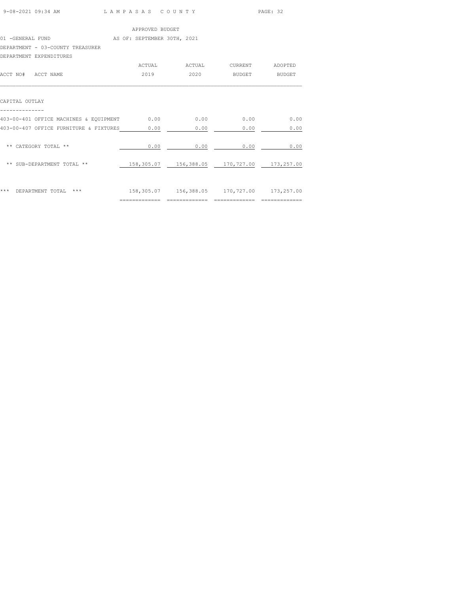| 9-08-2021 09:34 AM | LAMPASAS COUNTY | PAGE: 32 |
|--------------------|-----------------|----------|
|                    |                 |          |

|                                                            | APPROVED BUDGET                                |                                                    |                |         |
|------------------------------------------------------------|------------------------------------------------|----------------------------------------------------|----------------|---------|
| 01 -GENERAL FUND AS OF: SEPTEMBER 30TH, 2021               |                                                |                                                    |                |         |
| DEPARTMENT - 03-COUNTY TREASURER                           |                                                |                                                    |                |         |
| DEPARTMENT EXPENDITURES                                    |                                                |                                                    |                |         |
|                                                            |                                                | ACTUAL ACTUAL                                      | <b>CURRENT</b> | ADOPTED |
| ACCT NO# ACCT NAME                                         | 2019                                           | 2020                                               | <b>BUDGET</b>  | BUDGET  |
| CAPITAL OUTLAY                                             |                                                |                                                    |                |         |
| 403-00-401 OFFICE MACHINES & EQUIPMENT 0.00 0.00 0.00 0.00 |                                                |                                                    |                | 0.00    |
| 403-00-407 OFFICE FURNITURE & FIXTURES 0.00                |                                                | 0.00                                               | 0.00           | 0.00    |
| ** CATEGORY TOTAL **                                       | 0.00                                           | 0.00                                               | 0.00           | 0.00    |
| ** SUB-DEPARTMENT TOTAL **                                 | 158,305.07  156,388.05  170,727.00  173,257.00 |                                                    |                |         |
| *** DEPARTMENT TOTAL ***                                   |                                                | 158, 305.07  156, 388.05  170, 727.00  173, 257.00 |                |         |

============= ============= ============= =============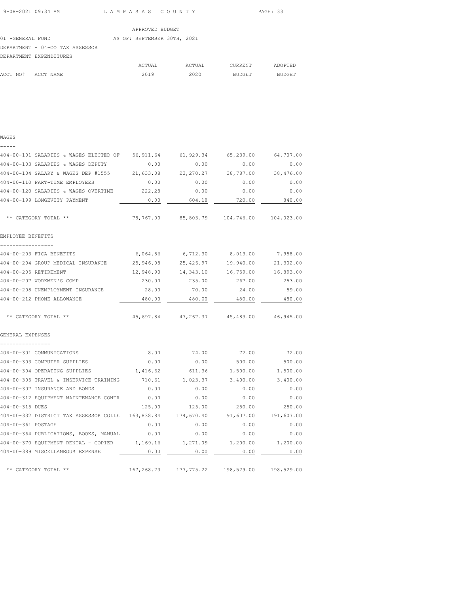ACCT NO# ACCT NAME 2019 2020 BUDGET BUDGET  $\mathcal{L}_\text{max}$ 

|                                 | APPROVED BUDGET             |        |         |         |
|---------------------------------|-----------------------------|--------|---------|---------|
| 01 -GENERAL FUND                | AS OF: SEPTEMBER 30TH, 2021 |        |         |         |
| DEPARTMENT - 04-CO TAX ASSESSOR |                             |        |         |         |
| DEPARTMENT EXPENDITURES         |                             |        |         |         |
|                                 | ACTUAL                      | ACTUAL | CURRENT | ADOPTED |

WAGES

| 404-00-101 SALARIES & WAGES ELECTED OF 56,911.64  |            | 61,929.34 65,239.00                       |                       | 64,707.00  |
|---------------------------------------------------|------------|-------------------------------------------|-----------------------|------------|
| 404-00-103 SALARIES & WAGES DEPUTY                | 0.00       | 0.00                                      | 0.00                  | 0.00       |
| 404-00-104 SALARY & WAGES DEP #1555               | 21,633.08  | 23, 270. 27                               | 38,787.00             | 38,476.00  |
| 404-00-110 PART-TIME EMPLOYEES                    | 0.00       | 0.00                                      | 0.00                  | 0.00       |
| 404-00-120 SALARIES & WAGES OVERTIME              | 222.28     | 0.00                                      | 0.00                  | 0.00       |
| 404-00-199 LONGEVITY PAYMENT                      | 0.00       | 604.18                                    | 720.00                | 840.00     |
| ** CATEGORY TOTAL **                              |            | 78,767.00 85,803.79 104,746.00 104,023.00 |                       |            |
| EMPLOYEE BENEFITS                                 |            |                                           |                       |            |
| 404-00-203 FICA BENEFITS                          |            | 6,064.86 6,712.30 8,013.00                |                       | 7,958.00   |
| 404-00-204 GROUP MEDICAL INSURANCE                | 25,946.08  | 25,426.97                                 | 19,940.00             | 21,302.00  |
| 404-00-205 RETIREMENT                             | 12,948.90  |                                           | 14, 343.10 16, 759.00 | 16,893.00  |
| 404-00-207 WORKMEN'S COMP                         | 230.00     | 235.00                                    | 267.00                | 253.00     |
| 404-00-208 UNEMPLOYMENT INSURANCE                 | 28.00      | 70.00                                     | 24.00                 | 59.00      |
| 404-00-212 PHONE ALLOWANCE                        | 480.00     | 480.00                                    | 480.00                | 480.00     |
| ** CATEGORY TOTAL **                              |            | 45,697.84 47,267.37 45,483.00             |                       | 46,945.00  |
| GENERAL EXPENSES                                  |            |                                           |                       |            |
| 404-00-301 COMMUNICATIONS                         | 8.00       | 74.00                                     | 72.00                 | 72.00      |
| 404-00-303 COMPUTER SUPPLIES                      | 0.00       | 0.00                                      | 500.00                | 500.00     |
| 404-00-304 OPERATING SUPPLIES                     | 1,416.62   | 611.36                                    | 1,500.00              | 1,500.00   |
| 404-00-305 TRAVEL & INSERVICE TRAINING            | 710.61     | 1,023.37                                  | 3,400.00              | 3,400.00   |
| 404-00-307 INSURANCE AND BONDS                    | 0.00       | 0.00                                      | 0.00                  | 0.00       |
| 404-00-312 EQUIPMENT MAINTENANCE CONTR            | 0.00       | 0.00                                      | 0.00                  | 0.00       |
| 404-00-315 DUES                                   | 125.00     | 125.00                                    | 250.00                | 250.00     |
| 404-00-332 DISTRICT TAX ASSESSOR COLLE 163,838.84 |            | 174,670.40                                | 191,607.00            | 191,607.00 |
| 404-00-361 POSTAGE                                | 0.00       | 0.00                                      | 0.00                  | 0.00       |
| 404-00-364 PUBLICATIONS, BOOKS, MANUAL            | 0.00       | 0.00                                      | 0.00                  | 0.00       |
| 404-00-370 EQUIPMENT RENTAL - COPIER              | 1,169.16   | 1,271.09                                  | 1,200.00              | 1,200.00   |
| 404-00-389 MISCELLANEOUS EXPENSE                  | 0.00       | 0.00                                      | 0.00                  | 0.00       |
| ** CATEGORY TOTAL **                              | 167,268.23 | 177,775.22                                | 198,529.00            | 198,529.00 |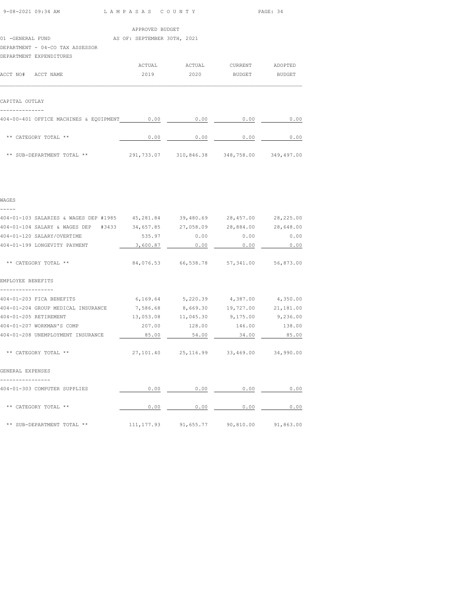| 9-08-2021 09:34 AM | LAMPASAS COUNTY | PAGE: 34 |
|--------------------|-----------------|----------|
|                    |                 |          |

|                    |                                             | APPROVED BUDGET             |        |         |         |
|--------------------|---------------------------------------------|-----------------------------|--------|---------|---------|
| 01 -GENERAL FUND   |                                             | AS OF: SEPTEMBER 30TH, 2021 |        |         |         |
|                    | DEPARTMENT - 04-CO TAX ASSESSOR             |                             |        |         |         |
|                    | DEPARTMENT EXPENDITURES                     |                             |        |         |         |
|                    |                                             | ACTUAL                      | ACTUAL | CURRENT | ADOPTED |
| ACCT NO# ACCT NAME |                                             | 2019                        | 2020   | BUDGET  | BUDGET  |
|                    |                                             |                             |        |         |         |
|                    |                                             |                             |        |         |         |
| CAPITAL OUTLAY     |                                             |                             |        |         |         |
|                    |                                             |                             |        |         |         |
|                    | 404-00-401 OFFICE MACHINES & EQUIPMENT 0.00 |                             | 0.00   | 0.00    | 0.00    |
|                    |                                             |                             |        |         |         |

| ** CATEGORY TOTAL **       | 0.00       | 0.00       | 0.00       | 0.00       |
|----------------------------|------------|------------|------------|------------|
| ** SUB-DEPARTMENT TOTAL ** | 291,733.07 | 310,846.38 | 348,758.00 | 349,497.00 |

WAGES

| 404-01-103 SALARIES & WAGES DEP #1985 45,281.84 39,480.69 28,457.00 28,225.00 |                                                 |                                            |                      |       |
|-------------------------------------------------------------------------------|-------------------------------------------------|--------------------------------------------|----------------------|-------|
| 404-01-104 SALARY & WAGES DEP #3433 34,657.85 27,058.09 28,884.00 28,648.00   |                                                 |                                            |                      |       |
| 404-01-120 SALARY/OVERTIME                                                    | 535.97                                          |                                            | $0.00$ 0.00          | 0.00  |
| 404-01-199 LONGEVITY PAYMENT                                                  | $3,600.87$ 0.00                                 |                                            | $0.00$ 0.00          |       |
| ** CATEGORY TOTAL **                                                          | 84,076.53 66,538.78 57,341.00 56,873.00         |                                            |                      |       |
| EMPLOYEE BENEFITS                                                             |                                                 |                                            |                      |       |
| 404-01-203 FICA BENEFITS                                                      | $6,169.64$ $5,220.39$ $4,387.00$ $4,350.00$     |                                            |                      |       |
| 404-01-204 GROUP MEDICAL INSURANCE                                            | 7,586.68 8,669.30 19,727.00 21,181.00           |                                            |                      |       |
| 404-01-205 RETIREMENT                                                         |                                                 | 13,053.08 11,045.30 9,175.00 9,236.00      |                      |       |
| 404-01-207 WORKMAN'S COMP                                                     | 207.00                                          |                                            | 128.00 146.00 138.00 |       |
| 404-01-208 UNEMPLOYMENT INSURANCE                                             | 85.00                                           | 54.00                                      | 34.00                | 85.00 |
| ** CATEGORY TOTAL **                                                          |                                                 | 27,101.40  25,116.99  33,469.00  34,990.00 |                      |       |
| GENERAL EXPENSES                                                              |                                                 |                                            |                      |       |
| 404-01-303 COMPUTER SUPPLIES                                                  | 0.00                                            | 0.00                                       | 0.00                 | 0.00  |
| ** CATEGORY TOTAL **                                                          | 0.00                                            | 0.00                                       | 0.00                 | 0.00  |
| ** SUB-DEPARTMENT TOTAL **                                                    | $111, 177, 93$ 91, 655.77 90, 810.00 91, 863.00 |                                            |                      |       |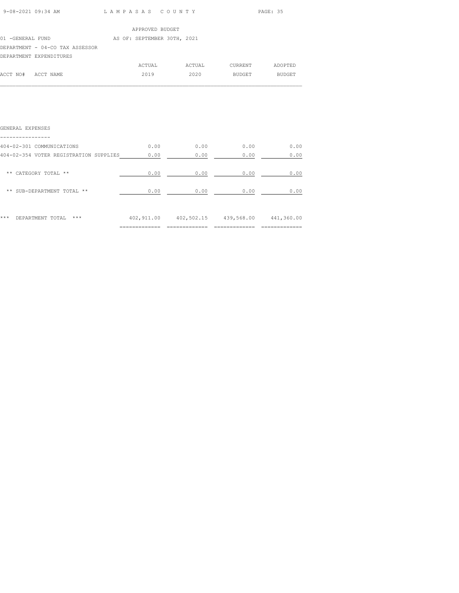| 9-08-2021 09:34 AM | LAMPASAS COUNTY | PAGE: 35 |
|--------------------|-----------------|----------|
|                    |                 |          |

|                                 | APPROVED BUDGET             |        |         |               |
|---------------------------------|-----------------------------|--------|---------|---------------|
| 01 -GENERAL FUND                | AS OF: SEPTEMBER 30TH, 2021 |        |         |               |
| DEPARTMENT - 04-CO TAX ASSESSOR |                             |        |         |               |
| DEPARTMENT EXPENDITURES         |                             |        |         |               |
|                                 | ACTUAL                      | ACTUAL | CURRENT | ADOPTED       |
| ACCT NO#<br>ACCT NAME           | 2019                        | 2020   | BUDGET  | <b>BUDGET</b> |

| ***<br>DEPARTMENT TOTAL<br>***         | 402,911.00 | 402,502.15 | 439,568.00 | 441,360.00 |
|----------------------------------------|------------|------------|------------|------------|
| ** SUB-DEPARTMENT TOTAL **             | 0.00       | 0.00       | 0.00       | 0.00       |
| $\star\star$<br>CATEGORY TOTAL **      | 0.00       | 0.00       | 0.00       | 0.00       |
| 404-02-354 VOTER REGISTRATION SUPPLIES | 0.00       | 0.00       | 0.00       | 0.00       |
| 404-02-301 COMMUNICATIONS              | 0.00       | 0.00       | 0.00       | 0.00       |
| GENERAL EXPENSES                       |            |            |            |            |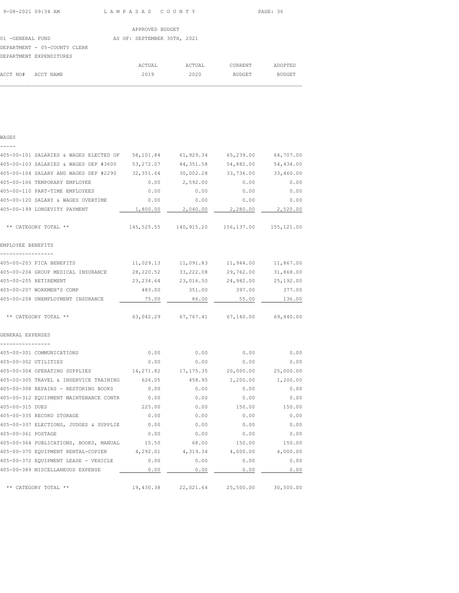|                  |                              | APPROVED BUDGET             |        |               |               |
|------------------|------------------------------|-----------------------------|--------|---------------|---------------|
| 01 -GENERAL FUND |                              | AS OF: SEPTEMBER 30TH, 2021 |        |               |               |
|                  | DEPARTMENT - 05-COUNTY CLERK |                             |        |               |               |
|                  | DEPARTMENT EXPENDITURES      |                             |        |               |               |
|                  |                              | ACTUAL                      | ACTUAL | CURRENT       | ADOPTED       |
| ACCT NO#         | ACCT NAME                    | 2019                        | 2020   | <b>BUDGET</b> | <b>BUDGET</b> |

 $\mathcal{L}_\text{max}$ 

| 405-00-101 SALARIES & WAGES ELECTED OF | 58,101.84   | 61,929.34  | 65,239.00 | 64,707.00 |
|----------------------------------------|-------------|------------|-----------|-----------|
| 405-00-103 SALARIES & WAGES DEP #3600  | 53, 272, 07 | 44, 351.58 | 54,882.00 | 54,434.00 |
| 405-00-104 SALARY AND WAGES DEP #2290  | 32, 351.64  | 30,002.28  | 33,736.00 | 33,460.00 |
| 405-00-106 TEMPORARY EMPLOYEE          | 0.00        | 2,592.00   | 0.00      | 0.00      |
| 405-00-110 PART-TIME EMPLOYEES         | 0.00        | 0.00       | 0.00      | 0.00      |

WAGES

| 405-00-104 SALARY AND WAGES DEP #2290 32,351.64 |            |                                                 | 30,002.28 33,736.00 | 33,460.00 |
|-------------------------------------------------|------------|-------------------------------------------------|---------------------|-----------|
| 405-00-106 TEMPORARY EMPLOYEE                   | 0.00       | 2,592.00                                        | 0.00                | 0.00      |
| 405-00-110 PART-TIME EMPLOYEES                  | 0.00       | 0.00                                            | 0.00                | 0.00      |
| 405-00-120 SALARY & WAGES OVERTIME              | 0.00       | 0.00                                            | 0.00                | 0.00      |
| 405-00-199 LONGEVITY PAYMENT                    | 1,800.00   | 2,040.00                                        | 2,280.00            | 2,520.00  |
| ** CATEGORY TOTAL **                            |            | 145, 525.55 140, 915.20 156, 137.00 155, 121.00 |                     |           |
| EMPLOYEE BENEFITS<br>________________           |            |                                                 |                     |           |
| 405-00-203 FICA BENEFITS                        |            | $11,029.13$ $11,091.83$ $11,944.00$ $11,867.00$ |                     |           |
| 405-00-204 GROUP MEDICAL INSURANCE 28,220.52    |            |                                                 | 33,222.08 29,762.00 | 31,868.00 |
| 405-00-205 RETIREMENT                           | 23, 234.64 | 23,016.50                                       | 24,982.00           | 25,192.00 |
| 405-00-207 WORKMEN'S COMP                       | 483.00     | 351.00                                          | 397.00              | 377.00    |
| 405-00-208 UNEMPLOYMENT INSURANCE               | 75.00      | 86.00                                           | 55.00               | 136.00    |
| ** CATEGORY TOTAL **                            |            | $63,042.29$ $67,767.41$ $67,140.00$ $69,440.00$ |                     |           |
| GENERAL EXPENSES<br>----------------            |            |                                                 |                     |           |
| 405-00-301 COMMUNICATIONS                       | 0.00       | 0.00                                            | 0.00                | 0.00      |
| 405-00-302 UTILITIES                            | 0.00       | 0.00                                            | 0.00                | 0.00      |
| 405-00-304 OPERATING SUPPLIES                   | 14,271.82  | 17, 175.35 20,000.00                            |                     | 25,000.00 |
| 405-00-305 TRAVEL & INSERVICE TRAINING          | 626.05     | 458.95                                          | 1,200.00            | 1,200.00  |
| 405-00-308 REPAIRS - RESTORING BOOKS            | 0.00       | 0.00                                            | 0.00                | 0.00      |
| 405-00-312 EQUIPMENT MAINTENANCE CONTR          | 0.00       | 0.00                                            | 0.00                | 0.00      |
| 405-00-315 DUES                                 | 225.00     | 0.00                                            | 150.00              | 150.00    |
| 405-00-335 RECORD STORAGE                       | 0.00       | 0.00                                            | 0.00                | 0.00      |
| 405-00-337 ELECTIONS, JUDGES & SUPPLIE 0.00     |            | 0.00                                            | 0.00                | 0.00      |
| 405-00-361 POSTAGE                              | 0.00       | 0.00                                            | 0.00                | 0.00      |
| 405-00-364 PUBLICATIONS, BOOKS, MANUAL          | 15.50      | 68.00                                           | 150.00              | 150.00    |
| 405-00-370 EQUIPMENT RENTAL-COPIER 4,292.01     |            | 4,319.34                                        | 4,000.00            | 4,000.00  |
| 405-00-372 EQUIPMENT LEASE - VEHICLE            | 0.00       | 0.00                                            | 0.00                | 0.00      |
| 405-00-389 MISCELLANEOUS EXPENSE                | 0.00       | 0.00                                            | 0.00                | 0.00      |
| ** CATEGORY TOTAL **                            | 19,430.38  | 22,021.64                                       | 25,500.00           | 30,500.00 |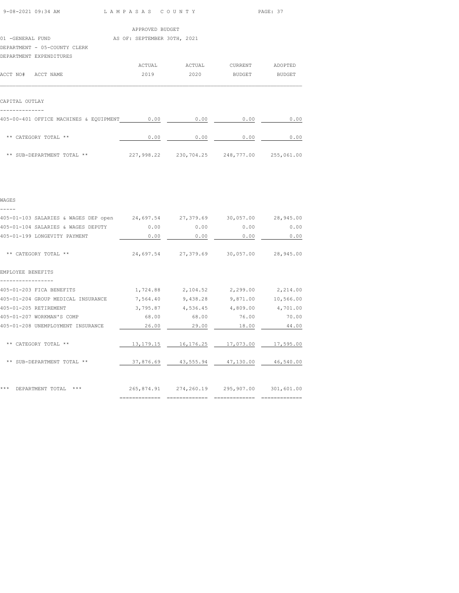| 9-08-2021 09:34 AM | LAMPASAS COUNTY | PAGE: 37 |
|--------------------|-----------------|----------|
|                    |                 |          |

|                                        | APPROVED BUDGET             |        |         |                      |
|----------------------------------------|-----------------------------|--------|---------|----------------------|
| 01 -GENERAL FUND                       | AS OF: SEPTEMBER 30TH, 2021 |        |         |                      |
| DEPARTMENT - 05-COUNTY CLERK           |                             |        |         |                      |
| DEPARTMENT EXPENDITURES                |                             |        |         |                      |
|                                        | ACTUAL                      | ACTUAL | CURRENT | ADOPTED              |
| ACCT NO# ACCT NAME                     | 2019                        | 2020   | BUDGET  | BUDGET               |
|                                        |                             |        |         |                      |
| CAPITAL OUTLAY                         |                             |        |         |                      |
| 405-00-401 OFFICE MACHINES & EQUIPMENT | 0.00                        | 0.00   | 0.00    | 0.00                 |
|                                        | .                           | .      | .       | $\sim$ $\sim$ $\sim$ |

| ** CATEGORY TOTAL **       | 0.00       | 0.00       | 0.00       | 0.00       |
|----------------------------|------------|------------|------------|------------|
| ** SUB-DEPARTMENT TOTAL ** | 227,998.22 | 230,704.25 | 248,777.00 | 255,061.00 |

WAGES

| 405-01-103 SALARIES & WAGES DEP open 24,697.54 27,379.69 30,057.00 28,945.00 |       |                                                |             |           |
|------------------------------------------------------------------------------|-------|------------------------------------------------|-------------|-----------|
| 405-01-104 SALARIES & WAGES DEPUTY 0.00                                      |       |                                                | $0.00$ 0.00 | 0.00      |
| 405-01-199 LONGEVITY PAYMENT                                                 | 0.00  | 0.00                                           | 0.00        | 0.00      |
| ** CATEGORY TOTAL **                                                         |       | 24,697.54 27,379.69 30,057.00 28,945.00        |             |           |
| EMPLOYEE BENEFITS                                                            |       |                                                |             |           |
| 405-01-203 FICA BENEFITS                                                     |       | 1,724.88 2,104.52 2,299.00 2,214.00            |             |           |
| 405-01-204 GROUP MEDICAL INSURANCE 7,564.40 9,438.28 9,871.00                |       |                                                |             | 10,566.00 |
| 405-01-205 RETIREMENT                                                        |       | $3,795.87$ $4,536.45$ $4,809.00$ $4,701.00$    |             |           |
| 405-01-207 WORKMAN'S COMP                                                    |       | 68.00 68.00                                    | 76.00       | 70.00     |
| 405-01-208 UNEMPLOYMENT INSURANCE                                            | 26.00 | 29.00                                          | 18.00       | 44.00     |
| ** CATEGORY TOTAL **                                                         |       |                                                |             |           |
| ** SUB-DEPARTMENT TOTAL **                                                   |       | 37,876.69  43,555.94  47,130.00  46,540.00     |             |           |
| *** DEPARTMENT TOTAL ***                                                     |       | 265,874.91  274,260.19  295,907.00  301,601.00 |             |           |

============= ============= ============= =============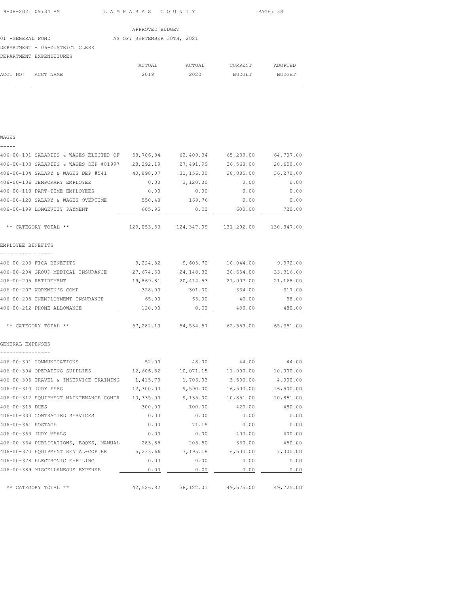| 9-08-2021 09:34 AM | LAMPASAS COUNTY<br>$\sim$ $\sim$ $\sim$ $\sim$ $\sim$ $\sim$ | PAGE: 38 |
|--------------------|--------------------------------------------------------------|----------|

ADOPTED

|                                | APPROVED BUDGET             |        |         |
|--------------------------------|-----------------------------|--------|---------|
| 01 -GENERAL FUND               | AS OF: SEPTEMBER 30TH, 2021 |        |         |
| DEPARTMENT - 06-DISTRICT CLERK |                             |        |         |
| DEPARTMENT EXPENDITURES        |                             |        |         |
|                                | ACTUAL                      | ACTUAL | CURRENT |

WAGES

| -----<br>406-00-101 SALARIES & WAGES ELECTED OF | 58,706.84              | 62,409.34                        | 65,239.00              | 64,707.00              |
|-------------------------------------------------|------------------------|----------------------------------|------------------------|------------------------|
| 406-00-103 SALARIES & WAGES DEP #01997          | 28, 292.19             | 27,491.99                        | 36,568.00              | 28,650.00              |
| 406-00-104 SALARY & WAGES DEP #541              | 40,898.07              | 31,156.00                        | 28,885.00              | 36,270.00              |
| 406-00-106 TEMPORARY EMPLOYEE                   | 0.00                   | 3,120.00                         | 0.00                   | 0.00                   |
| 406-00-110 PART-TIME EMPLOYEES                  | 0.00                   | 0.00                             | 0.00                   | 0.00                   |
| 406-00-120 SALARY & WAGES OVERTIME              | 550.48                 | 169.76                           | 0.00                   | 0.00                   |
| 406-00-199 LONGEVITY PAYMENT                    | 605.95                 | 0.00                             | 600.00                 | 720.00                 |
|                                                 |                        |                                  |                        |                        |
| ** CATEGORY TOTAL **                            |                        | 129,053.53 124,347.09 131,292.00 |                        | 130,347.00             |
| EMPLOYEE BENEFITS                               |                        |                                  |                        |                        |
| -----------------<br>406-00-203 FICA BENEFITS   |                        |                                  |                        |                        |
| 406-00-204 GROUP MEDICAL INSURANCE              | 9,224.82               | 9,605.72                         | 10,044.00<br>30,654.00 | 9,972.00<br>33, 316.00 |
| 406-00-205 RETIREMENT                           | 27,674.50<br>19,869.81 | 24,148.32<br>20,414.53           | 21,007.00              | 21,168.00              |
| 406-00-207 WORKMEN'S COMP                       | 328.00                 | 301.00                           | 334.00                 | 317.00                 |
| 406-00-208 UNEMPLOYMENT INSURANCE               | 65.00                  | 65.00                            | 40.00                  | 98.00                  |
| 406-00-212 PHONE ALLOWANCE                      | 120.00                 | 0.00                             | 480.00                 | 480.00                 |
|                                                 |                        |                                  |                        |                        |
| ** CATEGORY TOTAL **                            | 57,282.13              | 54,534.57                        | 62,559.00              | 65,351.00              |
| GENERAL EXPENSES                                |                        |                                  |                        |                        |
|                                                 |                        |                                  |                        |                        |
| 406-00-301 COMMUNICATIONS                       | 52.00                  | 48.00                            | 44.00                  | 44.00                  |
| 406-00-304 OPERATING SUPPLIES                   | 12,606.52              | 10,071.15                        | 11,000.00              | 10,000.00              |
| 406-00-305 TRAVEL & INSERVICE TRAINING          | 1,415.79               | 1,706.03                         | 3,500.00               | 4,000.00               |
| 406-00-310 JURY FEES                            | 12,300.00              | 9,590.00                         | 16,500.00              | 16,500.00              |
| 406-00-312 EQUIPMENT MAINTENANCE CONTR          | 10,335.00              | 9,135.00                         | 10,851.00              | 10,851.00              |
| 406-00-315 DUES                                 | 300.00                 | 100.00                           | 420.00                 | 480.00                 |
| 406-00-333 CONTRACTED SERVICES                  | 0.00                   | 0.00                             | 0.00                   | 0.00                   |
| 406-00-361 POSTAGE                              | 0.00                   | 71.15                            | 0.00                   | 0.00                   |
| 406-00-363 JURY MEALS                           | 0.00                   | 0.00                             | 400.00                 | 400.00                 |
| 406-00-364 PUBLICATIONS, BOOKS, MANUAL          | 283.85                 | 205.50                           | 360.00                 | 450.00                 |
| 406-00-370 EQUIPMENT RENTAL-COPIER              | 5,233.66               | 7,195.18                         | 6,500.00               | 7,000.00               |
| 406-00-378 ELECTRONIC E-FILING                  | 0.00                   | 0.00                             | 0.00                   | 0.00                   |
| 406-00-389 MISCELLANEOUS EXPENSE                | 0.00                   | 0.00                             | 0.00                   | 0.00                   |
|                                                 |                        |                                  |                        |                        |
| ** CATEGORY TOTAL **                            | 42,526.82              | 38, 122.01                       | 49,575.00              | 49,725.00              |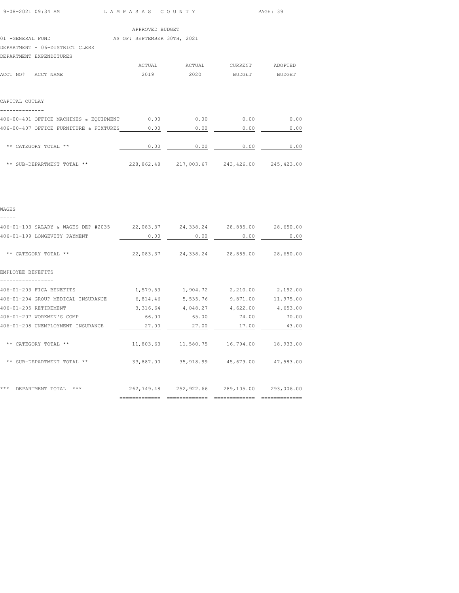| 9-08-2021 09:34 AM | LAMPASAS COUNTY<br>$\sim$ $\sim$ $\sim$ $\sim$ $\sim$ $\sim$ | PAGE: 39 |
|--------------------|--------------------------------------------------------------|----------|

| APPROVED BUDGET |  |
|-----------------|--|

|                  | APPROVED BUDGET |  |                             |  |  |
|------------------|-----------------|--|-----------------------------|--|--|
| 01 -GENERAL FUND |                 |  | AS OF: SEPTEMBER 30TH, 2021 |  |  |

DEPARTMENT - 06-DISTRICT CLERK

| DEPARTMENT EXPENDITURES                |        |                       |                |               |
|----------------------------------------|--------|-----------------------|----------------|---------------|
|                                        | ACTUAL | ACTUAL                | <b>CURRENT</b> | ADOPTED       |
| ACCT NO#<br>ACCT NAME                  | 2019   | 2020                  | <b>BUDGET</b>  | <b>BUDGET</b> |
|                                        |        |                       |                |               |
| CAPITAL OUTLAY                         |        |                       |                |               |
| 406-00-401 OFFICE MACHINES & EQUIPMENT | 0.00   | 0.00                  | 0.00           | 0.00          |
| 406-00-407 OFFICE FURNITURE & FIXTURES | 0.00   | 0.00                  | 0.00           | 0.00          |
| ** CATEGORY TOTAL **                   | 0.00   | 0.00                  | 0.00           | 0.00          |
| ** SUB-DEPARTMENT TOTAL **             |        | 228,862.48 217,003.67 | 243,426.00     | 245, 423.00   |

|  | $\sim$ | I |  |
|--|--------|---|--|
|  |        |   |  |

| 406-01-103 SALARY & WAGES DEP #2035 | 22,083.37 | 24,338.24                                   | 28,885.00 | 28,650.00 |
|-------------------------------------|-----------|---------------------------------------------|-----------|-----------|
| 406-01-199 LONGEVITY PAYMENT        | 0.00      | 0.00                                        | 0.00      | 0.00      |
| ** CATEGORY TOTAL **                | 22,083.37 | 24,338.24                                   | 28,885.00 | 28,650.00 |
| EMPLOYEE BENEFITS                   |           |                                             |           |           |
| 406-01-203 FICA BENEFITS            | 1,579.53  | 1,904.72                                    | 2,210.00  | 2,192.00  |
| 406-01-204 GROUP MEDICAL INSURANCE  | 6,814.46  | 5,535.76                                    | 9,871.00  | 11,975.00 |
| 406-01-205 RETIREMENT               | 3,316.64  | 4,048.27                                    | 4,622.00  | 4,653.00  |
| 406-01-207 WORKMEN'S COMP           | 66.00     | 65.00                                       | 74.00     | 70.00     |
| 406-01-208 UNEMPLOYMENT INSURANCE   | 27.00     | 27.00                                       | 17.00     | 43.00     |
| ** CATEGORY TOTAL **                | 11,803.63 | 11,580.75 16,794.00                         |           | 18,933.00 |
| ** SUB-DEPARTMENT TOTAL **          | 33,887.00 | 35,918.99 45,679.00 47,583.00               |           |           |
| ***<br>$***$<br>DEPARTMENT TOTAL    |           | 262,749.48 252,922.66 289,105.00 293,006.00 |           |           |

============= ============= ============= =============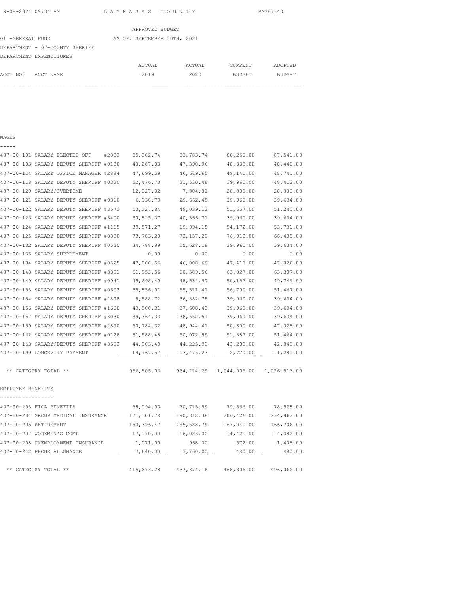| APPROVED BUDGE |  |
|----------------|--|
|                |  |

|                                | APPROVED BUDGET             |        |         |         |
|--------------------------------|-----------------------------|--------|---------|---------|
| 01 -GENERAL FUND               | AS OF: SEPTEMBER 30TH, 2021 |        |         |         |
| DEPARTMENT - 07-COUNTY SHERIFF |                             |        |         |         |
| DEPARTMENT EXPENDITURES        |                             |        |         |         |
|                                | ACTUAL                      | ACTUAL | CURRENT | ADOPTED |

## WAGES -----

| 407-00-101 SALARY ELECTED OFF |                      |                                        | #2883 | 55, 382.74 | 83,783.74   | 88,260.00    | 87,541.00    |
|-------------------------------|----------------------|----------------------------------------|-------|------------|-------------|--------------|--------------|
|                               |                      | 407-00-103 SALARY DEPUTY SHERIFF #0130 |       | 48,287.03  | 47,390.96   | 48,838.00    | 48,440.00    |
|                               |                      | 407-00-114 SALARY OFFICE MANAGER #2884 |       | 47,699.59  | 46,649.65   | 49,141.00    | 48,741.00    |
|                               |                      | 407-00-118 SALARY DEPUTY SHERIFF #0330 |       | 52,476.73  | 31,530.48   | 39,960.00    | 48, 412.00   |
| 407-00-120 SALARY/OVERTIME    |                      |                                        |       | 12,027.82  | 7,804.81    | 20,000.00    | 20,000.00    |
|                               |                      | 407-00-121 SALARY DEPUTY SHERIFF #0310 |       | 6,938.73   | 29,662.48   | 39,960.00    | 39,634.00    |
|                               |                      | 407-00-122 SALARY DEPUTY SHERIFF #3572 |       | 50, 327.84 | 49,039.12   | 51,657.00    | 51,240.00    |
|                               |                      | 407-00-123 SALARY DEPUTY SHERIFF #3400 |       | 50,815.37  | 40,366.71   | 39,960.00    | 39,634.00    |
|                               |                      | 407-00-124 SALARY DEPUTY SHERIFF #1115 |       | 39,571.27  | 19,994.15   | 54,172.00    | 53,731.00    |
|                               |                      | 407-00-125 SALARY DEPUTY SHERIFF #0880 |       | 73,783.20  | 72, 157.20  | 76,013.00    | 66,435.00    |
|                               |                      | 407-00-132 SALARY DEPUTY SHERIFF #0530 |       | 34,788.99  | 25,628.18   | 39,960.00    | 39,634.00    |
| 407-00-133 SALARY SUPPLEMENT  |                      |                                        |       | 0.00       | 0.00        | 0.00         | 0.00         |
|                               |                      | 407-00-134 SALARY DEPUTY SHERIFF #0525 |       | 47,000.56  | 46,008.69   | 47, 413.00   | 47,026.00    |
|                               |                      | 407-00-148 SALARY DEPUTY SHERIFF #3301 |       | 61,953.56  | 60,589.56   | 63,827.00    | 63,307.00    |
|                               |                      | 407-00-149 SALARY DEPUTY SHERIFF #0941 |       | 49,698.40  | 48,534.97   | 50,157.00    | 49,749.00    |
|                               |                      | 407-00-153 SALARY DEPUTY SHERIFF #0602 |       | 55,856.01  | 55, 311.41  | 56,700.00    | 51,467.00    |
|                               |                      | 407-00-154 SALARY DEPUTY SHERIFF #2898 |       | 5,588.72   | 36,882.78   | 39,960.00    | 39,634.00    |
|                               |                      | 407-00-156 SALARY DEPUTY SHERIFF #1660 |       | 43,500.31  | 37,608.43   | 39,960.00    | 39,634.00    |
|                               |                      | 407-00-157 SALARY DEPUTY SHERIFF #3030 |       | 39, 364.33 | 38,552.51   | 39,960.00    | 39,634.00    |
|                               |                      | 407-00-159 SALARY DEPUTY SHERIFF #2890 |       | 50,784.32  | 48, 944.41  | 50,300.00    | 47,028.00    |
|                               |                      | 407-00-162 SALARY DEPUTY SHERIFF #0128 |       | 51,588.48  | 50,072.89   | 51,887.00    | 51,464.00    |
|                               |                      | 407-00-163 SALARY/DEPUTY SHERIFF #3503 |       | 44,303.49  | 44,225.93   | 43,200.00    | 42,848.00    |
| 407-00-199 LONGEVITY PAYMENT  |                      |                                        |       | 14,767.57  | 13,475.23   | 12,720.00    | 11,280.00    |
|                               | ** CATEGORY TOTAL ** |                                        |       | 936,505.06 | 934, 214.29 | 1,044,005.00 | 1,026,513.00 |
| EMPLOYEE BENEFITS             |                      |                                        |       |            |             |              |              |
| 407-00-203 FICA BENEFITS      |                      |                                        |       | 68,094.03  | 70,715.99   | 79,866.00    | 78,528.00    |
|                               |                      | 407-00-204 GROUP MEDICAL INSURANCE     |       | 171,301.78 | 190, 318.38 | 206,426.00   | 234,862.00   |
| 407-00-205 RETIREMENT         |                      |                                        |       | 150,396.47 | 155,588.79  | 167,041.00   | 166,706.00   |
| 407-00-207 WORKMEN'S COMP     |                      |                                        |       | 17,170.00  | 16,023.00   | 14,421.00    | 14,082.00    |
|                               |                      | 407-00-208 UNEMPLOYMENT INSURANCE      |       | 1,071.00   | 968.00      | 572.00       | 1,408.00     |
| 407-00-212 PHONE ALLOWANCE    |                      |                                        |       | 7,640.00   | 3,760.00    | 480.00       | 480.00       |
|                               | ** CATEGORY TOTAL ** |                                        |       | 415,673.28 | 437, 374.16 | 468,806.00   | 496,066.00   |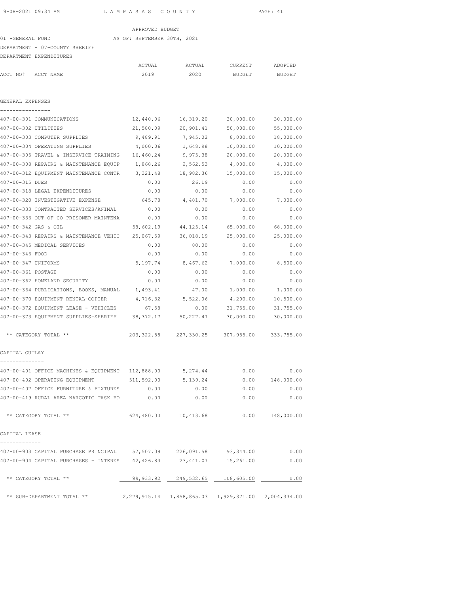# APPROVED BUDGET<br>AS OF: SEPTEMBER 30TH, 2021 01 -GENERAL FUND

|                      | DEPARTMENT - 07-COUNTY SHERIFF                                                      |            |                                            |               |               |
|----------------------|-------------------------------------------------------------------------------------|------------|--------------------------------------------|---------------|---------------|
|                      | DEPARTMENT EXPENDITURES                                                             |            |                                            |               |               |
|                      |                                                                                     | ACTUAL     | ACTUAL                                     | CURRENT       | ADOPTED       |
| ACCT NO#             | ACCT NAME                                                                           | 2019       | 2020                                       | <b>BUDGET</b> | <b>BUDGET</b> |
| GENERAL EXPENSES     |                                                                                     |            |                                            |               |               |
|                      |                                                                                     |            |                                            |               |               |
|                      | 407-00-301 COMMUNICATIONS                                                           | 12,440.06  | 16,319.20                                  | 30,000.00     | 30,000.00     |
| 407-00-302 UTILITIES |                                                                                     | 21,580.09  | 20,901.41                                  | 50,000.00     | 55,000.00     |
|                      | 407-00-303 COMPUTER SUPPLIES                                                        | 9,489.91   | 7,945.02                                   | 8,000.00      | 18,000.00     |
|                      | 407-00-304 OPERATING SUPPLIES                                                       | 4,000.06   | 1,648.98                                   | 10,000.00     | 10,000.00     |
|                      | 407-00-305 TRAVEL & INSERVICE TRAINING                                              | 16,460.24  | 9,975.38                                   | 20,000.00     | 20,000.00     |
|                      | 407-00-308 REPAIRS & MAINTENANCE EQUIP                                              | 1,868.26   | 2,562.53                                   | 4,000.00      | 4,000.00      |
|                      | 407-00-312 EQUIPMENT MAINTENANCE CONTR                                              | 3,321.48   | 18,982.36                                  | 15,000.00     | 15,000.00     |
| 407-00-315 DUES      |                                                                                     | 0.00       | 26.19                                      | 0.00          | 0.00          |
|                      | 407-00-318 LEGAL EXPENDITURES                                                       | 0.00       | 0.00                                       | 0.00          | 0.00          |
|                      | 407-00-320 INVESTIGATIVE EXPENSE                                                    | 645.78     | 4,481.70                                   | 7,000.00      | 7,000.00      |
|                      | 407-00-333 CONTRACTED SERVICES/ANIMAL                                               | 0.00       | 0.00                                       | 0.00          | 0.00          |
|                      | 407-00-336 OUT OF CO PRISONER MAINTENA                                              | 0.00       | 0.00                                       | 0.00          | 0.00          |
| 407-00-342 GAS & OIL |                                                                                     | 58,602.19  | 44, 125.14                                 | 65,000.00     | 68,000.00     |
|                      | 407-00-343 REPAIRS & MAINTENANCE VEHIC                                              | 25,067.59  | 36,018.19                                  | 25,000.00     | 25,000.00     |
|                      | 407-00-345 MEDICAL SERVICES                                                         | 0.00       | 80.00                                      | 0.00          | 0.00          |
| 407-00-346 FOOD      |                                                                                     | 0.00       | 0.00                                       | 0.00          | 0.00          |
| 407-00-347 UNIFORMS  |                                                                                     | 5,197.74   | 8,467.62                                   | 7,000.00      | 8,500.00      |
| 407-00-361 POSTAGE   |                                                                                     | 0.00       | 0.00                                       | 0.00          | 0.00          |
|                      | 407-00-362 HOMELAND SECURITY                                                        | 0.00       | 0.00                                       | 0.00          | 0.00          |
|                      | 407-00-364 PUBLICATIONS, BOOKS, MANUAL                                              | 1,493.41   | 47.00                                      | 1,000.00      | 1,000.00      |
|                      | 407-00-370 EQUIPMENT RENTAL-COPIER                                                  | 4,716.32   | 5,522.06                                   | 4,200.00      | 10,500.00     |
|                      | 407-00-372 EQUIPMENT LEASE - VEHICLES                                               | 67.58      | 0.00                                       | 31,755.00     | 31,755.00     |
|                      | 407-00-373 EQUIPMENT SUPPLIES-SHERIFF                                               | 38, 372.17 | 50,227.47                                  | 30,000.00     | 30,000.00     |
|                      |                                                                                     |            |                                            |               |               |
|                      | ** CATEGORY TOTAL **                                                                | 203,322.88 | 227,330.25                                 | 307,955.00    | 333,755.00    |
| CAPITAL OUTLAY       |                                                                                     |            |                                            |               |               |
|                      | 407-00-401 OFFICE MACHINES & EQUIPMENT 112,888.00                                   |            | 5,274.44                                   | 0.00          | 0.00          |
|                      | 407-00-402 OPERATING EQUIPMENT 511,592.00 5,139.24 0.00 148,000.00                  |            |                                            |               |               |
|                      | 407-00-407 OFFICE FURNITURE & FIXTURES 0.00                                         |            |                                            | $0.00$ $0.00$ | 0.00          |
|                      |                                                                                     |            |                                            |               |               |
|                      | ** CATEGORY TOTAL **                                                                |            | 624,480.00  10,413.68  0.00  148,000.00    |               |               |
| CAPITAL LEASE        |                                                                                     |            |                                            |               |               |
|                      | 407-00-903 CAPITAL PURCHASE PRINCIPAL 57,507.09 226,091.58 93,344.00 0.00           |            |                                            |               |               |
|                      | $407-00-904$ CAPITAL PURCHASES - INTERES $42,426.83$ $23,441.07$ $15,261.00$ $0.00$ |            |                                            |               |               |
|                      |                                                                                     |            |                                            |               |               |
|                      | ** CATEGORY TOTAL **                                                                |            | $99,933.92$ $249,532.65$ $108,605.00$ 0.00 |               |               |
|                      | ** SUB-DEPARTMENT TOTAL ** 2,279,915.14 1,858,865.03 1,929,371.00 2,004,334.00      |            |                                            |               |               |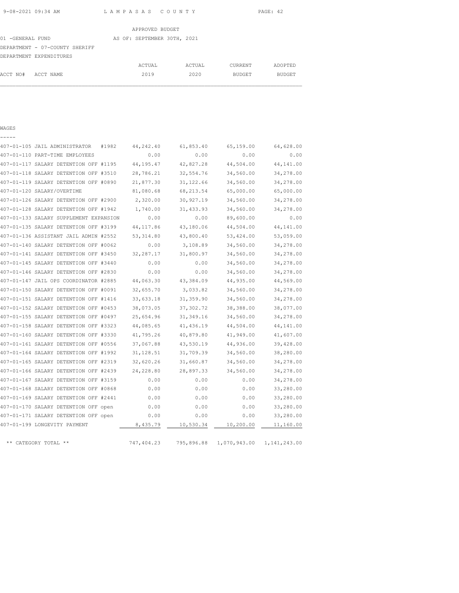| 01 -GENERAL FUND               |  | AS OF: SEPTEMBER 30TH, 2021 |  |
|--------------------------------|--|-----------------------------|--|
| DEPARTMENT - 07-COUNTY SHERIFF |  |                             |  |

|          | DEPARTMENT EXPENDITURES |                  |         |         |
|----------|-------------------------|------------------|---------|---------|
|          |                         | ACTUAL<br>ACTUAL | CURRENT | ADOPTED |
| ACCT NO# | ACCT NAME               | 2020<br>2019     | BUDGET  | BUDGET  |
|          |                         |                  |         |         |

#### WAGES -----

## 407-01-105 JAIL ADMINISTRATOR #1982 44,242.40 61,853.40 65,159.00 64,628.00 407-01-110 PART-TIME EMPLOYEES 0.00 0.00 0.00 0.00 407-01-117 SALARY DETENTION OFF #1195 44,195.47 42,827.28 44,504.00 44,141.00 407-01-118 SALARY DETENTION OFF #3510 28,786.21 32,554.76 34,560.00 34,278.00 407-01-119 SALARY DETENTION OFF #0890 21,877.30 31,122.66 34,560.00 34,278.00 407-01-120 SALARY/OVERTIME 81,080.68 68,213.54 65,000.00 65,000.00 407-01-126 SALARY DETENTION OFF #2900 2,320.00 30,927.19 34,560.00 34,278.00 407-01-128 SALARY DETENTION OFF #1942 1,740.00 31,433.93 34,560.00 34,278.00 407-01-133 SALARY SUPPLEMENT EXPANSION 0.00 0.00 89,600.00 0.00 407-01-135 SALARY DETENTION OFF #3199 44,117.86 43,180.06 44,504.00 44,141.00 407-01-136 ASSISTANT JAIL ADMIN #2552 53,314.80 43,800.40 53,424.00 53,059.00 407-01-140 SALARY DETENTION OFF #0062 0.00 3,108.89 34,560.00 34,278.00 407-01-141 SALARY DETENTION OFF #3450 32,287.17 31,800.97 34,560.00 34,278.00 407-01-145 SALARY DETENTION OFF #3440 0.00 0.00 34,560.00 34,278.00 407-01-146 SALARY DETENTION OFF #2830 0.00 0.00 34,560.00 34,278.00 407-01-147 JAIL OPS COORDINATOR #2885 44,063.30 43,384.09 44,935.00 44,569.00 407-01-150 SALARY DETENTION OFF #0091 32,655.70 3,033.82 34,560.00 34,278.00 407-01-151 SALARY DETENTION OFF #1416 33,633.18 31,359.90 34,560.00 34,278.00 407-01-152 SALARY DETENTION OFF #0453 38,073.05 37,302.72 38,388.00 38,077.00 407-01-155 SALARY DETENTION OFF #0497 25,654.96 31,349.16 34,560.00 34,278.00 407-01-158 SALARY DETENTION OFF #3323 44,085.65 41,436.19 44,504.00 44,141.00 407-01-160 SALARY DETENTION OFF #3330 41,795.26 40,879.80 41,949.00 41,607.00 407-01-161 SALARY DETENTION OFF #0556 37,067.88 43,530.19 44,936.00 39,428.00 407-01-164 SALARY DETENTION OFF #1992 31,128.51 31,709.39 34,560.00 38,280.00 407-01-165 SALARY DETENTION OFF #2319 32,620.26 31,660.87 34,560.00 34,278.00 407-01-166 SALARY DETENTION OFF #2439 24,228.80 28,897.33 34,560.00 34,278.00 407-01-167 SALARY DETENTION OFF #3159 0.00 0.00 0.00 34,278.00 407-01-168 SALARY DETENTION OFF #0868 0.00 0.00 0.00 33,280.00 407-01-169 SALARY DETENTION OFF #2441 0.00 0.00 0.00 33,280.00 407-01-170 SALARY DETENTION OFF open 0.00 0.00 0.00 33,280.00 407-01-171 SALARY DETENTION OFF open 0.00 0.00 0.00 33,280.00 407-01-199 LONGEVITY PAYMENT 8,435.79 10,530.34 10,200.00 11,160.00

\*\* CATEGORY TOTAL \*\* 747,404.23 795,896.88 1,070,943.00 1,141,243.00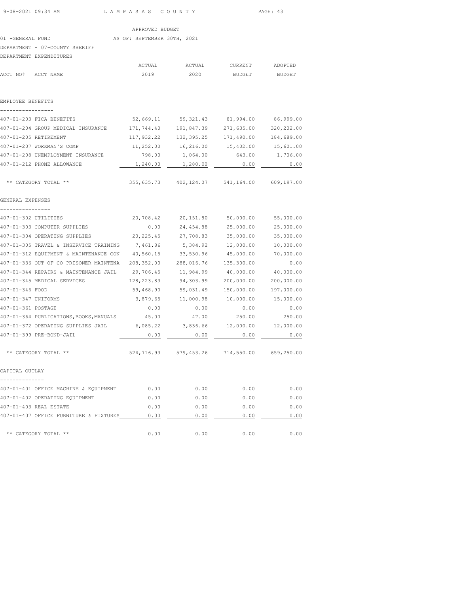| 9-08-2021 09:34 AM                                                             | LAMPASAS COUNTY             |                                                     |                       | PAGE: 43   |
|--------------------------------------------------------------------------------|-----------------------------|-----------------------------------------------------|-----------------------|------------|
|                                                                                | APPROVED BUDGET             |                                                     |                       |            |
| 01 -GENERAL FUND                                                               | AS OF: SEPTEMBER 30TH, 2021 |                                                     |                       |            |
| DEPARTMENT - 07-COUNTY SHERIFF                                                 |                             |                                                     |                       |            |
| DEPARTMENT EXPENDITURES                                                        |                             |                                                     |                       |            |
|                                                                                | ACTUAL                      | ACTUAL                                              | CURRENT ADOPTED       |            |
| ACCT NO# ACCT NAME                                                             | 2019                        | 2020                                                | BUDGET                | BUDGET     |
|                                                                                |                             |                                                     |                       |            |
| EMPLOYEE BENEFITS                                                              |                             |                                                     |                       |            |
|                                                                                |                             |                                                     |                       |            |
| 407-01-203 FICA BENEFITS                                                       |                             | 52,669.11 59,321.43 81,994.00 86,999.00             |                       |            |
| 407-01-204 GROUP MEDICAL INSURANCE 171,744.40 191,847.39 271,635.00 320,202.00 |                             |                                                     |                       |            |
| 407-01-205 RETIREMENT                                                          |                             | $117,932.22$ $132,395.25$ $171,490.00$ $184,689.00$ |                       |            |
| 407-01-207 WORKMAN'S COMP                                                      |                             | $11,252.00$ $16,216.00$ $15,402.00$ $15,601.00$     |                       |            |
| 407-01-208 UNEMPLOYMENT INSURANCE                                              |                             | 798.00 1,064.00                                     | 643.00 1,706.00       |            |
| 407-01-212 PHONE ALLOWANCE                                                     |                             | 1,240.00 1,280.00                                   | 0.00                  | 0.00       |
| ** CATEGORY TOTAL **                                                           |                             | 355, 635.73  402, 124.07  541, 164.00  609, 197.00  |                       |            |
| GENERAL EXPENSES                                                               |                             |                                                     |                       |            |
|                                                                                |                             |                                                     |                       |            |
| 407-01-302 UTILITIES                                                           |                             | 20,708.42 20,151.80 50,000.00 55,000.00             |                       |            |
| 407-01-303 COMPUTER SUPPLIES                                                   |                             | $0.00$ 24,454.88 25,000.00 25,000.00                |                       |            |
| 407-01-304 OPERATING SUPPLIES 20,225.45 27,708.83 35,000.00                    |                             |                                                     |                       | 35,000.00  |
| 407-01-305 TRAVEL & INSERVICE TRAINING 7,461.86                                |                             |                                                     | 5,384.92 12,000.00    | 10,000.00  |
| 407-01-312 EQUIPMENT & MAINTENANCE CON 40,560.15 33,530.96 45,000.00           |                             |                                                     |                       | 70,000.00  |
|                                                                                |                             |                                                     | 135,300.00            | 0.00       |
| 407-01-344 REPAIRS & MAINTENANCE JAIL 29,706.45 11,984.99                      |                             |                                                     | 40,000.00             | 40,000.00  |
| 407-01-345 MEDICAL SERVICES                                                    | 128, 223.83 94, 303.99      |                                                     | 200,000.00            | 200,000.00 |
| 407-01-346 FOOD                                                                |                             | 59,468.90 59,031.49                                 | 150,000.00 197,000.00 |            |
| 407-01-347 UNIFORMS                                                            |                             | 3,879.65 11,000.98 10,000.00 15,000.00              |                       |            |
| 407-01-361 POSTAGE                                                             | 0.00                        | 0.00                                                | 0.00                  | 0.00       |
| 407-01-364 PUBLICATIONS, BOOKS, MANUALS 45.00 47.00 250.00 250.00 250.00       |                             |                                                     |                       |            |
| 407-01-372 OPERATING SUPPLIES JAIL 6,085.22 3,836.66 12,000.00 12,000.00       |                             |                                                     |                       |            |
| 407-01-399 PRE-BOND-JAIL                                                       | 0.00                        | 0.00                                                | 0.00                  | 0.00       |
| ** CATEGORY TOTAL **                                                           |                             | 524,716.93 579,453.26 714,550.00 659,250.00         |                       |            |
| CAPITAL OUTLAY                                                                 |                             |                                                     |                       |            |
|                                                                                |                             |                                                     |                       |            |
| 407-01-401 OFFICE MACHINE & EQUIPMENT                                          | 0.00                        | 0.00                                                | 0.00                  | 0.00       |
| 407-01-402 OPERATING EQUIPMENT                                                 | 0.00                        | 0.00                                                | 0.00                  | 0.00       |
| 407-01-403 REAL ESTATE                                                         | 0.00                        | 0.00                                                | 0.00                  | 0.00       |
| 407-01-407 OFFICE FURNITURE & FIXTURES                                         | 0.00                        | 0.00                                                | 0.00                  | 0.00       |
| ** CATEGORY TOTAL **                                                           | 0.00                        | 0.00                                                | 0.00                  | 0.00       |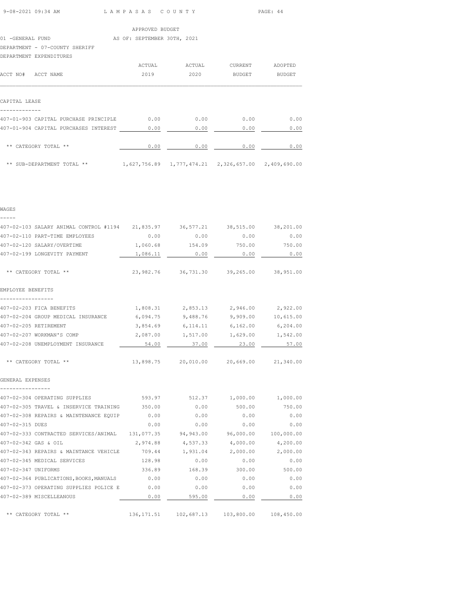|  | 9-08-2021 09:34 AM |  |
|--|--------------------|--|
|  |                    |  |
|  |                    |  |

L A M P A S A S C O U N T Y PAGE: 44

|                                | APPROVED BUDGET             |
|--------------------------------|-----------------------------|
| 01 -GENERAL FUND               | AS OF: SEPTEMBER 30TH, 2021 |
| DEPARTMENT - 07-COUNTY SHERIFF |                             |
| DEPARTMENT EXPENDITURES        |                             |

|                                       | ACTUAL | ACTUAL | <b>CURRENT</b>                                            | ADOPTED       |
|---------------------------------------|--------|--------|-----------------------------------------------------------|---------------|
| ACCT NO#<br>ACCT NAME                 | 2019   | 2020   | BUDGET                                                    | <b>BUDGET</b> |
|                                       |        |        |                                                           |               |
| CAPITAL LEASE                         |        |        |                                                           |               |
|                                       |        |        |                                                           |               |
| 407-01-903 CAPITAL PURCHASE PRINCIPLE | 0.00   | 0.00   | 0.00                                                      | 0.00          |
| 407-01-904 CAPITAL PURCHASES INTEREST | 0.00   | 0.00   | 0.00                                                      | 0.00          |
| ** CATEGORY TOTAL **                  | 0.00   | 0.00   | 0.00                                                      | 0.00          |
| ** SUB-DEPARTMENT TOTAL **            |        |        | 1,627,756.89   1,777,474.21   2,326,657.00   2,409,690.00 |               |

| WAGES                                                                           |          |                                                    |          |           |
|---------------------------------------------------------------------------------|----------|----------------------------------------------------|----------|-----------|
| 407-02-103 SALARY ANIMAL CONTROL #1194 21,835.97 36,577.21 38,515.00 38,201.00  |          |                                                    |          |           |
| 407-02-110 PART-TIME EMPLOYEES                                                  | 0.00     | 0.00                                               | 0.00     | 0.00      |
| 407-02-120 SALARY/OVERTIME                                                      | 1,060.68 | 154.09                                             | 750.00   | 750.00    |
| 407-02-199 LONGEVITY PAYMENT                                                    | 1,086.11 | 0.00                                               | 0.00     | 0.00      |
| ** CATEGORY TOTAL **                                                            |          | 23,982.76 36,731.30 39,265.00 38,951.00            |          |           |
| EMPLOYEE BENEFITS<br>-----------------                                          |          |                                                    |          |           |
| 407-02-203 FICA BENEFITS                                                        |          | 1,808.31 2,853.13 2,946.00 2,922.00                |          |           |
| 407-02-204 GROUP MEDICAL INSURANCE                                              | 6,094.75 | 9,488.76                                           | 9,909.00 | 10,615.00 |
| 407-02-205 RETIREMENT                                                           | 3,854.69 | 6,114.11                                           | 6,162.00 | 6, 204.00 |
| 407-02-207 WORKMAN'S COMP                                                       |          | 2,087.00 1,517.00 1,629.00 1,542.00                |          |           |
| 407-02-208 UNEMPLOYMENT INSURANCE                                               | 54.00    | 37.00                                              | 23.00    | 57.00     |
| ** CATEGORY TOTAL **                                                            |          | 13,898.75 20,010.00 20,669.00                      |          | 21,340.00 |
| GENERAL EXPENSES                                                                |          |                                                    |          |           |
| 407-02-304 OPERATING SUPPLIES                                                   |          | 593.97 512.37 1,000.00 1,000.00                    |          |           |
| 407-02-305 TRAVEL & INSERVICE TRAINING 350.00                                   |          | 0.00                                               | 500.00   | 750.00    |
| 407-02-308 REPAIRS & MAINTENANCE EQUIP 0.00                                     |          | 0.00                                               | 0.00     | 0.00      |
| 407-02-315 DUES                                                                 | 0.00     | 0.00                                               | 0.00     | 0.00      |
| 407-02-333 CONTRACTED SERVICES/ANIMAL 131,077.35 94,943.00 96,000.00 100,000.00 |          |                                                    |          |           |
| 407-02-342 GAS & OIL                                                            | 2,974.88 | 4,537.33                                           | 4,000.00 | 4,200.00  |
| 407-02-343 REPAIRS & MAINTANCE VEHICLE                                          | 709.44   | 1,931.04                                           | 2,000.00 | 2,000.00  |
| 407-02-345 MEDICAL SERVICES                                                     | 128.98   | 0.00                                               | 0.00     | 0.00      |
| 407-02-347 UNIFORMS                                                             | 336.89   | 168.39                                             | 300.00   | 500.00    |
| 407-02-364 PUBLICATIONS, BOOKS, MANUALS 0.00                                    |          | 0.00                                               | 0.00     | 0.00      |
| 407-02-373 OPERATING SUPPLIES POLICE E 0.00                                     |          | 0.00                                               | 0.00     | 0.00      |
| 407-02-389 MISCELLEANOUS                                                        | 0.00     | 595.00                                             | 0.00     | 0.00      |
| ** CATEGORY TOTAL **                                                            |          | 136, 171.51  102, 687.13  103, 800.00  108, 450.00 |          |           |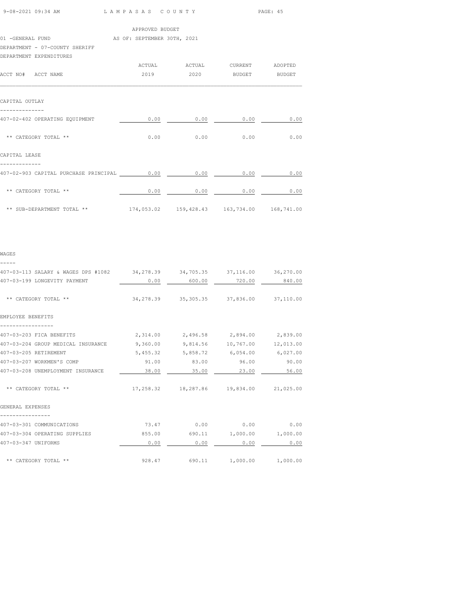| 9-08-2021 09:34 AM | LAMPASAS COUNTY | PAGE: 45 |
|--------------------|-----------------|----------|
|                    |                 |          |

|                                            |      |                                                                          | raga. su                                                                                                                                          |
|--------------------------------------------|------|--------------------------------------------------------------------------|---------------------------------------------------------------------------------------------------------------------------------------------------|
|                                            |      |                                                                          |                                                                                                                                                   |
|                                            |      |                                                                          |                                                                                                                                                   |
|                                            |      |                                                                          |                                                                                                                                                   |
|                                            |      |                                                                          |                                                                                                                                                   |
|                                            |      |                                                                          |                                                                                                                                                   |
|                                            |      |                                                                          |                                                                                                                                                   |
|                                            |      |                                                                          |                                                                                                                                                   |
| 0.00                                       | 0.00 | 0.00                                                                     | 0.00                                                                                                                                              |
|                                            |      |                                                                          | 0.00                                                                                                                                              |
|                                            |      |                                                                          |                                                                                                                                                   |
| 407-02-903 CAPITAL PURCHASE PRINCIPAL 6.00 | 0.00 | 0.00                                                                     | 0.00                                                                                                                                              |
|                                            |      | 0.00                                                                     | 0.00                                                                                                                                              |
|                                            |      |                                                                          |                                                                                                                                                   |
|                                            |      | <u>LAMEAOAO COONII</u><br>APPROVED BUDGET<br>AS OF: SEPTEMBER 30TH, 2021 | 2019  2020 BUDGET BUDGET<br>$0.00$ $0.00$ $0.00$<br>$0.00$ 0.00<br>** SUB-DEPARTMENT TOTAL ** $174,053.02$ $159,428.43$ $163,734.00$ $168,741.00$ |

| ۰, |
|----|

| 407-03-113 SALARY & WAGES DPS #1082 34,278.39 34,705.35 37,116.00 36,270.00 |                                               |                                             |                          |          |
|-----------------------------------------------------------------------------|-----------------------------------------------|---------------------------------------------|--------------------------|----------|
| 407-03-199 LONGEVITY PAYMENT                                                | 0.00                                          | 600.00                                      | 720.00                   | 840.00   |
| ** CATEGORY TOTAL **                                                        |                                               | 34, 278.39 35, 305.35 37, 836.00 37, 110.00 |                          |          |
| EMPLOYEE BENEFITS                                                           |                                               |                                             |                          |          |
| 407-03-203 FICA BENEFITS                                                    |                                               | 2,314.00 2,496.58 2,894.00 2,839.00         |                          |          |
| 407-03-204 GROUP MEDICAL INSURANCE                                          | $9,360.00$ $9,814.56$ $10,767.00$ $12,013.00$ |                                             |                          |          |
| 407-03-205 RETIREMENT                                                       |                                               | 5,455.32 5,858.72 6,054.00 6,027.00         |                          |          |
| 407-03-207 WORKMEN'S COMP                                                   | 91.00                                         | 83.00                                       | 96.00                    | 90.00    |
| 407-03-208 UNEMPLOYMENT INSURANCE                                           | 38.00                                         | 35.00                                       | 23.00                    | 56.00    |
| ** CATEGORY TOTAL **                                                        |                                               | 17, 258.32 18, 287.86 19, 834.00 21, 025.00 |                          |          |
| GENERAL EXPENSES                                                            |                                               |                                             |                          |          |
| 407-03-301 COMMUNICATIONS                                                   |                                               | $73.47$ 0.00 0.00                           |                          | 0.00     |
| 407-03-304 OPERATING SUPPLIES                                               |                                               | 855.00 690.11 1,000.00                      |                          | 1,000.00 |
| 407-03-347 UNIFORMS                                                         | 0.00                                          | 0.00                                        | 0.00                     | 0.00     |
| ** CATEGORY TOTAL **                                                        | 928.47                                        |                                             | 690.11 1,000.00 1,000.00 |          |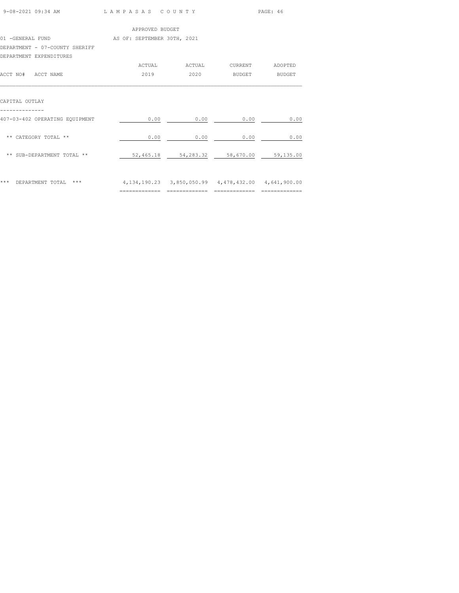| 9-08-2021 09:34 AM             | LAMPASAS COUNTY             |                       |                                                                 | PAGE: 46       |
|--------------------------------|-----------------------------|-----------------------|-----------------------------------------------------------------|----------------|
|                                | APPROVED BUDGET             |                       |                                                                 |                |
| 01 -GENERAL FUND               | AS OF: SEPTEMBER 30TH, 2021 |                       |                                                                 |                |
| DEPARTMENT - 07-COUNTY SHERIFF |                             |                       |                                                                 |                |
| DEPARTMENT EXPENDITURES        |                             |                       |                                                                 |                |
|                                |                             | ACTUAL ACTUAL CURRENT |                                                                 | ADOPTED        |
| ACCT NO# ACCT NAME             | 2019                        |                       | 2020 BUDGET                                                     | <b>BUDGET</b>  |
| CAPITAL OUTLAY                 |                             |                       |                                                                 |                |
| 407-03-402 OPERATING EQUIPMENT | 0.00                        | 0.00                  | 0.00                                                            | 0.00           |
| ** CATEGORY TOTAL **           | 0.00                        | 0.00                  | 0.00                                                            | 0.00           |
| ** SUB-DEPARTMENT TOTAL **     |                             |                       | 52,465.18 54,283.32 58,670.00 59,135.00                         |                |
| *** DEPARTMENT TOTAL ***       | =============               | ==============        | 4, 134, 190. 23 3, 850, 050. 99 4, 478, 432. 00 4, 641, 900. 00 | ============== |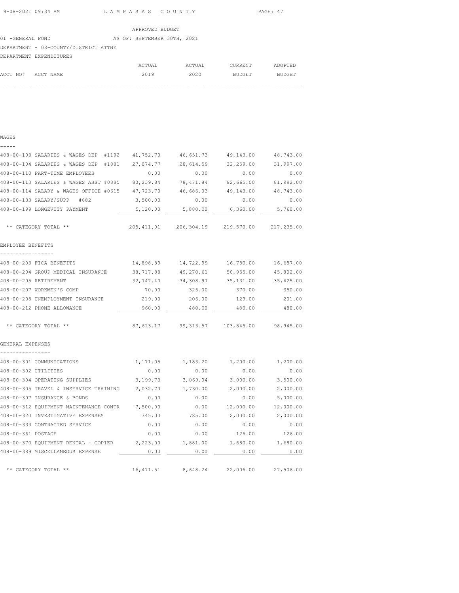01 -GENERAL FUND AS OF: SEPTEMBER 30TH, 2021

#### DEPARTMENT - 08-COUNTY/DISTRICT ATTNY

|                    | DEPARTMENT EXPENDITURES |        |        |               |         |
|--------------------|-------------------------|--------|--------|---------------|---------|
|                    |                         | ACTUAL | ACTUAL | CURRENT       | ADOPTED |
| ACCT NO# ACCT NAME |                         | 2019   | 2020   | <b>BUDGET</b> | BUDGET  |

 $\mathcal{L}_\text{max}$ 

#### WAGES

# ----- 408-00-103 SALARIES & WAGES DEP #1192 41,752.70 46,651.73 49,143.00 48,743.00 408-00-104 SALARIES & WAGES DEP #1881 27,074.77 28,614.59 32,259.00 31,997.00 408-00-110 PART-TIME EMPLOYEES 0.00 0.00 0.00 0.00 408-00-113 SALARIES & WAGES ASST #0885 80,239.84 78,471.84 82,665.00 81,992.00 408-00-114 SALARY & WAGES OFFICE #0615 47,723.70 46,686.03 49,143.00 48,743.00 408-00-133 SALARY/SUPP #882 3,500.00 0.00 0.00 0.00 408-00-199 LONGEVITY PAYMENT  $\qquad \qquad 5,120.00 \qquad \qquad 5,880.00 \qquad \qquad 6,360.00 \qquad \qquad 5,760.00$  \*\* CATEGORY TOTAL \*\* 205,411.01 206,304.19 219,570.00 217,235.00 EMPLOYEE BENEFITS ----------------- 408-00-203 FICA BENEFITS 14,898.89 14,722.99 16,780.00 16,687.00 408-00-204 GROUP MEDICAL INSURANCE 38,717.88 49,270.61 50,955.00 45,802.00 408-00-205 RETIREMENT 32,747.40 34,308.97 35,131.00 35,425.00 408-00-207 WORKMEN'S COMP 70.00 325.00 370.00 350.00 408-00-208 UNEMPLOYMENT INSURANCE 219.00 206.00 129.00 201.00 408-00-212 PHONE ALLOWANCE 960.00 480.00 480.00 480.00 \*\* CATEGORY TOTAL \*\* 87,613.17 99,313.57 103,845.00 98,945.00 GENERAL EXPENSES ---------------- 408-00-301 COMMUNICATIONS 1,171.05 1,183.20 1,200.00 1,200.00 408-00-302 UTILITIES 0.00 0.00 0.00 0.00 408-00-304 OPERATING SUPPLIES 3,199.73 3,069.04 3,000.00 3,500.00 408-00-305 TRAVEL & INSERVICE TRAINING 2,032.73 1,730.00 2,000.00 2,000.00 408-00-307 INSURANCE & BONDS 0.00 0.00 0.00 5,000.00 408-00-312 EQUIPMENT MAINTENANCE CONTR 7,500.00 0.00 12,000.00 12,000.00 408-00-320 INVESTIGATIVE EXPENSES 345.00 785.00 2,000.00 2,000.00 408-00-333 CONTRACTED SERVICE 0.00 0.00 0.00 0.00 408-00-361 POSTAGE 0.00 0.00 126.00 126.00 408-00-370 EQUIPMENT RENTAL - COPIER 2,223.00 1,881.00 1,680.00 1,680.00 408-00-389 MISCELLANEOUS EXPENSE **0.00** 0.00 0.00 0.00 0.00 0.00 0.00

\*\* CATEGORY TOTAL \*\* 16,471.51 8,648.24 22,006.00 27,506.00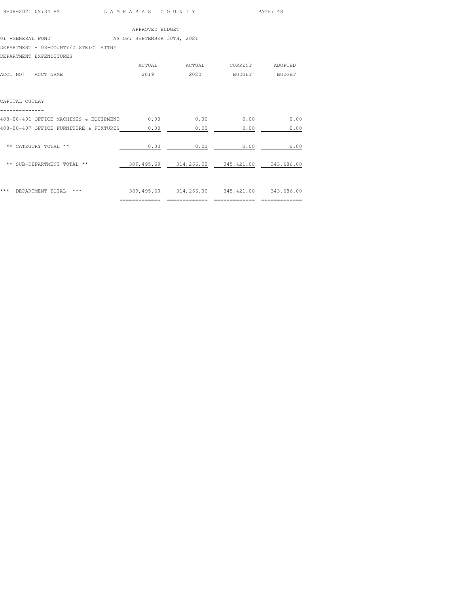| 9-08-2021 09:34 AM | LAMPASAS COUNTY | PAGE: 48 |
|--------------------|-----------------|----------|

|                                       |  | APPROVED BUDGET             |        |  |
|---------------------------------------|--|-----------------------------|--------|--|
| 01 -GENERAL FUND                      |  | AS OF: SEPTEMBER 30TH, 2021 |        |  |
| DEPARTMENT - 08-COUNTY/DISTRICT ATTNY |  |                             |        |  |
| DEPARTMENT EXPENDITURES               |  |                             |        |  |
|                                       |  | ACTUAL                      | ACTUAL |  |

| ACCT NAME<br>ACCT NO#                  | ACTUAL<br>2019               | ACTUAL<br>2020 | <b>CURRENT</b><br><b>BUDGET</b> | ADOPTED<br><b>BUDGET</b> |
|----------------------------------------|------------------------------|----------------|---------------------------------|--------------------------|
| CAPITAL OUTLAY                         |                              |                |                                 |                          |
| 408-00-401 OFFICE MACHINES & EQUIPMENT | 0.00                         | 0.00           | 0.00                            | 0.00                     |
| 408-00-407 OFFICE FURNITURE & FIXTURES | 0.00                         | 0.00           | 0.00                            | 0.00                     |
| ** CATEGORY TOTAL **                   | 0.00                         | 0.00           | 0.00                            | 0.00                     |
| ** SUB-DEPARTMENT TOTAL **             | 309,495.69                   | 314,266.00     | 345,421.00                      | 343,686.00               |
| ***<br>DEPARTMENT TOTAL<br>$***$       | 309,495.69<br>-------------- | 314,266.00     | 345, 421.00                     | 343,686.00               |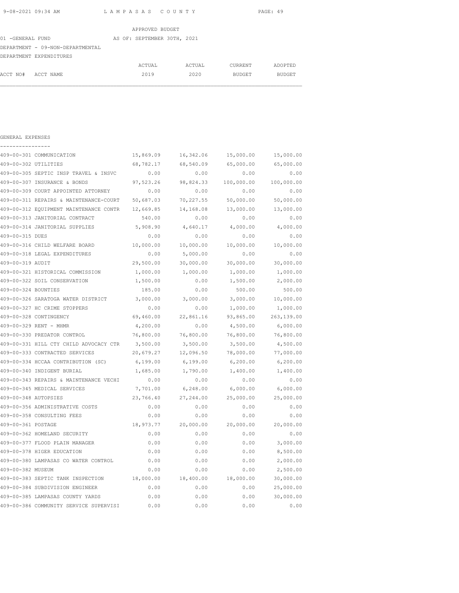01 -GENERAL FUND AS OF: SEPTEMBER 30TH, 2021

DEPARTMENT - 09-NON-DEPARTMENTAL

|                    | DEPARTMENT EXPENDITURES |        |        |         |         |
|--------------------|-------------------------|--------|--------|---------|---------|
|                    |                         | ACTUAL | ACTUAL | CURRENT | ADOPTED |
| ACCT NO# ACCT NAME |                         | 2019   | 2020   | BUDGET  | BUDGET  |

 $\mathcal{L}_\text{max}$ 

| GENERAL EXPENSES     |                                        |           |            |            |            |
|----------------------|----------------------------------------|-----------|------------|------------|------------|
|                      | 409-00-301 COMMUNICATION               | 15,869.09 | 16,342.06  | 15,000.00  | 15,000.00  |
| 409-00-302 UTILITIES |                                        | 68,782.17 | 68,540.09  | 65,000.00  | 65,000.00  |
|                      | 409-00-305 SEPTIC INSP TRAVEL & INSVC  | 0.00      | 0.00       | 0.00       | 0.00       |
|                      | 409-00-307 INSURANCE & BONDS           | 97,523.26 | 98,824.33  | 100,000.00 | 100,000.00 |
|                      | 409-00-309 COURT APPOINTED ATTORNEY    | 0.00      | 0.00       | 0.00       | 0.00       |
|                      | 409-00-311 REPAIRS & MAINTENANCE-COURT | 50,687.03 | 70,227.55  | 50,000.00  | 50,000.00  |
|                      | 409-00-312 EOUIPMENT MAINTENANCE CONTR | 12,669.85 | 14,168.08  | 13,000.00  | 13,000.00  |
|                      | 409-00-313 JANITORIAL CONTRACT         | 540.00    | 0.00       | 0.00       | 0.00       |
|                      | 409-00-314 JANITORIAL SUPPLIES         | 5,908.90  | 4,640.17   | 4,000.00   | 4,000.00   |
| 409-00-315 DUES      |                                        | 0.00      | 0.00       | 0.00       | 0.00       |
|                      | 409-00-316 CHILD WELFARE BOARD         | 10,000.00 | 10,000.00  | 10,000.00  | 10,000.00  |
|                      | 409-00-318 LEGAL EXPENDITURES          | 0.00      | 5,000.00   | 0.00       | 0.00       |
| 409-00-319 AUDIT     |                                        | 29,500.00 | 30,000.00  | 30,000.00  | 30,000.00  |
|                      | 409-00-321 HISTORICAL COMMISSION       | 1,000.00  | 1,000.00   | 1,000.00   | 1,000.00   |
|                      | 409-00-322 SOIL CONSERVATION           | 1,500.00  | 0.00       | 1,500.00   | 2,000.00   |
| 409-00-324 BOUNTIES  |                                        | 185.00    | 0.00       | 500.00     | 500.00     |
|                      | 409-00-326 SARATOGA WATER DISTRICT     | 3,000.00  | 3,000.00   | 3,000.00   | 10,000.00  |
|                      | 409-00-327 HC CRIME STOPPERS           | 0.00      | 0.00       | 1,000.00   | 1,000.00   |
|                      | 409-00-328 CONTINGENCY                 | 69,460.00 | 22,861.16  | 93,865.00  | 263,139.00 |
|                      | 409-00-329 RENT - MHMR                 | 4,200.00  | 0.00       | 4,500.00   | 6,000.00   |
|                      | 409-00-330 PREDATOR CONTROL            | 76,800.00 | 76,800.00  | 76,800.00  | 76,800.00  |
|                      | 409-00-331 HILL CTY CHILD ADVOCACY CTR | 3,500.00  | 3,500.00   | 3,500.00   | 4,500.00   |
|                      | 409-00-333 CONTRACTED SERVICES         | 20,679.27 | 12,096.50  | 78,000.00  | 77,000.00  |
|                      | 409-00-334 HCCAA CONTRIBUTION (SC)     | 6,199.00  | 6,199.00   | 6, 200.00  | 6, 200.00  |
|                      | 409-00-340 INDIGENT BURIAL             | 1,685.00  | 1,790.00   | 1,400.00   | 1,400.00   |
|                      | 409-00-343 REPAIRS & MAINTENANCE VECHI | 0.00      | 0.00       | 0.00       | 0.00       |
|                      | 409-00-345 MEDICAL SERVICES            | 7,701.00  | 6,248.00   | 6,000.00   | 6,000.00   |
| 409-00-348 AUTOPSIES |                                        | 23,766.40 | 27, 244.00 | 25,000.00  | 25,000.00  |
|                      | 409-00-356 ADMINISTRATIVE COSTS        | 0.00      | 0.00       | 0.00       | 0.00       |
|                      | 409-00-358 CONSULTING FEES             | 0.00      | 0.00       | 0.00       | 0.00       |
| 409-00-361 POSTAGE   |                                        | 18,973.77 | 20,000.00  | 20,000.00  | 20,000.00  |
|                      | 409-00-362 HOMELAND SECURITY           | 0.00      | 0.00       | 0.00       | 0.00       |
|                      | 409-00-377 FLOOD PLAIN MANAGER         | 0.00      | 0.00       | 0.00       | 3,000.00   |
|                      | 409-00-378 HIGER EDUCATION             | 0.00      | 0.00       | 0.00       | 8,500.00   |
|                      | 409-00-380 LAMPASAS CO WATER CONTROL   | 0.00      | 0.00       | 0.00       | 2,000.00   |
| 409-00-382 MUSEUM    |                                        | 0.00      | 0.00       | 0.00       | 2,500.00   |
|                      | 409-00-383 SEPTIC TANK INSPECTION      | 18,000.00 | 18,400.00  | 18,000.00  | 30,000.00  |
|                      | 409-00-384 SUBDIVISION ENGINEER        | 0.00      | 0.00       | 0.00       | 25,000.00  |
|                      | 409-00-385 LAMPASAS COUNTY YARDS       | 0.00      | 0.00       | 0.00       | 30,000.00  |
|                      | 409-00-386 COMMUNITY SERVICE SUPERVISI | 0.00      | 0.00       | 0.00       | 0.00       |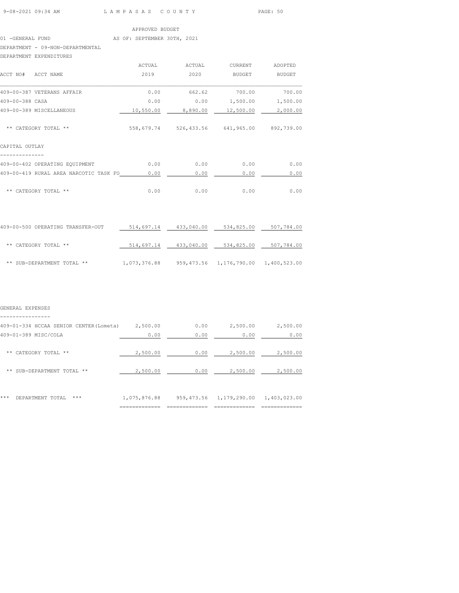#### 01 -GENERAL FUND AS OF: SEPTEMBER 30TH, 2021

DEPARTMENT - 09-NON-DEPARTMENTAL

#### DEPARTMENT EXPENDITURES

|                                        | ACTUAL     | ACTUAL      | <b>CURRENT</b> | ADOPTED       |
|----------------------------------------|------------|-------------|----------------|---------------|
| ACCT NAME<br>ACCT NO#                  | 2019       | 2020        | <b>BUDGET</b>  | <b>BUDGET</b> |
| 409-00-387 VETERANS AFFAIR             | 0.00       | 662.62      | 700.00         | 700.00        |
| 409-00-388 CASA                        | 0.00       | 0.00        | 1,500.00       | 1,500.00      |
| 409-00-389 MISCELLANEOUS               | 10,550.00  | 8,890.00    | 12,500.00      | 2,000.00      |
| ** CATEGORY TOTAL **                   | 558,679.74 | 526, 433.56 | 641,965.00     | 892,739.00    |
| CAPITAL OUTLAY                         |            |             |                |               |
| 409-00-402 OPERATING EQUIPMENT         | 0.00       | 0.00        | 0.00           | 0.00          |
| 409-00-419 RURAL AREA NARCOTIC TASK FO | 0.00       | 0.00        | 0.00           | 0.00          |
| **<br>CATEGORY TOTAL **                | 0.00       | 0.00        | 0.00           | 0.00          |

| 409-00-500 OPERATING TRANSFER-OUT | 514,697.14   | 433,040.00 | 534,825.00              | 507,784.00   |
|-----------------------------------|--------------|------------|-------------------------|--------------|
| ** CATEGORY TOTAL **              | 514,697.14   | 433,040.00 | 534,825.00              | 507,784.00   |
| ** SUB-DEPARTMENT TOTAL **        | 1,073,376.88 |            | 959,473.56 1,176,790.00 | 1,400,523.00 |

#### GENERAL EXPENSES

----------------

| 409-01-334 HCCAA SENIOR CENTER (Lometa) | 2,500.00                                    | 0.00                      | 2,500.00     | 2,500.00                                    |
|-----------------------------------------|---------------------------------------------|---------------------------|--------------|---------------------------------------------|
| 409-01-389 MISC/COLA                    | 0.00                                        | 0.00                      | 0.00         | 0.00                                        |
| CATEGORY TOTAL<br>**<br>**              | 2,500.00                                    | 0.00                      | 2,500.00     | 2,500.00                                    |
| **<br>SUB-DEPARTMENT TOTAL **           | 2,500.00                                    | 0.00                      | 2,500.00     | 2,500.00                                    |
| ***<br>DEPARTMENT TOTAL<br>***          | 1,075,876.88<br>-------------<br>---------- | 959,473.56<br>___________ | 1,179,290.00 | 1,403,023.00<br>-------------<br>---------- |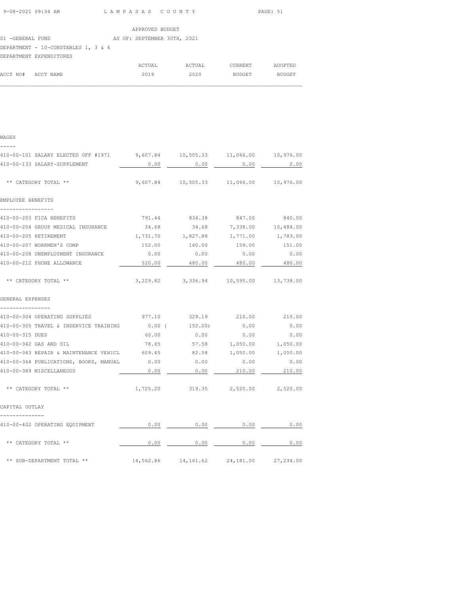|                                     | APPROVED BUDGET             |        |         |         |
|-------------------------------------|-----------------------------|--------|---------|---------|
| 01 -GENERAL FUND                    | AS OF: SEPTEMBER 30TH, 2021 |        |         |         |
| DEPARTMENT - 10-CONSTABLES 1, 3 & 4 |                             |        |         |         |
| DEPARTMENT EXPENDITURES             |                             |        |         |         |
|                                     | ACTUAL                      | ACTUAL | CURRENT | ADOPTED |

| WAGES                                                                      |           |                                              |             |           |
|----------------------------------------------------------------------------|-----------|----------------------------------------------|-------------|-----------|
| 410-00-101 SALARY ELECTED OFF #1971 9,607.84 10,505.33 11,066.00 10,976.00 |           |                                              |             |           |
| 410-00-133 SALARY-SUPPLEMENT                                               | 0.00      | 0.00                                         | $0.00$ 0.00 |           |
| ** CATEGORY TOTAL **                                                       |           | 9,607.84 10,505.33 11,066.00 10,976.00       |             |           |
| EMPLOYEE BENEFITS                                                          |           |                                              |             |           |
| -----------------<br>410-00-203 FICA BENEFITS                              |           | 791.44 834.38 847.00 840.00                  |             |           |
| 410-00-204 GROUP MEDICAL INSURANCE 34.68 34.68 7,338.00 10,484.00          |           |                                              |             |           |
| 410-00-205 RETIREMENT                                                      |           | 1,731.70    1,827.88    1,771.00    1,783.00 |             |           |
| 410-00-207 WORKMEN'S COMP                                                  |           |                                              |             | 151.00    |
| 410-00-208 UNEMPLOYMENT INSURANCE                                          | 0.00      | 0.00                                         | 0.00        | 0.00      |
| 410-00-212 PHONE ALLOWANCE                                                 | 520.00    | 480.00                                       | 480.00      | 480.00    |
| ** CATEGORY TOTAL **                                                       |           | 3,229.82 3,336.94 10,595.00 13,738.00        |             |           |
| GENERAL EXPENSES                                                           |           |                                              |             |           |
| ----------------<br>410-00-304 OPERATING SUPPLIES                          | 977.10    | 329.19                                       | 210.00      | 210.00    |
| 410-00-305 TRAVEL & INSERVICE TRAINING                                     | 0.00(     | 150.00)                                      | 0.00        | 0.00      |
| 410-00-315 DUES                                                            | 60.00     | 0.00                                         | 0.00        | 0.00      |
| 410-00-342 GAS AND OIL                                                     | 78.65     | 57.58                                        | 1,050.00    | 1,050.00  |
| 410-00-343 REPAIR & MAINTENANCE VEHICL                                     | 609.45    | 82.58                                        | 1,050.00    | 1,050.00  |
| 410-00-364 PUBLICATIONS, BOOKS, MANUAL                                     | 0.00      | 0.00                                         | 0.00        | 0.00      |
| 410-00-389 MISCELLANEOUS                                                   | 0.00      | 0.00                                         | 210.00      | 210.00    |
| ** CATEGORY TOTAL **                                                       |           | 1,725.20 319.35 2,520.00 2,520.00            |             |           |
| CAPITAL OUTLAY                                                             |           |                                              |             |           |
| 410-00-402 OPERATING EQUIPMENT                                             | 0.00      | $\sim$ 0.00                                  | 0.00        | 0.00      |
| ** CATEGORY TOTAL **                                                       | 0.00      | 0.00                                         | 0.00        | 0.00      |
| ** SUB-DEPARTMENT TOTAL **                                                 | 14,562.86 | 14,161.62                                    | 24,181.00   | 27,234.00 |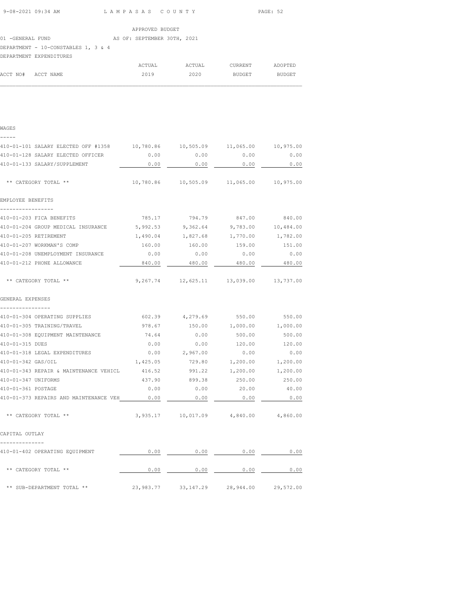| 9-08-2021 09:34 AM | LAMPASAS COUNTY | PAGE: 52 |
|--------------------|-----------------|----------|

|                                     |  |  |  | APPROVED BUDGET             |  |
|-------------------------------------|--|--|--|-----------------------------|--|
| 01 -GENERAL FUND                    |  |  |  | AS OF: SEPTEMBER 30TH, 2021 |  |
| DEPARTMENT - 10-CONSTABLES 1, 3 & 4 |  |  |  |                             |  |
| DEPARTMENT EXPENDITURES             |  |  |  |                             |  |
|                                     |  |  |  |                             |  |

|                    | ACTUAL | ACTUAL | CURRENT | ADOPTED |
|--------------------|--------|--------|---------|---------|
| ACCT NO# ACCT NAME | 2019   | 2020   | BUDGET  | BUDGET  |
|                    |        |        |         |         |

| WAGES<br>-----                         |           |                    |           |           |
|----------------------------------------|-----------|--------------------|-----------|-----------|
| 410-01-101 SALARY ELECTED OFF #1358    | 10,780.86 | 10,505.09          | 11,065.00 | 10,975.00 |
| 410-01-128 SALARY ELECTED OFFICER      | 0.00      | 0.00               | 0.00      | 0.00      |
| 410-01-133 SALARY/SUPPLEMENT           | 0.00      | 0.00               | 0.00      | 0.00      |
| ** CATEGORY TOTAL **                   | 10,780.86 | 10,505.09          | 11,065.00 | 10,975.00 |
| EMPLOYEE BENEFITS                      |           |                    |           |           |
| 410-01-203 FICA BENEFITS               | 785.17    | 794.79             | 847.00    | 840.00    |
| 410-01-204 GROUP MEDICAL INSURANCE     | 5,992.53  | 9,362.64           | 9,783.00  | 10,484.00 |
| 410-01-205 RETIREMENT                  | 1,490.04  | 1,827.68           | 1,770.00  | 1,782.00  |
| 410-01-207 WORKMAN'S COMP              | 160.00    | 160.00             | 159.00    | 151.00    |
| 410-01-208 UNEMPLOYMENT INSURANCE      | 0.00      | 0.00               | 0.00      | 0.00      |
| 410-01-212 PHONE ALLOWANCE             | 840.00    | 480.00             | 480.00    | 480.00    |
| ** CATEGORY TOTAL **                   | 9,267.74  | 12,625.11          | 13,039.00 | 13,737.00 |
| GENERAL EXPENSES<br>----------------   |           |                    |           |           |
| 410-01-304 OPERATING SUPPLIES          | 602.39    | 4,279.69           | 550.00    | 550.00    |
| 410-01-305 TRAINING/TRAVEL             | 978.67    | 150.00             | 1,000.00  | 1,000.00  |
| 410-01-308 EQUIPMENT MAINTENANCE       | 74.64     | 0.00               | 500.00    | 500.00    |
| 410-01-315 DUES                        | 0.00      | 0.00               | 120.00    | 120.00    |
| 410-01-318 LEGAL EXPENDITURES          | 0.00      | 2,967.00           | 0.00      | 0.00      |
| 410-01-342 GAS/OIL                     | 1,425.05  | 729.80             | 1,200.00  | 1,200.00  |
| 410-01-343 REPAIR & MAINTENANCE VEHICL | 416.52    | 991.22             | 1,200.00  | 1,200.00  |
| 410-01-347 UNIFORMS                    | 437.90    | 899.38             | 250.00    | 250.00    |
| 410-01-361 POSTAGE                     | 0.00      | 0.00               | 20.00     | 40.00     |
| 410-01-373 REPAIRS AND MAINTENANCE VEH | 0.00      | 0.00               | 0.00      | 0.00      |
| ** CATEGORY TOTAL **                   |           | 3,935.17 10,017.09 | 4,840.00  | 4,860.00  |
| CAPITAL OUTLAY                         |           |                    |           |           |
| 410-01-402 OPERATING EQUIPMENT         | 0.00      | 0.00               | 0.00      | 0.00      |
| ** CATEGORY TOTAL **                   | 0.00      | 0.00               | 0.00      | 0.00      |
| ** SUB-DEPARTMENT TOTAL **             | 23,983.77 | 33, 147.29         | 28,944.00 | 29,572.00 |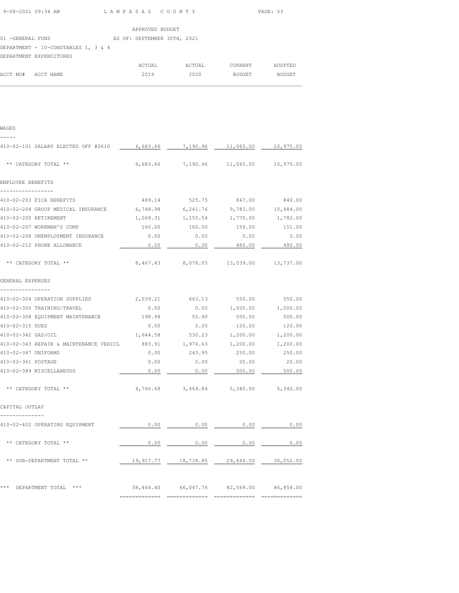|--|

|                                     | APPROVED BUDGET             |        |         |         |
|-------------------------------------|-----------------------------|--------|---------|---------|
| 01 -GENERAL FUND                    | AS OF: SEPTEMBER 30TH, 2021 |        |         |         |
| DEPARTMENT - 10-CONSTABLES 1, 3 & 4 |                             |        |         |         |
| DEPARTMENT EXPENDITURES             |                             |        |         |         |
|                                     | ACTUAL                      | ACTUAL | CURRENT | ADOPTED |

| WAGES                                                                   |          |                 |                                               |          |
|-------------------------------------------------------------------------|----------|-----------------|-----------------------------------------------|----------|
| 410-02-101 SALARY ELECTED OFF #0610                                     |          |                 | 6,683.66 7,190.96 11,065.00 10,975.00         |          |
| ** CATEGORY TOTAL **                                                    |          |                 | $6,683.66$ $7,190.96$ $11,065.00$ $10,975.00$ |          |
| EMPLOYEE BENEFITS                                                       |          |                 |                                               |          |
| -----------------<br>410-02-203 FICA BENEFITS                           |          |                 | 489.14 525.75 847.00 840.00                   |          |
| 410-02-204 GROUP MEDICAL INSURANCE 6,748.98 6,241.76 9,783.00 10,484.00 |          |                 |                                               |          |
| 410-02-205 RETIREMENT                                                   | 1,069.31 | 1,150.54        | 1,770.00                                      | 1,782.00 |
| 410-02-207 WORKMAN'S COMP                                               | 160.00   | 160.00          | 159.00                                        | 151.00   |
| 410-02-208 UNEMPLOYMENT INSURANCE                                       | 0.00     | 0.00            | 0.00                                          | 0.00     |
| 410-02-212 PHONE ALLOWANCE                                              | 0.00     | 0.00            | 480.00                                        | 480.00   |
| ** CATEGORY TOTAL **                                                    |          |                 | 8,467.43 8,078.05 13,039.00 13,737.00         |          |
| GENERAL EXPENSES<br>---------------                                     |          |                 |                                               |          |
| 410-02-304 OPERATION SUPPLIES                                           |          |                 | 2,039.21 663.13 550.00 550.00                 |          |
| 410-02-305 TRAINING/TRAVEL                                              | 0.00     |                 | $0.00$ $1,000.00$ $1,000.00$                  |          |
| 410-02-308 EQUIPMENT MAINTENANCE                                        | 198.98   | 55.90           | 500.00                                        | 500.00   |
| 410-02-315 DUES                                                         | 0.00     | 0.00            | 120.00                                        | 120.00   |
| 410-02-342 GAS/OIL                                                      | 1,644.58 | 530.23          | 1,200.00                                      | 1,200.00 |
| 410-02-343 REPAIR & MAINTENANCE VEHICL                                  |          | 883.91 1,976.63 | 1,200.00                                      | 1,200.00 |
| 410-02-347 UNIFORMS                                                     | 0.00     | 243.95          | 250.00                                        | 250.00   |
| 410-02-361 POSTAGE                                                      | 0.00     | 0.00            | 20.00                                         | 20.00    |
| 410-02-389 MISCELLANEOUS                                                | 0.00     | 0.00            | 500.00                                        | 500.00   |
| ** CATEGORY TOTAL **                                                    |          |                 | 4,766.68 3,469.84 5,340.00 5,340.00           |          |
| CAPITAL OUTLAY<br>--------------                                        |          |                 |                                               |          |
| 410-02-402 OPERATING EQUIPMENT                                          | 0.00     | 0.00            | 0.00                                          | 0.00     |
| ** CATEGORY TOTAL **                                                    | 0.00     | 0.00            | 0.00                                          | 0.00     |
| ** SUB-DEPARTMENT TOTAL **                                              |          |                 | 19,917.77  18,738.85  29,444.00  30,052.00    |          |
| *** DEPARTMENT TOTAL ***                                                |          |                 | 58,464.40 66,047.76 82,569.00 86,858.00       |          |

============= ============= ============= =============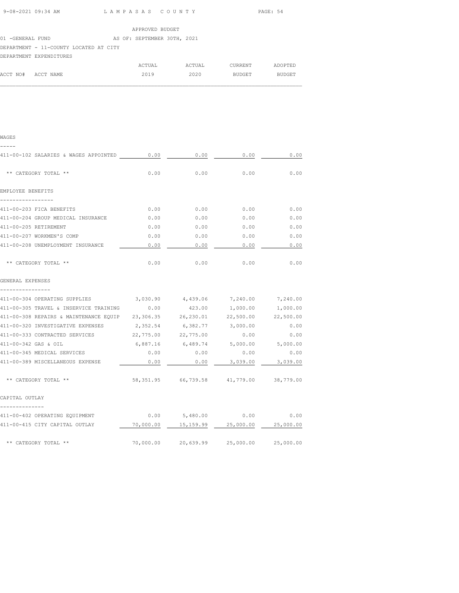| 9-08-2021 09:34 AM | LAMPASAS COUNTY | PAGE: 54 |
|--------------------|-----------------|----------|
|                    |                 |          |

|                                        |  | APPROVED BUDGET             |        |         |         |
|----------------------------------------|--|-----------------------------|--------|---------|---------|
| 01 -GENERAL FUND                       |  | AS OF: SEPTEMBER 30TH, 2021 |        |         |         |
| DEPARTMENT - 11-COUNTY LOCATED AT CITY |  |                             |        |         |         |
| DEPARTMENT EXPENDITURES                |  |                             |        |         |         |
|                                        |  | ACTUAL                      | ACTUAL | CURRENT | ADOPTED |

| ۰, | ۹ |
|----|---|

| 411-00-102 SALARIES & WAGES APPOINTED 0.00                                            |          | 0.00                                       | 0.00     | 0.00     |
|---------------------------------------------------------------------------------------|----------|--------------------------------------------|----------|----------|
| ** CATEGORY TOTAL **                                                                  | 0.00     | 0.00                                       | 0.00     | 0.00     |
| EMPLOYEE BENEFITS                                                                     |          |                                            |          |          |
| -----------------<br>411-00-203 FICA BENEFITS                                         |          | $0.00$ 0.00 0.00                           |          | 0.00     |
| 411-00-204 GROUP MEDICAL INSURANCE                                                    | 0.00     | 0.00                                       | 0.00     | 0.00     |
| 411-00-205 RETIREMENT                                                                 | 0.00     | 0.00                                       | 0.00     | 0.00     |
| 411-00-207 WORKMEN'S COMP                                                             | 0.00     | 0.00                                       | 0.00     | 0.00     |
| 411-00-208 UNEMPLOYMENT INSURANCE                                                     | 0.00     | 0.00                                       | 0.00     | 0.00     |
| ** CATEGORY TOTAL **                                                                  | 0.00     | 0.00                                       | 0.00     | 0.00     |
| GENERAL EXPENSES                                                                      |          |                                            |          |          |
| ----------------<br>411-00-304 OPERATING SUPPLIES 3,030.90 4,439.06 7,240.00 7,240.00 |          |                                            |          |          |
| 411-00-305 TRAVEL & INSERVICE TRAINING                                                | 0.00     | 423.00                                     | 1,000.00 | 1,000.00 |
| 411-00-308 REPAIRS & MAINTENANCE EQUIP 23,306.35 26,230.01 22,500.00 22,500.00        |          |                                            |          |          |
| 411-00-320 INVESTIGATIVE EXPENSES 2,352.54 6,382.77 3,000.00                          |          |                                            |          | 0.00     |
| 411-00-333 CONTRACTED SERVICES 22,775.00 22,775.00                                    |          |                                            | 0.00     | 0.00     |
| 411-00-342 GAS & OIL                                                                  | 6,887.16 | $6,489.74$ $5,000.00$ $5,000.00$           |          |          |
| 411-00-345 MEDICAL SERVICES                                                           | 0.00     | 0.00                                       | 0.00     | 0.00     |
| 411-00-389 MISCELLANEOUS EXPENSE                                                      | 0.00     | 0.00                                       | 3,039.00 | 3,039.00 |
| ** CATEGORY TOTAL **                                                                  |          | 58,351.95 66,739.58 41,779.00 38,779.00    |          |          |
| CAPITAL OUTLAY                                                                        |          |                                            |          |          |
| 411-00-402 OPERATING EQUIPMENT                                                        |          | $0.00$ 5,480.00 0.00 0.00                  |          |          |
| 411-00-415 CITY CAPITAL OUTLAY                                                        |          | 70,000.00  15,159.99  25,000.00  25,000.00 |          |          |
| ** CATEGORY TOTAL **                                                                  |          | 70,000.00 20,639.99 25,000.00 25,000.00    |          |          |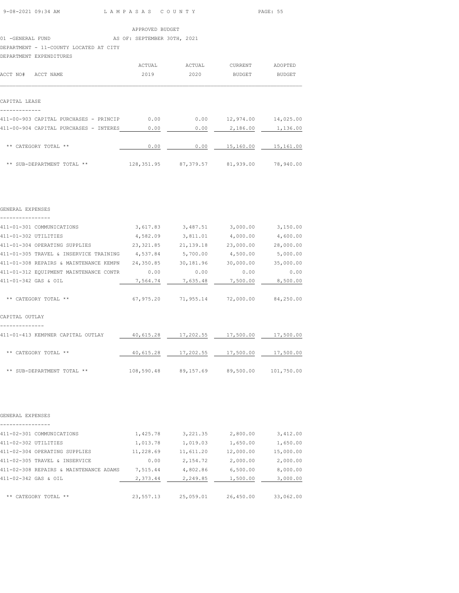|  | 9-08-2021 09:34 AM |  |
|--|--------------------|--|
|  |                    |  |

L A M P A S A S C O U N T Y PAGE: 55

APPROVED BUDGET

01 -GENERAL FUND AS OF: SEPTEMBER 30TH, 2021

DEPARTMENT - 11-COUNTY LOCATED AT CITY

DEPARTMENT EXPENDITURES

| ACCT NO#<br>ACCT NAME                  | ACTUAL<br>2019 | ACTUAL<br>2020 | <b>CURRENT</b><br><b>BUDGET</b> | ADOPTED<br><b>BUDGET</b> |
|----------------------------------------|----------------|----------------|---------------------------------|--------------------------|
| CAPITAL LEASE                          |                |                |                                 |                          |
| 411-00-903 CAPITAL PURCHASES - PRINCIP | 0.00           | 0.00           | 12,974.00                       | 14,025.00                |
| 411-00-904 CAPITAL PURCHASES - INTERES | 0.00           | 0.00           | 2,186.00                        | 1,136.00                 |
| CATEGORY TOTAL **<br>**                | 0.00           | 0.00           | 15,160.00                       | 15,161.00                |
| ** SUB-DEPARTMENT TOTAL **             | 128, 351.95    | 87,379.57      | 81,939.00                       | 78,940.00                |

| GENERAL EXPENSES                                                      |      |                                                 |          |                     |
|-----------------------------------------------------------------------|------|-------------------------------------------------|----------|---------------------|
| 411-01-301 COMMUNICATIONS                                             |      | 3,617.83 3,487.51 3,000.00 3,150.00             |          |                     |
| 411-01-302 UTILITIES                                                  |      | $4,582.09$ $3,811.01$ $4,000.00$ $4,600.00$     |          |                     |
| 411-01-304 OPERATING SUPPLIES 23,321.85 21,139.18 23,000.00           |      |                                                 |          | 28,000.00           |
| 411-01-305 TRAVEL & INSERVICE TRAINING $4,537.84$ 5,700.00 $4,500.00$ |      |                                                 |          | 5,000.00            |
|                                                                       |      |                                                 |          | 30,000.00 35,000.00 |
| 411-01-312 EQUIPMENT MAINTENANCE CONTR                                | 0.00 | 0.00                                            | 0.00     | 0.00                |
| 411-01-342 GAS & OIL                                                  |      | 7,564.74 7,635.48                               | 7,500.00 | 8,500.00            |
| ** CATEGORY TOTAL **                                                  |      | $67,975.20$ $71,955.14$ $72,000.00$ $84,250.00$ |          |                     |
| CAPITAL OUTLAY                                                        |      |                                                 |          |                     |
| 411-01-413 KEMPNER CAPITAL OUTLAY                                     |      | 40,615.28 17,202.55 17,500.00 17,500.00         |          |                     |
| ** CATEGORY TOTAL **                                                  |      | 40,615.28  17,202.55  17,500.00  17,500.00      |          |                     |
| ** SUB-DEPARTMENT TOTAL **                                            |      | 108,590.48 89,157.69 89,500.00 101,750.00       |          |                     |
|                                                                       |      |                                                 |          |                     |

| GENERAL EXPENSES                       |           |           |           |           |
|----------------------------------------|-----------|-----------|-----------|-----------|
|                                        |           |           |           |           |
| 411-02-301 COMMUNICATIONS              | 1,425.78  | 3,221.35  | 2,800.00  | 3,412.00  |
| 411-02-302 UTILITIES                   | 1,013.78  | 1,019.03  | 1,650.00  | 1,650.00  |
| 411-02-304 OPERATING SUPPLIES          | 11,228.69 | 11,611.20 | 12,000.00 | 15,000.00 |
| 411-02-305 TRAVEL & INSERVICE          | 0.00      | 2,154.72  | 2,000.00  | 2,000.00  |
| 411-02-308 REPAIRS & MAINTENANCE ADAMS | 7,515.44  | 4,802.86  | 6,500.00  | 8,000.00  |
| 411-02-342 GAS & OIL                   | 2,373.44  | 2,249.85  | 1,500.00  | 3,000.00  |
|                                        |           |           |           |           |
| ** CATEGORY TOTAL **                   | 23,557.13 | 25,059.01 | 26,450.00 | 33,062,00 |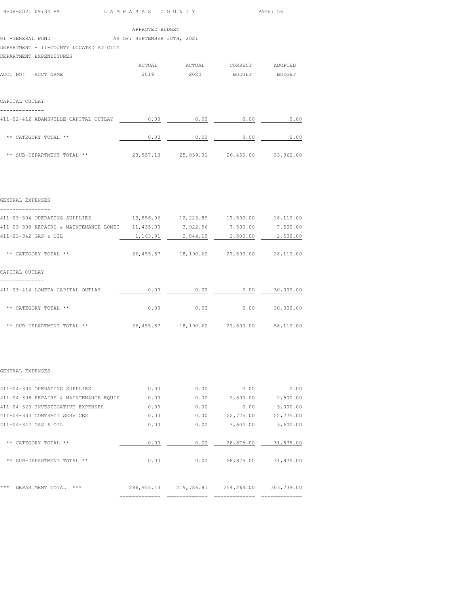| 9-08-2021 09:34 AM | LAMPASAS COUNTY | PAGE: 56 |
|--------------------|-----------------|----------|
|                    |                 |          |

|                                        |  | APPROVED BUDGET             |        |               |               |
|----------------------------------------|--|-----------------------------|--------|---------------|---------------|
| 01 -GENERAL FUND                       |  | AS OF: SEPTEMBER 30TH, 2021 |        |               |               |
| DEPARTMENT - 11-COUNTY LOCATED AT CITY |  |                             |        |               |               |
| DEPARTMENT EXPENDITURES                |  |                             |        |               |               |
|                                        |  | ACTUAL                      | ACTUAL | CURRENT       | ADOPTED       |
| ACCT NO#<br>ACCT NAME                  |  | 2019                        | 2020   | <b>BUDGET</b> | <b>BUDGET</b> |
|                                        |  |                             |        |               |               |
|                                        |  |                             |        |               |               |
| CAPITAL OUTLAY                         |  |                             |        |               |               |

| 411-02-412 ADAMSVILLE CAPITAL OUTLAY | 0.00      | 0.00      | 0.00      | 0.00      |
|--------------------------------------|-----------|-----------|-----------|-----------|
| ** CATEGORY TOTAL **                 | 0.00      | 0.00      | 0.00      | 0.00      |
| ** SUB-DEPARTMENT TOTAL **           | 23,557.13 | 25,059.01 | 26,450.00 | 33,062.00 |

|  |  |  |  | GENERAL EXPENSES |  |  |  |  |
|--|--|--|--|------------------|--|--|--|--|
|  |  |  |  |                  |  |  |  |  |

--------------

| 411-03-304 OPERATING SUPPLIES          | 13,856.06  | 12,223.89 | 17,500.00 | 18,112.00 |
|----------------------------------------|------------|-----------|-----------|-----------|
| 411-03-308 REPAIRS & MAINTENANCE LOMET | 11,435.90  | 3,922.56  | 7,500.00  | 7,500.00  |
| 411-03-342 GAS & OIL                   | 1,163.91   | 2,044.15  | 2,500.00  | 2,500.00  |
| CATEGORY TOTAL **<br>**                | 26, 455.87 | 18,190.60 | 27,500.00 | 28,112.00 |
| CAPITAL OUTLAY                         |            |           |           |           |
| 411-03-414 LOMETA CAPITAL OUTLAY       | 0.00       | 0.00      | 0.00      | 30,000.00 |
| ** CATEGORY TOTAL **                   | 0.00       | 0.00      | 0.00      | 30,000.00 |
| ** SUB-DEPARTMENT TOTAL **             | 26, 455.87 | 18,190.60 | 27,500.00 | 58,112.00 |

#### GENERAL EXPENSES

| 411-04-304 OPERATING SUPPLIES          | 0.00        | 0.00       | 0.00       | 0.00       |
|----------------------------------------|-------------|------------|------------|------------|
| 411-04-308 REPAIRS & MAINTENANCE EQUIP | 0.00        | 0.00       | 2,500.00   | 2,500.00   |
| 411-04-320 INVESTIGATIVE EXPENSES      | 0.00        | 0.00       | 0.00       | 3,000.00   |
| 411-04-333 CONTRACT SERVICES           | 0.00        | 0.00       | 22,775.00  | 22,775.00  |
| 411-04-342 GAS & OIL                   | 0.00        | 0.00       | 3,600.00   | 3,600.00   |
| CATEGORY TOTAL **<br>**                | 0.00        | 0.00       | 28,875.00  | 31,875.00  |
| SUB-DEPARTMENT TOTAL **<br>**          | 0.00        | 0.00       | 28,875.00  | 31,875.00  |
|                                        |             |            |            |            |
| ***<br>DEPARTMENT TOTAL<br>***         | 286, 955.43 | 219,786.87 | 254,264.00 | 303,739.00 |
|                                        |             |            |            |            |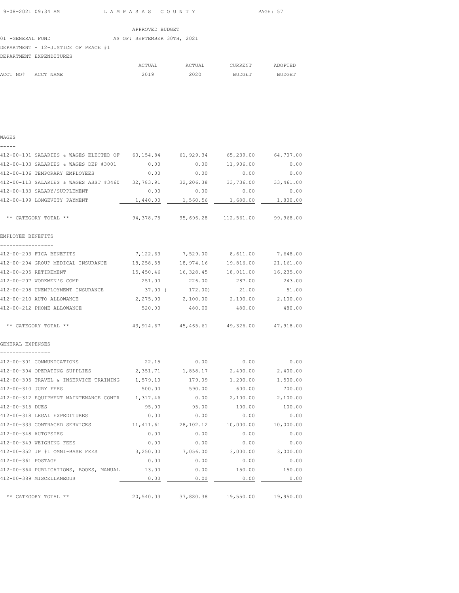| 9-08-2021 09:34 AM | LAMPASAS COUNTY | PAGE: 57 |
|--------------------|-----------------|----------|
|                    |                 |          |

ADOPTED

|                                     | APPROVED BUDGET |  |                             |  |        |         |  |  |  |
|-------------------------------------|-----------------|--|-----------------------------|--|--------|---------|--|--|--|
| 01 -GENERAL FUND                    |                 |  | AS OF: SEPTEMBER 30TH, 2021 |  |        |         |  |  |  |
| DEPARTMENT - 12-JUSTICE OF PEACE #1 |                 |  |                             |  |        |         |  |  |  |
| DEPARTMENT EXPENDITURES             |                 |  |                             |  |        |         |  |  |  |
|                                     |                 |  | ACTUAL                      |  | ACTUAL | CURRENT |  |  |  |

| WAGES                                            |            |                                      |                                         |           |
|--------------------------------------------------|------------|--------------------------------------|-----------------------------------------|-----------|
| 412-00-101 SALARIES & WAGES ELECTED OF 60,154.84 |            | 61,929.34                            | 65,239.00                               | 64,707.00 |
| 412-00-103 SALARIES & WAGES DEP #3001            | 0.00       | 0.00                                 | 11,906.00                               | 0.00      |
| 412-00-106 TEMPORARY EMPLOYEES                   | 0.00       | 0.00                                 | 0.00                                    | 0.00      |
| 412-00-113 SALARIES & WAGES ASST #3460 32,783.91 |            | 32,206.38                            | 33,736.00                               | 33,461.00 |
| 412-00-133 SALARY/SUPPLEMENT                     | 0.00       | 0.00                                 | 0.00                                    | 0.00      |
| 412-00-199 LONGEVITY PAYMENT                     | 1,440.00   | 1,560.56                             | 1,680.00                                | 1,800.00  |
| ** CATEGORY TOTAL **                             |            | 94, 378, 75 95, 696, 28 112, 561, 00 |                                         | 99,968.00 |
| EMPLOYEE BENEFITS                                |            |                                      |                                         |           |
| 412-00-203 FICA BENEFITS                         | 7,122.63   | 7,529.00                             | 8,611.00                                | 7,648.00  |
| 412-00-204 GROUP MEDICAL INSURANCE               | 18,258.58  | 18,974.16                            | 19,816.00                               | 21,161.00 |
| 412-00-205 RETIREMENT                            | 15,450.46  | 16,328.45                            | 18,011.00                               | 16,235.00 |
| 412-00-207 WORKMEN'S COMP                        | 251.00     | 226.00                               | 287.00                                  | 243.00    |
| 412-00-208 UNEMPLOYMENT INSURANCE                | 37.00 (    | 172.00)                              | 21.00                                   | 51.00     |
| 412-00-210 AUTO ALLOWANCE                        | 2,275.00   | 2,100.00                             | 2,100.00                                | 2,100.00  |
| 412-00-212 PHONE ALLOWANCE                       | 520.00     | 480.00                               | 480.00                                  | 480.00    |
| ** CATEGORY TOTAL **                             |            |                                      | 43,914.67 45,465.61 49,326.00 47,918.00 |           |
| GENERAL EXPENSES                                 |            |                                      |                                         |           |
| 412-00-301 COMMUNICATIONS                        | 22.15      | 0.00                                 | 0.00                                    | 0.00      |
| 412-00-304 OPERATING SUPPLIES                    | 2,351.71   | 1,858.17                             | 2,400.00                                | 2,400.00  |
| 412-00-305 TRAVEL & INSERVICE TRAINING 1,579.10  |            | 179.09                               | 1,200.00                                | 1,500.00  |
| 412-00-310 JURY FEES                             | 500.00     | 590.00                               | 600.00                                  | 700.00    |
| 412-00-312 EQUIPMENT MAINTENANCE CONTR           | 1,317.46   | 0.00                                 | 2,100.00                                | 2,100.00  |
| 412-00-315 DUES                                  | 95.00      | 95.00                                | 100.00                                  | 100.00    |
| 412-00-318 LEGAL EXPEDITURES                     | 0.00       | 0.00                                 | 0.00                                    | 0.00      |
| 412-00-333 CONTRACED SERVICES                    | 11, 411.61 | 28,102.12                            | 10,000.00                               | 10,000.00 |
| 412-00-348 AUTOPSIES                             | 0.00       | 0.00                                 | 0.00                                    | 0.00      |
| 412-00-349 WEIGHING FEES                         | 0.00       | 0.00                                 | 0.00                                    | 0.00      |
| 412-00-352 JP #1 OMNI-BASE FEES                  | 3,250.00   | 7,056.00                             | 3,000.00                                | 3,000.00  |
| 412-00-361 POSTAGE                               | 0.00       | 0.00                                 | 0.00                                    | 0.00      |
| 412-00-364 PUBLICATIONS, BOOKS, MANUAL           | 13.00      | 0.00                                 | 150.00                                  | 150.00    |
| 412-00-389 MISCELLANEOUS                         | 0.00       | 0.00                                 | 0.00                                    | 0.00      |
| ** CATEGORY TOTAL **                             | 20,540.03  | 37,880.38                            | 19,550.00                               | 19,950.00 |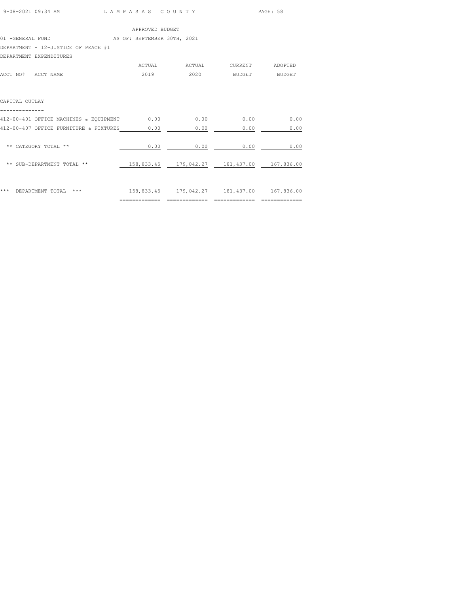| 9-08-2021 09:34 AM | LAMPASAS COUNTY | PAGE: 58 |  |
|--------------------|-----------------|----------|--|
|                    |                 |          |  |

|                                        | ACTUAL         | ACTUAL                           | <b>CURRENT</b> | ADOPTED       |
|----------------------------------------|----------------|----------------------------------|----------------|---------------|
| ACCT NO#<br>ACCT NAME                  | 2019           | 2020                             | <b>BUDGET</b>  | <b>BUDGET</b> |
|                                        |                |                                  |                |               |
| CAPITAL OUTLAY                         |                |                                  |                |               |
|                                        |                |                                  |                |               |
| 412-00-401 OFFICE MACHINES & EQUIPMENT | 0.00           | 0.00                             | 0.00           | 0.00          |
| 412-00-407 OFFICE FURNITURE & FIXTURES | 0.00           | 0.00                             | 0.00           | 0.00          |
|                                        |                |                                  |                |               |
| ** CATEGORY TOTAL **                   | 0.00           | 0.00                             | 0.00           | 0.00          |
|                                        |                |                                  |                |               |
| ** SUB-DEPARTMENT TOTAL **             |                | 158,833.45 179,042.27 181,437.00 |                | 167,836.00    |
|                                        |                |                                  |                |               |
| ***<br>$***$                           |                |                                  |                |               |
| DEPARTMENT TOTAL                       | ============== | 158,833.45 179,042.27 181,437.00 |                | 167,836.00    |
|                                        |                |                                  |                |               |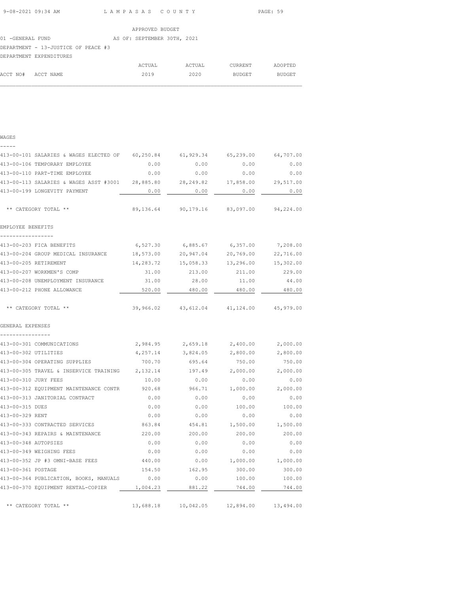| 9-08-2021 09:34 AM | LAMPASAS COUNTY | PAGE: 59 |
|--------------------|-----------------|----------|
|                    |                 |          |

|                                     |  | APPROVED BUDGET             |          |         |
|-------------------------------------|--|-----------------------------|----------|---------|
| 01 -GENERAL FUND                    |  | AS OF: SEPTEMBER 30TH, 2021 |          |         |
| DEPARTMENT - 13-JUSTICE OF PEACE #3 |  |                             |          |         |
| DEPARTMENT EXPENDITURES             |  |                             |          |         |
|                                     |  | ACTIIAL.                    | ACTIIAT. | CURRENT |

|                    | ACTUAL | ACTUAL | CURRENT | ADOPTED |
|--------------------|--------|--------|---------|---------|
| ACCT NO# ACCT NAME | 2019   | 2020   | BUDGET  | BUDGET  |
|                    |        |        |         |         |

| v | ۹ |
|---|---|
|   |   |

| ------                                                                         |          |                                            |                 |           |
|--------------------------------------------------------------------------------|----------|--------------------------------------------|-----------------|-----------|
| 413-00-101 SALARIES & WAGES ELECTED OF 60,250.84 61,929.34 65,239.00 64,707.00 |          |                                            |                 |           |
| 413-00-106 TEMPORARY EMPLOYEE                                                  | 0.00     | 0.00                                       | 0.00            | 0.00      |
| 413-00-110 PART-TIME EMPLOYEE                                                  | 0.00     | 0.00                                       | 0.00            | 0.00      |
| 413-00-113 SALARIES & WAGES ASST #3001 28,885.80                               |          | 28,249.82                                  | 17,858.00       | 29,517.00 |
| 413-00-199 LONGEVITY PAYMENT                                                   | 0.00     | 0.00                                       | 0.00            | 0.00      |
| ** CATEGORY TOTAL **                                                           |          | 89,136.64 90,179.16 83,097.00 94,224.00    |                 |           |
| EMPLOYEE BENEFITS                                                              |          |                                            |                 |           |
| 413-00-203 FICA BENEFITS                                                       |          | 6,527.30 6,885.67 6,357.00 7,208.00        |                 |           |
| 413-00-204 GROUP MEDICAL INSURANCE 18,573.00 20,947.04 20,769.00               |          |                                            |                 | 22,716.00 |
| 413-00-205 RETIREMENT                                                          |          | 14,283.72  15,058.33  13,296.00  15,302.00 |                 |           |
| 413-00-207 WORKMEN'S COMP                                                      | 31.00    | 213.00                                     | 211.00          | 229.00    |
| 413-00-208 UNEMPLOYMENT INSURANCE                                              | 31.00    | 28.00                                      | 11.00           | 44.00     |
| 413-00-212 PHONE ALLOWANCE                                                     | 520.00   | 480.00                                     | 480.00          | 480.00    |
| ** CATEGORY TOTAL **                                                           |          | 39,966.02 43,612.04 41,124.00 45,979.00    |                 |           |
| GENERAL EXPENSES                                                               |          |                                            |                 |           |
| 413-00-301 COMMUNICATIONS                                                      | 2,984.95 | 2,659.18                                   | 2,400.00        | 2,000.00  |
| 413-00-302 UTILITIES                                                           | 4,257.14 | 3,824.05                                   | 2,800.00        | 2,800.00  |
| 413-00-304 OPERATING SUPPLIES                                                  | 700.70   | 695.64                                     | 750.00          | 750.00    |
| 413-00-305 TRAVEL & INSERVICE TRAINING 2,132.14                                |          | 197.49                                     | 2,000.00        | 2,000.00  |
| 413-00-310 JURY FEES                                                           | 10.00    | 0.00                                       | 0.00            | 0.00      |
| 413-00-312 EQUIPMENT MAINTENANCE CONTR                                         | 920.68   | 966.71                                     | 1,000.00        | 2,000.00  |
| 413-00-313 JANITORIAL CONTRACT                                                 | 0.00     | 0.00                                       | 0.00            | 0.00      |
| 413-00-315 DUES                                                                | 0.00     | 0.00                                       | 100.00          | 100.00    |
| 413-00-329 RENT                                                                | 0.00     | 0.00                                       | 0.00            | 0.00      |
| 413-00-333 CONTRACTED SERVICES                                                 | 863.84   |                                            | 454.81 1,500.00 | 1,500.00  |
| 413-00-343 REPAIRS & MAINTENANCE                                               | 220.00   | 200.00                                     | 200.00          | 200.00    |
| 413-00-348 AUTOPSIES                                                           | 0.00     | 0.00                                       | 0.00            | 0.00      |
| 413-00-349 WEIGHING FEES                                                       | 0.00     | 0.00                                       | 0.00            | 0.00      |
| 413-00-352 JP #3 OMNI-BASE FEES                                                | 440.00   | 0.00                                       | 1,000.00        | 1,000.00  |
| 413-00-361 POSTAGE                                                             |          | 154.50 162.95                              | 300.00          | 300.00    |
| 413-00-364 PUBLICATION, BOOKS, MANUALS 0.00                                    |          | 0.00                                       | 100.00          | 100.00    |
| 413-00-370 EQUIPMENT RENTAL-COPIER 1,004.23 881.22 744.00                      |          |                                            |                 | 744.00    |
| ** CATEGORY TOTAL **                                                           |          | 13,688.18  10,042.05  12,894.00  13,494.00 |                 |           |
|                                                                                |          |                                            |                 |           |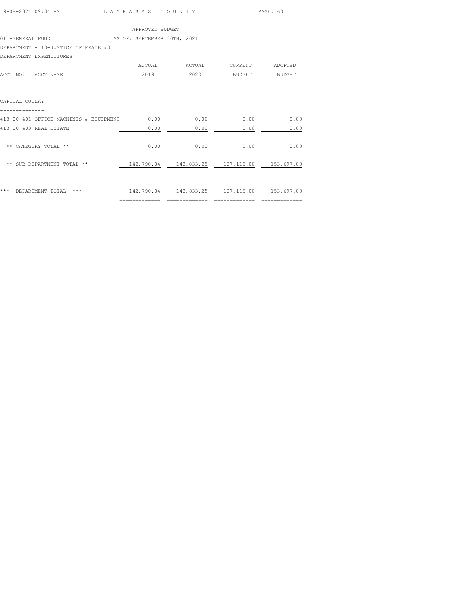| 9-08-2021 09:34 AM | LAMPASAS COUNTY | PAGE: 60 |
|--------------------|-----------------|----------|
|                    |                 |          |

|                                     |  | APPROVED BUDGET             |  |  |
|-------------------------------------|--|-----------------------------|--|--|
| 01 -GENERAL FUND                    |  | AS OF: SEPTEMBER 30TH, 2021 |  |  |
| DEPARTMENT - 13-JUSTICE OF PEACE #3 |  |                             |  |  |
| DEPARTMENT EXPENDITURES             |  |                             |  |  |

|                                        | ACTUAL        | ACTUAL | CURRENT                                        | ADOPTED       |
|----------------------------------------|---------------|--------|------------------------------------------------|---------------|
| ACCT NO#<br>ACCT NAME                  | 2019          | 2020   | BUDGET                                         | <b>BUDGET</b> |
|                                        |               |        |                                                |               |
|                                        |               |        |                                                |               |
| CAPITAL OUTLAY                         |               |        |                                                |               |
|                                        |               |        |                                                |               |
| 413-00-401 OFFICE MACHINES & EQUIPMENT | 0.00          | 0.00   | 0.00                                           | 0.00          |
| 413-00-403 REAL ESTATE                 | 0.00          | 0.00   | 0.00                                           | 0.00          |
|                                        |               |        |                                                |               |
| ** CATEGORY TOTAL **                   | 0.00          | 0.00   | 0.00                                           | 0.00          |
|                                        |               |        |                                                |               |
| ** SUB-DEPARTMENT TOTAL **             | 142,790.84    |        | 143,833.25 137,115.00 153,697.00               |               |
|                                        |               |        |                                                |               |
|                                        |               |        |                                                |               |
| DEPARTMENT TOTAL<br>***<br>$***$       |               |        | 142,790.84  143,833.25  137,115.00  153,697.00 |               |
|                                        | ============= |        |                                                | ============= |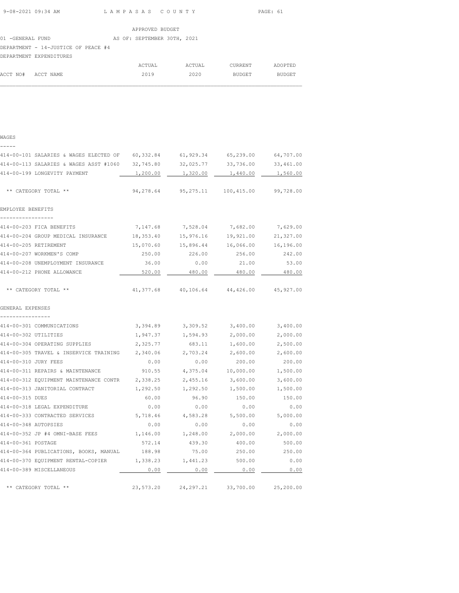| 9-08-2021 09:34 AM | LAMPASAS COUNTY | PAGE: 61 |
|--------------------|-----------------|----------|

 $\mathcal{L}_\text{max}$ 

|                                     | APPROVED BUDGET             |        |         |               |
|-------------------------------------|-----------------------------|--------|---------|---------------|
| 01 -GENERAL FUND                    | AS OF: SEPTEMBER 30TH, 2021 |        |         |               |
| DEPARTMENT - 14-JUSTICE OF PEACE #4 |                             |        |         |               |
| DEPARTMENT EXPENDITURES             |                             |        |         |               |
|                                     | ACTUAL                      | ACTUAL | CURRENT | ADOPTED       |
| ACCT NO#<br>ACCT NAME               | 2019                        | 2020   | BUDGET  | <b>BUDGET</b> |

WAGES

| 414-00-101 SALARIES & WAGES ELECTED OF                         | 60,332.84        | 61,929.34        | 65,239.00          | 64,707.00          |
|----------------------------------------------------------------|------------------|------------------|--------------------|--------------------|
| 414-00-113 SALARIES & WAGES ASST #1060                         | 32,745.80        | 32,025.77        | 33,736.00          | 33,461.00          |
| 414-00-199 LONGEVITY PAYMENT                                   | 1,200.00         | 1,320.00         | 1,440.00           | 1,560.00           |
| ** CATEGORY TOTAL **                                           | 94,278.64        | 95,275.11        | 100,415.00         | 99,728.00          |
| EMPLOYEE BENEFITS                                              |                  |                  |                    |                    |
| 414-00-203 FICA BENEFITS                                       | 7,147.68         | 7,528.04         | 7,682.00           | 7,629.00           |
| 414-00-204 GROUP MEDICAL INSURANCE                             | 18,353.40        | 15,976.16        | 19,921.00          | 21,327.00          |
| 414-00-205 RETIREMENT                                          | 15,070.60        | 15,896.44        | 16,066.00          | 16,196.00          |
| 414-00-207 WORKMEN'S COMP                                      | 250.00           | 226.00           | 256.00             | 242.00             |
| 414-00-208 UNEMPLOYMENT INSURANCE                              | 36.00            | 0.00             | 21.00              | 53.00              |
| 414-00-212 PHONE ALLOWANCE                                     | 520.00           | 480.00           | 480.00             | 480.00             |
| ** CATEGORY TOTAL **                                           | 41,377.68        | 40,106.64        | 44,426.00          | 45,927.00          |
| GENERAL EXPENSES                                               |                  |                  |                    |                    |
|                                                                |                  |                  |                    |                    |
| 414-00-301 COMMUNICATIONS                                      | 3,394.89         | 3,309.52         | 3,400.00           | 3,400.00           |
| 414-00-302 UTILITIES                                           | 1,947.37         | 1,594.93         | 2,000.00           | 2,000.00           |
| 414-00-304 OPERATING SUPPLIES                                  | 2,325.77         | 683.11           | 1,600.00           | 2,500.00           |
| 414-00-305 TRAVEL & INSERVICE TRAINING<br>414-00-310 JURY FEES | 2,340.06<br>0.00 | 2,703.24<br>0.00 | 2,600.00<br>200.00 | 2,600.00<br>200.00 |
| 414-00-311 REPAIRS & MAINTENANCE                               | 910.55           | 4,375.04         | 10,000.00          | 1,500.00           |
| 414-00-312 EQUIPMENT MAINTENANCE CONTR                         | 2,338.25         | 2,455.16         | 3,600.00           | 3,600.00           |
| 414-00-313 JANITORIAL CONTRACT                                 | 1,292.50         | 1,292.50         | 1,500.00           | 1,500.00           |
| 414-00-315 DUES                                                | 60.00            | 96.90            | 150.00             | 150.00             |
| 414-00-318 LEGAL EXPENDITURE                                   | 0.00             | 0.00             | 0.00               | 0.00               |
| 414-00-333 CONTRACTED SERVICES                                 | 5,718.46         | 4,583.28         | 5,500.00           | 5,000.00           |
| 414-00-348 AUTOPSIES                                           | 0.00             | 0.00             | 0.00               | 0.00               |
| 414-00-352 JP #4 OMNI-BASE FEES                                | 1,146.00         | 1,248.00         | 2,000.00           | 2,000.00           |
| 414-00-361 POSTAGE                                             | 572.14           | 439.30           | 400.00             | 500.00             |
| 414-00-364 PUBLICATIONS, BOOKS, MANUAL                         | 188.98           | 75.00            | 250.00             | 250.00             |
| 414-00-370 EQUIPMENT RENTAL-COPIER                             | 1,338.23         | 1,441.23         | 500.00             | 0.00               |
| 414-00-389 MISCELLANEOUS                                       | 0.00             | 0.00             | 0.00               | 0.00               |
| ** CATEGORY TOTAL **                                           | 23,573.20        | 24, 297.21       | 33,700.00          | 25,200.00          |
|                                                                |                  |                  |                    |                    |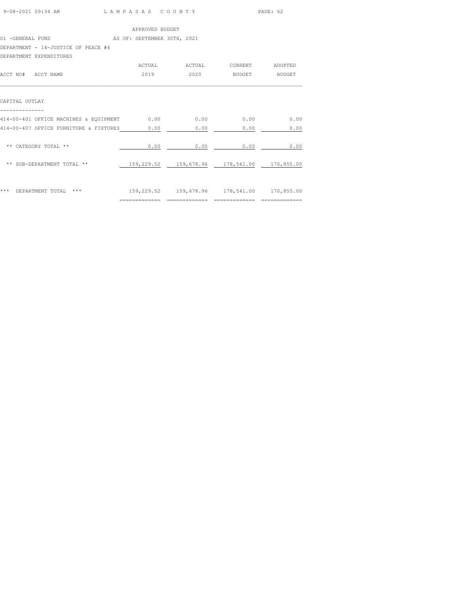| 9-08-2021 09:34 AM | LAMPASAS COUNTY | PAGE: 62 |
|--------------------|-----------------|----------|
|                    |                 |          |

|                                     | APPROVED BUDGET             |        |         |               |
|-------------------------------------|-----------------------------|--------|---------|---------------|
| 01 -GENERAL FUND                    | AS OF: SEPTEMBER 30TH, 2021 |        |         |               |
| DEPARTMENT - 14-JUSTICE OF PEACE #4 |                             |        |         |               |
| DEPARTMENT EXPENDITURES             |                             |        |         |               |
|                                     | ACTUAL                      | ACTUAL | CURRENT | ADOPTED       |
| ACCT NO#<br>ACCT NAME               | 2019                        | 2020   | BUDGET  | <b>BUDGET</b> |

| CAPITAL OUTLAY |  |
|----------------|--|

| CAPITAL OUTLAY                         |            |            |            |            |
|----------------------------------------|------------|------------|------------|------------|
| 414-00-401 OFFICE MACHINES & EQUIPMENT | 0.00       | 0.00       | 0.00       | 0.00       |
| 414-00-407 OFFICE FURNITURE & FIXTURES | 0.00       | 0.00       | 0.00       | 0.00       |
| ** CATEGORY TOTAL **                   | 0.00       | 0.00       | 0.00       | 0.00       |
| ** SUB-DEPARTMENT TOTAL **             | 159,229.52 | 159,678.96 | 178,541.00 | 170,855.00 |
| ***<br>***<br>DEPARTMENT TOTAL         | 159,229.52 | 159,678.96 | 178,541.00 | 170,855.00 |

============= ============= ============= =============

 $\mathcal{L}_\text{max}$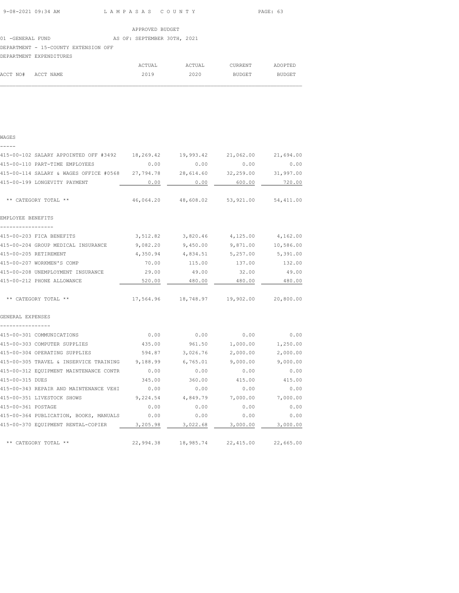## 01 -GENERAL FUND AS OF: SEPTEMBER 30TH, 2021 DEPARTMENT - 15-COUNTY EXTENSION OFF

# DEPARTMENT EXPENDITURES

|                    | DEPARTMENT EXPENDITURES |        |        |         |         |
|--------------------|-------------------------|--------|--------|---------|---------|
|                    |                         | ACTUAL | ACTUAL | CURRENT | ADOPTED |
| ACCT NO# ACCT NAME |                         | 2019   | 2020   | BUDGET  | BUDGET  |
|                    |                         |        |        |         |         |

## WAGES -----

|                                       |                                                                                                       | 21,062.00                                                                     | 21,694.00                                                                                                                                                                                                                                                                                                                                                                                                                                      |
|---------------------------------------|-------------------------------------------------------------------------------------------------------|-------------------------------------------------------------------------------|------------------------------------------------------------------------------------------------------------------------------------------------------------------------------------------------------------------------------------------------------------------------------------------------------------------------------------------------------------------------------------------------------------------------------------------------|
| 0.00                                  | 0.00                                                                                                  | 0.00                                                                          | 0.00                                                                                                                                                                                                                                                                                                                                                                                                                                           |
|                                       |                                                                                                       |                                                                               |                                                                                                                                                                                                                                                                                                                                                                                                                                                |
| 0.00                                  | 0.00                                                                                                  | 600.00                                                                        | 720.00                                                                                                                                                                                                                                                                                                                                                                                                                                         |
|                                       |                                                                                                       |                                                                               |                                                                                                                                                                                                                                                                                                                                                                                                                                                |
|                                       |                                                                                                       |                                                                               |                                                                                                                                                                                                                                                                                                                                                                                                                                                |
|                                       |                                                                                                       |                                                                               |                                                                                                                                                                                                                                                                                                                                                                                                                                                |
|                                       |                                                                                                       | 9,871.00 10,586.00                                                            |                                                                                                                                                                                                                                                                                                                                                                                                                                                |
|                                       |                                                                                                       |                                                                               | 5,391.00                                                                                                                                                                                                                                                                                                                                                                                                                                       |
|                                       |                                                                                                       |                                                                               | 132.00                                                                                                                                                                                                                                                                                                                                                                                                                                         |
|                                       |                                                                                                       | 32.00                                                                         | 49.00                                                                                                                                                                                                                                                                                                                                                                                                                                          |
| 520.00                                | 480.00                                                                                                | 480.00                                                                        | 480.00                                                                                                                                                                                                                                                                                                                                                                                                                                         |
|                                       |                                                                                                       |                                                                               |                                                                                                                                                                                                                                                                                                                                                                                                                                                |
|                                       |                                                                                                       |                                                                               |                                                                                                                                                                                                                                                                                                                                                                                                                                                |
| 0.00                                  |                                                                                                       | 0.00                                                                          | 0.00                                                                                                                                                                                                                                                                                                                                                                                                                                           |
| 435.00                                | 961.50                                                                                                | 1,000.00                                                                      | 1,250.00                                                                                                                                                                                                                                                                                                                                                                                                                                       |
| 594.87                                |                                                                                                       | 2,000.00                                                                      | 2,000.00                                                                                                                                                                                                                                                                                                                                                                                                                                       |
|                                       |                                                                                                       |                                                                               | 9,000.00                                                                                                                                                                                                                                                                                                                                                                                                                                       |
| 0.00                                  | 0.00                                                                                                  | 0.00                                                                          | 0.00                                                                                                                                                                                                                                                                                                                                                                                                                                           |
| 345.00                                | 360.00                                                                                                | 415.00                                                                        | 415.00                                                                                                                                                                                                                                                                                                                                                                                                                                         |
| 0.00                                  | 0.00                                                                                                  | 0.00                                                                          | 0.00                                                                                                                                                                                                                                                                                                                                                                                                                                           |
|                                       |                                                                                                       |                                                                               | 7,000.00                                                                                                                                                                                                                                                                                                                                                                                                                                       |
| 0.00                                  | 0.00                                                                                                  | 0.00                                                                          | 0.00                                                                                                                                                                                                                                                                                                                                                                                                                                           |
| 0.00                                  | 0.00                                                                                                  | 0.00                                                                          | 0.00                                                                                                                                                                                                                                                                                                                                                                                                                                           |
|                                       | 3,022.68                                                                                              | 3,000.00                                                                      | 3,000.00                                                                                                                                                                                                                                                                                                                                                                                                                                       |
|                                       |                                                                                                       |                                                                               | 22,665.00                                                                                                                                                                                                                                                                                                                                                                                                                                      |
| 415-00-102 SALARY APPOINTED OFF #3492 | 29.00<br>415-00-343 REPAIR AND MAINTENANCE VEHI<br>415-00-364 PUBLICATION, BOOKS, MANUALS<br>3,205.98 | 18,269.42<br>415-00-204 GROUP MEDICAL INSURANCE 9,082.20<br>4,350.94<br>70.00 | 19,993.42<br>415-00-114 SALARY & WAGES OFFICE #0568 27,794.78 28,614.60 32,259.00 31,997.00<br>46,064.20 48,608.02 53,921.00 54,411.00<br>3,512.82 3,820.46 4,125.00 4,162.00<br>9,450.00<br>4,834.51 5,257.00<br>115.00 137.00<br>49.00<br>17,564.96  18,748.97  19,902.00  20,800.00<br>0.00<br>3,026.76<br>415-00-305 TRAVEL & INSERVICE TRAINING 9,188.99 6,765.01 9,000.00<br>9,224.54 4,849.79 7,000.00<br>22,994.38 18,985.74 22,415.00 |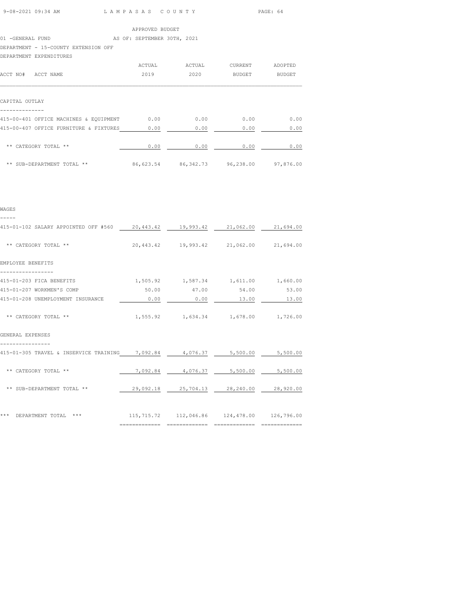| 9-08-2021 09:34 AM | LAMPASAS COUNTY | PAGE: 64 |
|--------------------|-----------------|----------|
|                    |                 |          |

|  | APPROVED BUDGET |  |
|--|-----------------|--|
|  |                 |  |

#### 01 -GENERAL FUND AS OF: SEPTEMBER 30TH, 2021

DEPARTMENT - 15-COUNTY EXTENSION OFF

## DEPARTMENT EXPENDITURES

| ACCT NO#<br>ACCT NAME                                                            | ACTUAL<br>2019 | ACTUAL<br>2020 | <b>CURRENT</b><br><b>BUDGET</b> | ADOPTED<br><b>BUDGET</b> |
|----------------------------------------------------------------------------------|----------------|----------------|---------------------------------|--------------------------|
| CAPITAL OUTLAY                                                                   |                |                |                                 |                          |
| 415-00-401 OFFICE MACHINES & EQUIPMENT<br>415-00-407 OFFICE FURNITURE & FIXTURES | 0.00<br>0.00   | 0.00<br>0.00   | 0.00<br>0.00                    | 0.00<br>0.00             |
| ** CATEGORY TOTAL **                                                             | 0.00           | 0.00           | 0.00                            | 0.00                     |
| ** SUB-DEPARTMENT TOTAL **                                                       | 86,623.54      | 86, 342. 73    | 96,238.00                       | 97,876.00                |

#### WAGES

-----

| 415-01-102 SALARY APPOINTED OFF #560                                       | 20,443.42      | 19,993.42   | 21,062.00                                                                         | 21,694.00 |
|----------------------------------------------------------------------------|----------------|-------------|-----------------------------------------------------------------------------------|-----------|
| ** CATEGORY TOTAL **                                                       |                |             | 20,443.42 19,993.42 21,062.00 21,694.00                                           |           |
| EMPLOYEE BENEFITS                                                          |                |             |                                                                                   |           |
| 415-01-203 FICA BENEFITS                                                   |                |             | $1,505.92$ $1,587.34$ $1,611.00$ $1,660.00$                                       |           |
| 415-01-207 WORKMEN'S COMP                                                  |                | 50.00 47.00 | 54.00                                                                             | 53.00     |
| 415-01-208 UNEMPLOYMENT INSURANCE                                          | 0.00           | 0.00        | 13.00                                                                             | 13.00     |
| ** CATEGORY TOTAL **                                                       |                |             | 1,555.92    1,634.34    1,678.00    1,726.00                                      |           |
| GENERAL EXPENSES                                                           |                |             |                                                                                   |           |
| 415-01-305 TRAVEL & INSERVICE TRAINING 7,092.84 4,076.37 5,500.00 5,500.00 |                |             |                                                                                   |           |
| ** CATEGORY TOTAL **                                                       |                |             | 7,092.84 4,076.37 5,500.00 5,500.00                                               |           |
| ** SUB-DEPARTMENT TOTAL **                                                 |                |             | 29,092.18 25,704.13 28,240.00 28,920.00                                           |           |
| ***<br>$***$                                                               |                |             |                                                                                   |           |
| DEPARTMENT TOTAL                                                           | ============== |             | 115,715.72  112,046.86  124,478.00  126,796.00<br>=============================== |           |
|                                                                            |                |             |                                                                                   |           |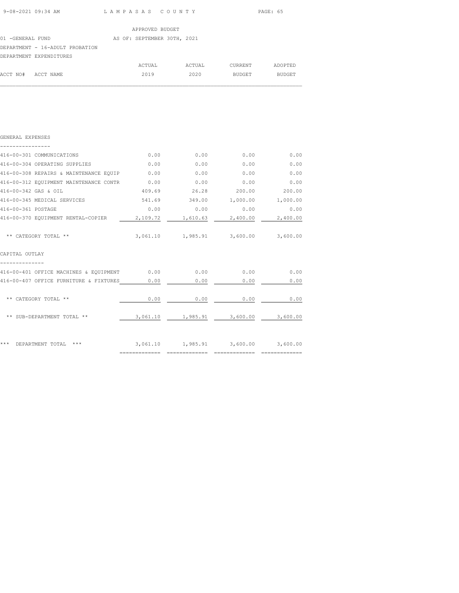| 9-08-2021 09:34 AM | LAMPASAS COUNTY | PAGE: 65 |
|--------------------|-----------------|----------|
|                    |                 |          |

 $\mathcal{L}_\text{max}$ 

|                  |                                 | APPROVED BUDGET             |        |         |               |
|------------------|---------------------------------|-----------------------------|--------|---------|---------------|
| 01 -GENERAL FUND |                                 | AS OF: SEPTEMBER 30TH, 2021 |        |         |               |
|                  | DEPARTMENT - 16-ADULT PROBATION |                             |        |         |               |
|                  | DEPARTMENT EXPENDITURES         |                             |        |         |               |
|                  |                                 | ACTUAL                      | ACTUAL | CURRENT | ADOPTED       |
| ACCT NO#         | ACCT NAME                       | 2019                        | 2020   | BUDGET  | <b>BUDGET</b> |
|                  |                                 |                             |        |         |               |

| GENERAL EXPENSES                       |          |                                             |          |          |
|----------------------------------------|----------|---------------------------------------------|----------|----------|
| 416-00-301 COMMUNICATIONS              | 0.00     | 0.00                                        | 0.00     | 0.00     |
| 416-00-304 OPERATING SUPPLIES          | 0.00     | 0.00                                        | 0.00     | 0.00     |
| 416-00-308 REPAIRS & MAINTENANCE EQUIP | 0.00     | 0.00                                        | 0.00     | 0.00     |
| 416-00-312 EQUIPMENT MAINTENANCE CONTR | 0.00     | 0.00                                        | 0.00     | 0.00     |
| 416-00-342 GAS & OIL                   | 409.69   | 26.28                                       | 200.00   | 200.00   |
| 416-00-345 MEDICAL SERVICES            | 541.69   | 349.00                                      | 1,000.00 | 1,000.00 |
| 416-00-361 POSTAGE                     | 0.00     | 0.00                                        | 0.00     | 0.00     |
| 416-00-370 EQUIPMENT RENTAL-COPIER     | 2,109.72 | 1,610.63                                    | 2,400.00 | 2,400.00 |
|                                        |          |                                             |          |          |
| ** CATEGORY TOTAL **                   |          | 3,061.10 1,985.91 3,600.00 3,600.00         |          |          |
| CAPITAL OUTLAY                         |          |                                             |          |          |
| 416-00-401 OFFICE MACHINES & EQUIPMENT | 0.00     | 0.00                                        | 0.00     | 0.00     |
| 416-00-407 OFFICE FURNITURE & FIXTURES | 0.00     | 0.00                                        | 0.00     | 0.00     |
|                                        |          |                                             |          |          |
| ** CATEGORY TOTAL **                   | 0.00     | 0.00                                        | 0.00     | 0.00     |
|                                        |          |                                             |          |          |
| ** SUB-DEPARTMENT TOTAL **             | 3,061.10 | 1,985.91                                    | 3,600.00 | 3,600.00 |
|                                        |          |                                             |          |          |
|                                        |          |                                             |          |          |
| * * *<br>DEPARTMENT TOTAL<br>***       |          | $3,061.10$ $1,985.91$ $3,600.00$ $3,600.00$ |          |          |
|                                        |          |                                             |          |          |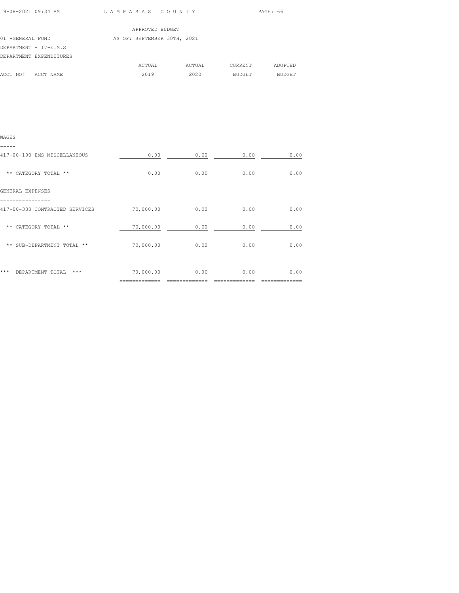| 9-08-2021 09:34 AM |  |
|--------------------|--|
|                    |  |

L A M P A S A S C O U N T Y PAGE: 66

|                  |                         | APPROVED BUDGET             |        |         |               |
|------------------|-------------------------|-----------------------------|--------|---------|---------------|
| 01 -GENERAL FUND |                         | AS OF: SEPTEMBER 30TH, 2021 |        |         |               |
|                  | DEPARTMENT - 17-E.M.S   |                             |        |         |               |
|                  | DEPARTMENT EXPENDITURES |                             |        |         |               |
|                  |                         | ACTUAL                      | ACTUAL | CURRENT | ADOPTED       |
| ACCT NO#         | ACCT NAME               | 2019                        | 2020   | BUDGET  | <b>BUDGET</b> |
|                  |                         |                             |        |         |               |

| WAGES                              |           |      |      |      |
|------------------------------------|-----------|------|------|------|
| 417-00-190 EMS MISCELLANEOUS       | 0.00      | 0.00 | 0.00 | 0.00 |
| ** CATEGORY TOTAL **               | 0.00      | 0.00 | 0.00 | 0.00 |
| GENERAL EXPENSES                   |           |      |      |      |
| 417-00-333 CONTRACTED SERVICES     | 70,000.00 | 0.00 | 0.00 | 0.00 |
| ** CATEGORY TOTAL **               | 70,000.00 | 0.00 | 0.00 | 0.00 |
| ** SUB-DEPARTMENT TOTAL **         | 70,000.00 | 0.00 | 0.00 | 0.00 |
|                                    |           |      |      |      |
| ***<br>DEPARTMENT TOTAL<br>$* * *$ | 70,000.00 | 0.00 | 0.00 | 0.00 |
|                                    |           |      |      |      |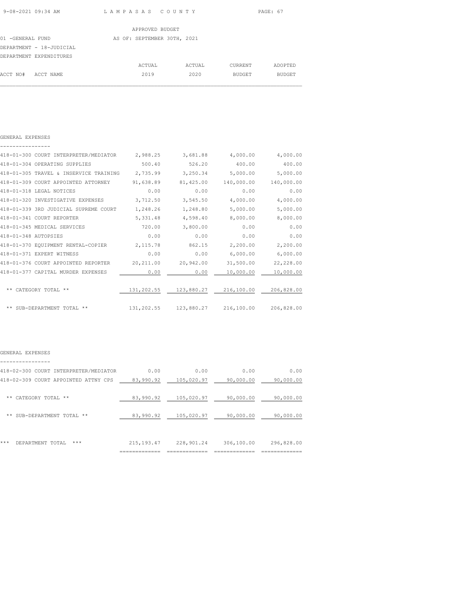|                  |                          | APPROVED BUDGET             |        |         |               |  |
|------------------|--------------------------|-----------------------------|--------|---------|---------------|--|
| 01 -GENERAL FUND |                          | AS OF: SEPTEMBER 30TH, 2021 |        |         |               |  |
|                  | DEPARTMENT - 18-JUDICIAL |                             |        |         |               |  |
|                  | DEPARTMENT EXPENDITURES  |                             |        |         |               |  |
|                  |                          | ACTUAL                      | ACTUAL | CURRENT | ADOPTED       |  |
| ACCT NO#         | ACCT NAME                | 2019                        | 2020   | BUDGET  | <b>BUDGET</b> |  |
|                  |                          |                             |        |         |               |  |

| GENERAL EXPENSES |
|------------------|
|                  |

|                      | 418-01-300 COURT INTERPRETER/MEDIATOR  | 2,988.25   | 3,681.88                | 4,000.00   | 4,000.00   |
|----------------------|----------------------------------------|------------|-------------------------|------------|------------|
|                      | 418-01-304 OPERATING SUPPLIES          | 500.40     | 526.20                  | 400.00     | 400.00     |
|                      | 418-01-305 TRAVEL & INSERVICE TRAINING | 2,735.99   | 3,250.34                | 5,000.00   | 5,000.00   |
|                      | 418-01-309 COURT APPOINTED ATTORNEY    | 91,638.89  | 81,425.00               | 140,000.00 | 140,000.00 |
|                      | 418-01-318 LEGAL NOTICES               | 0.00       | 0.00                    | 0.00       | 0.00       |
|                      | 418-01-320 INVESTIGATIVE EXPENSES      | 3,712.50   | 3,545.50                | 4,000.00   | 4,000.00   |
|                      | 418-01-339 3RD JUDICIAL SUPREME COURT  | 1,248.26   | 1,248.80                | 5,000.00   | 5,000.00   |
|                      | 418-01-341 COURT REPORTER              | 5,331.48   | 4,598.40                | 8,000.00   | 8,000.00   |
|                      | 418-01-345 MEDICAL SERVICES            | 720.00     | 3,800.00                | 0.00       | 0.00       |
| 418-01-348 AUTOPSIES |                                        | 0.00       | 0.00                    | 0.00       | 0.00       |
|                      | 418-01-370 EQUIPMENT RENTAL-COPIER     | 2, 115.78  | 862.15                  | 2,200.00   | 2,200.00   |
|                      | 418-01-371 EXPERT WITNESS              | 0.00       | 0.00                    | 6,000.00   | 6,000.00   |
|                      | 418-01-376 COURT APPOINTED REPORTER    | 20, 211.00 | 20,942.00               | 31,500.00  | 22,228.00  |
|                      | 418-01-377 CAPITAL MURDER EXPENSES     | 0.00       | 0.00                    | 10,000.00  | 10,000.00  |
|                      |                                        |            |                         |            |            |
|                      | CATEGORY TOTAL **                      |            | 131,202.55 123,880.27   | 216,100.00 | 206,828.00 |
|                      | ** SUB-DEPARTMENT TOTAL **             |            | 131, 202.55 123, 880.27 | 216,100.00 | 206,828.00 |
|                      |                                        |            |                         |            |            |

## GENERAL EXPENSES

|     |                                       | ------------ |            |            |            |
|-----|---------------------------------------|--------------|------------|------------|------------|
| *** | DEPARTMENT TOTAL<br>***               | 215, 193.47  | 228,901.24 | 306,100.00 | 296,828.00 |
| **  | SUB-DEPARTMENT TOTAL **               | 83,990.92    | 105,020.97 | 90,000.00  | 90,000.00  |
| **  | CATEGORY TOTAL **                     | 83,990.92    | 105,020.97 | 90,000.00  | 90,000.00  |
|     | 418-02-309 COURT APPOINTED ATTNY CPS  | 83,990.92    | 105,020.97 | 90,000.00  | 90,000.00  |
|     | 418-02-300 COURT INTERPRETER/MEDIATOR | 0.00         | 0.00       | 0.00       | 0.00       |
|     |                                       |              |            |            |            |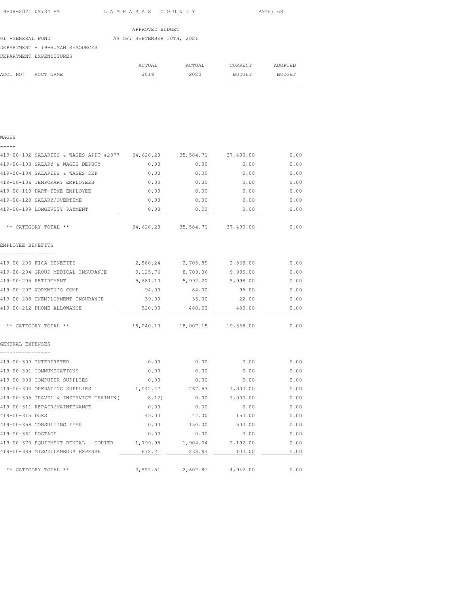| 9-08-2021 09:34 AM | LAMPASAS COUNTY | PAGE: 68 |
|--------------------|-----------------|----------|
|                    |                 |          |

 $\mathcal{L}_\text{max}$ 

|                                 | APPROVED BUDGET             |        |               |         |
|---------------------------------|-----------------------------|--------|---------------|---------|
| 01 -GENERAL FUND                | AS OF: SEPTEMBER 30TH, 2021 |        |               |         |
| DEPARTMENT - 19-HUMAN RESOURCES |                             |        |               |         |
| DEPARTMENT EXPENDITURES         |                             |        |               |         |
|                                 | ACTUAL                      | ACTUAL | CURRENT       | ADOPTED |
| ACCT NO#<br>ACCT NAME           | 2019                        | 2020   | <b>BUDGET</b> | BUDGET  |

| . .<br>v | ۹ |
|----------|---|

| 419-00-102 SALARIES & WAGES APPT #2877 34,628.20 35,584.71 37,490.00 |          |                               |          | 0.00 |
|----------------------------------------------------------------------|----------|-------------------------------|----------|------|
| 419-00-103 SALARY & WAGES DEPUTY                                     | 0.00     | 0.00                          | 0.00     | 0.00 |
| 419-00-104 SALARIES & WAGES DEP                                      | 0.00     | 0.00                          | 0.00     | 0.00 |
| 419-00-106 TEMPORARY EMPLOYEES                                       | 0.00     | 0.00                          | 0.00     | 0.00 |
| 419-00-110 PART-TIME EMPLOYEE                                        | 0.00     | 0.00                          | 0.00     | 0.00 |
| 419-00-120 SALARY/OVERTIME                                           | 0.00     | 0.00                          | 0.00     | 0.00 |
| 419-00-199 LONGEVITY PAYMENT                                         | 0.00     | 0.00                          | 0.00     | 0.00 |
| ** CATEGORY TOTAL **                                                 |          | 34,628.20 35,584.71 37,490.00 |          | 0.00 |
| EMPLOYEE BENEFITS                                                    |          |                               |          |      |
| 419-00-203 FICA BENEFITS                                             |          | 2,580.24 2,705.89 2,868.00    |          | 0.00 |
| 419-00-204 GROUP MEDICAL INSURANCE                                   |          | 9,125.76 8,709.06             | 9,905.00 | 0.00 |
| 419-00-205 RETIREMENT                                                |          | 5,681.10 5,992.20 5,998.00    |          | 0.00 |
| 419-00-207 WORKMEN'S COMP                                            | 94.00    | 84.00                         | 95.00    | 0.00 |
| 419-00-208 UNEMPLOYMENT INSURANCE                                    | 39.00    | 36.00                         | 22.00    | 0.00 |
| 419-00-212 PHONE ALLOWANCE                                           | 520.00   | 480.00                        | 480.00   | 0.00 |
| ** CATEGORY TOTAL **                                                 |          | 18,040.10 18,007.15 19,368.00 |          | 0.00 |
| GENERAL EXPENSES                                                     |          |                               |          |      |
| 419-00-300 INTERPRETER                                               | 0.00     | 0.00                          | 0.00     | 0.00 |
| 419-00-301 COMMUNICATIONS                                            | 0.00     | 0.00                          | 0.00     | 0.00 |
| 419-00-303 COMPUTER SUPPLIES                                         | 0.00     | 0.00                          | 0.00     | 0.00 |
| 419-00-304 OPERATING SUPPLIES                                        | 1,042.47 | 267.53                        | 1,000.00 | 0.00 |
| 419-00-305 TRAVEL & INSERVICE TRAININ (                              | 8.12)    | 0.00                          | 1,000.00 | 0.00 |
| 419-00-311 REPAIR/MAINTENANCE                                        | 0.00     | 0.00                          | 0.00     | 0.00 |
| 419-00-315 DUES                                                      | 45.00    | 47.00                         | 150.00   | 0.00 |
| 419-00-358 CONSULTING FEES                                           | 0.00     | 150.00                        | 500.00   | 0.00 |
| 419-00-361 POSTAGE                                                   | 0.00     | 0.00                          | 0.00     | 0.00 |
| 419-00-370 EQUIPMENT RENTAL - COPIER 1,799.95                        |          | 1,904.34                      | 2,192.00 | 0.00 |
| 419-00-389 MISCELLANEOUS EXPENSE                                     | 678.21   | 238.94                        | 100.00   | 0.00 |
| ** CATEGORY TOTAL **                                                 | 3,557.51 | 2,607.81                      | 4,942.00 | 0.00 |
|                                                                      |          |                               |          |      |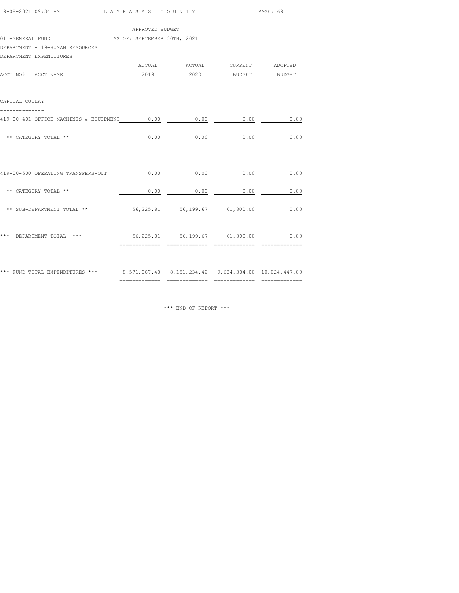| 9-08-2021 09:34 AM                                                                   | LAMPASAS COUNTY |                                    |                             | PAGE: 69       |  |  |  |
|--------------------------------------------------------------------------------------|-----------------|------------------------------------|-----------------------------|----------------|--|--|--|
|                                                                                      | APPROVED BUDGET |                                    |                             |                |  |  |  |
| 01 -GENERAL FUND AS OF: SEPTEMBER 30TH, 2021                                         |                 |                                    |                             |                |  |  |  |
| DEPARTMENT - 19-HUMAN RESOURCES                                                      |                 |                                    |                             |                |  |  |  |
| DEPARTMENT EXPENDITURES                                                              |                 |                                    |                             |                |  |  |  |
|                                                                                      |                 | ACTUAL ACTUAL CURRENT ADOPTED      |                             |                |  |  |  |
| ACCT NO# ACCT NAME                                                                   |                 | 2019  2020 BUDGET BUDGET           |                             |                |  |  |  |
| CAPITAL OUTLAY                                                                       |                 |                                    |                             |                |  |  |  |
| 419-00-401 OFFICE MACHINES & EQUIPMENT 0.00                                          |                 | 0.00                               | 0.00                        | 0.00           |  |  |  |
| ** CATEGORY TOTAL **                                                                 | 0.00            |                                    | $0.00$ $0.00$ $0.00$ $0.00$ |                |  |  |  |
| 419-00-500 OPERATING TRANSFERS-OUT                                                   | 0.00            | 0.00                               | 0.00                        | 0.00           |  |  |  |
| ** CATEGORY TOTAL **                                                                 | 0.00            | $\overline{0.00}$                  | 0.00                        | 0.00           |  |  |  |
| ** SUB-DEPARTMENT TOTAL **                                                           |                 | 56,225.81 56,199.67 61,800.00      |                             | 0.00           |  |  |  |
| *** DEPARTMENT TOTAL ***                                                             |                 | 56,225.81 56,199.67 61,800.00 0.00 |                             | ============== |  |  |  |
| *** FUND TOTAL EXPENDITURES *** 8,571,087.48 8,151,234.42 9,634,384.00 10,024,447.00 |                 |                                    |                             |                |  |  |  |

\*\*\* END OF REPORT \*\*\*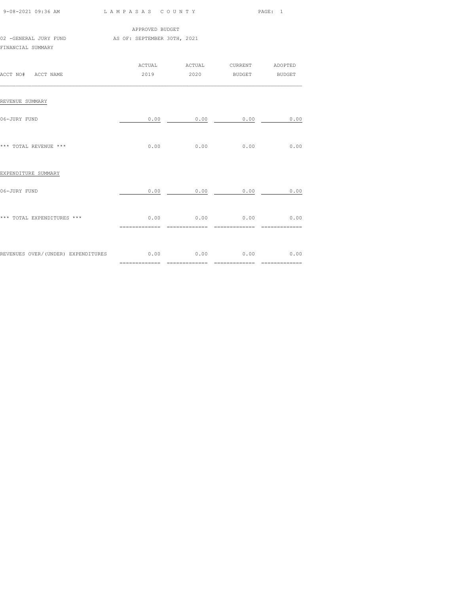|                                                                                                                                                             |      |                                                           | PAGE: 1 |      |  |  |  |  |  |
|-------------------------------------------------------------------------------------------------------------------------------------------------------------|------|-----------------------------------------------------------|---------|------|--|--|--|--|--|
| APPROVED BUDGET<br>02 -GENERAL JURY FUND <a>&gt;</a> <a> <a> <a> <a> <a> <a> AS<br/> OF: SEPTEMBER 30TH, 2021<br/>FINANCIAL SUMMARY</a></a></a></a></a></a> |      |                                                           |         |      |  |  |  |  |  |
| ACCT NO# ACCT NAME                                                                                                                                          |      | ACTUAL ACTUAL CURRENT ADOPTED<br>2019  2020 BUDGET BUDGET |         |      |  |  |  |  |  |
| REVENUE SUMMARY                                                                                                                                             |      |                                                           |         |      |  |  |  |  |  |
| 06-JURY FUND                                                                                                                                                |      | $0.00$ 0.00 0.00                                          |         | 0.00 |  |  |  |  |  |
| *** TOTAL REVENUE ***                                                                                                                                       | 0.00 | 0.00                                                      | 0.00    | 0.00 |  |  |  |  |  |
| EXPENDITURE SUMMARY                                                                                                                                         |      |                                                           |         |      |  |  |  |  |  |
| 06-JURY FUND                                                                                                                                                |      | $0.00$ 0.00 0.00 0.00                                     |         |      |  |  |  |  |  |
| *** TOTAL EXPENDITURES ***                                                                                                                                  |      | $0.00$ $0.00$ $0.00$ $0.00$ $0.00$                        |         |      |  |  |  |  |  |
| REVENUES OVER/(UNDER) EXPENDITURES $0.00$ 0.00 0.00 0.00 0.00                                                                                               |      |                                                           |         |      |  |  |  |  |  |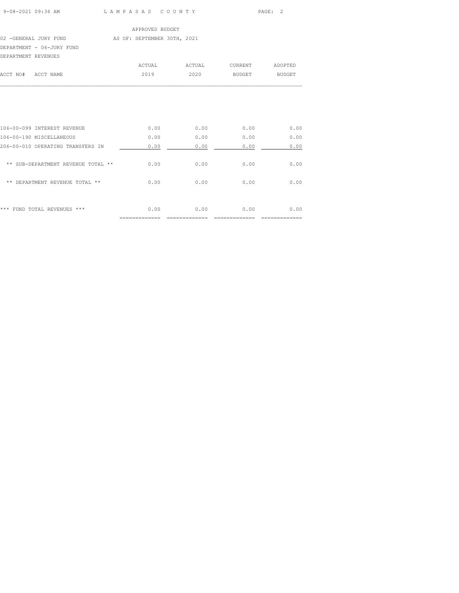| 9-08-2021 09:36 AM |  |
|--------------------|--|

L A M P A S A S C O U N T Y PAGE: 2

|                     |                           | APPROVED BUDGET             |        |         |               |
|---------------------|---------------------------|-----------------------------|--------|---------|---------------|
|                     | 02 -GENERAL JURY FUND     | AS OF: SEPTEMBER 30TH, 2021 |        |         |               |
|                     | DEPARTMENT - 06-JURY FUND |                             |        |         |               |
| DEPARTMENT REVENUES |                           |                             |        |         |               |
|                     |                           | ACTUAL                      | ACTUAL | CURRENT | ADOPTED       |
| ACCT NO#            | ACCT NAME                 | 2019                        | 2020   | BUDGET  | <b>BUDGET</b> |
|                     |                           |                             |        |         |               |
|                     |                           |                             |        |         |               |

| ***<br>FUND TOTAL REVENUES<br>$***$ | 0.00 | 0.00 | 0.00 | 0.00 |
|-------------------------------------|------|------|------|------|
| DEPARTMENT REVENUE TOTAL **<br>**   | 0.00 | 0.00 | 0.00 | 0.00 |
| ** SUB-DEPARTMENT REVENUE TOTAL **  | 0.00 | 0.00 | 0.00 | 0.00 |
| 206-00-010 OPERATING TRANSFERS IN   | 0.00 | 0.00 | 0.00 | 0.00 |
| 106-00-190 MISCELLANEOUS            | 0.00 | 0.00 | 0.00 | 0.00 |
| 106-00-099 INTEREST REVENUE         | 0.00 | 0.00 | 0.00 | 0.00 |
|                                     |      |      |      |      |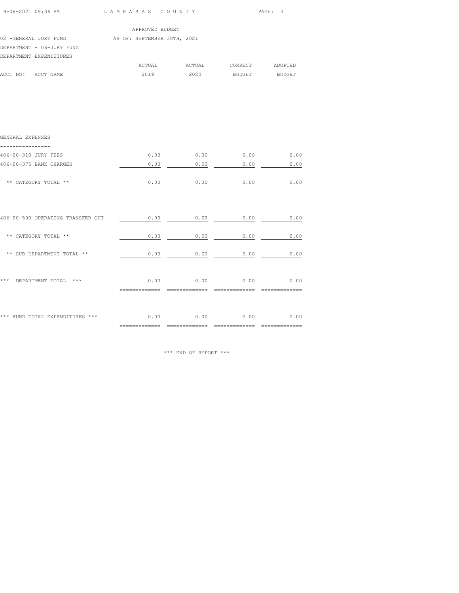| 9-08-2021 09:36 AM LAMPASAS COUNTY                      |                 |                               |      | PAGE: 3 |
|---------------------------------------------------------|-----------------|-------------------------------|------|---------|
|                                                         | APPROVED BUDGET |                               |      |         |
| 02 -GENERAL JURY FUND AS OF: SEPTEMBER 30TH, 2021       |                 |                               |      |         |
| DEPARTMENT - 06-JURY FUND                               |                 |                               |      |         |
| DEPARTMENT EXPENDITURES                                 |                 |                               |      |         |
|                                                         |                 | ACTUAL ACTUAL CURRENT ADOPTED |      |         |
| ACCT NO# ACCT NAME                                      |                 | 2019 2020 BUDGET BUDGET       |      |         |
|                                                         |                 |                               |      |         |
|                                                         |                 |                               |      |         |
| GENERAL EXPENSES                                        |                 |                               |      |         |
| ------------<br>406-00-310 JURY FEES                    |                 | $0.00$ 0.00 0.00 0.00         |      |         |
| 406-00-375 BANK CHARGES                                 | 0.00            | 0.00                          | 0.00 | 0.00    |
| ** CATEGORY TOTAL **                                    |                 | $0.00$ 0.00 0.00 0.00         |      | 0.00    |
|                                                         |                 |                               |      |         |
| 406-00-500 OPERATING TRANSFER OUT $0.00$ 0.00 0.00 0.00 |                 |                               |      | 0.00    |
| ** CATEGORY TOTAL **                                    | 0.00            | 0.00                          | 0.00 | 0.00    |

\*\* SUB-DEPARTMENT TOTAL \*\* 0.00 0.00 0.00 0.00 0.00 0.00

\*\*\* DEPARTMENT TOTAL \*\*\* 0.00 0.00 0.00 0.00

\*\*\* FUND TOTAL EXPENDITURES \*\*\* 0.00 0.00 0.00 0.00 0.00 0.00

\*\*\* END OF REPORT \*\*\*

============= ============= ============= =============

============= ============= ============= =============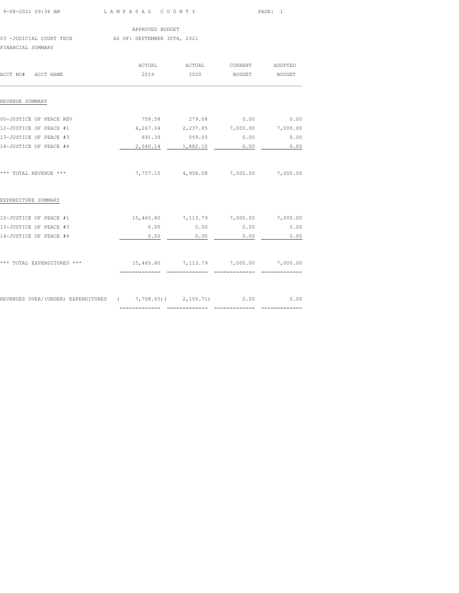|                                                                          |                 |                                      |                 | PAGE: 1 |
|--------------------------------------------------------------------------|-----------------|--------------------------------------|-----------------|---------|
|                                                                          | APPROVED BUDGET |                                      |                 |         |
| 03 -JUDICIAL COURT TECH AS OF: SEPTEMBER 30TH, 2021<br>FINANCIAL SUMMARY |                 |                                      |                 |         |
|                                                                          | ACTUAL          | ACTUAL                               | CURRENT ADOPTED |         |
| ACCT NO# ACCT NAME                                                       | 2019            | 2020                                 | BUDGET BUDGET   |         |
| REVENUE SUMMARY                                                          |                 |                                      |                 |         |
| 00-JUSTICE OF PEACE REV                                                  | 758.58          | 279.08                               | 0.00            | 0.00    |
| 12-JUSTICE OF PEACE #1                                                   |                 | 4,267.04 2,237.85 7,000.00 7,000.00  |                 |         |
| 13-JUSTICE OF PEACE #3                                                   |                 | 691.39 559.05 0.00                   |                 | 0.00    |
| 14-JUSTICE OF PEACE #4                                                   |                 | 2,040.14 1,882.10                    | 0.00            | 0.00    |
| *** TOTAL REVENUE ***                                                    |                 | 7,757.15 4,958.08 7,000.00 7,000.00  |                 |         |
| EXPENDITURE SUMMARY                                                      |                 |                                      |                 |         |
| 12-JUSTICE OF PEACE #1                                                   |                 | 15,465.80 7,113.79 7,000.00 7,000.00 |                 |         |
| 13-JUSTICE OF PEACE #3                                                   | 0.00            | 0.00                                 | 0.00            | 0.00    |
| 14-JUSTICE OF PEACE #4                                                   | 0.00            | 0.00                                 | 0.00            | 0.00    |
|                                                                          |                 |                                      |                 |         |
|                                                                          |                 |                                      |                 |         |

REVENUES OVER/(UNDER) EXPENDITURES ( 7,708.65)( 2,155.71) 0.00 0.00

============= ============= ============= =============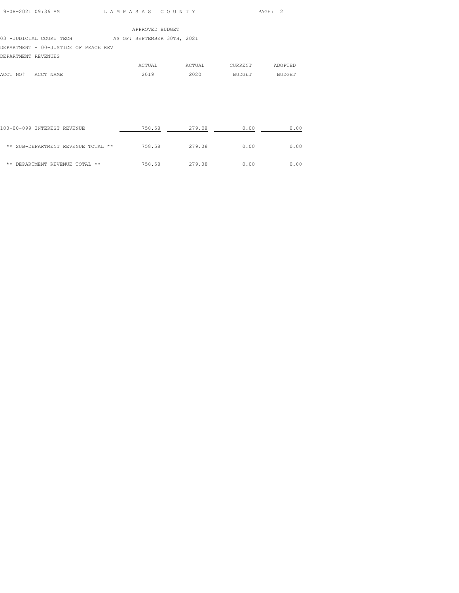# 03 -JUDICIAL COURT TECH AS OF: SEPTEMBER 30TH, 2021

# DEPARTMENT - 00-JUSTICE OF PEACE REV

| DEPARTMENT REVENUES |        |        |         |         |
|---------------------|--------|--------|---------|---------|
|                     | ACTUAL | ACTUAL | CURRENT | ADOPTED |
| ACCT NO# ACCT NAME  | 2019   | 2020   | BUDGET  | BUDGET  |
|                     |        |        |         |         |

| 100-00-099 INTEREST REVENUE        | 758.58 | 279.08 | 0.00 | 0.00 |
|------------------------------------|--------|--------|------|------|
| ** SUB-DEPARTMENT REVENUE TOTAL ** | 758.58 | 279.08 | 0.00 | 0.00 |
| ** DEPARTMENT REVENUE TOTAL **     | 758.58 | 279.08 | 0.00 | 0.00 |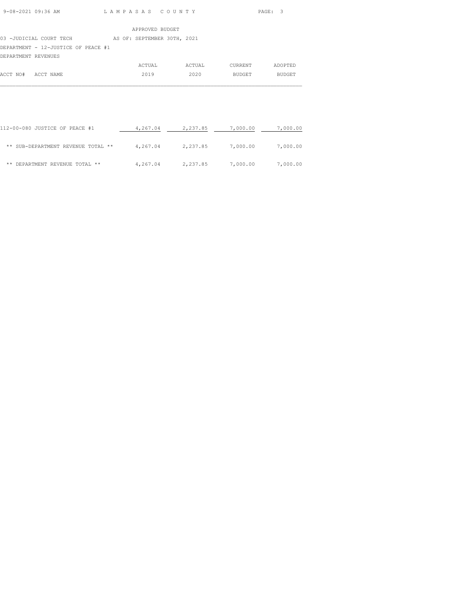|                                     |  | APPROVED BUDGET             |  |
|-------------------------------------|--|-----------------------------|--|
| 03 -JUDICIAL COURT TECH             |  | AS OF: SEPTEMBER 30TH, 2021 |  |
| DEPARTMENT - 12-JUSTICE OF PEACE #1 |  |                             |  |
| DEPARTMENT REVENUES                 |  |                             |  |

|                    | ACTUAL | ACTUAL | CURRENT | ADOPTED       |
|--------------------|--------|--------|---------|---------------|
| ACCT NO# ACCT NAME | 2019   | 2020   | BUDGET  | <b>BUDGET</b> |
|                    |        |        |         |               |

| 112-00-080 JUSTICE OF PEACE #1     | 4,267.04 | 2,237.85 | 7,000.00 | 7,000.00 |
|------------------------------------|----------|----------|----------|----------|
| ** SUB-DEPARTMENT REVENUE TOTAL ** | 4,267.04 | 2,237.85 | 7,000.00 | 7,000.00 |
| ** DEPARTMENT REVENUE TOTAL **     | 4,267.04 | 2,237.85 | 7,000.00 | 7,000.00 |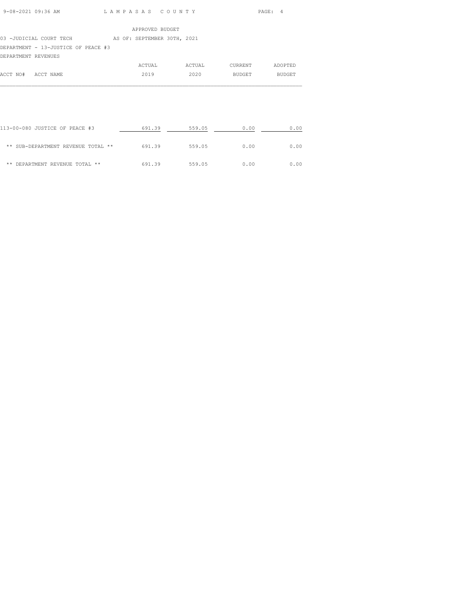|--|

### 03 -JUDICIAL COURT TECH AS OF: SEPTEMBER 30TH, 2021

DEPARTMENT - 13-JUSTICE OF PEACE #3

| DEPARTMENT REVENUES |           |        |        |         |         |
|---------------------|-----------|--------|--------|---------|---------|
|                     |           | ACTUAL | ACTUAL | CURRENT | ADOPTED |
| ACCT NO#            | ACCT NAME | 2019   | 2020   | BUDGET  | BUDGET  |
|                     |           |        |        |         |         |

| 113-00-080 JUSTICE OF PEACE #3     | 691.39 | 559.05 | 0.00 | 0.00 |
|------------------------------------|--------|--------|------|------|
| ** SUB-DEPARTMENT REVENUE TOTAL ** | 691.39 | 559.05 | 0.00 | 0.00 |
| ** DEPARTMENT REVENUE TOTAL **     | 691.39 | 559.05 | 0.00 | 0.00 |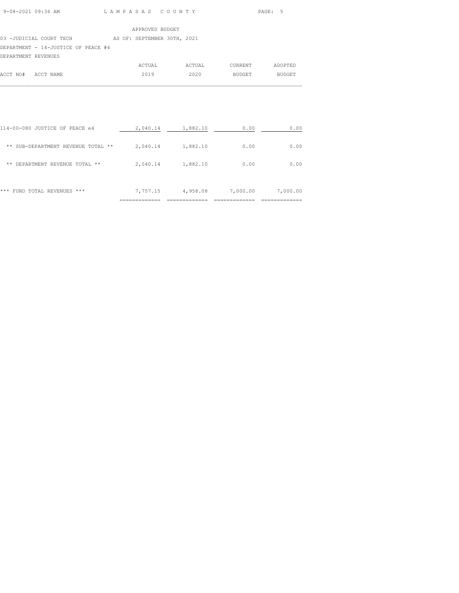### 03 -JUDICIAL COURT TECH AS OF: SEPTEMBER 30TH, 2021

## DEPARTMENT - 14-JUSTICE OF PEACE #4

| DEPARTMENT REVENUES |  |
|---------------------|--|

|                    | ACTUAL | ACTUAL | CURRENT | ADOPTED       |
|--------------------|--------|--------|---------|---------------|
| ACCT NO# ACCT NAME | 2019   | 2020   | BUDGET  | <b>BUDGET</b> |
|                    |        |        |         |               |

| ***<br>FUND TOTAL REVENUES<br>***     | 7,757.15 | 4,958.08 | 7,000.00 | 7,000.00 |
|---------------------------------------|----------|----------|----------|----------|
| DEPARTMENT REVENUE TOTAL **<br>**     | 2,040.14 | 1,882.10 | 0.00     | 0.00     |
| SUB-DEPARTMENT REVENUE TOTAL **<br>** | 2,040.14 | 1,882.10 | 0.00     | 0.00     |
| 114-00-080 JUSTICE OF PEACE e4        | 2,040.14 | 1,882.10 | 0.00     | 0.00     |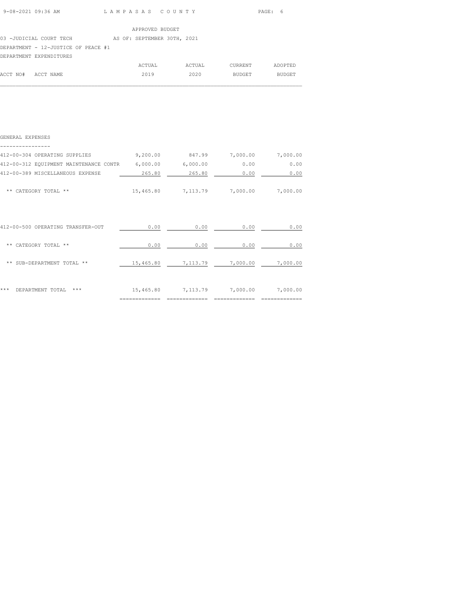| 9-08-2021 09:36 AM | LAMPASAS COUNTY | PAGE: 6 |
|--------------------|-----------------|---------|

| $\sim$ $\sim$ |                 |  |
|---------------|-----------------|--|
|               | APPROVED BUDGET |  |

03 -JUDICIAL COURT TECH AS OF: SEPTEMBER 30TH, 2021

DEPARTMENT - 12-JUSTICE OF PEACE #1

|                    | DEPARTMENT EXPENDITURES |        |        |         |         |
|--------------------|-------------------------|--------|--------|---------|---------|
|                    |                         | ACTUAL | ACTUAL | CURRENT | ADOPTED |
| ACCT NO# ACCT NAME |                         | 2019   | 2020   | BUDGET  | BUDGET  |
|                    |                         |        |        |         |         |

| GENERAL EXPENSES                       |           |                    |                   |          |
|----------------------------------------|-----------|--------------------|-------------------|----------|
| 412-00-304 OPERATING SUPPLIES          | 9,200.00  | 847.99             | 7,000.00          | 7,000.00 |
| 412-00-312 EQUIPMENT MAINTENANCE CONTR | 6,000.00  | 6,000.00           | 0.00              | 0.00     |
| 412-00-389 MISCELLANEOUS EXPENSE       | 265.80    | 265.80             | 0.00              | 0.00     |
| ** CATEGORY TOTAL **                   | 15,465.80 | 7,113.79           | 7,000.00          | 7,000.00 |
| 412-00-500 OPERATING TRANSFER-OUT      | 0.00      | 0.00               | 0.00              | 0.00     |
| ** CATEGORY TOTAL **                   | 0.00      | 0.00               | 0.00              | 0.00     |
| ** SUB-DEPARTMENT TOTAL **             | 15,465.80 |                    | 7,113.79 7,000.00 | 7,000.00 |
| ***<br>DEPARTMENT TOTAL<br>***         |           | 15,465.80 7,113.79 | 7,000.00          | 7,000.00 |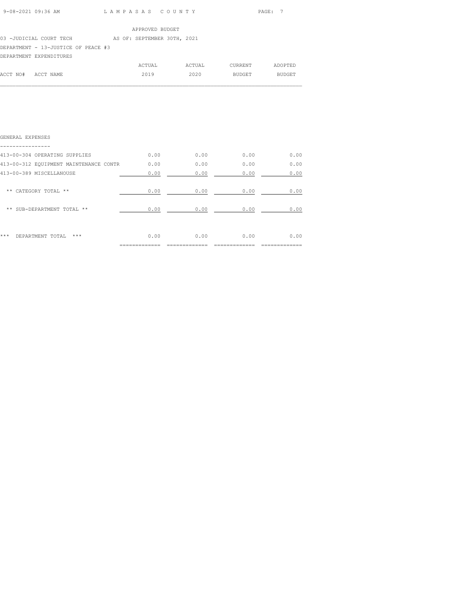| 9-08-2021 09:36 AM | LAMPASAS COUNTY | PAGE: 7 |
|--------------------|-----------------|---------|
|                    |                 |         |

### 03 -JUDICIAL COURT TECH AS OF: SEPTEMBER 30TH, 2021

# DEPARTMENT - 13-JUSTICE OF PEACE #3

### DEPARTMENT EXPENDITURES

|                    | ACTUAL | ACTUAL | CURRENT       | ADOPTED       |
|--------------------|--------|--------|---------------|---------------|
| ACCT NO# ACCT NAME | 2019   | 2020   | <b>BUDGET</b> | <b>BUDGET</b> |

 $\mathcal{L}_\text{max}$ 

| ***<br>***<br>DEPARTMENT TOTAL         | 0.00 | 0.00 | 0.00 | 0.00 |
|----------------------------------------|------|------|------|------|
| ** SUB-DEPARTMENT TOTAL **             | 0.00 | 0.00 | 0.00 | 0.00 |
| ** CATEGORY TOTAL **                   | 0.00 | 0.00 | 0.00 | 0.00 |
| 413-00-389 MISCELLANOUSE               | 0.00 | 0.00 | 0.00 | 0.00 |
| 413-00-312 EQUIPMENT MAINTENANCE CONTR | 0.00 | 0.00 | 0.00 | 0.00 |
| 413-00-304 OPERATING SUPPLIES          | 0.00 | 0.00 | 0.00 | 0.00 |
| GENERAL EXPENSES                       |      |      |      |      |
|                                        |      |      |      |      |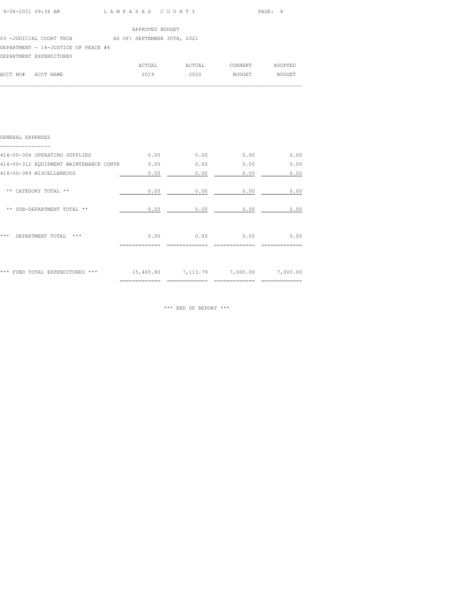| 9-08-2021 09:36 AM | LAMPASAS COUNTY | PAGE: 8 |
|--------------------|-----------------|---------|

| APPROVED BUDGET |  |
|-----------------|--|
|                 |  |

03 -JUDICIAL COURT TECH AS OF: SEPTEMBER 30TH, 2021

DEPARTMENT - 14-JUSTICE OF PEACE #4

|                    | DEPARTMENT EXPENDITURES |        |        |               |         |
|--------------------|-------------------------|--------|--------|---------------|---------|
|                    |                         | ACTUAL | ACTUAL | CURRENT       | ADOPTED |
| ACCT NO# ACCT NAME |                         | 2019   | 2020   | <b>BUDGET</b> | BUDGET  |

 $\mathcal{L}_\text{max}$ 

| *** FUND TOTAL EXPENDITURES ***        | 15,465.80 | 7,113.79 | 7,000.00 | 7,000.00 |
|----------------------------------------|-----------|----------|----------|----------|
|                                        |           |          |          |          |
| ***<br>$***$<br>DEPARTMENT TOTAL       | 0.00      | 0.00     | 0.00     | 0.00     |
| ** SUB-DEPARTMENT TOTAL **             | 0.00      | 0.00     | 0.00     | 0.00     |
| ** CATEGORY TOTAL **                   | 0.00      | 0.00     | 0.00     | 0.00     |
| 414-00-389 MISCELLANEOUS               | 0.00      | 0.00     | 0.00     | 0.00     |
| 414-00-312 EQUIPMENT MAINTENANCE CONTR | 0.00      | 0.00     | 0.00     | 0.00     |
| 414-00-304 OPERATING SUPPLIES          | 0.00      | 0.00     | 0.00     | 0.00     |
| GENERAL EXPENSES                       |           |          |          |          |

\*\*\* END OF REPORT \*\*\*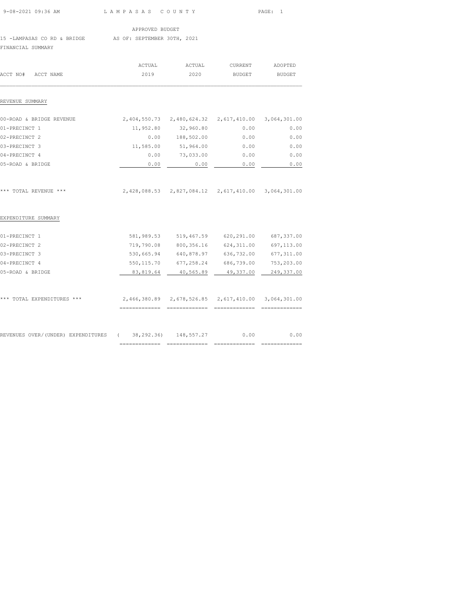| 9-08-2021 09:36 AM                                                           | LAMPASAS COUNTY        |                                                                                    |                          | PAGE:<br>$\overline{1}$  |  |
|------------------------------------------------------------------------------|------------------------|------------------------------------------------------------------------------------|--------------------------|--------------------------|--|
|                                                                              | APPROVED BUDGET        |                                                                                    |                          |                          |  |
| 15 -LAMPASAS CO RD & BRIDGE AS OF: SEPTEMBER 30TH, 2021<br>FINANCIAL SUMMARY |                        |                                                                                    |                          |                          |  |
| ACCT NO#<br>ACCT NAME                                                        | ACTUAL<br>2019         | ACTUAL<br>2020                                                                     | CURRENT<br><b>BUDGET</b> | ADOPTED<br><b>BUDGET</b> |  |
| REVENUE SUMMARY                                                              |                        |                                                                                    |                          |                          |  |
| 00-ROAD & BRIDGE REVENUE                                                     |                        | 2,404,550.73 2,480,624.32 2,617,410.00                                             |                          | 3,064,301.00             |  |
| 01-PRECINCT 1                                                                |                        | 11,952.80 32,960.80                                                                | 0.00                     | 0.00                     |  |
| 02-PRECINCT 2                                                                |                        | 0.00 188,502.00                                                                    | 0.00                     | 0.00                     |  |
| 03-PRECINCT 3                                                                | 11,585.00              | 51,964.00                                                                          | 0.00                     | 0.00                     |  |
| 04-PRECINCT 4                                                                | 0.00                   | 73,033.00                                                                          | 0.00                     | 0.00                     |  |
| 05-ROAD & BRIDGE                                                             | 0.00                   | 0.00                                                                               | 0.00                     | 0.00                     |  |
| *** TOTAL REVENUE ***                                                        |                        | 2,428,088.53 2,827,084.12 2,617,410.00 3,064,301.00                                |                          |                          |  |
| EXPENDITURE SUMMARY                                                          |                        |                                                                                    |                          |                          |  |
| 01-PRECINCT 1                                                                | 581,989.53             | 519,467.59                                                                         | 620,291.00               | 687,337.00               |  |
| 02-PRECINCT 2                                                                | 719,790.08             | 800,356.16                                                                         | 624,311.00               | 697,113.00               |  |
| 03-PRECINCT 3                                                                | 530,665.94             | 640,878.97                                                                         | 636,732.00               | 677,311.00               |  |
| 04-PRECINCT 4                                                                | 550, 115.70            | 677,258.24                                                                         | 686,739.00               | 753,203.00               |  |
| 05-ROAD & BRIDGE                                                             | 83,819.64              | 40,565.89                                                                          | 49,337.00                | 249,337.00               |  |
| *** TOTAL EXPENDITURES ***                                                   |                        | 2,466,380.89 2,678,526.85 2,617,410.00 3,064,301.00<br>============= ============= |                          |                          |  |
| REVENUES OVER/(UNDER) EXPENDITURES                                           | 38,292.36)<br>$\left($ | 148,557.27                                                                         | 0.00                     | 0.00                     |  |

============= ============= ============= =============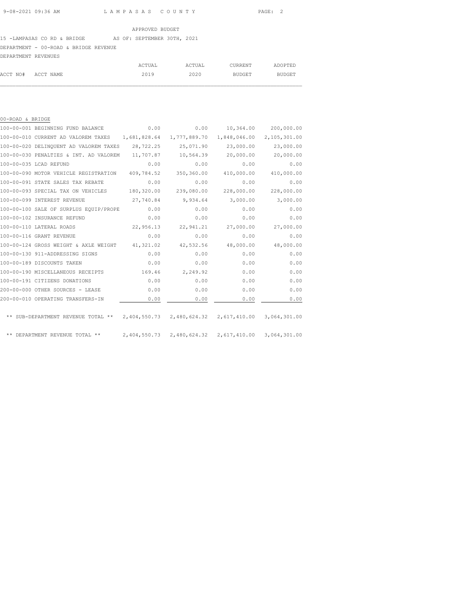# 15 -LAMPASAS CO RD & BRIDGE AS OF: SEPTEMBER 30TH, 2021 DEPARTMENT - 00-ROAD & BRIDGE REVENUE

| DEPARTMENT REVENUES |  |
|---------------------|--|

|                    | ACTUAL | ACTUAL | CURRENT | ADOPTED |
|--------------------|--------|--------|---------|---------|
| ACCT NO# ACCT NAME | 2019   | 2020   | BUDGET  | BUDGET  |
|                    |        |        |         |         |

| 00-ROAD & BRIDGE |                                        |              |                                        |                           |              |
|------------------|----------------------------------------|--------------|----------------------------------------|---------------------------|--------------|
|                  | 100-00-001 BEGINNING FUND BALANCE      | 0.00         | 0.00                                   | 10,364.00                 | 200,000.00   |
|                  | 100-00-010 CURRENT AD VALOREM TAXES    | 1,681,828.64 | 1,777,889.70                           | 1,848,046.00              | 2,105,301.00 |
|                  | 100-00-020 DELINQUENT AD VALOREM TAXES | 28,722.25    | 25,071.90                              | 23,000.00                 | 23,000.00    |
|                  | 100-00-030 PENALTIES & INT. AD VALOREM | 11,707.87    | 10,564.39                              | 20,000.00                 | 20,000.00    |
|                  | 100-00-035 LCAD REFUND                 | 0.00         | 0.00                                   | 0.00                      | 0.00         |
|                  | 100-00-090 MOTOR VEHICLE REGISTRATION  | 409,784.52   | 350,360.00                             | 410,000.00                | 410,000.00   |
|                  | 100-00-091 STATE SALES TAX REBATE      | 0.00         | 0.00                                   | 0.00                      | 0.00         |
|                  | 100-00-093 SPECIAL TAX ON VEHICLES     | 180,320.00   | 239,080.00                             | 228,000.00                | 228,000.00   |
|                  | 100-00-099 INTEREST REVENUE            | 27,740.84    | 9,934.64                               | 3,000.00                  | 3,000.00     |
|                  | 100-00-100 SALE OF SURPLUS EQUIP/PROPE | 0.00         | 0.00                                   | 0.00                      | 0.00         |
|                  | 100-00-102 INSURANCE REFUND            | 0.00         | 0.00                                   | 0.00                      | 0.00         |
|                  | 100-00-110 LATERAL ROADS               | 22,956.13    | 22,941.21                              | 27,000.00                 | 27,000.00    |
|                  | 100-00-116 GRANT REVENUE               | 0.00         | 0.00                                   | 0.00                      | 0.00         |
|                  | 100-00-124 GROSS WEIGHT & AXLE WEIGHT  | 41,321.02    | 42,532.56                              | 48,000.00                 | 48,000.00    |
|                  | 100-00-130 911-ADDRESSING SIGNS        | 0.00         | 0.00                                   | 0.00                      | 0.00         |
|                  | 100-00-189 DISCOUNTS TAKEN             | 0.00         | 0.00                                   | 0.00                      | 0.00         |
|                  | 100-00-190 MISCELLANEOUS RECEIPTS      | 169.46       | 2,249.92                               | 0.00                      | 0.00         |
|                  | 100-00-191 CITIZENS DONATIONS          | 0.00         | 0.00                                   | 0.00                      | 0.00         |
|                  | 200-00-000 OTHER SOURCES - LEASE       | 0.00         | 0.00                                   | 0.00                      | 0.00         |
|                  | 200-00-010 OPERATING TRANSFERS-IN      | 0.00         | 0.00                                   | 0.00                      | 0.00         |
|                  |                                        |              |                                        |                           |              |
|                  | ** SUB-DEPARTMENT REVENUE TOTAL **     |              | 2,404,550.73 2,480,624.32 2,617,410.00 |                           | 3,064,301.00 |
|                  | ** DEPARTMENT REVENUE TOTAL **         | 2,404,550.73 |                                        | 2,480,624.32 2,617,410.00 | 3,064,301.00 |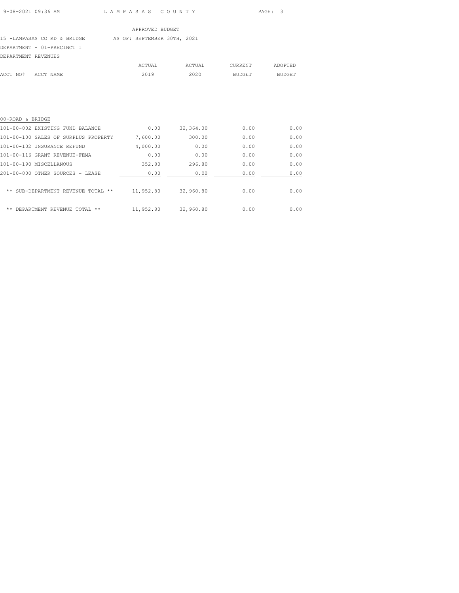### 15 -LAMPASAS CO RD & BRIDGE AS OF: SEPTEMBER 30TH, 2021

### DEPARTMENT - 01-PRECINCT 1

| DEPARTMENT REVENUES |           |        |        |         |         |
|---------------------|-----------|--------|--------|---------|---------|
|                     |           | ACTUAL | ACTUAL | CURRENT | ADOPTED |
| ACCT NO#            | ACCT NAME | 2019   | 2020   | BUDGET  | BUDGET  |
|                     |           |        |        |         |         |

| 00-ROAD & BRIDGE                        |           |           |      |      |
|-----------------------------------------|-----------|-----------|------|------|
| 101-00-002 EXISTING FUND BALANCE        | 0.00      | 32,364.00 | 0.00 | 0.00 |
| 101-00-100 SALES OF SURPLUS PROPERTY    | 7,600.00  | 300.00    | 0.00 | 0.00 |
| 101-00-102 INSURANCE REFUND             | 4,000.00  | 0.00      | 0.00 | 0.00 |
| 101-00-116 GRANT REVENUE-FEMA           | 0.00      | 0.00      | 0.00 | 0.00 |
| 101-00-190 MISCELLANOUS                 | 352.80    | 296.80    | 0.00 | 0.00 |
| 201-00-000 OTHER SOURCES - LEASE        | 0.00      | 0.00      | 0.00 | 0.00 |
| SUB-DEPARTMENT REVENUE TOTAL **         | 11,952.80 | 32,960.80 | 0.00 | 0.00 |
| **<br>REVENUE TOTAL<br>DEPARTMENT<br>** | 11,952.80 | 32,960.80 | 0.00 | 0.00 |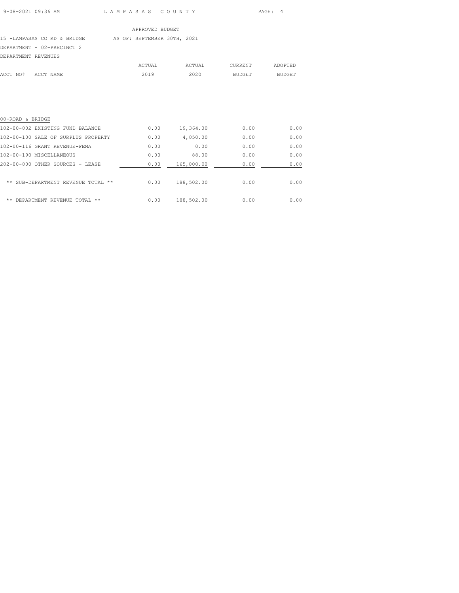### 15 -LAMPASAS CO RD & BRIDGE AS OF: SEPTEMBER 30TH, 2021

DEPARTMENT - 02-PRECINCT 2

| DEPARTMENT REVENUES |           |        |        |         |         |
|---------------------|-----------|--------|--------|---------|---------|
|                     |           | ACTUAL | ACTUAL | CURRENT | ADOPTED |
| ACCT NO#            | ACCT NAME | 2019   | 2020   | BUDGET  | BUDGET  |
|                     |           |        |        |         |         |

| 00-ROAD & BRIDGE                        |      |            |      |      |
|-----------------------------------------|------|------------|------|------|
| 102-00-002 EXISTING FUND BALANCE        | 0.00 | 19,364.00  | 0.00 | 0.00 |
| 102-00-100 SALE OF SURPLUS PROPERTY     | 0.00 | 4,050.00   | 0.00 | 0.00 |
| 102-00-116 GRANT REVENUE-FEMA           | 0.00 | 0.00       | 0.00 | 0.00 |
| 102-00-190 MISCELLANEOUS                | 0.00 | 88.00      | 0.00 | 0.00 |
| 202-00-000 OTHER SOURCES - LEASE        | 0.00 | 165,000.00 | 0.00 | 0.00 |
| SUB-DEPARTMENT REVENUE TOTAL **<br>**   | 0.00 | 188,502.00 | 0.00 | 0.00 |
| **<br>REVENUE TOTAL<br>**<br>DEPARTMENT | 0.00 | 188,502.00 | 0.00 | 0.00 |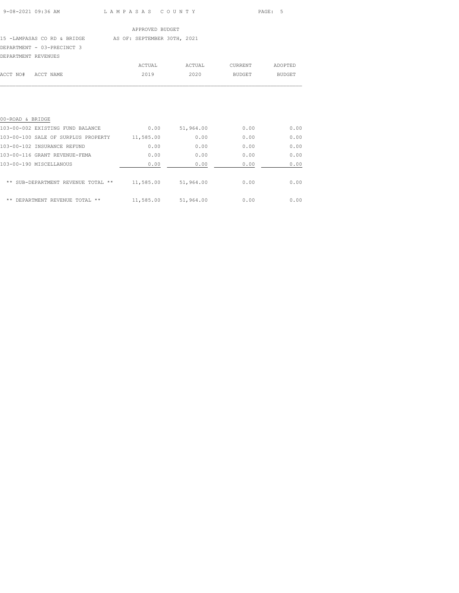# 15 -LAMPASAS CO RD & BRIDGE AS OF: SEPTEMBER 30TH, 2021

## DEPARTMENT - 03-PRECINCT 3

| DEPARTMENT REVENUES |           |        |        |         |         |
|---------------------|-----------|--------|--------|---------|---------|
|                     |           | ACTUAL | ACTUAL | CURRENT | ADOPTED |
| ACCT NO#            | ACCT NAME | 2019   | 2020   | BUDGET  | BUDGET  |
|                     |           |        |        |         |         |

| 00-ROAD & BRIDGE                            |           |           |      |      |
|---------------------------------------------|-----------|-----------|------|------|
| 103-00-002 EXISTING FUND BALANCE            | 0.00      | 51,964.00 | 0.00 | 0.00 |
| 103-00-100 SALE OF SURPLUS PROPERTY         | 11,585.00 | 0.00      | 0.00 | 0.00 |
| 103-00-102 INSURANCE REFUND                 | 0.00      | 0.00      | 0.00 | 0.00 |
| 103-00-116 GRANT REVENUE-FEMA               | 0.00      | 0.00      | 0.00 | 0.00 |
| 103-00-190 MISCELLANOUS                     | 0.00      | 0.00      | 0.00 | 0.00 |
| SUB-DEPARTMENT REVENUE TOTAL **<br>**       | 11,585.00 | 51,964.00 | 0.00 | 0.00 |
| **<br>REVENUE<br>**<br>DEPARTMENT<br>TOTAL. | 11,585.00 | 51,964.00 | 0.00 | 0.00 |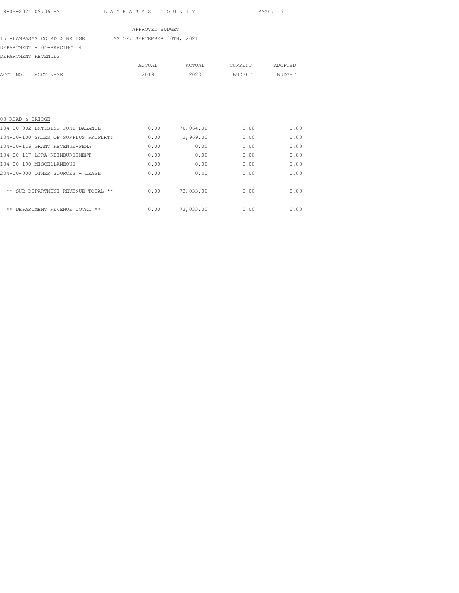### 15 -LAMPASAS CO RD & BRIDGE AS OF: SEPTEMBER 30TH, 2021

### DEPARTMENT - 04-PRECINCT 4

| DEPARTMENT REVENUES |           |        |        |         |         |
|---------------------|-----------|--------|--------|---------|---------|
|                     |           | ACTUAL | ACTUAL | CURRENT | ADOPTED |
| ACCT NO#            | ACCT NAME | 2019   | 2020   | BUDGET  | BUDGET  |
|                     |           |        |        |         |         |

| 00-ROAD & BRIDGE                         |      |           |      |      |
|------------------------------------------|------|-----------|------|------|
| 104-00-002 EXTISING FUND BALANCE         | 0.00 | 70,064.00 | 0.00 | 0.00 |
| 104-00-100 SALES OF SURPLUS PROPERTY     | 0.00 | 2,969.00  | 0.00 | 0.00 |
| 104-00-116 GRANT REVENUE-FEMA            | 0.00 | 0.00      | 0.00 | 0.00 |
| 104-00-117 LCRA REIMBURSEMENT            | 0.00 | 0.00      | 0.00 | 0.00 |
| 104-00-190 MISCELLANEOUS                 | 0.00 | 0.00      | 0.00 | 0.00 |
| 204-00-000 OTHER SOURCES - LEASE         | 0.00 | 0.00      | 0.00 | 0.00 |
| SUB-DEPARTMENT REVENUE<br>**<br>TOTAL ** | 0.00 | 73,033.00 | 0.00 | 0.00 |
| DEPARTMENT REVENUE TOTAL **<br>**        | 0.00 | 73,033,00 | 0.00 | 0.00 |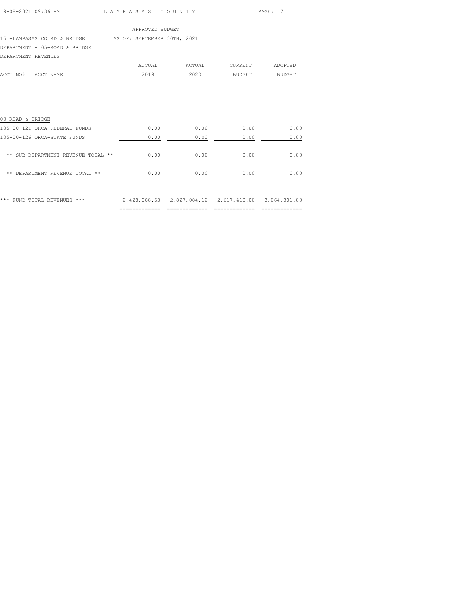| 9-08-2021 09:36 AM |  |
|--------------------|--|
|                    |  |

L A M P A S A S C O U N T Y PAGE: 7

### APPROVED BUDGET

15 -LAMPASAS CO RD & BRIDGE AS OF: SEPTEMBER 30TH, 2021

DEPARTMENT - 05-ROAD & BRIDGE

| DEPARTMENT REVENUES |           |        |        |         |         |
|---------------------|-----------|--------|--------|---------|---------|
|                     |           | ACTUAL | ACTUAL | CURRENT | ADOPTED |
| ACCT NO#            | ACCT NAME | 2019   | 2020   | BUDGET  | BUDGET  |
|                     |           |        |        |         |         |

| 00-ROAD & BRIDGE                    |      |                                        |      |              |
|-------------------------------------|------|----------------------------------------|------|--------------|
| 105-00-121 ORCA-FEDERAL FUNDS       | 0.00 | 0.00                                   | 0.00 | 0.00         |
| 105-00-126 ORCA-STATE FUNDS         | 0.00 | 0.00                                   | 0.00 | 0.00         |
| ** SUB-DEPARTMENT REVENUE TOTAL **  | 0.00 | 0.00                                   | 0.00 | 0.00         |
| DEPARTMENT REVENUE TOTAL **<br>**   | 0.00 | 0.00                                   | 0.00 | 0.00         |
| $***$<br>***<br>FUND TOTAL REVENUES |      | 2,428,088.53 2,827,084.12 2,617,410.00 |      | 3,064,301.00 |

============= ============= ============= =============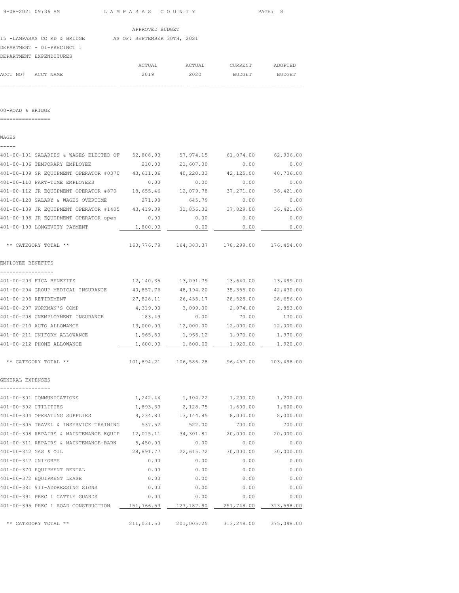|  | 9-08-2021 09:36 AM |  |
|--|--------------------|--|
|  |                    |  |

L A M P A S A S C O U N T Y PAGE: 8

APPROVED BUDGET

ACCT NO# ACCT NAME 2019 2020 BUDGET BUDGET  $\mathcal{L}_\text{max}$ 

15 -LAMPASAS CO RD & BRIDGE AS OF: SEPTEMBER 30TH, 2021 DEPARTMENT - 01-PRECINCT 1 DEPARTMENT EXPENDITURES ACTUAL ACTUAL CURRENT ADOPTED

00-ROAD & BRIDGE

================

WAGES

----- 401-00-101 SALARIES & WAGES ELECTED OF 52,808.90 57,974.15 61,074.00 62,906.00 401-00-106 TEMPORARY EMPLOYEE 210.00 21,607.00 0.00 0.00 401-00-109 SR EQUIPMENT OPERATOR #0370 43,611.06 40,220.33 42,125.00 40,706.00 401-00-110 PART-TIME EMPLOYEES 0.00 0.00 0.00 0.00 401-00-112 JR EQUIPMENT OPERATOR #870 18,655.46 12,079.78 37,271.00 36,421.00 401-00-120 SALARY & WAGES OVERTIME 271.98 645.79 0.00 0.00 401-00-139 JR EQUIPMENT OPERATOR #1405 43,419.39 31,856.32 37,829.00 36,421.00 401-00-198 JR EQUIPMENT OPERATOR open 0.00 0.00 0.00 0.00 401-00-199 LONGEVITY PAYMENT  $1,800.00$   $0.00$   $0.00$   $0.00$   $0.00$   $0.00$  \*\* CATEGORY TOTAL \*\* 160,776.79 164,383.37 178,299.00 176,454.00 EMPLOYEE BENEFITS ----------------- 401-00-203 FICA BENEFITS 12,140.35 13,091.79 13,640.00 13,499.00 401-00-204 GROUP MEDICAL INSURANCE 40,857.76 48,194.20 35,355.00 42,430.00 401-00-205 RETIREMENT 27,828.11 26,435.17 28,528.00 28,656.00 401-00-207 WORKMAN'S COMP 4,319.00 3,099.00 2,974.00 2,853.00 401-00-208 UNEMPLOYMENT INSURANCE 183.49 0.00 70.00 170.00 401-00-210 AUTO ALLOWANCE 13,000.00 12,000.00 12,000.00 12,000.00 1,965.50 1,966.12 1,970.00 1,970.00<br>401-00-212 PHONE ALLOWANCE 1,600.00 1,800.00 1,920.00 1,920.00 401-00-212 PHONE ALLOWANCE 1,600.00 1,800.00 1,920.00 1,920.00 \*\* CATEGORY TOTAL \*\* 101,894.21 106,586.28 96,457.00 103,498.00 GENERAL EXPENSES ---------------- 401-00-301 COMMUNICATIONS 1,242.44 1,104.22 1,200.00 1,200.00 401-00-302 UTILITIES 1,893.33 2,128.75 1,600.00 1,600.00 401-00-304 OPERATING SUPPLIES 9,234.80 13,144.85 8,000.00 8,000.00 401-00-305 TRAVEL & INSERVICE TRAINING 537.52 522.00 700.00 700.00 401-00-308 REPAIRS & MAINTENANCE EQUIP 12,015.11 34,301.81 20,000.00 20,000.00 401-00-311 REPAIRS & MAINTENANCE-BARN 5,450.00 0.00 0.00 0.00 401-00-342 GAS & OIL 28,891.77 22,615.72 30,000.00 30,000.00 401-00-347 UNIFORMS 0.00 0.00 0.00 0.00 401-00-370 EQUIPMENT RENTAL 0.00 0.00 0.00 0.00 401-00-372 EQUIPMENT LEASE 0.00 0.00 0.00 0.00 401-00-381 911-ADDRESSING SIGNS 0.00 0.00 0.00 0.00 401-00-391 PREC 1 CATTLE GUARDS 0.00 0.00 0.00 0.00 401-00-395 PREC 1 ROAD CONSTRUCTION  $\qquad 151,766.53 \qquad 127,187.90 \qquad 251,748.00 \qquad 313,598.00$ \*\* CATEGORY TOTAL \*\* 211,031.50 201,005.25 313,248.00 375,098.00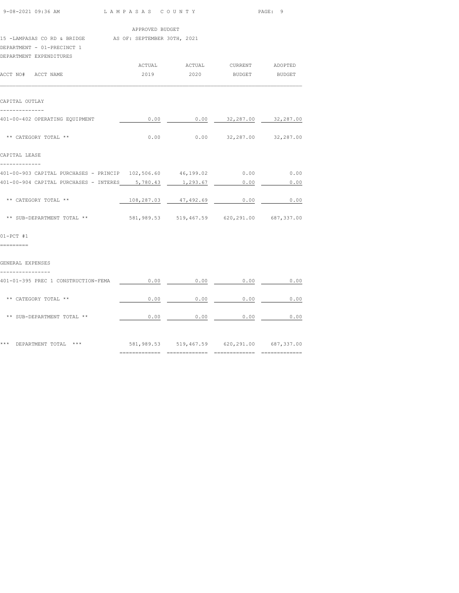| 9-08-2021 09:36 AM                                                                                               | LAMPASAS COUNTY                             |                      |                                | PAGE: 9 |  |  |
|------------------------------------------------------------------------------------------------------------------|---------------------------------------------|----------------------|--------------------------------|---------|--|--|
|                                                                                                                  | APPROVED BUDGET                             |                      |                                |         |  |  |
| 15 -LAMPASAS CO RD & BRIDGE AS OF: SEPTEMBER 30TH, 2021<br>DEPARTMENT - 01-PRECINCT 1<br>DEPARTMENT EXPENDITURES |                                             |                      |                                |         |  |  |
|                                                                                                                  |                                             |                      | ACTUAL ACTUAL CURRENT ADOPTED  |         |  |  |
| ACCT NO# ACCT NAME                                                                                               | 2019                                        | 2020                 | BUDGET BUDGET                  |         |  |  |
| CAPITAL OUTLAY                                                                                                   |                                             |                      |                                |         |  |  |
| --------------<br>401-00-402 OPERATING EQUIPMENT                                                                 | 0.00                                        |                      | $0.00$ $32,287.00$ $32,287.00$ |         |  |  |
| ** CATEGORY TOTAL **                                                                                             | 0.00                                        |                      | $0.00$ $32,287.00$ $32,287.00$ |         |  |  |
| CAPITAL LEASE<br>-------------                                                                                   |                                             |                      |                                |         |  |  |
| 401-00-903 CAPITAL PURCHASES - PRINCIP 102,506.60 46,199.02                                                      |                                             |                      | 0.00                           | 0.00    |  |  |
| 401-00-904 CAPITAL PURCHASES - INTERES 5,780.43                                                                  |                                             | 1,293.67             | 0.00                           | 0.00    |  |  |
| ** CATEGORY TOTAL **                                                                                             |                                             | 108,287.03 47,492.69 | 0.00                           | 0.00    |  |  |
| ** SUB-DEPARTMENT TOTAL **                                                                                       | 581,989.53 519,467.59 620,291.00 687,337.00 |                      |                                |         |  |  |
| $01-PCT$ #1<br>=========                                                                                         |                                             |                      |                                |         |  |  |
| GENERAL EXPENSES                                                                                                 |                                             |                      |                                |         |  |  |
| 401-01-395 PREC 1 CONSTRUCTION-FEMA                                                                              | 0.00                                        | 0.00                 | 0.00                           | 0.00    |  |  |
| ** CATEGORY TOTAL **                                                                                             | 0.00                                        | 0.00                 | 0.00                           | 0.00    |  |  |
| ** SUB-DEPARTMENT TOTAL **                                                                                       | 0.00                                        | 0.00                 | 0.00                           | 0.00    |  |  |
| *** DEPARTMENT TOTAL ***                                                                                         | 581,989.53 519,467.59 620,291.00 687,337.00 |                      |                                |         |  |  |
|                                                                                                                  |                                             |                      |                                |         |  |  |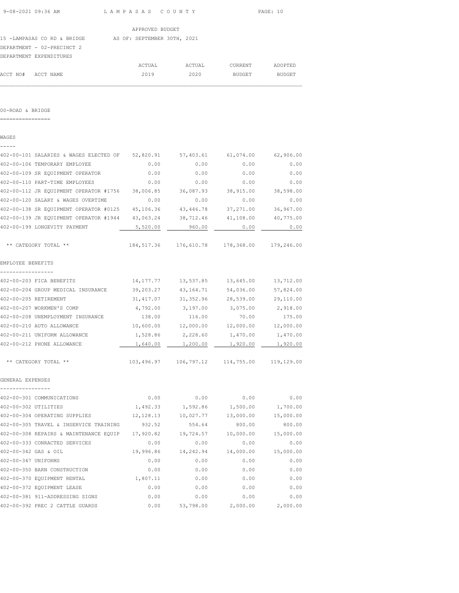$\mathcal{L}_\text{max}$ 

 APPROVED BUDGET 15 -LAMPASAS CO RD & BRIDGE AS OF: SEPTEMBER 30TH, 2021 DEPARTMENT - 02-PRECINCT 2 DEPARTMENT EXPENDITURES ACTUAL ACTUAL CURRENT ADOPTED ACCT NO# ACCT NAME 2019 2020 BUDGET BUDGET

00-ROAD & BRIDGE

================

WAGES

| -----                                                      |            |                                                      |                     |                     |
|------------------------------------------------------------|------------|------------------------------------------------------|---------------------|---------------------|
| 402-00-101 SALARIES & WAGES ELECTED OF 52,820.91           |            | 57,403.61                                            | 61,074.00           | 62,906.00           |
| 402-00-106 TEMPORARY EMPLOYEE                              | 0.00       | 0.00                                                 | 0.00                | 0.00                |
| 402-00-109 SR EQUIPMENT OPERATOR                           | 0.00       | 0.00                                                 | 0.00                | 0.00                |
| 402-00-110 PART-TIME EMPLOYEES                             | 0.00       | 0.00                                                 | 0.00                | 0.00                |
| 402-00-112 JR EQUIPMENT OPERATOR #1756                     | 38,006.85  | 36,087.93                                            | 38,915.00           | 38,598.00           |
| 402-00-120 SALARY & WAGES OVERTIME                         | 0.00       | 0.00                                                 | 0.00                | 0.00                |
| 402-00-138 SR EQUIPMENT OPERATOR #0125 45,106.36           |            | 43,446.78                                            | 37,271.00           | 36,967.00           |
| 402-00-139 JR EQUIPMENT OPERATOR #1944 43,063.24 38,712.46 |            |                                                      |                     | 41,108.00 40,775.00 |
| 402-00-199 LONGEVITY PAYMENT                               | 5,520.00   | 960.00                                               | 0.00                | 0.00                |
| ** CATEGORY TOTAL **                                       |            | 184,517.36 176,610.78 178,368.00 179,246.00          |                     |                     |
| EMPLOYEE BENEFITS                                          |            |                                                      |                     |                     |
| -----------------<br>402-00-203 FICA BENEFITS              | 14,177.77  | 13,537.85                                            | 13,645.00           | 13,712.00           |
| 402-00-204 GROUP MEDICAL INSURANCE                         | 39,203.27  | 43,164.71                                            | 54,036.00           | 57,824.00           |
| 402-00-205 RETIREMENT                                      | 31,417.07  | 31, 352.96                                           | 28,539.00           | 29,110.00           |
| 402-00-207 WORKMEN'S COMP                                  | 4,792.00   | 3,197.00                                             | 3,075.00            | 2,918.00            |
| 402-00-208 UNEMPLOYMENT INSURANCE                          | 138.00     | 116.00                                               | 70.00               | 175.00              |
| 402-00-210 AUTO ALLOWANCE                                  | 10,600.00  | 12,000.00                                            | 12,000.00 12,000.00 |                     |
| 402-00-211 UNIFORM ALLOWANCE                               |            | 1,528.86 2,228.60                                    | 1,470.00            | 1,470.00            |
| 402-00-212 PHONE ALLOWANCE                                 | 1,640.00   | 1,200.00                                             | 1,920.00            | 1,920.00            |
| ** CATEGORY TOTAL **                                       |            | 103,496.97    106,797.12    114,755.00    119,129.00 |                     |                     |
| GENERAL EXPENSES<br>----------------                       |            |                                                      |                     |                     |
| 402-00-301 COMMUNICATIONS                                  | 0.00       | 0.00                                                 | 0.00                | 0.00                |
| 402-00-302 UTILITIES                                       | 1,492.33   | 1,592.86                                             | 1,500.00            | 1,700.00            |
| 402-00-304 OPERATING SUPPLIES                              | 12, 128.13 | 10,027.77                                            | 13,000.00           | 15,000.00           |
| 402-00-305 TRAVEL & INSERVICE TRAINING                     | 932.52     | 554.64                                               | 800.00              | 800.00              |
| 402-00-308 REPAIRS & MAINTENANCE EQUIP                     | 17,920.82  | 19,724.57                                            | 10,000.00           | 15,000.00           |
| 402-00-333 CONRACTED SERVICES                              | 0.00       | 0.00                                                 | 0.00                | 0.00                |
| 402-00-342 GAS & OIL                                       | 19,996.86  | 14,242.94                                            | 14,000.00           | 15,000.00           |
| 402-00-347 UNIFORMS                                        | 0.00       | 0.00                                                 | 0.00                | 0.00                |
| 402-00-350 BARN CONSTRUCTION                               | 0.00       | 0.00                                                 | 0.00                | 0.00                |
| 402-00-370 EQUIPMENT RENTAL                                | 1,807.11   | 0.00                                                 | 0.00                | 0.00                |
| 402-00-372 EQUIPMENT LEASE                                 | 0.00       | 0.00                                                 | 0.00                | 0.00                |
| 402-00-381 911-ADDRESSING SIGNS                            | 0.00       | 0.00                                                 | 0.00                | 0.00                |
| 402-00-392 PREC 2 CATTLE GUARDS                            | 0.00       | 53,798.00                                            | 2,000.00            | 2,000.00            |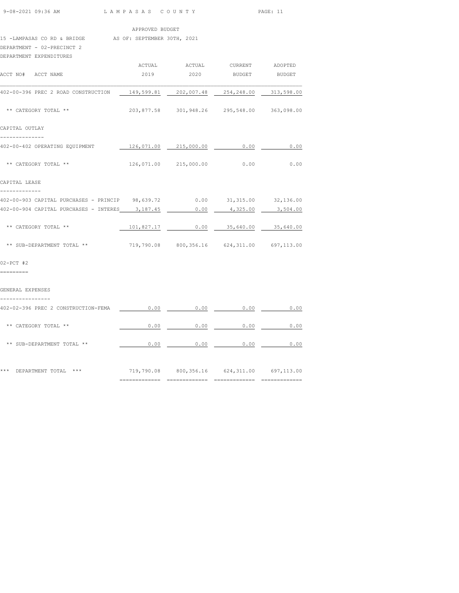| $9-08-2021$ 09:36 AM |  |  |
|----------------------|--|--|
|                      |  |  |

LAM PASAS COUNTY PAGE: 11

#### APPROVED BUDGET

### 15 -LAMPASAS CO RD & BRIDGE AS OF: SEPTEMBER 30TH, 2021

## DEPARTMENT - 02-PRECINCT 2

| DEPARTMENT EXPENDITURES                                                   |      |                                                           |                              |      |
|---------------------------------------------------------------------------|------|-----------------------------------------------------------|------------------------------|------|
| ACCT NO# ACCT NAME                                                        |      | ACTUAL ACTUAL CURRENT ADOPTED<br>2019  2020 BUDGET BUDGET |                              |      |
| 402-00-396 PREC 2 ROAD CONSTRUCTION                                       |      | 149,599.81  202,007.48  254,248.00  313,598.00            |                              |      |
|                                                                           |      |                                                           |                              |      |
| ** CATEGORY TOTAL **                                                      |      | 203,877.58 301,948.26 295,548.00 363,098.00               |                              |      |
| CAPITAL OUTLAY                                                            |      |                                                           |                              |      |
| 402-00-402 OPERATING EQUIPMENT                                            |      | 126,071.00 215,000.00 0.00                                |                              | 0.00 |
| ** CATEGORY TOTAL **                                                      |      | 126,071.00 215,000.00 0.00                                |                              | 0.00 |
| CAPITAL LEASE                                                             |      |                                                           |                              |      |
| 402-00-903 CAPITAL PURCHASES - PRINCIP 98,639.72 0.00 31,315.00 32,136.00 |      |                                                           |                              |      |
| 402-00-904 CAPITAL PURCHASES - INTERES 3,187.45                           |      |                                                           | $0.00$ $4,325.00$ $3,504.00$ |      |
| ** CATEGORY TOTAL **                                                      |      | 101,827.17   0.00   35,640.00   35,640.00                 |                              |      |
| ** SUB-DEPARTMENT TOTAL **                                                |      | 719,790.08 800,356.16 624,311.00 697,113.00               |                              |      |
| $02-PCT$ #2                                                               |      |                                                           |                              |      |
| =========                                                                 |      |                                                           |                              |      |
| GENERAL EXPENSES                                                          |      |                                                           |                              |      |
| 402-02-396 PREC 2 CONSTRUCTION-FEMA                                       | 0.00 | 0.00                                                      | 0.00                         | 0.00 |
| ** CATEGORY TOTAL **                                                      | 0.00 | 0.00                                                      | 0.00                         | 0.00 |

| *** | DEPARTMENT TOTAL           | *** | 719,790.08 | 800,356.16 | 624,311.00 | 697,113.00 |
|-----|----------------------------|-----|------------|------------|------------|------------|
|     | ** SUB-DEPARTMENT TOTAL ** |     | 0.00       | 0.00       | 0.00       | 0.00       |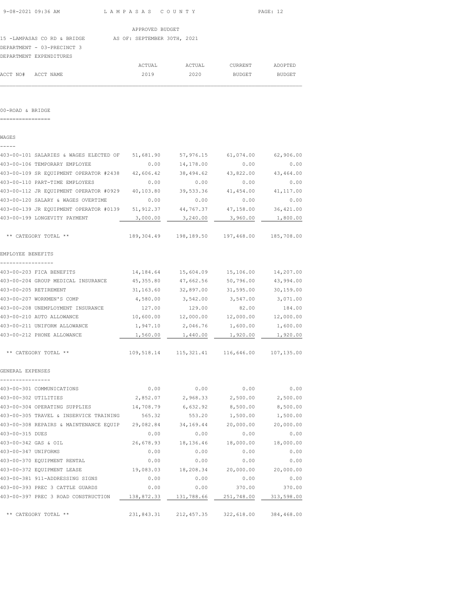| 9-08-2021 09:36 AM | LAMPASAS COUNTY | PAGE: 12 |
|--------------------|-----------------|----------|
|                    |                 |          |

15 -LAMPASAS CO RD & BRIDGE AS OF: SEPTEMBER 30TH, 2021

DEPARTMENT - 03-PRECINCT 3

|                    | DEPARTMENT EXPENDITURES |        |        |               |         |
|--------------------|-------------------------|--------|--------|---------------|---------|
|                    |                         | ACTUAL | ACTUAL | CURRENT       | ADOPTED |
| ACCT NO# ACCT NAME |                         | 2019   | 2020   | <b>BUDGET</b> | BUDGET  |

 $\mathcal{L}_\text{max}$ 

00-ROAD & BRIDGE

================

WAGES

| -----                                            |            |                                                   |                       |            |
|--------------------------------------------------|------------|---------------------------------------------------|-----------------------|------------|
| 403-00-101 SALARIES & WAGES ELECTED OF 51,681.90 |            | 57,976.15                                         | 61,074.00             | 62,906.00  |
| 403-00-106 TEMPORARY EMPLOYEE                    | 0.00       | 14,178.00                                         | 0.00                  | 0.00       |
| 403-00-109 SR EQUIPMENT OPERATOR #2438           | 42,606.42  | 38,494.62                                         | 43,822.00             | 43,464.00  |
| 403-00-110 PART-TIME EMPLOYEES                   | 0.00       | 0.00                                              | 0.00                  | 0.00       |
| 403-00-112 JR EQUIPMENT OPERATOR #0929           | 40,103.80  | 39,533.36                                         | 41,454.00             | 41, 117.00 |
| 403-00-120 SALARY & WAGES OVERTIME               | 0.00       | 0.00                                              | 0.00                  | 0.00       |
| 403-00-139 JR EQUIPMENT OPERATOR #0139 51,912.37 |            | 44,767.37                                         | 47,158.00             | 36,421.00  |
| 403-00-199 LONGEVITY PAYMENT                     | 3,000.00   | 3,240.00                                          | 3,960.00              | 1,800.00   |
| ** CATEGORY TOTAL **                             | 189,304.49 |                                                   | 198,189.50 197,468.00 | 185,708.00 |
| EMPLOYEE BENEFITS                                |            |                                                   |                       |            |
| -----------------                                |            |                                                   |                       |            |
| 403-00-203 FICA BENEFITS                         | 14,184.64  | 15,604.09                                         | 15,106.00             | 14,207.00  |
| 403-00-204 GROUP MEDICAL INSURANCE               | 45,355.80  | 47,662.56                                         | 50,796.00             | 43,994.00  |
| 403-00-205 RETIREMENT                            | 31,163.60  | 32,897.00                                         | 31,595.00             | 30,159.00  |
| 403-00-207 WORKMEN'S COMP                        | 4,580.00   | 3,542.00                                          | 3,547.00              | 3,071.00   |
| 403-00-208 UNEMPLOYMENT INSURANCE                | 127.00     | 129.00                                            | 82.00                 | 184.00     |
| 403-00-210 AUTO ALLOWANCE                        | 10,600.00  | 12,000.00                                         | 12,000.00             | 12,000.00  |
| 403-00-211 UNIFORM ALLOWANCE                     | 1,947.10   | 2,046.76                                          | 1,600.00              | 1,600.00   |
| 403-00-212 PHONE ALLOWANCE                       | 1,560.00   | 1,440.00                                          | 1,920.00              | 1,920.00   |
| ** CATEGORY TOTAL **                             |            | 109,518.14   115,321.41   116,646.00   107,135.00 |                       |            |
| GENERAL EXPENSES                                 |            |                                                   |                       |            |
| 403-00-301 COMMUNICATIONS                        | 0.00       | 0.00                                              | 0.00                  | 0.00       |
| 403-00-302 UTILITIES                             | 2,852.07   | 2,968.33                                          | 2,500.00              | 2,500.00   |
| 403-00-304 OPERATING SUPPLIES                    | 14,708.79  | 6,632.92                                          | 8,500.00              | 8,500.00   |
| 403-00-305 TRAVEL & INSERVICE TRAINING           | 565.32     | 553.20                                            | 1,500.00              | 1,500.00   |
| 403-00-308 REPAIRS & MAINTENANCE EQUIP           | 29,082.84  | 34,169.44                                         | 20,000.00             | 20,000.00  |
| 403-00-315 DUES                                  | 0.00       | 0.00                                              | 0.00                  | 0.00       |
| 403-00-342 GAS & OIL                             | 26,678.93  | 18,136.46                                         | 18,000.00             | 18,000.00  |
| 403-00-347 UNIFORMS                              | 0.00       | 0.00                                              | 0.00                  | 0.00       |
| 403-00-370 EQUIPMENT RENTAL                      | 0.00       | 0.00                                              | 0.00                  | 0.00       |
| 403-00-372 EQUIPMENT LEASE                       | 19,083.03  | 18,208.34                                         | 20,000.00             | 20,000.00  |
| 403-00-381 911-ADDRESSING SIGNS                  | 0.00       | 0.00                                              | 0.00                  | 0.00       |
| 403-00-393 PREC 3 CATTLE GUARDS                  | 0.00       | 0.00                                              | 370.00                | 370.00     |
| 403-00-397 PREC 3 ROAD CONSTRUCTION              | 138,872.33 | 131,788.66                                        | 251,748.00            | 313,598.00 |
| ** CATEGORY TOTAL **                             | 231,843.31 | 212, 457.35                                       | 322,618.00            | 384,468.00 |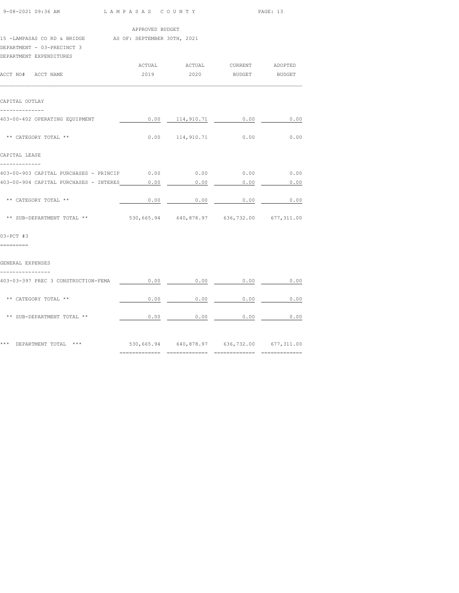| 9-08-2021 09:36 AM                                                                                               | LAMPASAS COUNTY                             |                                             |               | PAGE: 13      |  |  |
|------------------------------------------------------------------------------------------------------------------|---------------------------------------------|---------------------------------------------|---------------|---------------|--|--|
|                                                                                                                  | APPROVED BUDGET                             |                                             |               |               |  |  |
| 15 -LAMPASAS CO RD & BRIDGE AS OF: SEPTEMBER 30TH, 2021<br>DEPARTMENT - 03-PRECINCT 3<br>DEPARTMENT EXPENDITURES |                                             |                                             |               |               |  |  |
|                                                                                                                  | ACTUAL                                      | ACTUAL CURRENT ADOPTED                      |               |               |  |  |
| ACCT NO# ACCT NAME                                                                                               | 2019                                        | 2020                                        | <b>BUDGET</b> | <b>BUDGET</b> |  |  |
| CAPITAL OUTLAY                                                                                                   |                                             |                                             |               |               |  |  |
| 403-00-402 OPERATING EQUIPMENT                                                                                   | 0.00                                        | 114,910.71                                  | 0.00          | 0.00          |  |  |
| ** CATEGORY TOTAL **                                                                                             |                                             | $0.00$ $114,910.71$                         | 0.00          | 0.00          |  |  |
| CAPITAL LEASE<br>-------------                                                                                   |                                             |                                             |               |               |  |  |
| 403-00-903 CAPITAL PURCHASES - PRINCIP $0.00$ $0.00$ $0.00$ $0.00$ $0.00$ $0.00$                                 |                                             |                                             |               |               |  |  |
| 403-00-904 CAPITAL PURCHASES - INTERES                                                                           | 0.00                                        | 0.00                                        | 0.00          | 0.00          |  |  |
| ** CATEGORY TOTAL **                                                                                             |                                             | $0.00$ 0.00                                 | $\sim$ 0.00   | 0.00          |  |  |
| ** SUB-DEPARTMENT TOTAL **                                                                                       | 530,665.94 640,878.97 636,732.00 677,311.00 |                                             |               |               |  |  |
| $03-PCT$ #3                                                                                                      |                                             |                                             |               |               |  |  |
| =========<br>GENERAL EXPENSES                                                                                    |                                             |                                             |               |               |  |  |
| ----------------                                                                                                 |                                             |                                             |               |               |  |  |
| 403-03-397 PREC 3 CONSTRUCTION-FEMA                                                                              | 0.00                                        | 0.00                                        | 0.00          | 0.00          |  |  |
| ** CATEGORY TOTAL **                                                                                             | 0.00                                        | 0.00                                        | 0.00          | 0.00          |  |  |
| ** SUB-DEPARTMENT TOTAL **                                                                                       | 0.00                                        | 0.00                                        | 0.00          | 0.00          |  |  |
| *** DEPARTMENT TOTAL ***                                                                                         |                                             | 530,665.94 640,878.97 636,732.00 677,311.00 |               |               |  |  |

============= ============= ============= =============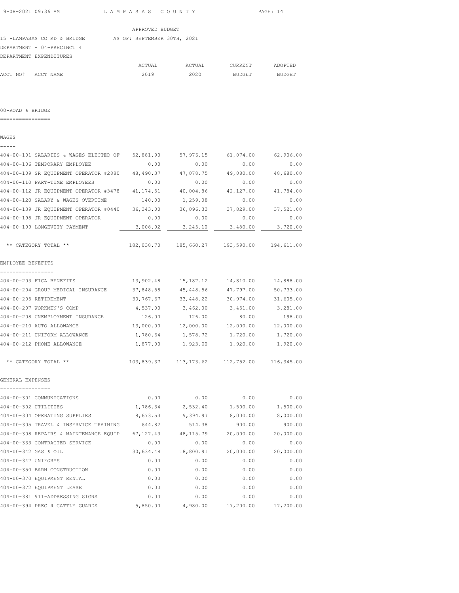|  | 9-08-2021 09:36 AM |  |
|--|--------------------|--|
|  |                    |  |

| 15 -LAMPASAS CO RD & BRIDGE |  | AS OF: SEPTEMBER 30TH, 2021 |  |
|-----------------------------|--|-----------------------------|--|
| DEPARTMENT - 04-PRECINCT 4  |  |                             |  |
| DEDAD MAENT DV DEMOTOHIO C  |  |                             |  |

|                    | DEPARTMENT EXPENDITURES |        |        |         |         |
|--------------------|-------------------------|--------|--------|---------|---------|
|                    |                         | ACTUAL | ACTUAL | CURRENT | ADOPTED |
| ACCT NO# ACCT NAME |                         | 2019   | 2020   | BUDGET  | BUDGET  |
|                    |                         |        |        |         |         |

#### 00-ROAD & BRIDGE

================

# WAGES ----- 404-00-101 SALARIES & WAGES ELECTED OF 52,881.90 57,976.15 61,074.00 62,906.00 404-00-106 TEMPORARY EMPLOYEE 0.00 0.00 0.00 0.00 404-00-109 SR EQUIPMENT OPERATOR #2880 48,490.37 47,078.75 49,080.00 48,680.00 404-00-110 PART-TIME EMPLOYEES 0.00 0.00 0.00 0.00 404-00-112 JR EQUIPMENT OPERATOR #3478 41,174.51 40,004.86 42,127.00 41,784.00 404-00-120 SALARY & WAGES OVERTIME 140.00 1,259.08 0.00 0.00 404-00-139 JR EQUIPMENT OPERATOR #0440 36,343.00 36,096.33 37,829.00 37,521.00 404-00-198 JR EQUIPMENT OPERATOR 0.00 0.00 0.00 0.00 404-00-199 LONGEVITY PAYMENT 3,008.92 3,245.10 3,480.00 3,720.00 \*\* CATEGORY TOTAL \*\* 182,038.70 185,660.27 193,590.00 194,611.00 EMPLOYEE BENEFITS ----------------- 404-00-203 FICA BENEFITS 13,902.48 15,187.12 14,810.00 14,888.00 404-00-204 GROUP MEDICAL INSURANCE 37,848.58 45,448.56 47,797.00 50,733.00 404-00-205 RETIREMENT 30,767.67 33,448.22 30,974.00 31,605.00 404-00-207 WORKMEN'S COMP 4,537.00 3,462.00 3,451.00 3,281.00 404-00-208 UNEMPLOYMENT INSURANCE 126.00 126.00 80.00 198.00 404-00-210 AUTO ALLOWANCE 13,000.00 12,000.00 12,000.00 12,000.00 1,780.64 1,578.72 1,720.00 1,720.00 1,720.00<br>404-00-212 PHONE ALLOWANCE 1,877.00 1,923.00 1,920.00 1,920.00 404-00-212 PHONE ALLOWANCE 1,877.00 1,923.00 1,920.00 1,920.00 \*\* CATEGORY TOTAL \*\* 103,839.37 113,173.62 112,752.00 116,345.00 GENERAL EXPENSES ---------------- 404-00-301 COMMUNICATIONS 0.00 0.00 0.00 0.00 404-00-302 UTILITIES 1,786.34 2,532.40 1,500.00 1,500.00 404-00-304 OPERATING SUPPLIES 8,673.53 9,394.97 8,000.00 8,000.00 404-00-305 TRAVEL & INSERVICE TRAINING 644.82 514.38 900.00 900.00 404-00-308 REPAIRS & MAINTENANCE EQUIP 67,127.43 48,115.79 20,000.00 20,000.00 404-00-333 CONTRACTED SERVICE 0.00 0.00 0.00 0.00 404-00-342 GAS & OIL 30,634.48 18,800.91 20,000.00 20,000.00 404-00-347 UNIFORMS 0.00 0.00 0.00 0.00 404-00-350 BARN CONSTRUCTION 0.00 0.00 0.00 0.00 404-00-370 EQUIPMENT RENTAL 0.00 0.00 0.00 0.00 404-00-372 EQUIPMENT LEASE 0.00 0.00 0.00 0.00 404-00-381 911-ADDRESSING SIGNS 0.00 0.00 0.00 0.00 404-00-394 PREC 4 CATTLE GUARDS 5,850.00 4,980.00 17,200.00 17,200.00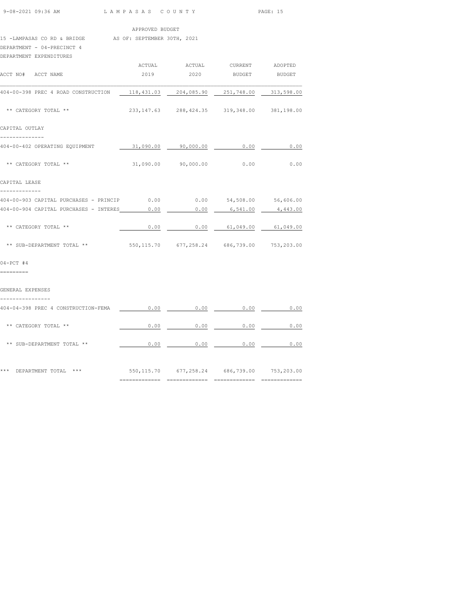|  | $9 - 08 - 2021$ 09:36 AM |  |
|--|--------------------------|--|
|  |                          |  |

LAM PASAS COUNTY PAGE: 15

APPROVED BUDGET

15 -LAMPASAS CO RD & BRIDGE AS OF: SEPTEMBER 30TH, 2021

# DEPARTMENT - 04-PRECINCT 4

|      |                                             | BUDGET BUDGET                                      |                                                                                                                                                                                                                                                                                                                                                        |
|------|---------------------------------------------|----------------------------------------------------|--------------------------------------------------------------------------------------------------------------------------------------------------------------------------------------------------------------------------------------------------------------------------------------------------------------------------------------------------------|
|      |                                             |                                                    |                                                                                                                                                                                                                                                                                                                                                        |
|      |                                             |                                                    |                                                                                                                                                                                                                                                                                                                                                        |
|      |                                             |                                                    |                                                                                                                                                                                                                                                                                                                                                        |
|      |                                             | 0.00                                               | 0.00                                                                                                                                                                                                                                                                                                                                                   |
|      |                                             | 0.00                                               | 0.00                                                                                                                                                                                                                                                                                                                                                   |
|      |                                             |                                                    |                                                                                                                                                                                                                                                                                                                                                        |
|      |                                             |                                                    |                                                                                                                                                                                                                                                                                                                                                        |
|      | 0.00                                        | 6,541.00                                           | 4,443.00                                                                                                                                                                                                                                                                                                                                               |
| 0.00 |                                             |                                                    |                                                                                                                                                                                                                                                                                                                                                        |
|      |                                             |                                                    |                                                                                                                                                                                                                                                                                                                                                        |
|      |                                             |                                                    |                                                                                                                                                                                                                                                                                                                                                        |
|      |                                             |                                                    |                                                                                                                                                                                                                                                                                                                                                        |
|      |                                             |                                                    | 0.00                                                                                                                                                                                                                                                                                                                                                   |
| 0.00 | 0.00                                        | 0.00                                               | 0.00                                                                                                                                                                                                                                                                                                                                                   |
|      | 404-00-904 CAPITAL PURCHASES - INTERES 0.00 | 2019<br>31,090.00 90,000.00<br>31,090.00 90,000.00 | ACTUAL ACTUAL CURRENT ADOPTED<br>2020<br>118,431.03  204,085.90  251,748.00  313,598.00<br>233, 147.63 288, 424.35 319, 348.00 381, 198.00<br>404-00-903 CAPITAL PURCHASES - PRINCIP $0.00$ 0.00 $54,508.00$ 56,606.00<br>$0.00$ $61,049.00$ $61,049.00$<br>** SUB-DEPARTMENT TOTAL ** 550,115.70 677,258.24 686,739.00 753,203.00<br>$0.00$ 0.00 0.00 |

| *** | ***<br>DEPARTMENT TOTAL    | 550,115.70 | 677,258.24 | 686,739.00 | 753,203.00 |
|-----|----------------------------|------------|------------|------------|------------|
|     | ** SUB-DEPARTMENT TOTAL ** | 0.00       | 0.00       | 0.00       | 0.00       |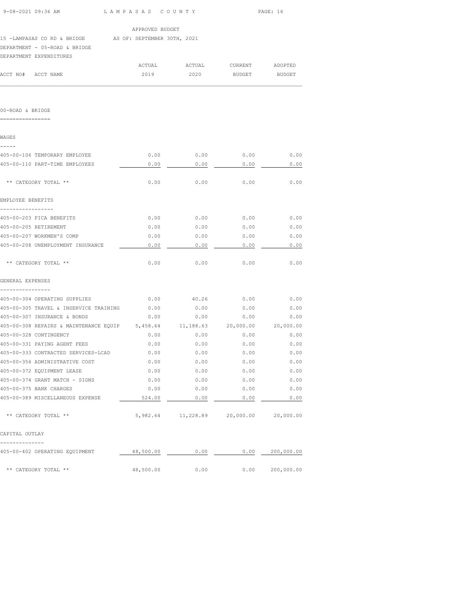| 9-08-2021 09:36 AM                                      | LAMPASAS COUNTY                       |                                              |                     | PAGE: 16  |
|---------------------------------------------------------|---------------------------------------|----------------------------------------------|---------------------|-----------|
|                                                         | APPROVED BUDGET                       |                                              |                     |           |
| 15 -LAMPASAS CO RD & BRIDGE AS OF: SEPTEMBER 30TH, 2021 |                                       |                                              |                     |           |
| DEPARTMENT - 05-ROAD & BRIDGE                           |                                       |                                              |                     |           |
| DEPARTMENT EXPENDITURES                                 |                                       |                                              |                     |           |
|                                                         | ACTUAL                                | ACTUAL                                       | CURRENT             | ADOPTED   |
| ACCT NO# ACCT NAME                                      | 2019                                  | 2020                                         | <b>BUDGET</b>       | BUDGET    |
|                                                         |                                       |                                              |                     |           |
|                                                         |                                       |                                              |                     |           |
| 00-ROAD & BRIDGE                                        |                                       |                                              |                     |           |
| ================                                        |                                       |                                              |                     |           |
|                                                         |                                       |                                              |                     |           |
| WAGES<br>-----                                          |                                       |                                              |                     |           |
| 405-00-106 TEMPORARY EMPLOYEE                           | 0.00                                  | 0.00                                         | 0.00                | 0.00      |
| 405-00-110 PART-TIME EMPLOYEES                          | 0.00                                  | 0.00                                         | 0.00                | 0.00      |
|                                                         |                                       |                                              |                     |           |
| ** CATEGORY TOTAL **                                    | 0.00                                  | 0.00                                         | 0.00                | 0.00      |
| EMPLOYEE BENEFITS                                       |                                       |                                              |                     |           |
|                                                         |                                       |                                              |                     |           |
| 405-00-203 FICA BENEFITS                                | 0.00                                  | 0.00                                         | 0.00                | 0.00      |
| 405-00-205 RETIREMENT                                   | 0.00                                  | 0.00                                         | 0.00                | 0.00      |
| 405-00-207 WORKMEN'S COMP                               | 0.00                                  | 0.00                                         | 0.00                | 0.00      |
| 405-00-208 UNEMPLOYMENT INSURANCE                       | 0.00                                  | 0.00                                         | 0.00                | 0.00      |
| ** CATEGORY TOTAL **                                    | 0.00                                  | 0.00                                         | 0.00                | 0.00      |
|                                                         |                                       |                                              |                     |           |
| GENERAL EXPENSES                                        |                                       |                                              |                     |           |
|                                                         |                                       |                                              |                     |           |
| 405-00-304 OPERATING SUPPLIES                           | 0.00                                  | 40.26                                        | 0.00                | 0.00      |
| 405-00-305 TRAVEL & INSERVICE TRAINING                  | 0.00                                  | 0.00                                         | 0.00                | 0.00      |
| 405-00-307 INSURANCE & BONDS                            | 0.00                                  | 0.00                                         | 0.00                | 0.00      |
| 405-00-308 REPAIRS & MAINTENANCE EQUIP 5,458.64         |                                       |                                              | 11,188.63 20,000.00 | 20,000.00 |
| 405-00-328 CONTINGENCY                                  | 0.00                                  | 0.00                                         | 0.00                | 0.00      |
| 405-00-331 PAYING AGENT FEES                            | 0.00                                  | 0.00                                         | 0.00                | 0.00      |
| 405-00-333 CONTRACTED SERVICES-LCAD                     | 0.00                                  | 0.00                                         | 0.00                | 0.00      |
| 405-00-356 ADMINISTRATIVE COST                          | 0.00                                  | 0.00                                         | 0.00                | 0.00      |
| 405-00-372 EQUIPMENT LEASE                              | 0.00                                  | 0.00                                         | 0.00                | 0.00      |
| 405-00-374 GRANT MATCH - SIGNS                          | 0.00                                  | 0.00                                         | 0.00                | 0.00      |
| 405-00-375 BANK CHARGES                                 | 0.00                                  | 0.00                                         | 0.00                | 0.00      |
| 405-00-389 MISCELLANEOUS EXPENSE                        | $524.00$ 0.00                         |                                              | 0.00                | 0.00      |
| ** CATEGORY TOTAL **                                    |                                       | 5,982.64   11,228.89   20,000.00   20,000.00 |                     |           |
| CAPITAL OUTLAY                                          |                                       |                                              |                     |           |
| --------------                                          |                                       |                                              |                     |           |
| 405-00-402 OPERATING EQUIPMENT                          | $48,500.00$ 0.00 0.00 0.00 200,000.00 |                                              |                     |           |
| ** CATEGORY TOTAL **                                    |                                       | 48,500.00 0.00                               | 0.00 200,000.00     |           |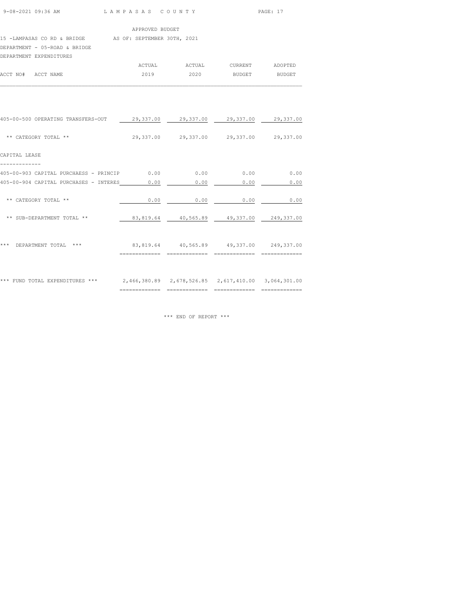| 9-08-2021 09:36 AM | LAMPASAS COUNTY | PAGE: 17 |
|--------------------|-----------------|----------|
|                    |                 |          |

| APPROVED BUDGET |  |
|-----------------|--|
|                 |  |

| 15 -LAMPASAS CO RD & BRIDGE |  |  |  | AS OF: SEPTEMBER 30TH, 2021 |  |
|-----------------------------|--|--|--|-----------------------------|--|

DEPARTMENT - 05-ROAD & BRIDGE

|                    | DEPARTMENT EXPENDITURES |        |        |         |         |
|--------------------|-------------------------|--------|--------|---------|---------|
|                    |                         | ACTUAL | ACTUAL | CURRENT | ADOPTED |
| ACCT NO# ACCT NAME |                         | 2019   | 2020   | BUDGET  | BUDGET  |
|                    |                         |        |        |         |         |

| *** FUND TOTAL EXPENDITURES ***        |               | 2,466,380.89  2,678,526.85  2,617,410.00  3,064,301.00 |      |      |
|----------------------------------------|---------------|--------------------------------------------------------|------|------|
|                                        | ------------- |                                                        |      |      |
| ***<br>DEPARTMENT TOTAL<br>***         |               | 83,819.64 40,565.89 49,337.00 249,337.00               |      |      |
| ** SUB-DEPARTMENT TOTAL **             |               | 83,819.64 40,565.89 49,337.00 249,337.00               |      |      |
| ** CATEGORY TOTAL **                   | 0.00          | 0.00                                                   | 0.00 | 0.00 |
| 405-00-904 CAPITAL PURCHASES - INTERES | 0.00          | 0.00                                                   | 0.00 | 0.00 |
| 405-00-903 CAPITAL PURCHAESS - PRINCIP | 0.00          | 0.00                                                   | 0.00 | 0.00 |
| CAPITAL LEASE                          |               |                                                        |      |      |
| ** CATEGORY TOTAL **                   |               | 29,337.00 29,337.00 29,337.00 29,337.00                |      |      |
| 405-00-500 OPERATING TRANSFERS-OUT     |               | 29,337.00 29,337.00 29,337.00 29,337.00                |      |      |
|                                        |               |                                                        |      |      |

\*\*\* END OF REPORT \*\*\*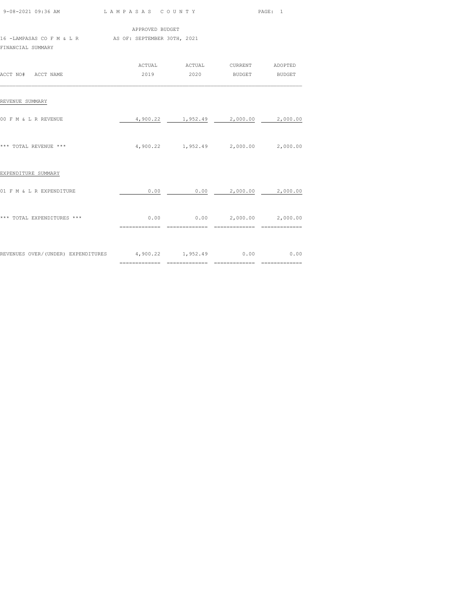|                                                                            | APPROVED BUDGET |  |                                                           |  |
|----------------------------------------------------------------------------|-----------------|--|-----------------------------------------------------------|--|
| 16 -LAMPASAS CO F M & L R AS OF: SEPTEMBER 30TH, 2021<br>FINANCIAL SUMMARY |                 |  |                                                           |  |
| ACCT NO# ACCT NAME                                                         |                 |  | ACTUAL ACTUAL CURRENT ADOPTED<br>2019  2020 BUDGET BUDGET |  |
| REVENUE SUMMARY                                                            |                 |  |                                                           |  |
| 00 F M & L R REVENUE                                                       |                 |  | 4,900.22 1,952.49 2,000.00 2,000.00                       |  |
| *** TOTAL REVENUE ***                                                      |                 |  | 4,900.22 1,952.49 2,000.00 2,000.00                       |  |
| EXPENDITURE SUMMARY                                                        |                 |  |                                                           |  |
| 01 F M & L R EXPENDITURE                                                   |                 |  | $0.00$ 0.00 2,000.00 2,000.00                             |  |
| *** TOTAL EXPENDITURES ***                                                 |                 |  | $0.00$ $0.00$ $2,000.00$ $2,000.00$                       |  |
| REVENUES OVER/(UNDER) EXPENDITURES 4,900.22 1,952.49 0.00 000 0.00         |                 |  |                                                           |  |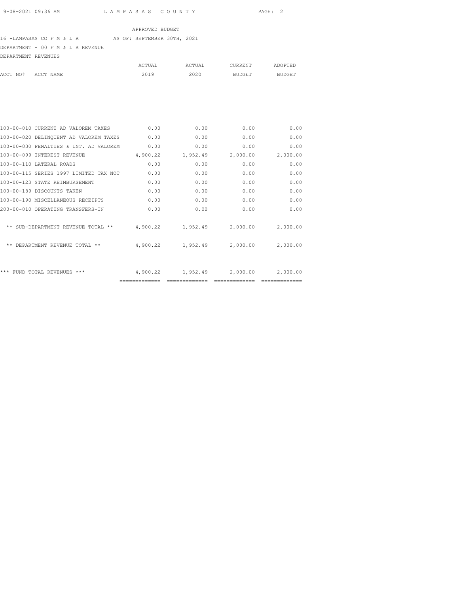### 16 -LAMPASAS CO F M & L R AS OF: SEPTEMBER 30TH, 2021

DEPARTMENT - 00 F M & L R REVENUE

| DEPARTMENT REVENUES |           |        |        |         |         |
|---------------------|-----------|--------|--------|---------|---------|
|                     |           | ACTUAL | ACTUAL | CURRENT | ADOPTED |
| ACCT NO#            | ACCT NAME | 2019   | 2020   | BUDGET  | BUDGET  |
|                     |           |        |        |         |         |

| 100-00-010 CURRENT AD VALOREM TAXES    | 0.00     | 0.00     | 0.00     | 0.00     |
|----------------------------------------|----------|----------|----------|----------|
| 100-00-020 DELINQUENT AD VALOREM TAXES | 0.00     | 0.00     | 0.00     | 0.00     |
| 100-00-030 PENALTIES & INT. AD VALOREM | 0.00     | 0.00     | 0.00     | 0.00     |
| 100-00-099 INTEREST REVENUE            | 4,900.22 | 1,952.49 | 2,000.00 | 2,000.00 |
| 100-00-110 LATERAL ROADS               | 0.00     | 0.00     | 0.00     | 0.00     |
| 100-00-115 SERIES 1997 LIMITED TAX NOT | 0.00     | 0.00     | 0.00     | 0.00     |
| 100-00-123 STATE REIMBURSEMENT         | 0.00     | 0.00     | 0.00     | 0.00     |
| 100-00-189 DISCOUNTS TAKEN             | 0.00     | 0.00     | 0.00     | 0.00     |
| 100-00-190 MISCELLANEOUS RECEIPTS      | 0.00     | 0.00     | 0.00     | 0.00     |
| 200-00-010 OPERATING TRANSFERS-IN      | 0.00     | 0.00     | 0.00     | 0.00     |
| ** SUB-DEPARTMENT REVENUE TOTAL **     | 4,900.22 | 1,952.49 | 2,000.00 | 2,000.00 |
| DEPARTMENT REVENUE TOTAL **<br>**      | 4,900.22 | 1,952.49 | 2,000.00 | 2,000.00 |
| ***<br>FUND TOTAL REVENUES ***         | 4,900.22 | 1,952.49 | 2,000.00 | 2,000.00 |
|                                        |          |          |          |          |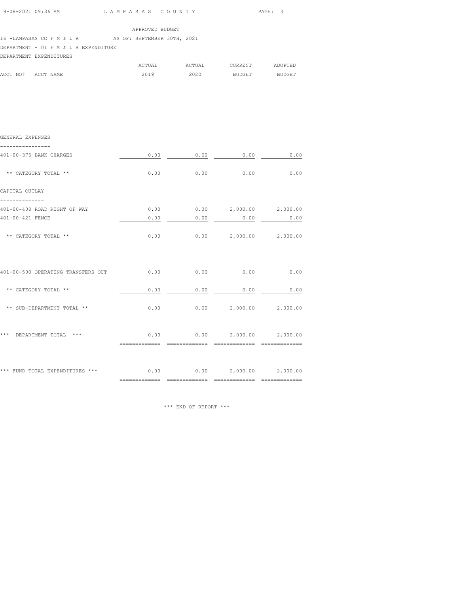|  | 9-08-2021 09:36 AM | LAMPASAS COUNTY | PAGE:<br>$\cdot$ |
|--|--------------------|-----------------|------------------|
|--|--------------------|-----------------|------------------|

### 16 -LAMPASAS CO F M & L R AS OF: SEPTEMBER 30TH, 2021

# DEPARTMENT - 01 F M & L R EXPENDITURE

|          |           | ACTUAL | ACTUAL | CURRENT | ADOPTED       |
|----------|-----------|--------|--------|---------|---------------|
| ACCT NO# | ACCT NAME | 2019   | 2020   | BUDGET  | <b>BUDGET</b> |
|          |           |        |        |         |               |

| GENERAL EXPENSES                   |                                     |                                                                                           |  |
|------------------------------------|-------------------------------------|-------------------------------------------------------------------------------------------|--|
| 401-00-375 BANK CHARGES            |                                     | $0.00$ $0.00$ $0.00$ $0.00$ $0.00$                                                        |  |
| ** CATEGORY TOTAL **               |                                     | $0.00$ $0.00$ $0.00$ $0.00$ $0.00$                                                        |  |
| CAPITAL OUTLAY                     |                                     |                                                                                           |  |
| 401-00-408 ROAD RIGHT OF WAY       | $0.00$ $0.00$ $2,000.00$ $2,000.00$ |                                                                                           |  |
| 401-00-421 FENCE                   |                                     | $0.00$ $0.00$ $0.00$ $0.00$ $0.00$                                                        |  |
| ** CATEGORY TOTAL **               |                                     | $0.00$ $0.00$ $2,000.00$ $2,000.00$                                                       |  |
| 401-00-500 OPERATING TRANSFERS OUT |                                     | $\begin{array}{cccccccccccccc} 0.00 & & & & 0.00 & & & & 0.00 & & & & & 0.00 \end{array}$ |  |
| ** CATEGORY TOTAL **               |                                     | $0.00$ 0.00 0.00 0.00 0.00                                                                |  |
| ** SUB-DEPARTMENT TOTAL **         |                                     | $0.00$ $0.00$ $2,000.00$ $2,000.00$                                                       |  |
| *** DEPARTMENT TOTAL ***           |                                     | $0.00$ $0.00$ $2,000.00$ $2,000.00$                                                       |  |
|                                    |                                     |                                                                                           |  |
|                                    |                                     |                                                                                           |  |

\*\*\* END OF REPORT \*\*\*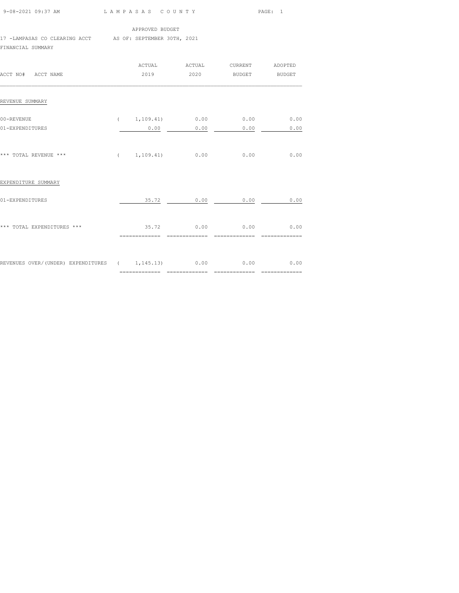| 9-08-2021 09:37 AM |
|--------------------|
|                    |

9-08-2021 09:37 AM L A M P A S A S C O U N T Y PAGE: 1

APPROVED BUDGET

17 -LAMPASAS CO CLEARING ACCT AS OF: SEPTEMBER 30TH, 2021

FINANCIAL SUMMARY

| ACCT NO# ACCT NAME                                                 |                | ACTUAL ACTUAL       | CURRENT ADOPTED                      |      |
|--------------------------------------------------------------------|----------------|---------------------|--------------------------------------|------|
| REVENUE SUMMARY                                                    |                |                     |                                      |      |
| 00-REVENUE<br>01-EXPENDITURES                                      | 0.00           | 0.00                | $(1, 109.41)$ 0.00 0.00 0.00<br>0.00 | 0.00 |
|                                                                    |                |                     |                                      |      |
| *** TOTAL REVENUE ***                                              |                | $(1, 109, 41)$ 0.00 | 0.00                                 | 0.00 |
| EXPENDITURE SUMMARY                                                |                |                     |                                      |      |
| 01-EXPENDITURES                                                    |                | 35.72 0.00          | 0.00                                 | 0.00 |
| *** TOTAL EXPENDITURES ***                                         | ============== |                     | 35.72 0.00 0.00 0.00 0.00            |      |
|                                                                    |                |                     |                                      |      |
| REVENUES OVER/(UNDER) EXPENDITURES ( 1,145.13) 0.00 0.00 0.00 0.00 |                |                     |                                      |      |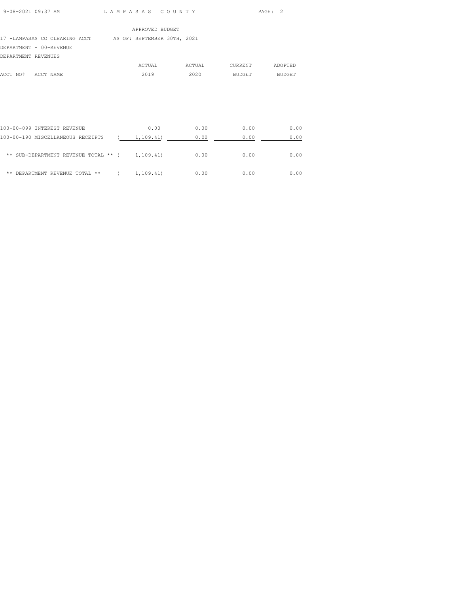# 17 -LAMPASAS CO CLEARING ACCT AS OF: SEPTEMBER 30TH, 2021 DEPARTMENT - 00-REVENUE DEPARTMENT REVENUES

| DELANINENI NEVENOES |           |        |        |         |         |
|---------------------|-----------|--------|--------|---------|---------|
|                     |           | ACTUAL | ACTUAL | CURRENT | ADOPTED |
| ACCT NO#            | ACCT NAME | 2019   | 2020   | BUDGET  | BUDGET  |
|                     |           |        |        |         |         |

| 100-00-099 INTEREST REVENUE          | 0.00      | 0.00 | 0.00 | 0.00 |
|--------------------------------------|-----------|------|------|------|
| 100-00-190 MISCELLANEOUS RECEIPTS    | 1,109.41) | 0.00 | 0.00 | 0.00 |
| ** SUB-DEPARTMENT REVENUE TOTAL ** ( | 1,109.41) | 0.00 | 0.00 | 0.00 |
| DEPARTMENT REVENUE TOTAL **<br>**    | 1,109.41) | 0.00 | 0.00 | 0.00 |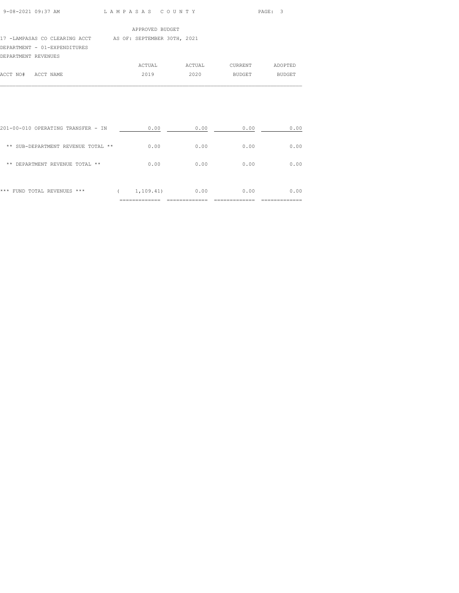| $9 - 08 - 2021$ $09:37$ AM |  |  |
|----------------------------|--|--|
|                            |  |  |

L A M P A S A S C O U N T Y PAGE: 3

#### APPROVED BUDGET

### 17 -LAMPASAS CO CLEARING ACCT AS OF: SEPTEMBER 30TH, 2021

DEPARTMENT - 01-EXPENDITURES

## DEPARTMENT REVENUES

|                    | ACTUAL | ACTUAL | CURRENT | ADOPTED |
|--------------------|--------|--------|---------|---------|
| ACCT NO# ACCT NAME | 2019   | 2020   | BUDGET  | BUDGET  |
|                    |        |        |         |         |

| * * *<br>FUND TOTAL REVENUES<br>*** | 1,109.41) | 0.00 | 0.00 | 0.00 |
|-------------------------------------|-----------|------|------|------|
| DEPARTMENT REVENUE TOTAL **<br>**   | 0.00      | 0.00 | 0.00 | 0.00 |
| ** SUB-DEPARTMENT REVENUE TOTAL **  | 0.00      | 0.00 | 0.00 | 0.00 |
| 201-00-010 OPERATING TRANSFER - IN  | 0.00      | 0.00 | 0.00 | 0.00 |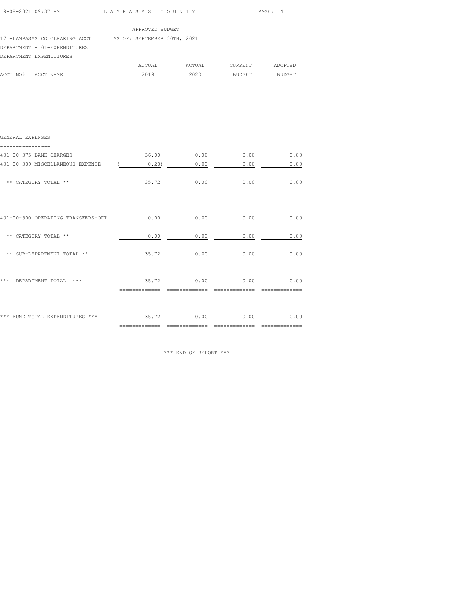| 17 -LAMPASAS CO CLEARING ACCT AS OF: SEPTEMBER 30TH, 2021<br>DEPARTMENT - 01-EXPENDITURES<br>DEPARTMENT EXPENDITURES<br>ACCT NO# ACCT NAME<br>GENERAL EXPENSES | APPROVED BUDGET                    |                   | ACTUAL ACTUAL CURRENT ADOPTED<br>2019  2020 BUDGET BUDGET |      |
|----------------------------------------------------------------------------------------------------------------------------------------------------------------|------------------------------------|-------------------|-----------------------------------------------------------|------|
|                                                                                                                                                                |                                    |                   |                                                           |      |
|                                                                                                                                                                |                                    |                   |                                                           |      |
|                                                                                                                                                                |                                    |                   |                                                           |      |
|                                                                                                                                                                |                                    |                   |                                                           |      |
|                                                                                                                                                                |                                    |                   |                                                           |      |
|                                                                                                                                                                |                                    |                   |                                                           |      |
| 401-00-375 BANK CHARGES                                                                                                                                        |                                    |                   | $36.00$ 0.00 0.00 0.00 0.00                               |      |
| 401-00-389 MISCELLANEOUS EXPENSE                                                                                                                               | $(0.28)$ 0.00 0.00 0.00 0.00       |                   |                                                           |      |
| ** CATEGORY TOTAL **                                                                                                                                           |                                    | $35.72$ 0.00 0.00 |                                                           | 0.00 |
| 401-00-500 OPERATING TRANSFERS-OUT                                                                                                                             | $0.00$ $0.00$ $0.00$ $0.00$ $0.00$ |                   |                                                           |      |
| ** CATEGORY TOTAL **                                                                                                                                           |                                    |                   | $0.00$ 0.00 0.00 0.00 0.00                                |      |
| ** SUB-DEPARTMENT TOTAL **                                                                                                                                     | $35.72$ 0.00 0.00 0.00             |                   |                                                           |      |
| *** DEPARTMENT TOTAL ***                                                                                                                                       | $35.72$ 0.00 0.00 0.00 0.00        |                   |                                                           |      |

\*\*\* FUND TOTAL EXPENDITURES \*\*\*  $35.72$  0.00 0.00 0.00 0.00

\*\*\* END OF REPORT \*\*\*

============= ============= ============= =============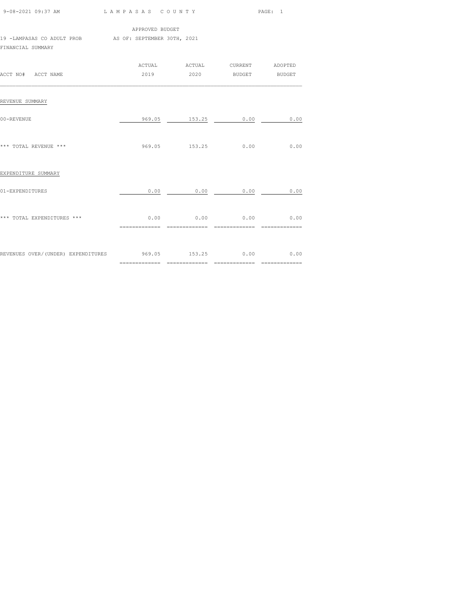| 9-08-2021 09:37 AM LAMPASAS COUNTY                         |                 |                                                           | PAGE: 1 |
|------------------------------------------------------------|-----------------|-----------------------------------------------------------|---------|
| 19 -LAMPASAS CO ADULT PROB AS OF: SEPTEMBER 30TH, 2021     | APPROVED BUDGET |                                                           |         |
| FINANCIAL SUMMARY                                          |                 |                                                           |         |
| ACCT NO# ACCT NAME                                         |                 | ACTUAL ACTUAL CURRENT ADOPTED<br>2019  2020 BUDGET BUDGET |         |
| REVENUE SUMMARY                                            |                 |                                                           |         |
| 00-REVENUE                                                 |                 | 969.05 153.25 0.00                                        | 0.00    |
| *** TOTAL REVENUE ***                                      |                 | 969.05 153.25 0.00 0.00                                   |         |
| EXPENDITURE SUMMARY                                        |                 |                                                           |         |
| 01-EXPENDITURES                                            |                 | $0.00$ 0.00 0.00 0.00                                     |         |
| *** TOTAL EXPENDITURES ***                                 |                 | $0.00$ $0.00$ $0.00$ $0.00$ $0.00$                        |         |
| REVENUES OVER/(UNDER) EXPENDITURES 699.05 153.25 0.00 0.00 |                 |                                                           |         |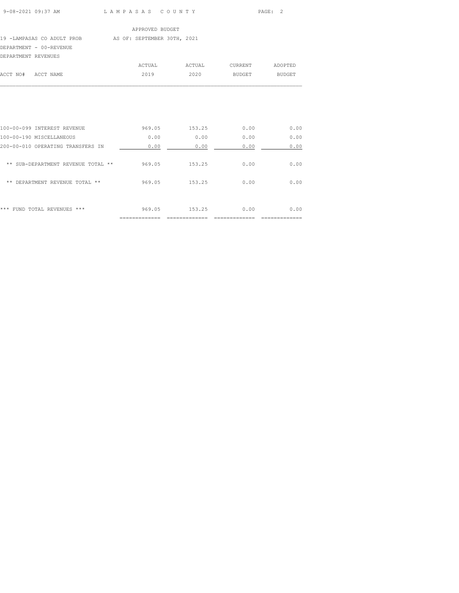| $9 - 08 - 2021$ $09:37$ AM |  |
|----------------------------|--|
|                            |  |

LAM PASAS COUNTY PAGE: 2

#### APPROVED BUDGET

# 19 -LAMPASAS CO ADULT PROB AS OF: SEPTEMBER 30TH, 2021 DEPARTMENT - 00-REVENUE

| DEPARTMENT REVENUES |        |        |         |         |
|---------------------|--------|--------|---------|---------|
|                     | ACTUAL | ACTUAL | CURRENT | ADOPTED |
| ACCT NO# ACCT NAME  | 2019   | 2020   | BUDGET  | BUDGET  |
|                     |        |        |         |         |

|                                                           | .========== |        |      |      |
|-----------------------------------------------------------|-------------|--------|------|------|
| ***<br>TOTAL REVENUES<br>$***$<br>FUND.                   | 969.05      | 153.25 | 0.00 | 0.00 |
| **<br><b>DEPARTMENT</b><br><b>REVENUE</b><br>**<br>TOTAL. | 969.05      | 153.25 | 0.00 | 0.00 |
| $* *$<br>SUB-DEPARTMENT REVENUE<br>**<br>TOTAL            | 969.05      | 153.25 | 0.00 | 0.00 |
| 200-00-010 OPERATING TRANSFERS IN                         | 0.00        | 0.00   | 0.00 | 0.00 |
| 100-00-190 MISCELLANEOUS                                  | 0.00        | 0.00   | 0.00 | 0.00 |
| 100-00-099 INTEREST REVENUE                               | 969.05      | 153.25 | 0.00 | 0.00 |
|                                                           |             |        |      |      |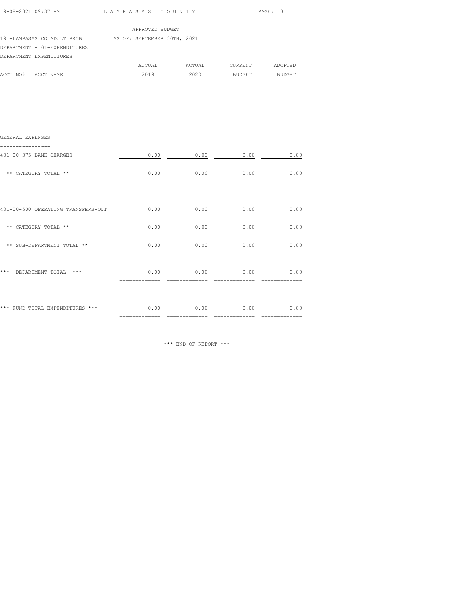| 9-08-2021 09:37 AM | LAMPASAS COUNTY | PAGE: 3 |
|--------------------|-----------------|---------|

 $\mathcal{L}_\text{max}$ 

|                              | APPROVED BUDGET             |        |               |               |
|------------------------------|-----------------------------|--------|---------------|---------------|
| 19 -LAMPASAS CO ADULT PROB   | AS OF: SEPTEMBER 30TH, 2021 |        |               |               |
| DEPARTMENT - 01-EXPENDITURES |                             |        |               |               |
| DEPARTMENT EXPENDITURES      |                             |        |               |               |
|                              | ACTUAL                      | ACTUAL | CURRENT       | ADOPTED       |
| ACCT NO#<br>ACCT NAME        | 2019                        | 2020   | <b>BUDGET</b> | <b>BUDGET</b> |

| GENERAL EXPENSES                   |                |                        |              |      |
|------------------------------------|----------------|------------------------|--------------|------|
| 401-00-375 BANK CHARGES            | 0.00           | 0.00                   | 0.00         | 0.00 |
| ** CATEGORY TOTAL **               | 0.00           | 0.00                   | 0.00         | 0.00 |
|                                    |                |                        |              |      |
| 401-00-500 OPERATING TRANSFERS-OUT |                | 0.00                   | 0.00<br>0.00 | 0.00 |
| ** CATEGORY TOTAL **               | 0.00           | 0.00                   | 0.00         | 0.00 |
| ** SUB-DEPARTMENT TOTAL **         |                | 0.00                   | 0.00<br>0.00 | 0.00 |
|                                    |                |                        |              |      |
| * * *<br>$***$<br>DEPARTMENT TOTAL | 0.00           | 0.00                   | 0.00         | 0.00 |
|                                    |                |                        |              |      |
| *** FUND TOTAL EXPENDITURES ***    | 0.00           | 0.00<br>============== | 0.00         | 0.00 |
|                                    | ============== |                        |              |      |

\*\*\* END OF REPORT \*\*\*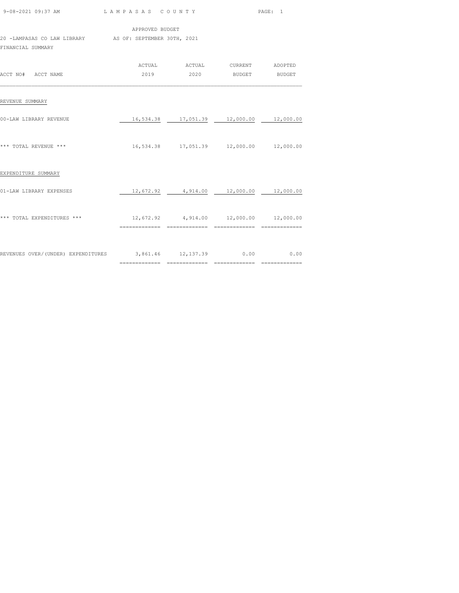| 9-08-2021 09:37 AM LAMPASAS COUNTY                                           |                                                |                                                           | PAGE: 1 |  |
|------------------------------------------------------------------------------|------------------------------------------------|-----------------------------------------------------------|---------|--|
| 20 -LAMPASAS CO LAW LIBRARY AS OF: SEPTEMBER 30TH, 2021<br>FINANCIAL SUMMARY | APPROVED BUDGET                                |                                                           |         |  |
| ACCT NO# ACCT NAME                                                           |                                                | ACTUAL ACTUAL CURRENT ADOPTED<br>2019  2020 BUDGET BUDGET |         |  |
| REVENUE SUMMARY                                                              |                                                |                                                           |         |  |
| 00-LAW LIBRARY REVENUE                                                       |                                                | 16,534.38  17,051.39  12,000.00  12,000.00                |         |  |
| *** TOTAL REVENUE ***                                                        |                                                | 16,534.38  17,051.39  12,000.00  12,000.00                |         |  |
| EXPENDITURE SUMMARY                                                          |                                                |                                                           |         |  |
| 01-LAW LIBRARY EXPENSES                                                      |                                                | $12,672.92$ $4,914.00$ $12,000.00$ $12,000.00$            |         |  |
| *** TOTAL EXPENDITURES ***                                                   | $12,672.92$ $4,914.00$ $12,000.00$ $12,000.00$ |                                                           |         |  |
| REVENUES OVER/(UNDER) EXPENDITURES 3,861.46 12,137.39 0.00 0.00              |                                                |                                                           |         |  |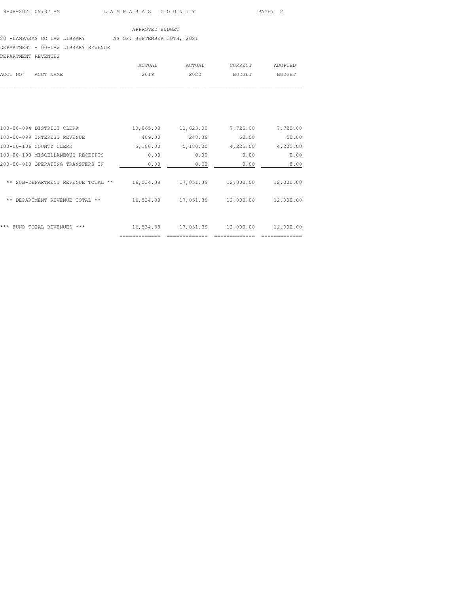### 20 -LAMPASAS CO LAW LIBRARY AS OF: SEPTEMBER 30TH, 2021 DEPARTMENT - 00-LAW LIBRARY REVENUE

DEPARTMENT REVENUES

| DEPARTMENT REVENUES |        |        |         |         |
|---------------------|--------|--------|---------|---------|
|                     | ACTUAL | ACTUAL | CURRENT | ADOPTED |
| ACCT NO# ACCT NAME  | 2019   | 2020   | BUDGET  | BUDGET  |
|                     |        |        |         |         |

| 100-00-094 DISTRICT CLERK                   | 10,865.08 | 11,623.00 | 7,725.00  | 7,725.00  |
|---------------------------------------------|-----------|-----------|-----------|-----------|
| 100-00-099 INTEREST REVENUE                 | 489.30    | 248.39    | 50.00     | 50.00     |
| 100-00-106 COUNTY CLERK                     | 5,180.00  | 5,180.00  | 4,225.00  | 4,225.00  |
| 100-00-190 MISCELLANEOUS RECEIPTS           | 0.00      | 0.00      | 0.00      | 0.00      |
| 200-00-010 OPERATING TRANSFERS IN           | 0.00      | 0.00      | 0.00      | 0.00      |
|                                             |           |           |           |           |
| SUB-DEPARTMENT REVENUE TOTAL<br>$* *$       | 16,534.38 | 17,051.39 | 12,000.00 | 12,000.00 |
|                                             |           |           |           |           |
| DEPARTMENT REVENUE TOTAL **<br>**           | 16,534.38 | 17,051.39 | 12,000.00 | 12,000.00 |
|                                             |           |           |           |           |
|                                             |           |           |           |           |
| ***<br>TOTAL REVENUES<br>***<br><b>FUND</b> | 16,534.38 | 17,051.39 | 12,000.00 | 12,000.00 |
|                                             |           |           |           |           |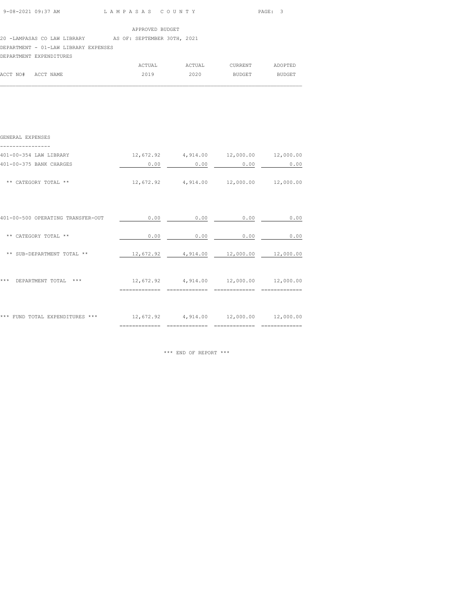| 9-08-2021 09:37 AM | LAMPASAS COUNTY | PAGE: 3 |
|--------------------|-----------------|---------|

20 -LAMPASAS CO LAW LIBRARY AS OF: SEPTEMBER 30TH, 2021

DEPARTMENT - 01-LAW LIBRARY EXPENSES

DEPARTMENT EXPENDITURES

| ACTUAL | ACTUAL             | CURRENT | ADOPTED |
|--------|--------------------|---------|---------|
| 2019   | 2020               | BUDGET  | BUDGET  |
|        | ACCT NO# ACCT NAME |         |         |

 $\mathcal{L}_\text{max}$ 

| GENERAL EXPENSES                  |                |      |                                                |      |
|-----------------------------------|----------------|------|------------------------------------------------|------|
| 401-00-354 LAW LIBRARY            |                |      | $12,672.92$ $4,914.00$ $12,000.00$ $12,000.00$ |      |
| 401-00-375 BANK CHARGES           | 0.00           | 0.00 | 0.00                                           | 0.00 |
| ** CATEGORY TOTAL **              |                |      | $12,672.92$ $4,914.00$ $12,000.00$ $12,000.00$ |      |
|                                   |                |      |                                                |      |
| 401-00-500 OPERATING TRANSFER-OUT | 0.00           | 0.00 | 0.00                                           | 0.00 |
| ** CATEGORY TOTAL **              | 0.00           | 0.00 | 0.00                                           | 0.00 |
| ** SUB-DEPARTMENT TOTAL **        |                |      | $12,672.92$ $4,914.00$ $12,000.00$ $12,000.00$ |      |
|                                   |                |      |                                                |      |
| ***<br>DEPARTMENT TOTAL<br>$***$  | ============== |      | $12,672.92$ $4,914.00$ $12,000.00$ $12,000.00$ |      |
|                                   |                |      |                                                |      |
| *** FUND TOTAL EXPENDITURES ***   |                |      | $12,672.92$ $4,914.00$ $12,000.00$ $12,000.00$ |      |
|                                   |                |      |                                                |      |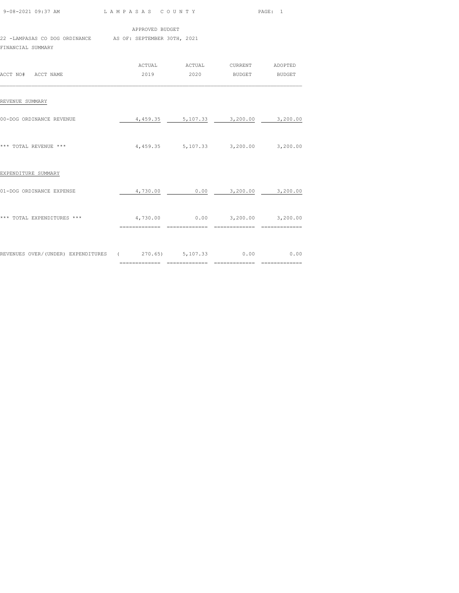| 9-08-2021 09:37 AM | LAMPASAS COUNTY | PAGE: 1 |  |
|--------------------|-----------------|---------|--|
|                    |                 |         |  |

22 -LAMPASAS CO DOG ORDINANCE AS OF: SEPTEMBER 30TH, 2021

FINANCIAL SUMMARY

| ACCT NO# ACCT NAME                                   | ACTUAL<br>2019 | ACTUAL<br>2020 | CURRENT<br><b>BUDGET</b>            | ADOPTED<br><b>BUDGET</b>     |
|------------------------------------------------------|----------------|----------------|-------------------------------------|------------------------------|
| REVENUE SUMMARY                                      |                |                |                                     |                              |
| 00-DOG ORDINANCE REVENUE                             |                |                | 4,459.35 5,107.33 3,200.00 3,200.00 |                              |
| *** TOTAL REVENUE ***                                |                |                | 4,459.35 5,107.33 3,200.00 3,200.00 |                              |
| EXPENDITURE SUMMARY                                  |                |                |                                     |                              |
| 01-DOG ORDINANCE EXPENSE                             | 4,730.00       |                | $0.00$ $3,200.00$ $3,200.00$        |                              |
| *** TOTAL EXPENDITURES ***                           |                |                |                                     |                              |
| REVENUES OVER/(UNDER) EXPENDITURES (270.65) 5,107.33 |                |                |                                     | $0.00$ 0.00<br>============= |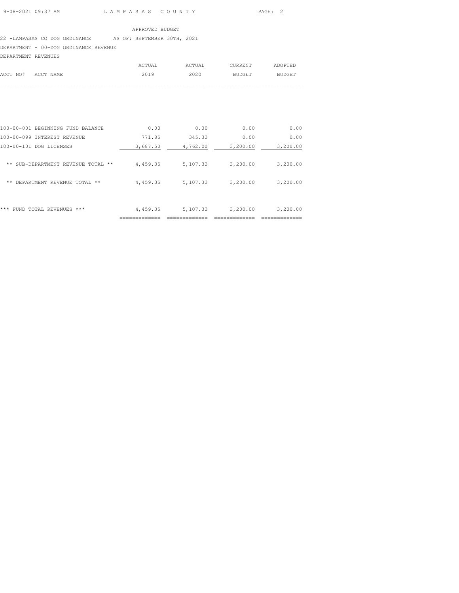### 22 -LAMPASAS CO DOG ORDINANCE AS OF: SEPTEMBER 30TH, 2021 DEPARTMENT - 00-DOG ORDINANCE REVENUE

DEPARTMENT REVENUES

|                    | ACTUAL | ACTUAL | CURRENT | ADOPTED |
|--------------------|--------|--------|---------|---------|
| ACCT NO# ACCT NAME | 2019   | 2020   | BUDGET  | BUDGET  |
|                    |        |        |         |         |

|                                       | __________ |          |          |          |
|---------------------------------------|------------|----------|----------|----------|
| ***<br>FUND TOTAL<br>REVENUES<br>***  | 4,459.35   | 5,107.33 | 3,200.00 | 3,200.00 |
| DEPARTMENT REVENUE TOTAL<br>**<br>**  | 4,459.35   | 5,107.33 | 3,200.00 | 3,200.00 |
| SUB-DEPARTMENT REVENUE TOTAL **<br>** | 4,459.35   | 5,107.33 | 3,200.00 | 3,200.00 |
| 100-00-101 DOG LICENSES               | 3,687.50   | 4,762.00 | 3,200.00 | 3,200.00 |
| $100 - 00 - 099$<br>INTEREST REVENUE  | 771.85     | 345.33   | 0.00     | 0.00     |
| 100-00-001 BEGINNING FUND BALANCE     | 0.00       | 0.00     | 0.00     | 0.00     |
|                                       |            |          |          |          |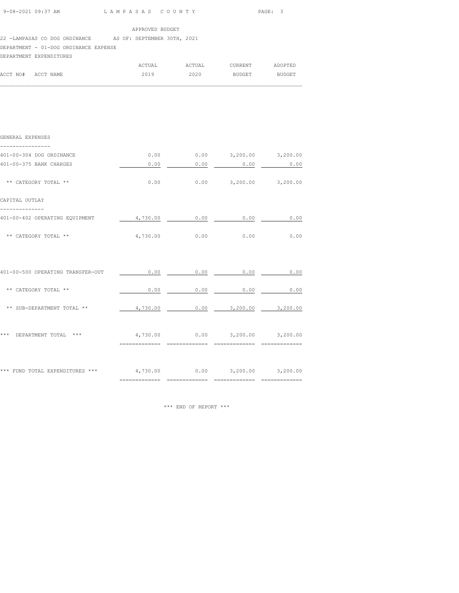| 9-08-2021 09:37 AM | LAMPASAS COUNTY | PAGE: 3 |
|--------------------|-----------------|---------|
|                    |                 |         |

22 -LAMPASAS CO DOG ORDINANCE AS OF: SEPTEMBER 30TH, 2021

DEPARTMENT - 01-DOG ORDINANCE EXPENSE

### DEPARTMENT EXPENDITURES

|                    | ACTUAL | ACTUAL | CURRENT | ADOPTED |
|--------------------|--------|--------|---------|---------|
| ACCT NO# ACCT NAME | 2019   | 2020   | BUDGET  | BUDGET  |
|                    |        |        |         |         |

| GENERAL EXPENSES                                                    |                |                |                                     |             |
|---------------------------------------------------------------------|----------------|----------------|-------------------------------------|-------------|
| 401-00-304 DOG ORDINANCE                                            |                |                | $0.00$ $0.00$ $3,200.00$ $3,200.00$ |             |
| 401-00-375 BANK CHARGES                                             |                | $0.00$ 0.00    |                                     | $0.00$ 0.00 |
| ** CATEGORY TOTAL **                                                |                |                | $0.00$ $0.00$ $3,200.00$ $3,200.00$ |             |
| CAPITAL OUTLAY                                                      |                |                |                                     |             |
| 401-00-402 OPERATING EQUIPMENT                                      |                |                | $4,730.00$ 0.00 0.00                | 0.00        |
| ** CATEGORY TOTAL **                                                |                |                | 4,730.00 0.00 0.00                  | 0.00        |
|                                                                     |                |                |                                     |             |
| 401-00-500 OPERATING TRANSFER-OUT                                   |                |                | $0.00$ $0.00$ $0.00$ $0.00$ $0.00$  |             |
| ** CATEGORY TOTAL **                                                |                | $0.00$ 0.00    |                                     | $0.00$ 0.00 |
| ** SUB-DEPARTMENT TOTAL **                                          | 4,730.00       |                | $0.00$ $3,200.00$ $3,200.00$        |             |
| *** DEPARTMENT TOTAL *** $4,730.00$ 0.00 3,200.00 3,200.00          |                |                |                                     |             |
|                                                                     | ============== | ============== | _______________                     |             |
| *** FUND TOTAL EXPENDITURES *** $4,730.00$ 0.00 $3,200.00$ 3,200.00 |                |                |                                     |             |
|                                                                     |                |                |                                     |             |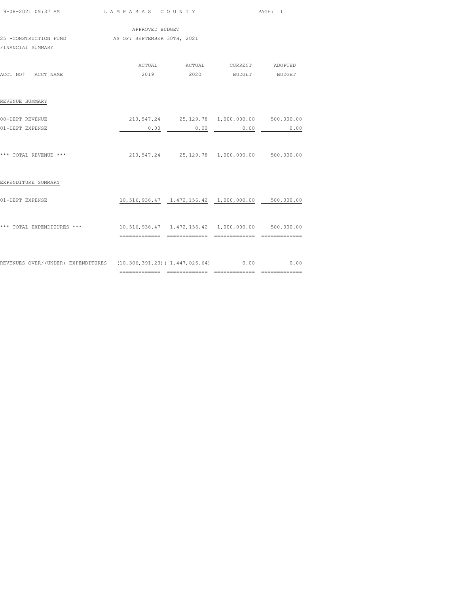| 9-08-2021 09:37 AM                                                              | LAMPASAS COUNTY             |                                                       |                    | PAGE: 1 |  |
|---------------------------------------------------------------------------------|-----------------------------|-------------------------------------------------------|--------------------|---------|--|
|                                                                                 | APPROVED BUDGET             |                                                       |                    |         |  |
| 25 -CONSTRUCTION FUND<br>FINANCIAL SUMMARY                                      | AS OF: SEPTEMBER 30TH, 2021 |                                                       |                    |         |  |
| ACCT NO# ACCT NAME                                                              | 2019                        |                                                       | 2020 BUDGET BUDGET |         |  |
| REVENUE SUMMARY                                                                 |                             |                                                       |                    |         |  |
| 00-DEPT REVENUE                                                                 |                             | 210,547.24 25,129.78 1,000,000.00 500,000.00          |                    |         |  |
| 01-DEPT EXPENSE                                                                 | 0.00                        | 0.00                                                  | 0.00               | 0.00    |  |
| *** TOTAL REVENUE ***                                                           |                             | 210,547.24  25,129.78  1,000,000.00  500,000.00       |                    |         |  |
| EXPENDITURE SUMMARY                                                             |                             |                                                       |                    |         |  |
| 01-DEPT EXPENSE                                                                 |                             | 10,516,938.47  1,472,156.42  1,000,000.00  500,000.00 |                    |         |  |
| *** TOTAL EXPENDITURES *** 10,516,938.47 1,472,156.42 1,000,000.00 500,000.00   |                             |                                                       |                    |         |  |
| REVENUES OVER/(UNDER) EXPENDITURES (10,306,391.23)(1,447,026.64) 0.00 0.00 0.00 |                             |                                                       |                    |         |  |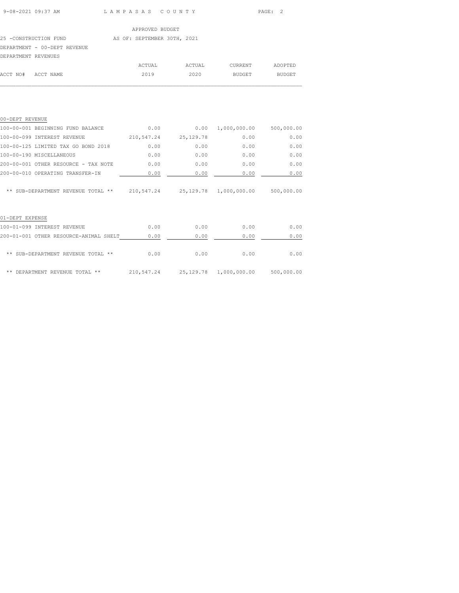ACCT NO# ACCT NAME 2019 2020 BUDGET BUDGET  $\mathcal{L}_\text{max}$ 

# APPROVED BUDGET 25 -CONSTRUCTION FUND AS OF: SEPTEMBER 30TH, 2021 DEPARTMENT - 00-DEPT REVENUE DEPARTMENT REVENUES ACTUAL ACTUAL CURRENT ADOPTED

| 0.00       |             |            | 500,000.00                                     |
|------------|-------------|------------|------------------------------------------------|
| 210,547.24 | 25, 129. 78 | 0.00       | 0.00                                           |
| 0.00       | 0.00        | 0.00       | 0.00                                           |
| 0.00       | 0.00        | 0.00       | 0.00                                           |
| 0.00       | 0.00        | 0.00       | 0.00                                           |
| 0.00       | 0.00        | 0.00       | 0.00                                           |
|            |             |            | 500,000.00                                     |
|            |             |            |                                                |
| 0.00       | 0.00        | 0.00       | 0.00                                           |
| 0.00       | 0.00        | 0.00       | 0.00                                           |
| 0.00       | 0.00        | 0.00       | 0.00                                           |
|            |             | 210,547.24 | 1,000,000.00<br>0.00<br>25,129.78 1,000,000.00 |

\*\* DEPARTMENT REVENUE TOTAL \*\* 210,547.24 25,129.78 1,000,000.00 500,000.00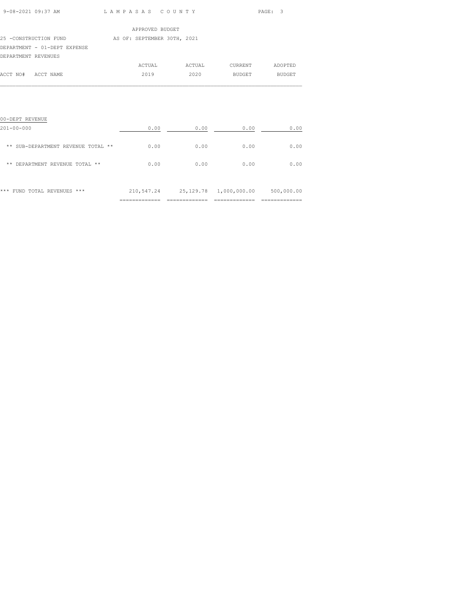| 9-08-2021 09:37 AM | LAMPASAS COUNTY<br>$\sim$ $\sim$ $\sim$ $\sim$ $\sim$ $\sim$ | PAGE: 3 |
|--------------------|--------------------------------------------------------------|---------|

|                              | APPROVED BUDGET             |        |         |               |
|------------------------------|-----------------------------|--------|---------|---------------|
| 25 -CONSTRUCTION FUND        | AS OF: SEPTEMBER 30TH, 2021 |        |         |               |
| DEPARTMENT - 01-DEPT EXPENSE |                             |        |         |               |
| DEPARTMENT REVENUES          |                             |        |         |               |
|                              | ACTUAL                      | ACTUAL | CURRENT | ADOPTED       |
| ACCT NO# ACCT NAME           | 2019                        | 2020   | BUDGET  | <b>BUDGET</b> |

| 00-DEPT REVENUE                          |                                |                 |                               |                                 |
|------------------------------------------|--------------------------------|-----------------|-------------------------------|---------------------------------|
| $201 - 00 - 000$                         | 0.00                           | 0.00            | 0.00                          | 0.00                            |
| SUB-DEPARTMENT REVENUE TOTAL<br>**<br>** | 0.00                           | 0.00            | 0.00                          | 0.00                            |
| DEPARTMENT REVENUE TOTAL<br>**<br>**     | 0.00                           | 0.00            | 0.00                          | 0.00                            |
| ***<br>FUND TOTAL REVENUES<br>***        | 210,547.24                     |                 | 25,129.78 1,000,000.00        | 500,000.00                      |
|                                          | ---------------<br>----------- | --------------- | _____________<br>------------ | ---------------<br>------------ |

 $\mathcal{L}_\text{max}$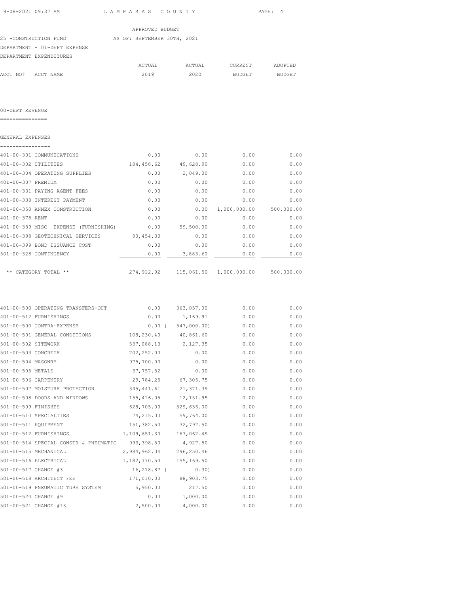| 9-08-2021 09:37 AM                                  | LAMPASAS COUNTY |                      |                                                     | PAGE: 4      |
|-----------------------------------------------------|-----------------|----------------------|-----------------------------------------------------|--------------|
|                                                     | APPROVED BUDGET |                      |                                                     |              |
| 25 -CONSTRUCTION FUND AS OF: SEPTEMBER 30TH, 2021   |                 |                      |                                                     |              |
| DEPARTMENT - 01-DEPT EXPENSE                        |                 |                      |                                                     |              |
| DEPARTMENT EXPENDITURES                             |                 |                      |                                                     |              |
|                                                     |                 |                      | ACTUAL ACTUAL CURRENT ADOPTED                       |              |
| ACCT NO# ACCT NAME                                  |                 |                      |                                                     |              |
|                                                     |                 |                      |                                                     |              |
| 00-DEPT REVENUE                                     |                 |                      |                                                     |              |
| GENERAL EXPENSES                                    |                 |                      |                                                     |              |
|                                                     |                 |                      |                                                     |              |
| 401-00-301 COMMUNICATIONS                           | 0.00            | 0.00                 | 0.00                                                | 0.00         |
| 401-00-302 UTILITIES                                |                 | 184,458.62 49,628.90 |                                                     | 0.00<br>0.00 |
| 401-00-304 OPERATING SUPPLIES                       |                 | $0.00$ 2,049.00      | 0.00                                                | 0.00         |
| 401-00-307 PREMIUM                                  | 0.00            | 0.00                 |                                                     | 0.00<br>0.00 |
| 401-00-331 PAYING AGENT FEES                        | 0.00            | 0.00                 | 0.00                                                | 0.00         |
| 401-00-338 INTEREST PAYMENT                         | 0.00            | 0.00                 |                                                     | 0.00<br>0.00 |
| 401-00-350 ANNEX CONSTRUCTION                       | 0.00            |                      | $0.00 \quad 1,000,000.00 \quad 500,000.00$          |              |
| 401-00-378 RENT                                     | 0.00            |                      | $0.00$ 0.00                                         | 0.00         |
| 401-00-389 MISC EXPENSE (FURNISHING) 0.00 59,500.00 |                 |                      |                                                     | 0.00<br>0.00 |
| 401-00-398 GEOTECHNICAL SERVICES 90,454.30          |                 | 0.00                 |                                                     | 0.00<br>0.00 |
| 401-00-399 BOND ISSUANCE COST                       |                 | $0.00$ 0.00          |                                                     | 0.00<br>0.00 |
| 501-00-328 CONTINGENCY                              |                 | $0.00$ 3,883.60      | 0.00                                                | 0.00         |
| ** CATEGORY TOTAL **                                |                 |                      | 274,912.92   115,061.50   1,000,000.00   500,000.00 |              |

|                      | 401-00-500 OPERATING TRANSFERS-OUT    | 0.00           | 363,057.00  | 0.00 | 0.00 |
|----------------------|---------------------------------------|----------------|-------------|------|------|
|                      | 401-00-512 FURNISHINGS                | 0.00           | 1,169.91    | 0.00 | 0.00 |
|                      | 501-00-500 CONTRA-EXPENSE             | $0.00$ (       | 547,000.00) | 0.00 | 0.00 |
|                      | 501-00-501 GENERAL CONDITIONS         | 108,230.40     | 40,861.60   | 0.00 | 0.00 |
| 501-00-502 SITEWORK  |                                       | 537,088.13     | 2,127.35    | 0.00 | 0.00 |
| 501-00-503 CONCRETE  |                                       | 702,252.00     | 0.00        | 0.00 | 0.00 |
| 501-00-504 MASONRY   |                                       | 975,700.00     | 0.00        | 0.00 | 0.00 |
| 501-00-505 METALS    |                                       | 37,757.52      | 0.00        | 0.00 | 0.00 |
| 501-00-506 CARPENTRY |                                       | 29,784.25      | 67,305.75   | 0.00 | 0.00 |
|                      | 501-00-507 MOISTURE PROTECTION        | 345, 441.61    | 21,371.39   | 0.00 | 0.00 |
|                      | 501-00-508 DOORS AND WINDOWS          | 155, 416.05    | 12, 151.95  | 0.00 | 0.00 |
| 501-00-509 FINISHES  |                                       | 628,705.00     | 529,636.00  | 0.00 | 0.00 |
|                      | 501-00-510 SPECIALTIES                | 74,215.00      | 59,764.00   | 0.00 | 0.00 |
| 501-00-511 EQUIPMENT |                                       | 151,382.50     | 32,797.50   | 0.00 | 0.00 |
|                      | 501-00-512 FURNISHINGS                | 1,109,651.30   | 167,062.49  | 0.00 | 0.00 |
|                      | 501-00-514 SPECIAL CONSTR & PNEUMATIC | 993,398.50     | 4,927.50    | 0.00 | 0.00 |
|                      | 501-00-515 MECHANICAL                 | 2,984,962.04   | 296,250.46  | 0.00 | 0.00 |
|                      | 501-00-516 ELECTRICAL                 | 1,182,770.50   | 155,169.50  | 0.00 | 0.00 |
| 501-00-517 CHANGE #3 |                                       | $16, 278.87$ ( | 0.30)       | 0.00 | 0.00 |
|                      | 501-00-518 ARCHITECT FEE              | 171,010.00     | 88,903.75   | 0.00 | 0.00 |
|                      | 501-00-519 PNEUMATIC TUBE SYSTEM      | 5,950.00       | 217.50      | 0.00 | 0.00 |
| 501-00-520 CHANGE #9 |                                       | 0.00           | 1,000.00    | 0.00 | 0.00 |
|                      | 501-00-521 CHANGE #13                 | 2,500.00       | 4,000.00    | 0.00 | 0.00 |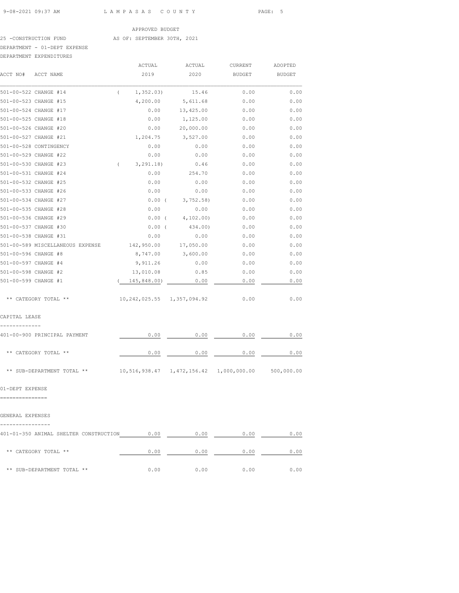### 25 -CONSTRUCTION FUND AS OF: SEPTEMBER 30TH, 2021

# DEPARTMENT - 01-DEPT EXPENSE

| DEPARTMENT EXPENDITURES |
|-------------------------|
|                         |

| DEPARTMENT EXPENDITURES |                                                                   |                            |                       |                                                      |               |
|-------------------------|-------------------------------------------------------------------|----------------------------|-----------------------|------------------------------------------------------|---------------|
|                         |                                                                   | ACTUAL                     | ACTUAL                | CURRENT                                              | ADOPTED       |
| ACCT NO#                | ACCT NAME                                                         | 2019                       | 2020                  | <b>BUDGET</b>                                        | <b>BUDGET</b> |
| 501-00-522 CHANGE #14   |                                                                   | $\left($<br>1, 352.03)     | 15.46                 | 0.00                                                 | 0.00          |
| 501-00-523 CHANGE #15   |                                                                   | 4,200.00                   | 5,611.68              | 0.00                                                 | 0.00          |
| 501-00-524 CHANGE #17   |                                                                   | 0.00                       | 13,425.00             | 0.00                                                 | 0.00          |
| 501-00-525 CHANGE #18   |                                                                   | 0.00                       | 1,125.00              | 0.00                                                 | 0.00          |
| 501-00-526 CHANGE #20   |                                                                   | 0.00                       | 20,000.00             | 0.00                                                 | 0.00          |
| 501-00-527 CHANGE #21   |                                                                   | 1,204.75                   | 3,527.00              | 0.00                                                 | 0.00          |
| 501-00-528 CONTINGENCY  |                                                                   | 0.00                       | 0.00                  | 0.00                                                 | 0.00          |
| 501-00-529 CHANGE #22   |                                                                   | 0.00                       | 0.00                  | 0.00                                                 | 0.00          |
| 501-00-530 CHANGE #23   |                                                                   | $\sqrt{2}$<br>3, 291.18)   | 0.46                  | 0.00                                                 | 0.00          |
| 501-00-531 CHANGE #24   |                                                                   | 0.00                       | 254.70                | 0.00                                                 | 0.00          |
| 501-00-532 CHANGE #25   |                                                                   | 0.00                       | 0.00                  | 0.00                                                 | 0.00          |
| 501-00-533 CHANGE #26   |                                                                   | 0.00                       | 0.00                  | 0.00                                                 | 0.00          |
| 501-00-534 CHANGE #27   |                                                                   | $0.00$ (                   | 3,752.58)             | 0.00                                                 | 0.00          |
| 501-00-535 CHANGE #28   |                                                                   | 0.00                       | 0.00                  | 0.00                                                 | 0.00          |
| 501-00-536 CHANGE #29   |                                                                   |                            | $0.00$ ( $4,102.00$ ) | 0.00                                                 | 0.00          |
| 501-00-537 CHANGE #30   |                                                                   | 0.00(                      | 434.00)               | 0.00                                                 | 0.00          |
| 501-00-538 CHANGE #31   |                                                                   | 0.00                       | 0.00                  | 0.00                                                 | 0.00          |
|                         | 501-00-589 MISCELLANEOUS EXPENSE 142,950.00                       |                            | 17,050.00             | 0.00                                                 | 0.00          |
| 501-00-596 CHANGE #8    |                                                                   | 8,747.00                   | 3,600.00              | 0.00                                                 | 0.00          |
| 501-00-597 CHANGE #4    |                                                                   | 9,911.26                   | 0.00                  | 0.00                                                 | 0.00          |
| 501-00-598 CHANGE #2    |                                                                   | 13,010.08                  | 0.85                  | 0.00                                                 | 0.00          |
| 501-00-599 CHANGE #1    |                                                                   | 145,848.00)                | 0.00                  | 0.00                                                 | 0.00          |
|                         | ** CATEGORY TOTAL **                                              | 10,242,025.55 1,357,094.92 |                       | 0.00                                                 | 0.00          |
| CAPITAL LEASE           |                                                                   |                            |                       |                                                      |               |
|                         | 401-00-900 PRINCIPAL PAYMENT                                      | 0.00                       | 0.00                  | 0.00                                                 | 0.00          |
|                         | ** CATEGORY TOTAL **                                              | 0.00                       | 0.00                  | 0.00                                                 | 0.00          |
|                         | ** SUB-DEPARTMENT TOTAL **                                        |                            |                       | $10,516,938.47$ 1,472,156.42 1,000,000.00 500,000.00 |               |
| 01-DEPT EXPENSE         |                                                                   |                            |                       |                                                      |               |
|                         |                                                                   |                            |                       |                                                      |               |
| GENERAL EXPENSES        |                                                                   |                            |                       |                                                      |               |
|                         | 401-01-350 ANIMAL SHELTER CONSTRUCTION $0.00$ 0.00 0.00 0.00 0.00 |                            |                       |                                                      |               |
|                         | ** CATEGORY TOTAL **                                              | 0.00                       |                       | $0.00$ 0.00                                          | 0.00          |
|                         | ** SUB-DEPARTMENT TOTAL **                                        | 0.00                       | 0.00                  | 0.00                                                 | 0.00          |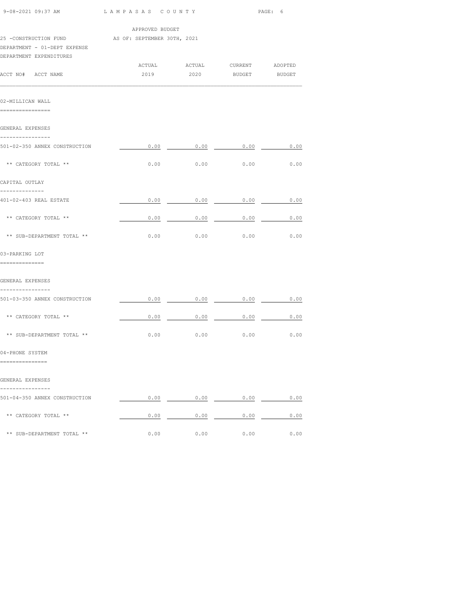| 9-08-2021 09:37 AM                                      |                                           | LAMPASAS COUNTY                                           |      | PAGE: 6 |  |  |
|---------------------------------------------------------|-------------------------------------------|-----------------------------------------------------------|------|---------|--|--|
| 25 -CONSTRUCTION FUND AS OF: SEPTEMBER 30TH, 2021       | APPROVED BUDGET                           |                                                           |      |         |  |  |
| DEPARTMENT - 01-DEPT EXPENSE<br>DEPARTMENT EXPENDITURES |                                           |                                                           |      |         |  |  |
| ACCT NO# ACCT NAME                                      |                                           | ACTUAL ACTUAL CURRENT ADOPTED<br>2019  2020 BUDGET BUDGET |      |         |  |  |
| 02-MILLICAN WALL<br>================                    |                                           |                                                           |      |         |  |  |
| GENERAL EXPENSES                                        |                                           |                                                           |      |         |  |  |
| ----------------<br>501-02-350 ANNEX CONSTRUCTION       | $0.00$ $0.00$ $0.00$ $0.00$ $0.00$ $0.00$ |                                                           |      |         |  |  |
| ** CATEGORY TOTAL **                                    |                                           | $0.00$ 0.00 0.00                                          |      | 0.00    |  |  |
| CAPITAL OUTLAY                                          |                                           |                                                           |      |         |  |  |
| --------------<br>401-02-403 REAL ESTATE                |                                           | $0.00$ 0.00 0.00 0.00                                     |      |         |  |  |
| ** CATEGORY TOTAL **                                    |                                           | $0.00$ $0.00$ $0.00$ $0.00$ $0.00$                        |      |         |  |  |
| ** SUB-DEPARTMENT TOTAL **                              |                                           | $0.00$ 0.00 0.00                                          |      | 0.00    |  |  |
| 03-PARKING LOT                                          |                                           |                                                           |      |         |  |  |
| ==============                                          |                                           |                                                           |      |         |  |  |
| GENERAL EXPENSES<br>----------------                    |                                           |                                                           |      |         |  |  |
| 501-03-350 ANNEX CONSTRUCTION                           | $0.00$ $0.00$ $0.00$ $0.00$ $0.00$ $0.00$ |                                                           |      |         |  |  |
| ** CATEGORY TOTAL **                                    |                                           | $0.00$ 0.00 0.00 0.00 0.00                                |      |         |  |  |
| ** SUB-DEPARTMENT TOTAL **                              |                                           | $0.00$ 0.00 0.00 0.00                                     |      |         |  |  |
| 04-PHONE SYSTEM<br>===============                      |                                           |                                                           |      |         |  |  |
|                                                         |                                           |                                                           |      |         |  |  |
| GENERAL EXPENSES                                        |                                           |                                                           |      |         |  |  |
| 501-04-350 ANNEX CONSTRUCTION                           |                                           | $0.00$ 0.00 0.00 0.00                                     |      |         |  |  |
| ** CATEGORY TOTAL **                                    |                                           | $0.00$ 0.00 0.00 0.00 0.00                                |      |         |  |  |
| ** SUB-DEPARTMENT TOTAL **                              | 0.00                                      | 0.00                                                      | 0.00 | 0.00    |  |  |
|                                                         |                                           |                                                           |      |         |  |  |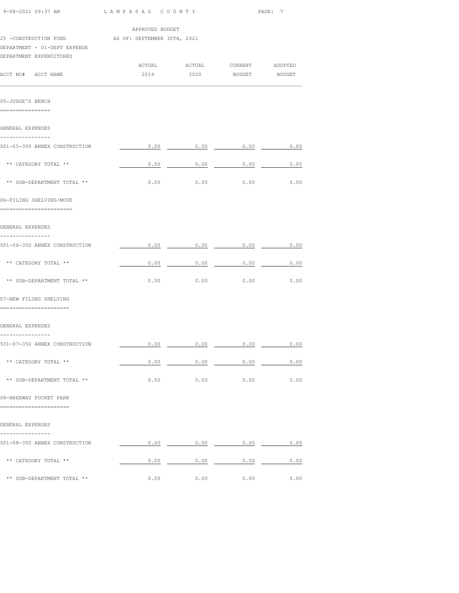| 9-08-2021 09:37 AM                                                                                           | LAMPASAS COUNTY |                                       | PAGE: 7 |        |  |
|--------------------------------------------------------------------------------------------------------------|-----------------|---------------------------------------|---------|--------|--|
|                                                                                                              | APPROVED BUDGET |                                       |         |        |  |
| 25 -CONSTRUCTION FUND AS OF: SEPTEMBER 30TH, 2021<br>DEPARTMENT - 01-DEPT EXPENSE<br>DEPARTMENT EXPENDITURES |                 |                                       |         |        |  |
| ACCT NO# ACCT NAME                                                                                           | 2019            | ACTUAL ACTUAL CURRENT ADOPTED<br>2020 | BUDGET  | BUDGET |  |
| 05-JUDGE'S BENCH<br>================                                                                         |                 |                                       |         |        |  |
| GENERAL EXPENSES                                                                                             |                 |                                       |         |        |  |
| ---------------<br>501-05-350 ANNEX CONSTRUCTION                                                             |                 | $0.00$ 0.00 0.00 0.00 0.00            |         |        |  |
| ** CATEGORY TOTAL **                                                                                         |                 | $0.00$ 0.00 0.00                      |         | 0.00   |  |
| ** SUB-DEPARTMENT TOTAL **                                                                                   | 0.00            | 0.00                                  | 0.00    | 0.00   |  |
| 06-FILING SHELVING/MOVE<br>------------------------                                                          |                 |                                       |         |        |  |
| GENERAL EXPENSES                                                                                             |                 |                                       |         |        |  |
| ---------------<br>501-06-350 ANNEX CONSTRUCTION                                                             |                 | $0.00$ 0.00 0.00 0.00 0.00            |         |        |  |
| ** CATEGORY TOTAL **                                                                                         |                 | $0.00$ 0.00 0.00 0.00                 |         | 0.00   |  |
| ** SUB-DEPARTMENT TOTAL **                                                                                   |                 | $0.00$ $0.00$ $0.00$                  |         | 0.00   |  |
| 07-NEW FILING SHELVING<br>=======================                                                            |                 |                                       |         |        |  |
| GENERAL EXPENSES                                                                                             |                 |                                       |         |        |  |
| ----------------<br>501-07-350 ANNEX CONSTRUCTION                                                            | 0.00            | 0.00                                  | 0.00    | 0.00   |  |
| ** CATEGORY TOTAL **                                                                                         | 0.00            | 0.00                                  | 0.00    | 0.00   |  |
| ** SUB-DEPARTMENT TOTAL **                                                                                   | 0.00            | 0.00                                  | 0.00    | 0.00   |  |
| 08-BREEWAY POCKET PARK                                                                                       |                 |                                       |         |        |  |
| ===============                                                                                              |                 |                                       |         |        |  |
| GENERAL EXPENSES                                                                                             |                 |                                       |         |        |  |
| 501-08-350 ANNEX CONSTRUCTION                                                                                | 0.00            | 0.00                                  | 0.00    | 0.00   |  |
| ** CATEGORY TOTAL **                                                                                         | 0.00            | 0.00                                  | 0.00    | 0.00   |  |
| ** SUB-DEPARTMENT TOTAL **                                                                                   | 0.00            | 0.00                                  | 0.00    | 0.00   |  |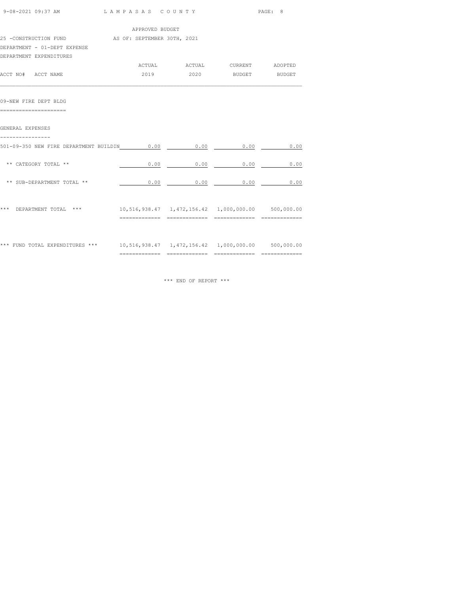| 9-08-2021 09:37 AM                                                                 |                 | LAMPASAS COUNTY |                                                       |      |
|------------------------------------------------------------------------------------|-----------------|-----------------|-------------------------------------------------------|------|
|                                                                                    | APPROVED BUDGET |                 |                                                       |      |
| 25 -CONSTRUCTION FUND AS OF: SEPTEMBER 30TH, 2021                                  |                 |                 |                                                       |      |
| DEPARTMENT - 01-DEPT EXPENSE                                                       |                 |                 |                                                       |      |
| DEPARTMENT EXPENDITURES                                                            |                 |                 |                                                       |      |
|                                                                                    |                 |                 |                                                       |      |
| ACCT NO# ACCT NAME                                                                 |                 |                 | 2019  2020 BUDGET BUDGET                              |      |
| 09-NEW FIRE DEPT BLDG                                                              |                 |                 |                                                       |      |
| =======================                                                            |                 |                 |                                                       |      |
| GENERAL EXPENSES                                                                   |                 |                 |                                                       |      |
| 501-09-350 NEW FIRE DEPARTMENT BUILDIN 0.00                                        |                 | 0.00            | 0.00                                                  | 0.00 |
| ** CATEGORY TOTAL **                                                               |                 | 0.00            | $0.00$ $0.00$                                         | 0.00 |
| ** SUB-DEPARTMENT TOTAL **                                                         |                 | 0.00            | $0.00$ 0.00                                           | 0.00 |
|                                                                                    |                 |                 |                                                       |      |
| *** DEPARTMENT TOTAL ***                                                           |                 |                 | 10,516,938.47  1,472,156.42  1,000,000.00  500,000.00 |      |
|                                                                                    |                 |                 |                                                       |      |
| *** FUND TOTAL EXPENDITURES *** 10,516,938.47 1,472,156.42 1,000,000.00 500,000.00 |                 |                 |                                                       |      |
|                                                                                    |                 |                 |                                                       |      |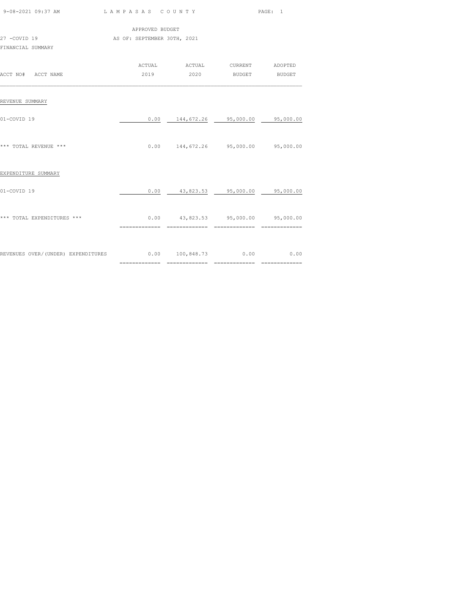|                                                              |                             | PAGE: 1                                    |  |  |
|--------------------------------------------------------------|-----------------------------|--------------------------------------------|--|--|
|                                                              | APPROVED BUDGET             |                                            |  |  |
| 27 -COVID 19                                                 | AS OF: SEPTEMBER 30TH, 2021 |                                            |  |  |
| FINANCIAL SUMMARY                                            |                             |                                            |  |  |
|                                                              |                             | ACTUAL ACTUAL CURRENT ADOPTED              |  |  |
| ACCT NO# ACCT NAME                                           |                             | 2019  2020 BUDGET BUDGET                   |  |  |
| REVENUE SUMMARY                                              |                             |                                            |  |  |
| 01-COVID 19                                                  | 0.00                        | 144,672.26 95,000.00 95,000.00             |  |  |
| *** TOTAL REVENUE ***                                        |                             | $0.00$ 144,672.26 95,000.00 95,000.00      |  |  |
| EXPENDITURE SUMMARY                                          |                             |                                            |  |  |
| 01-COVID 19                                                  |                             | $0.00$ $43,823.53$ $95,000.00$ $95,000.00$ |  |  |
| *** TOTAL EXPENDITURES ***                                   |                             | $0.00$ 43,823.53 95,000.00 95,000.00       |  |  |
|                                                              |                             |                                            |  |  |
| REVENUES OVER/(UNDER) EXPENDITURES 0.00 100,848.73 0.00 0.00 |                             |                                            |  |  |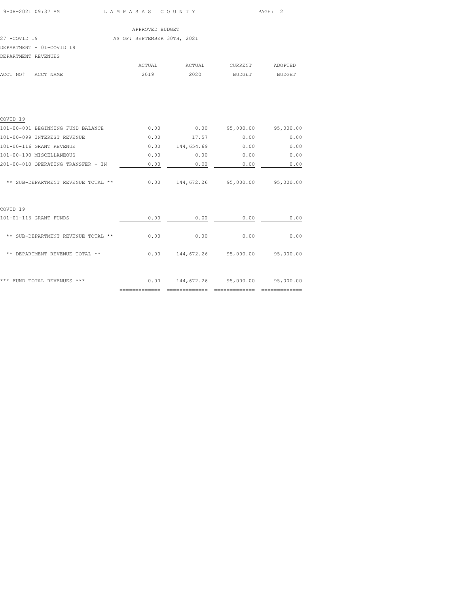| 9-08-2021 09:37 AM | LAMPASAS COUNTY | PAGE: 2 |  |
|--------------------|-----------------|---------|--|
|                    |                 |         |  |

|                     |                          | APPROVED BUDGET             |        |         |               |
|---------------------|--------------------------|-----------------------------|--------|---------|---------------|
| 27 -COVID 19        |                          | AS OF: SEPTEMBER 30TH, 2021 |        |         |               |
|                     | DEPARTMENT - 01-COVID 19 |                             |        |         |               |
| DEPARTMENT REVENUES |                          |                             |        |         |               |
|                     |                          | ACTUAL                      | ACTUAL | CURRENT | ADOPTED       |
| ACCT NO#            | ACCT NAME                | 2019                        | 2020   | BUDGET  | <b>BUDGET</b> |

| COVID <sub>19</sub>                |                |            |                      |           |
|------------------------------------|----------------|------------|----------------------|-----------|
| 101-00-001 BEGINNING FUND BALANCE  | 0.00           | 0.00       | 95,000.00            | 95,000.00 |
| 101-00-099 INTEREST REVENUE        | 0.00           | 17.57      | 0.00                 | 0.00      |
| 101-00-116 GRANT REVENUE           | 0.00           | 144,654.69 | 0.00                 | 0.00      |
| 101-00-190 MISCELLANEOUS           | 0.00           | 0.00       | 0.00                 | 0.00      |
| 201-00-010 OPERATING TRANSFER - IN | 0.00           | 0.00       | 0.00                 | 0.00      |
| ** SUB-DEPARTMENT REVENUE TOTAL ** | 0.00           |            | 144,672.26 95,000.00 | 95,000.00 |
| COVID <sub>19</sub>                |                |            |                      |           |
| 101-01-116 GRANT FUNDS             | 0.00           | 0.00       | 0.00                 | 0.00      |
| ** SUB-DEPARTMENT REVENUE TOTAL ** | 0.00           | 0.00       | 0.00                 | 0.00      |
| ** DEPARTMENT REVENUE TOTAL **     | 0.00           | 144,672.26 | 95,000.00            | 95,000.00 |
| FUND TOTAL REVENUES ***<br>***     | 0.00           | 144,672.26 | 95,000.00            | 95,000.00 |
|                                    | ============== |            |                      |           |

 $\mathcal{L}_\text{max}$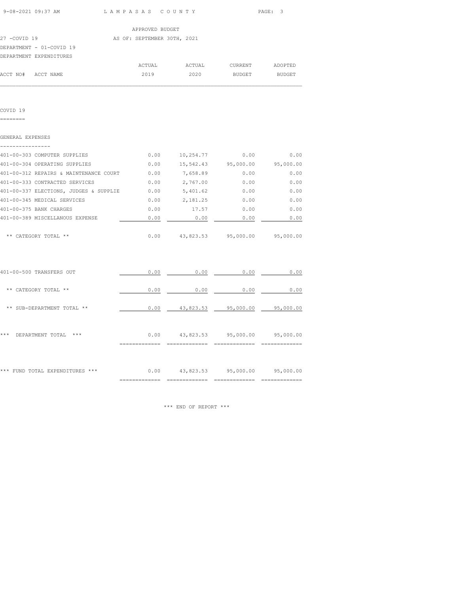| 9-08-2021 09:37 AM       | LAMPASAS COUNTY             | PAGE: 3 |  |
|--------------------------|-----------------------------|---------|--|
|                          |                             |         |  |
|                          | APPROVED BUDGET             |         |  |
| 27 -COVID 19             | AS OF: SEPTEMBER 30TH, 2021 |         |  |
| DEPARTMENT - 01-COVID 19 |                             |         |  |

DEPARTMENT EXPENDITURES

|          |           | ACTUAL | ACTUAL | CURRENT | ADOPTED |
|----------|-----------|--------|--------|---------|---------|
| ACCT NO# | ACCT NAME | 2019   | 2020   | BUDGET  | BUDGET  |
|          |           |        |        |         |         |

COVID 19

========

| GENERAL EXPENSES                       |      |           |           |           |
|----------------------------------------|------|-----------|-----------|-----------|
|                                        |      |           |           |           |
| 401-00-303 COMPUTER SUPPLIES           | 0.00 | 10,254.77 | 0.00      | 0.00      |
| 401-00-304 OPERATING SUPPLIES          | 0.00 | 15,542.43 | 95,000.00 | 95,000.00 |
| 401-00-312 REPAIRS & MAINTENANCE COURT | 0.00 | 7,658.89  | 0.00      | 0.00      |
| 401-00-333 CONTRACTED SERVICES         | 0.00 | 2,767.00  | 0.00      | 0.00      |
| 401-00-337 ELECTIONS, JUDGES & SUPPLIE | 0.00 | 5,401.62  | 0.00      | 0.00      |
| 401-00-345 MEDICAL SERVICES            | 0.00 | 2,181.25  | 0.00      | 0.00      |
| 401-00-375 BANK CHARGES                | 0.00 | 17.57     | 0.00      | 0.00      |
| 401-00-389 MISCELLANOUS EXPENSE        | 0.00 | 0.00      | 0.00      | 0.00      |
|                                        |      |           |           |           |
| CATEGORY TOTAL<br>**                   | 0.00 | 43,823.53 | 95,000.00 | 95,000.00 |

| *** FUND TOTAL EXPENDITURES<br>$***$ | 0.00 | 43,823.53 | 95,000.00 | 95,000.00 |
|--------------------------------------|------|-----------|-----------|-----------|
| ***<br>***<br>DEPARTMENT TOTAL       | 0.00 | 43,823.53 | 95,000.00 | 95,000.00 |
| SUB-DEPARTMENT TOTAL **<br>$* *$     | 0.00 | 43,823.53 | 95,000.00 | 95,000.00 |
| CATEGORY TOTAL **<br>**              | 0.00 | 0.00      | 0.00      | 0.00      |
| 401-00-500 TRANSFERS OUT             | 0.00 | 0.00      | 0.00      | 0.00      |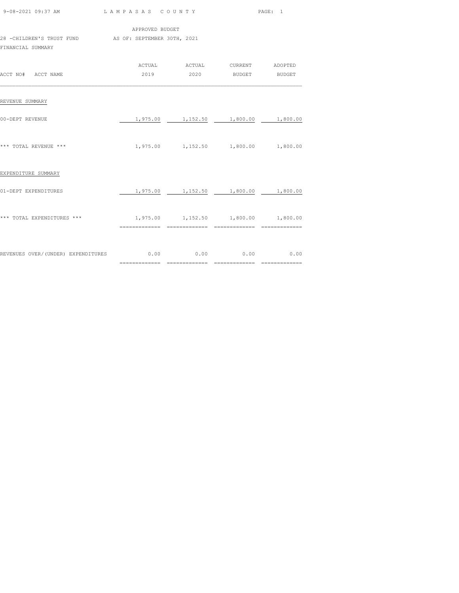| 9-08-2021 09:37 AM                                                       |                                     | LAMPASAS COUNTY                             |  | PAGE: 1 |  |  |  |
|--------------------------------------------------------------------------|-------------------------------------|---------------------------------------------|--|---------|--|--|--|
| APPROVED BUDGET<br>28 -CHILDREN'S TRUST FUND AS OF: SEPTEMBER 30TH, 2021 |                                     |                                             |  |         |  |  |  |
| FINANCIAL SUMMARY                                                        |                                     |                                             |  |         |  |  |  |
|                                                                          |                                     | ACTUAL ACTUAL CURRENT ADOPTED               |  |         |  |  |  |
| ACCT NO# ACCT NAME                                                       |                                     | 2019  2020 BUDGET BUDGET                    |  |         |  |  |  |
| REVENUE SUMMARY                                                          |                                     |                                             |  |         |  |  |  |
| 00-DEPT REVENUE                                                          |                                     | 1,975.00 1,152.50 1,800.00 1,800.00         |  |         |  |  |  |
| *** TOTAL REVENUE ***                                                    |                                     | 1,975.00 1,152.50 1,800.00 1,800.00         |  |         |  |  |  |
| EXPENDITURE SUMMARY                                                      |                                     |                                             |  |         |  |  |  |
| 01-DEPT EXPENDITURES                                                     |                                     | $1,975.00$ $1,152.50$ $1,800.00$ $1,800.00$ |  |         |  |  |  |
| *** TOTAL EXPENDITURES ***                                               | 1,975.00 1,152.50 1,800.00 1,800.00 |                                             |  |         |  |  |  |
|                                                                          |                                     |                                             |  |         |  |  |  |
| REVENUES OVER/(UNDER) EXPENDITURES $0.00$ 0.00 0.00 0.00 0.00 0.00       |                                     |                                             |  |         |  |  |  |
|                                                                          |                                     |                                             |  |         |  |  |  |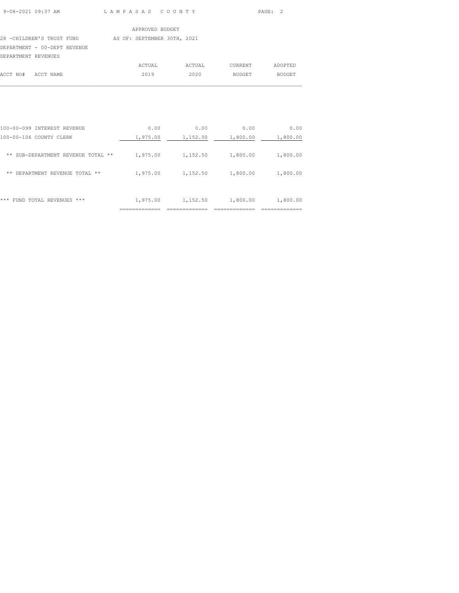9-08-2021 09:37 AM L A M P A S A S C O U N T Y PAGE: 2

# APPROVED BUDGET

# 28 -CHILDREN'S TRUST FUND AS OF: SEPTEMBER 30TH, 2021

DEPARTMENT - 00-DEPT REVENUE

| DEPARTMENT REVENUES |           |        |        |         |         |
|---------------------|-----------|--------|--------|---------|---------|
|                     |           | ACTUAL | ACTUAL | CURRENT | ADOPTED |
| ACCT NO#            | ACCT NAME | 2019   | 2020   | BUDGET  | BUDGET  |
|                     |           |        |        |         |         |

|                                             | ------------ | -------------- |          | ------------ |
|---------------------------------------------|--------------|----------------|----------|--------------|
| ***<br>TOTAL REVENUES<br>***<br><b>FUND</b> | 1,975.00     | 1,152.50       | 1,800.00 | 1,800.00     |
| DEPARTMENT REVENUE<br>**<br>TOTAL **        | 1,975.00     | 1,152.50       | 1,800.00 | 1,800.00     |
| SUB-DEPARTMENT REVENUE<br>**<br>TOTAL **    | 1,975.00     | 1,152.50       | 1,800.00 | 1,800.00     |
| 100-00-106 COUNTY CLERK                     | 1,975.00     | 1,152.50       | 1,800.00 | 1,800.00     |
| 100-00-099<br>INTEREST REVENUE              | 0.00         | 0.00           | 0.00     | 0.00         |
|                                             |              |                |          |              |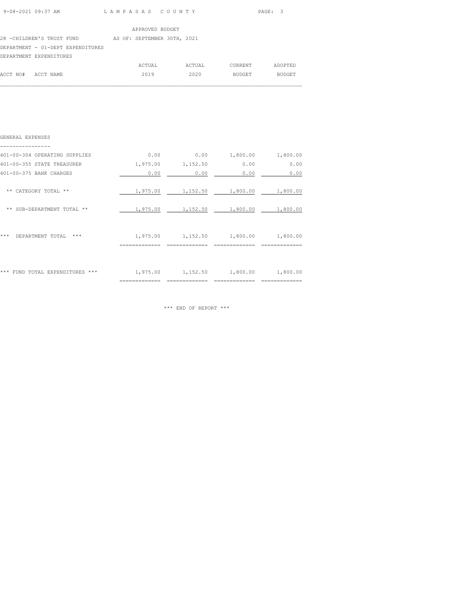| 9-08-2021 09:37 AM | LAMPASAS COUNTY | PAGE: 3 |
|--------------------|-----------------|---------|
|                    |                 |         |

ACCT NO# ACCT NAME 2019 2020 BUDGET BUDGET  $\mathcal{L}_\text{max}$ 

|                                   | APPROVED BUDGET             |        |         |         |
|-----------------------------------|-----------------------------|--------|---------|---------|
| 28 -CHILDREN'S TRUST FUND         | AS OF: SEPTEMBER 30TH, 2021 |        |         |         |
| DEPARTMENT - 01-DEPT EXPENDITURES |                             |        |         |         |
| DEPARTMENT EXPENDITURES           |                             |        |         |         |
|                                   | ACTUAL                      | ACTUAL | CURRENT | ADOPTED |

| GENERAL EXPENSES                 |          |                                             |                   |          |
|----------------------------------|----------|---------------------------------------------|-------------------|----------|
| 401-00-304 OPERATING SUPPLIES    | 0.00     | 0.00                                        | 1,800.00          | 1,800.00 |
| 401-00-355 STATE TREASURER       |          | 1,975.00 1,152.50                           | 0.00              | 0.00     |
| 401-00-375 BANK CHARGES          | 0.00     | 0.00                                        | 0.00              | 0.00     |
| ** CATEGORY TOTAL **             | 1,975.00 |                                             | 1,152.50 1,800.00 | 1,800.00 |
| ** SUB-DEPARTMENT TOTAL **       | 1,975.00 | 1,152.50 1,800.00                           |                   | 1,800.00 |
| ***<br>DEPARTMENT TOTAL<br>$***$ |          | $1,975.00$ $1,152.50$ $1,800.00$ $1,800.00$ |                   |          |
| *** FUND TOTAL EXPENDITURES ***  |          | 1,975.00 1,152.50 1,800.00                  |                   | 1,800.00 |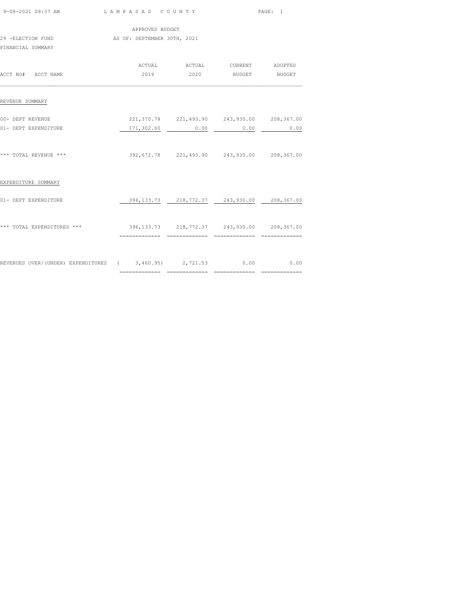| 9-08-2021 09:37 AM LAMPASAS COUNTY                                     |                                             |                                                 |      | PAGE: 1 |  |
|------------------------------------------------------------------------|---------------------------------------------|-------------------------------------------------|------|---------|--|
|                                                                        | APPROVED BUDGET                             |                                                 |      |         |  |
| 29 -ELECTION FUND<br>FINANCIAL SUMMARY                                 | AS OF: SEPTEMBER 30TH, 2021                 |                                                 |      |         |  |
|                                                                        |                                             | ACTUAL ACTUAL CURRENT ADOPTED                   |      |         |  |
| ACCT NO# ACCT NAME                                                     |                                             | 2019  2020 BUDGET BUDGET                        |      |         |  |
| REVENUE SUMMARY                                                        |                                             |                                                 |      |         |  |
| 00- DEPT REVENUE                                                       | 221,370.78 221,493.90 243,930.00 208,367.00 |                                                 |      |         |  |
| 01- DEPT EXPENDITURE                                                   |                                             | 171,302.00 0.00                                 | 0.00 | 0.00    |  |
| *** TOTAL REVENUE ***                                                  | 392,672.78 221,493.90 243,930.00 208,367.00 |                                                 |      |         |  |
| EXPENDITURE SUMMARY                                                    |                                             |                                                 |      |         |  |
| 01- DEPT EXPENDITURE                                                   |                                             | 396, 133.73 218, 772.37 243, 930.00 208, 367.00 |      |         |  |
| *** TOTAL EXPENDITURES *** 396,133.73 218,772.37 243,930.00 208,367.00 | ==============================              |                                                 |      |         |  |
| REVENUES OVER/(UNDER) EXPENDITURES (3,460.95) 2,721.53 0.00 0.00       |                                             |                                                 |      |         |  |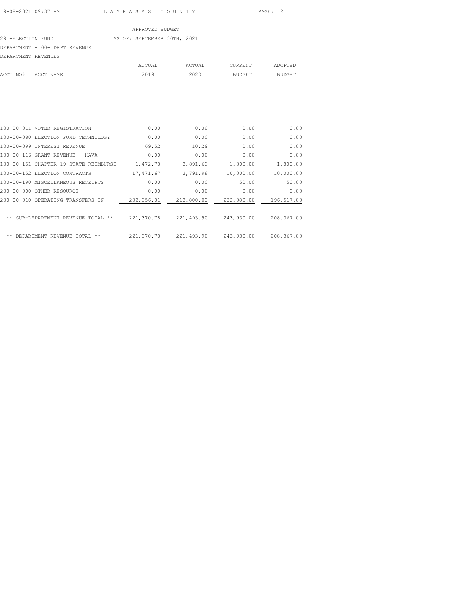# 29 -ELECTION FUND **AS OF: SEPTEMBER 30TH, 2021**

### DEPARTMENT - 00- DEPT REVENUE

| DEPARTMENT REVENUES |           |        |        |         |         |
|---------------------|-----------|--------|--------|---------|---------|
|                     |           | ACTUAL | ACTUAL | CURRENT | ADOPTED |
| ACCT NO#            | ACCT NAME | 2019   | 2020   | BUDGET  | BUDGET  |
|                     |           |        |        |         |         |

| 100-00-011 VOTER REGISTRATION         | 0.00        | 0.00       | 0.00       | 0.00       |
|---------------------------------------|-------------|------------|------------|------------|
| 100-00-080 ELECTION FUND TECHNOLOGY   | 0.00        | 0.00       | 0.00       | 0.00       |
| 100-00-099 INTEREST REVENUE           | 69.52       | 10.29      | 0.00       | 0.00       |
| 100-00-116 GRANT REVENUE - HAVA       | 0.00        | 0.00       | 0.00       | 0.00       |
| 100-00-151 CHAPTER 19 STATE REIMBURSE | 1,472.78    | 3,891.63   | 1,800.00   | 1,800.00   |
| 100-00-152 ELECTION CONTRACTS         | 17, 471.67  | 3,791.98   | 10,000.00  | 10,000.00  |
| 100-00-190 MISCELLANEOUS RECEIPTS     | 0.00        | 0.00       | 50.00      | 50.00      |
| 200-00-000 OTHER RESOURCE             | 0.00        | 0.00       | 0.00       | 0.00       |
| 200-00-010 OPERATING TRANSFERS-IN     | 202,356.81  | 213,800.00 | 232,080.00 | 196,517.00 |
|                                       |             |            |            |            |
| ** SUB-DEPARTMENT REVENUE TOTAL **    | 221,370.78  | 221,493.90 | 243,930.00 | 208,367.00 |
|                                       |             |            |            |            |
| **<br>**<br>DEPARTMENT REVENUE TOTAL  | 221, 370.78 | 221,493.90 | 243,930.00 | 208,367.00 |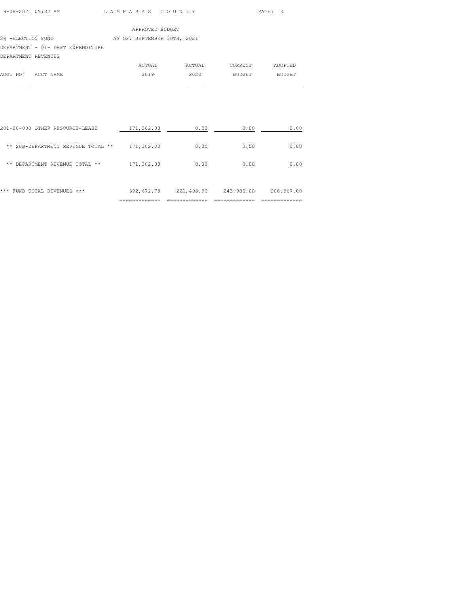| 9-08-2021 09:37 AM |  |
|--------------------|--|
|                    |  |

LAM PASAS COUNTY PAGE: 3

|                                   |  | APPROVED BUDGET             |  |
|-----------------------------------|--|-----------------------------|--|
| 29 -ELECTION FUND                 |  | AS OF: SEPTEMBER 30TH, 2021 |  |
| DEPARTMENT - 01- DEPT EXPENDITURE |  |                             |  |
| DEPARTMENT REVENUES               |  |                             |  |

|                    | ACTUAL | ACTUAL | CURRENT | ADOPTED       |
|--------------------|--------|--------|---------|---------------|
| ACCT NO# ACCT NAME | 2019   | 2020   | BUDGET  | <b>BUDGET</b> |
|                    |        |        |         |               |

| ***<br>FUND TOTAL REVENUES ***        | 392,672.78 | 221,493.90 | 243,930.00 | 208,367.00 |
|---------------------------------------|------------|------------|------------|------------|
| DEPARTMENT REVENUE TOTAL **<br>**     | 171,302.00 | 0.00       | 0.00       | 0.00       |
| SUB-DEPARTMENT REVENUE TOTAL **<br>** | 171,302.00 | 0.00       | 0.00       | 0.00       |
| 201-00-000 OTHER RESOURCE-LEASE       | 171,302.00 | 0.00       | 0.00       | 0.00       |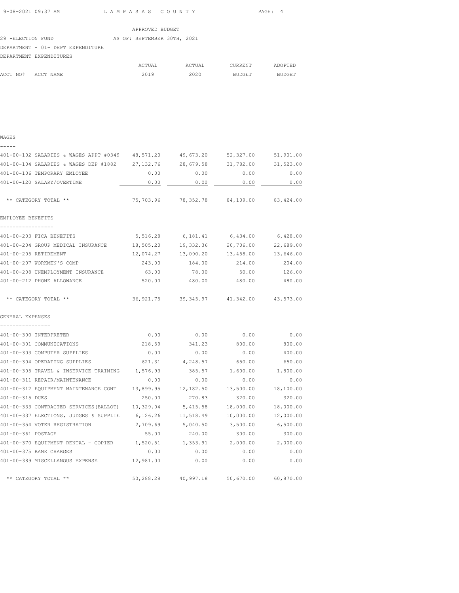| 9-08-2021 09:37 AM | LAMPASAS COUNTY | PAGE: 4 |
|--------------------|-----------------|---------|
|                    |                 |         |

ACCT NO# ACCT NAME 2019 2020 BUDGET BUDGET  $\mathcal{L}_\text{max}$ 

|                                   | APPROVED BUDGET             |        |         |         |
|-----------------------------------|-----------------------------|--------|---------|---------|
| 29 -ELECTION FUND                 | AS OF: SEPTEMBER 30TH, 2021 |        |         |         |
| DEPARTMENT - 01- DEPT EXPENDITURE |                             |        |         |         |
| DEPARTMENT EXPENDITURES           |                             |        |         |         |
|                                   | ACTUAL                      | ACTUAL | CURRENT | ADOPTED |

WAGES

| 401-00-102 SALARIES & WAGES APPT #0349          | 48,571.20  | 49,673.20                               | 52,327.00 | 51,901.00 |
|-------------------------------------------------|------------|-----------------------------------------|-----------|-----------|
| 401-00-104 SALARIES & WAGES DEP #1882           | 27, 132.76 | 28,679.58                               | 31,782.00 | 31,523.00 |
| 401-00-106 TEMPORARY EMLOYEE                    | 0.00       | 0.00                                    | 0.00      | 0.00      |
| 401-00-120 SALARY/OVERTIME                      | 0.00       | 0.00                                    | 0.00      | 0.00      |
| ** CATEGORY TOTAL **                            |            | 75,703.96 78,352.78 84,109.00 83,424.00 |           |           |
| EMPLOYEE BENEFITS                               |            |                                         |           |           |
|                                                 |            |                                         |           |           |
| 401-00-203 FICA BENEFITS                        | 5,516.28   | 6,181.41                                | 6,434.00  | 6,428.00  |
| 401-00-204 GROUP MEDICAL INSURANCE              | 18,505.20  | 19,332.36                               | 20,706.00 | 22,689.00 |
| 401-00-205 RETIREMENT                           | 12,074.27  | 13,090.20                               | 13,458.00 | 13,646.00 |
| 401-00-207 WORKMEN'S COMP                       | 243.00     | 184.00                                  | 214.00    | 204.00    |
| 401-00-208 UNEMPLOYMENT INSURANCE               | 63.00      | 78.00                                   | 50.00     | 126.00    |
| 401-00-212 PHONE ALLOWANCE                      | 520.00     | 480.00                                  | 480.00    | 480.00    |
| ** CATEGORY TOTAL **                            |            | 36,921.75 39,345.97                     | 41,342.00 | 43,573.00 |
| GENERAL EXPENSES                                |            |                                         |           |           |
|                                                 |            |                                         |           |           |
| 401-00-300 INTERPRETER                          | 0.00       | 0.00                                    | 0.00      | 0.00      |
| 401-00-301 COMMUNICATIONS                       | 218.59     | 341.23                                  | 800.00    | 800.00    |
| 401-00-303 COMPUTER SUPPLIES                    | 0.00       | 0.00                                    | 0.00      | 400.00    |
| 401-00-304 OPERATING SUPPLIES                   | 621.31     | 4,248.57                                | 650.00    | 650.00    |
| 401-00-305 TRAVEL & INSERVICE TRAINING          | 1,576.93   | 385.57                                  | 1,600.00  | 1,800.00  |
| 401-00-311 REPAIR/MAINTENANCE                   | 0.00       | 0.00                                    | 0.00      | 0.00      |
| 401-00-312 EQUIPMENT MAINTENANCE CONT           | 13,899.95  | 12,182.50                               | 13,500.00 | 18,100.00 |
| 401-00-315 DUES                                 | 250.00     | 270.83                                  | 320.00    | 320.00    |
| 401-00-333 CONTRACTED SERVICES (BALLOT)         | 10,329.04  | 5,415.58                                | 18,000.00 | 18,000.00 |
| 401-00-337 ELECTIONS, JUDGES & SUPPLIE 6,126.26 |            | 11,518.49                               | 10,000.00 | 12,000.00 |
| 401-00-354 VOTER REGISTRATION                   | 2,709.69   | 5,040.50                                | 3,500.00  | 6,500.00  |
| 401-00-361 POSTAGE                              | 55.00      | 240.00                                  | 300.00    | 300.00    |
| 401-00-370 EQUIPMENT RENTAL - COPIER 1,520.51   |            | 1,353.91                                | 2,000.00  | 2,000.00  |
| 401-00-375 BANK CHARGES                         | 0.00       | 0.00                                    | 0.00      | 0.00      |
| 401-00-389 MISCELLANOUS EXPENSE                 | 12,981.00  | 0.00                                    | 0.00      | 0.00      |
| ** CATEGORY TOTAL **                            | 50,288.28  | 40,997.18                               | 50,670.00 | 60,870.00 |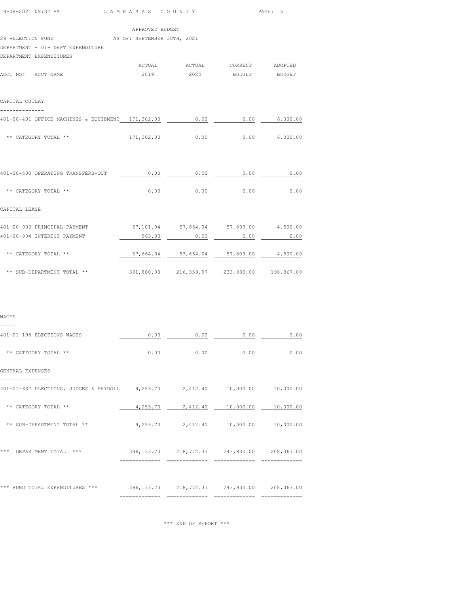| 9-08-2021 09:37 AM                                                        | LAMPASAS COUNTY             |      |                                                | PAGE: 5  |  |  |
|---------------------------------------------------------------------------|-----------------------------|------|------------------------------------------------|----------|--|--|
|                                                                           | APPROVED BUDGET             |      |                                                |          |  |  |
| 29 -ELECTION FUND                                                         | AS OF: SEPTEMBER 30TH, 2021 |      |                                                |          |  |  |
| DEPARTMENT - 01- DEPT EXPENDITURE                                         |                             |      |                                                |          |  |  |
| DEPARTMENT EXPENDITURES                                                   |                             |      |                                                |          |  |  |
|                                                                           |                             |      |                                                |          |  |  |
| ACCT NO# ACCT NAME                                                        | 2019 7                      |      | 2020 BUDGET BUDGET                             |          |  |  |
| CAPITAL OUTLAY<br>--------------                                          |                             |      |                                                |          |  |  |
| 401-00-401 OFFICE MACHINES & EQUIPMENT 171,302.00 0.00 0.00 0.00 6,000.00 |                             |      |                                                |          |  |  |
| ** CATEGORY TOTAL **                                                      |                             |      | $171,302.00$ $0.00$ $0.00$ $6,000.00$          |          |  |  |
| 401-00-500 OPERATING TRANSFERS-OUT                                        | 0.00                        | 0.00 | 0.00                                           | 0.00     |  |  |
| ** CATEGORY TOTAL **                                                      | 0.00                        | 0.00 | 0.00                                           | 0.00     |  |  |
| CAPITAL LEASE<br>-------------                                            |                             |      |                                                |          |  |  |
| 401-00-903 PRINCIPAL PAYMENT                                              |                             |      | 57,101.04 57,664.04 57,809.00                  | 4,500.00 |  |  |
| 401-00-904 INTEREST PAYMENT                                               |                             |      |                                                |          |  |  |
| ** CATEGORY TOTAL **                                                      |                             |      | $57,664.04$ $57,664.04$ $57,809.00$ $4,500.00$ |          |  |  |
| ** SUB-DEPARTMENT TOTAL **                                                |                             |      | 391,880.03 216,359.97 233,930.00 198,367.00    |          |  |  |
|                                                                           |                             |      |                                                |          |  |  |
| WAGES                                                                     |                             |      |                                                |          |  |  |
| -----<br>401-01-198 ELECTIONS WAGES                                       | 0.00                        | 0.00 | 0.00                                           | 0.00     |  |  |
| ** CATEGORY TOTAL **                                                      |                             |      | $0.00$ 0.00 0.00                               | 0.00     |  |  |
| GENERAL EXPENSES                                                          |                             |      |                                                |          |  |  |

| 401-01-337 ELECTIONS, JUDGES & PAYROLL | 4,253.70    | 2,412.40   | 10,000.00  | 10,000.00  |
|----------------------------------------|-------------|------------|------------|------------|
| CATEGORY TOTAL **<br>**                | 4,253.70    | 2,412.40   | 10,000.00  | 10,000.00  |
| SUB-DEPARTMENT TOTAL<br>$* *$<br>$* *$ | 4,253.70    | 2,412.40   | 10,000.00  | 10,000.00  |
| ***<br>DEPARTMENT TOTAL<br>***         | 396, 133.73 | 218,772.37 | 243,930.00 | 208,367.00 |
| FUND TOTAL EXPENDITURES<br>***<br>***  | 396, 133.73 | 218,772.37 | 243,930.00 | 208,367.00 |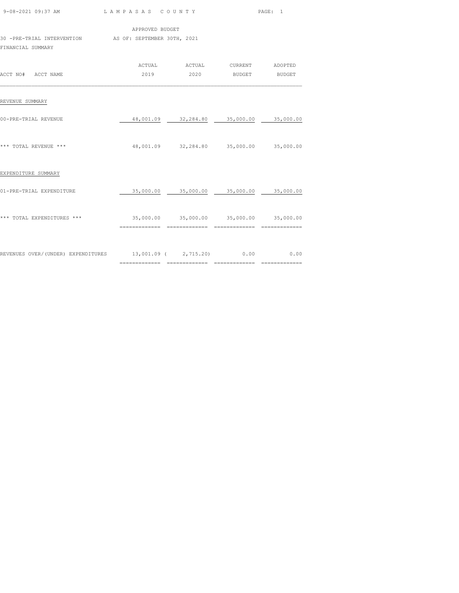| 9-08-2021 09:37 AM LAMPASAS COUNTY                                          |                                                             |                                                           | PAGE: 1 |
|-----------------------------------------------------------------------------|-------------------------------------------------------------|-----------------------------------------------------------|---------|
| 30 -PRE-TRIAL INTERVENTION AS OF: SEPTEMBER 30TH, 2021<br>FINANCIAL SUMMARY | APPROVED BUDGET                                             |                                                           |         |
| ACCT NO# ACCT NAME                                                          |                                                             | ACTUAL ACTUAL CURRENT ADOPTED<br>2019  2020 BUDGET BUDGET |         |
| REVENUE SUMMARY                                                             |                                                             |                                                           |         |
| 00-PRE-TRIAL REVENUE                                                        |                                                             | 48,001.09 32,284.80 35,000.00 35,000.00                   |         |
| *** TOTAL REVENUE ***                                                       | 48,001.09 32,284.80 35,000.00 35,000.00                     |                                                           |         |
| EXPENDITURE SUMMARY                                                         |                                                             |                                                           |         |
| 01-PRE-TRIAL EXPENDITURE                                                    | 35,000.00 35,000.00 35,000.00 35,000.00                     |                                                           |         |
| *** TOTAL EXPENDITURES ***                                                  | $35,000.00$ $35,000.00$ $35,000.00$ $35,000.00$ $35,000.00$ |                                                           |         |
| REVENUES OVER/(UNDER) EXPENDITURES 13,001.09 (2,715.20) 0.00 0.00 0.00      |                                                             |                                                           |         |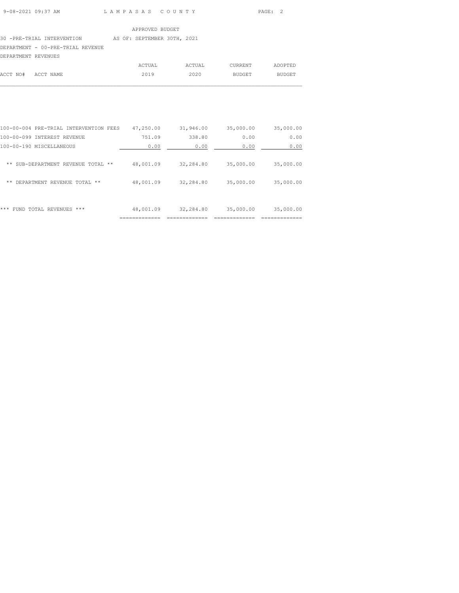### 30 -PRE-TRIAL INTERVENTION AS OF: SEPTEMBER 30TH, 2021

DEPARTMENT - 00-PRE-TRIAL REVENUE

| DEPARTMENT REVENUES |        |        |               |               |
|---------------------|--------|--------|---------------|---------------|
|                     | ACTUAL | ACTUAL | CURRENT       | ADOPTED       |
| ACCT NO# ACCT NAME  | 2019   | 2020   | <b>BUDGET</b> | <b>BUDGET</b> |

 $\mathcal{L}_\text{max}$ 

| ***<br>FUND TOTAL REVENUES<br>***      | 48,001.09 | 32,284.80 | 35,000.00 | 35,000.00 |
|----------------------------------------|-----------|-----------|-----------|-----------|
| DEPARTMENT REVENUE TOTAL **<br>**      | 48,001.09 | 32,284.80 | 35,000.00 | 35,000.00 |
| SUB-DEPARTMENT REVENUE TOTAL **<br>**  | 48,001.09 | 32,284.80 | 35,000.00 | 35,000.00 |
| 100-00-190 MISCELLANEOUS               | 0.00      | 0.00      | 0.00      | 0.00      |
| 100-00-099 INTEREST REVENUE            | 751.09    | 338.80    | 0.00      | 0.00      |
| 100-00-004 PRE-TRIAL INTERVENTION FEES | 47,250.00 | 31,946.00 | 35,000.00 | 35,000.00 |
|                                        |           |           |           |           |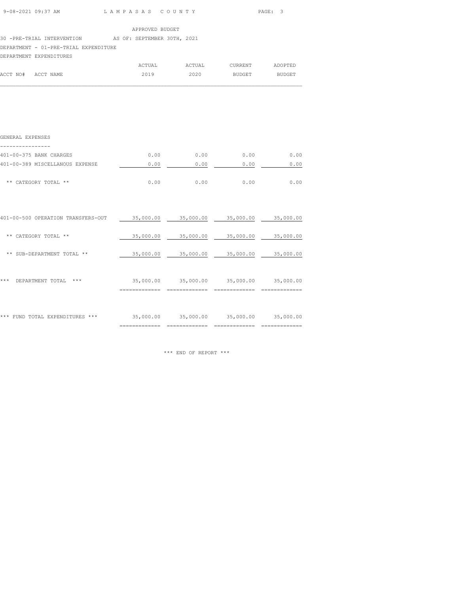| 9-08-2021 09:37 AM | LAMPASAS COUNTY | PAGE: 3 |
|--------------------|-----------------|---------|
|                    |                 |         |

| APPROVED BUDGET |  |
|-----------------|--|

30 -PRE-TRIAL INTERVENTION AS OF: SEPTEMBER 30TH, 2021

DEPARTMENT - 01-PRE-TRIAL EXPENDITURE

# DEPARTMENT EXPENDITURES

|                    | ACTUAL | ACTUAL | CURRENT | ADOPTED |
|--------------------|--------|--------|---------|---------|
| ACCT NO# ACCT NAME | 2019   | 2020   | BUDGET  | BUDGET  |
|                    |        |        |         |         |

| GENERAL EXPENSES                |      |      |      |      |
|---------------------------------|------|------|------|------|
| 401-00-375 BANK CHARGES         | 0.00 | 0.00 | 0.00 | 0.00 |
| 401-00-389 MISCELLANOUS EXPENSE | 0.00 | 0.00 | 0.00 | 0.00 |
| ** CATEGORY TOTAL **            | 0.00 | 0.00 | 0.00 | 0.00 |
|                                 |      |      |      |      |

| ***<br>TOTAL EXPENDITURES<br>FUND<br>*** | 35,000.00 | 35,000.00 | 35,000.00 | 35,000.00 |
|------------------------------------------|-----------|-----------|-----------|-----------|
| ***<br>***<br>DEPARTMENT TOTAL           | 35,000.00 | 35,000.00 | 35,000.00 | 35,000.00 |
| SUB-DEPARTMENT TOTAL **<br>**            | 35,000.00 | 35,000.00 | 35,000.00 | 35,000.00 |
| CATEGORY TOTAL **<br>**                  | 35,000.00 | 35,000.00 | 35,000.00 | 35,000.00 |
| 401-00-500 OPERATION TRANSFERS-OUT       | 35,000.00 | 35,000.00 | 35,000.00 | 35,000.00 |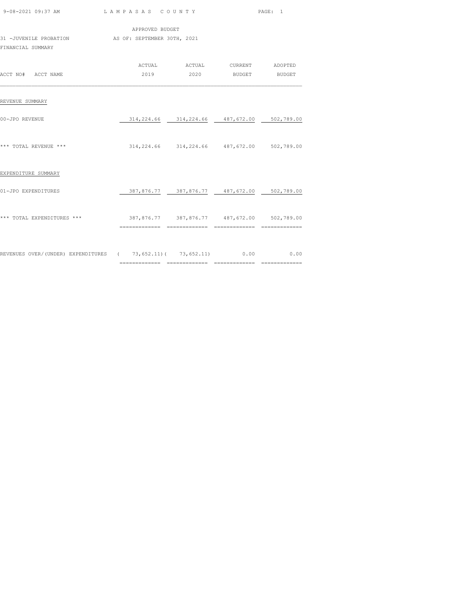|                                                                         |                                             |                                                           |  | PAGE: 1 |  |
|-------------------------------------------------------------------------|---------------------------------------------|-----------------------------------------------------------|--|---------|--|
|                                                                         | APPROVED BUDGET                             |                                                           |  |         |  |
| 31 -JUVENILE PROBATION AS OF: SEPTEMBER 30TH, 2021<br>FINANCIAL SUMMARY |                                             |                                                           |  |         |  |
| ACCT NO# ACCT NAME                                                      |                                             | ACTUAL ACTUAL CURRENT ADOPTED<br>2019  2020 BUDGET BUDGET |  |         |  |
| REVENUE SUMMARY                                                         |                                             |                                                           |  |         |  |
| 00-JPO REVENUE                                                          |                                             | 314,224.66 314,224.66 487,672.00 502,789.00               |  |         |  |
| *** TOTAL REVENUE ***                                                   |                                             | 314,224.66 314,224.66 487,672.00 502,789.00               |  |         |  |
| EXPENDITURE SUMMARY                                                     |                                             |                                                           |  |         |  |
| 01-JPO EXPENDITURES                                                     |                                             | 387,876.77 387,876.77 487,672.00 502,789.00               |  |         |  |
| *** TOTAL EXPENDITURES ***                                              | 387,876.77 387,876.77 487,672.00 502,789.00 |                                                           |  |         |  |
| REVENUES OVER/(UNDER) EXPENDITURES ( 73,652.11) ( 73,652.11) 0.00 0.00  |                                             |                                                           |  |         |  |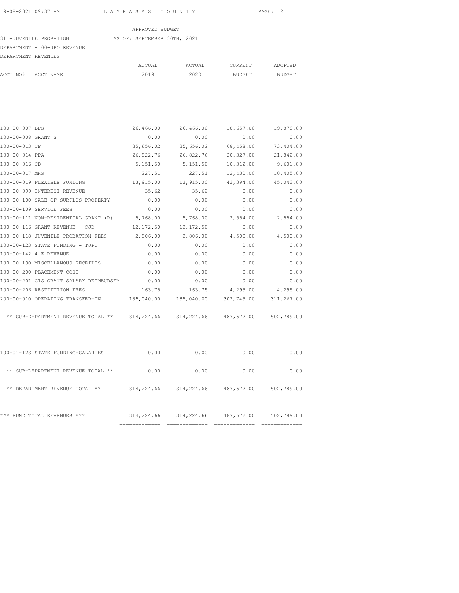### 31 -JUVENILE PROBATION AS OF: SEPTEMBER 30TH, 2021

### DEPARTMENT - 00-JPO REVENUE

| DEPARTMENT REVENUES |           |        |        |         |         |
|---------------------|-----------|--------|--------|---------|---------|
|                     |           | ACTUAL | ACTUAL | CURRENT | ADOPTED |
| ACCT NO#            | ACCT NAME | 2019   | 2020   | BUDGET  | BUDGET  |
|                     |           |        |        |         |         |

| 100-00-007 BPS     |                                                                                | 26,466.00  | 26,466.00 | 18,657.00                | 19,878.00 |
|--------------------|--------------------------------------------------------------------------------|------------|-----------|--------------------------|-----------|
| 100-00-008 GRANT S |                                                                                | 0.00       | 0.00      | 0.00                     | 0.00      |
| 100-00-013 CP      |                                                                                | 35,656.02  | 35,656.02 | 68,458.00                | 73,404.00 |
| 100-00-014 PPA     |                                                                                | 26,822.76  | 26,822.76 | 20,327.00                | 21,842.00 |
| 100-00-016 CD      |                                                                                | 5,151.50   | 5,151.50  | 10,312.00                | 9,601.00  |
| 100-00-017 MHS     |                                                                                | 227.51     | 227.51    | 12,430.00                | 10,405.00 |
|                    | 100-00-019 FLEXIBLE FUNDING                                                    | 13,915.00  | 13,915.00 | 43,394.00                | 45,043.00 |
|                    | 100-00-099 INTEREST REVENUE                                                    | 35.62      | 35.62     | 0.00                     | 0.00      |
|                    | 100-00-100 SALE OF SURPLUS PROPERTY                                            | 0.00       | 0.00      | 0.00                     | 0.00      |
|                    | 100-00-109 SERVICE FEES                                                        | 0.00       | 0.00      | 0.00                     | 0.00      |
|                    | 100-00-111 NON-RESIDENTIAL GRANT (R) 5,768.00 5,768.00 2,554.00                |            |           |                          | 2,554.00  |
|                    | 100-00-116 GRANT REVENUE - CJD                                                 | 12, 172.50 | 12,172.50 | 0.00                     | 0.00      |
|                    | 100-00-118 JUVENILE PROBATION FEES 2,806.00                                    |            |           | 2,806.00 4,500.00        | 4,500.00  |
|                    | 100-00-123 STATE FUNDING - TJPC                                                | 0.00       | 0.00      | 0.00                     | 0.00      |
|                    | 100-00-142 4 E REVENUE                                                         | 0.00       | 0.00      | 0.00                     | 0.00      |
|                    | 100-00-190 MISCELLANOUS RECEIPTS                                               | 0.00       | 0.00      | 0.00                     | 0.00      |
|                    | 100-00-200 PLACEMENT COST                                                      | 0.00       | 0.00      | 0.00                     | 0.00      |
|                    | 100-00-201 CIS GRANT SALARY REIMBURSEM                                         | 0.00       | 0.00      | 0.00                     | 0.00      |
|                    | 100-00-206 RESTITUTION FEES                                                    | 163.75     |           | 163.75 4,295.00 4,295.00 |           |
|                    | 200-00-010 OPERATING TRANSFER-IN 185,040.00 185,040.00 302,745.00 311,267.00   |            |           |                          |           |
|                    | ** SUB-DEPARTMENT REVENUE TOTAL ** 314,224.66 314,224.66 487,672.00 502,789.00 |            |           |                          |           |
|                    |                                                                                |            |           |                          |           |

|                                    | ___________<br>. |            |            | ------------- |
|------------------------------------|------------------|------------|------------|---------------|
| ***<br>FUND TOTAL REVENUES<br>***  | 314,224.66       | 314,224.66 | 487,672.00 | 502,789.00    |
| DEPARTMENT REVENUE TOTAL **<br>**  | 314,224.66       | 314,224.66 | 487,672.00 | 502,789.00    |
| ** SUB-DEPARTMENT REVENUE TOTAL ** | 0.00             | 0.00       | 0.00       | 0.00          |
| 100-01-123 STATE FUNDING-SALARIES  | 0.00             | 0.00       | 0.00       | 0.00          |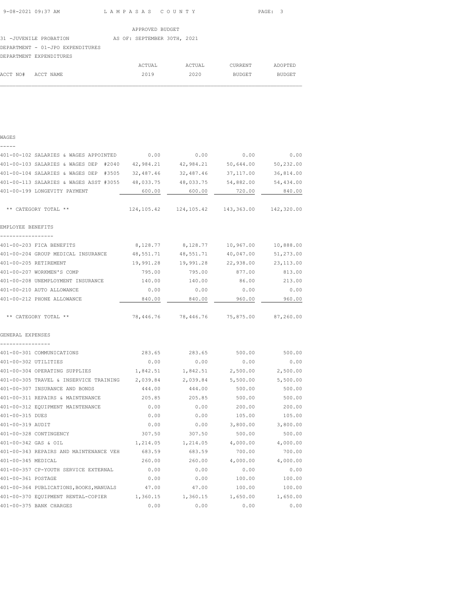| 9-08-2021 09:37 AM | LAMPASAS COUNTY | PAGE :<br>$\cdot$ |
|--------------------|-----------------|-------------------|
|                    |                 |                   |

|                                  | APPROVED BUDGET             |
|----------------------------------|-----------------------------|
| 31 - JUVENILE PROBATION          | AS OF: SEPTEMBER 30TH, 2021 |
| DEPARTMENT - 01-JPO EXPENDITURES |                             |
| DEPARTMENT EXPENDITURES          |                             |

|          | DAPARIMANI AAPANDIIURAS |        |        |         |         |
|----------|-------------------------|--------|--------|---------|---------|
|          |                         | ACTUAL | ACTUAL | CURRENT | ADOPTED |
| ACCT NO# | ACCT NAME               | 2019   | 2020   | BUDGET  | BUDGET  |
|          |                         |        |        |         |         |

| $---$                                                     |           |                                         |            |            |
|-----------------------------------------------------------|-----------|-----------------------------------------|------------|------------|
| 401-00-102 SALARIES & WAGES APPOINTED                     | 0.00      | 0.00                                    | 0.00       | 0.00       |
| 401-00-103 SALARIES & WAGES DEP #2040 42,984.21 42,984.21 |           |                                         | 50,644.00  | 50,232.00  |
| 401-00-104 SALARIES & WAGES DEP #3505 32,487.46           |           | 32,487.46                               | 37,117.00  | 36,814.00  |
| 401-00-113 SALARIES & WAGES ASST #3055                    | 48,033.75 | 48,033.75                               | 54,882.00  | 54,434.00  |
| 401-00-199 LONGEVITY PAYMENT                              | 600.00    | 600.00                                  | 720.00     | 840.00     |
| ** CATEGORY TOTAL **                                      |           | 124, 105.42 124, 105.42                 | 143,363.00 | 142,320.00 |
| EMPLOYEE BENEFITS                                         |           |                                         |            |            |
| 401-00-203 FICA BENEFITS                                  | 8,128.77  | 8,128.77                                | 10,967.00  | 10,888.00  |
| 401-00-204 GROUP MEDICAL INSURANCE                        | 48,551.71 | 48,551.71                               | 40,047.00  | 51,273.00  |
| 401-00-205 RETIREMENT                                     | 19,991.28 | 19,991.28                               | 22,938.00  | 23, 113.00 |
| 401-00-207 WORKMEN'S COMP                                 | 795.00    | 795.00                                  | 877.00     | 813.00     |
| 401-00-208 UNEMPLOYMENT INSURANCE                         | 140.00    | 140.00                                  | 86.00      | 213.00     |
| 401-00-210 AUTO ALLOWANCE                                 | 0.00      | 0.00                                    | 0.00       | 0.00       |
| 401-00-212 PHONE ALLOWANCE                                | 840.00    | 840.00                                  | 960.00     | 960.00     |
|                                                           |           |                                         |            |            |
| ** CATEGORY TOTAL **                                      |           | 78,446.76 78,446.76 75,875.00 87,260.00 |            |            |
| GENERAL EXPENSES                                          |           |                                         |            |            |
|                                                           |           |                                         |            |            |
| 401-00-301 COMMUNICATIONS                                 | 283.65    | 283.65                                  | 500.00     | 500.00     |
| 401-00-302 UTILITIES                                      | 0.00      | 0.00                                    | 0.00       | 0.00       |
| 401-00-304 OPERATING SUPPLIES                             | 1,842.51  | 1,842.51                                | 2,500.00   | 2,500.00   |
| 401-00-305 TRAVEL & INSERVICE TRAINING                    | 2,039.84  | 2,039.84                                | 5,500.00   | 5,500.00   |
| 401-00-307 INSURANCE AND BONDS                            | 444.00    | 444.00                                  | 500.00     | 500.00     |
| 401-00-311 REPAIRS & MAINTENANCE                          | 205.85    | 205.85                                  | 500.00     | 500.00     |
| 401-00-312 EQUIPMENT MAINTENANCE                          | 0.00      | 0.00                                    | 200.00     | 200.00     |
| 401-00-315 DUES                                           | 0.00      | 0.00                                    | 105.00     | 105.00     |
| 401-00-319 AUDIT                                          | 0.00      | 0.00                                    | 3,800.00   | 3,800.00   |
| 401-00-328 CONTINGENCY                                    | 307.50    | 307.50                                  | 500.00     | 500.00     |
| 401-00-342 GAS & OIL                                      | 1,214.05  | 1,214.05                                | 4,000.00   | 4,000.00   |
| 401-00-343 REPAIRS AND MAINTENANCE VEH                    | 683.59    | 683.59                                  | 700.00     | 700.00     |
| 401-00-345 MEDICAL                                        | 260.00    | 260.00                                  | 4,000.00   | 4,000.00   |
| 401-00-357 CP-YOUTH SERVICE EXTERNAL                      | 0.00      | 0.00                                    | 0.00       | 0.00       |
| 401-00-361 POSTAGE                                        | 0.00      | 0.00                                    | 100.00     | 100.00     |
| 401-00-364 PUBLICATIONS, BOOKS, MANUALS                   | 47.00     | 47.00                                   | 100.00     | 100.00     |
| 401-00-370 EQUIPMENT RENTAL-COPIER                        | 1,360.15  | 1,360.15                                | 1,650.00   | 1,650.00   |
| 401-00-375 BANK CHARGES                                   | 0.00      | 0.00                                    | 0.00       | 0.00       |
|                                                           |           |                                         |            |            |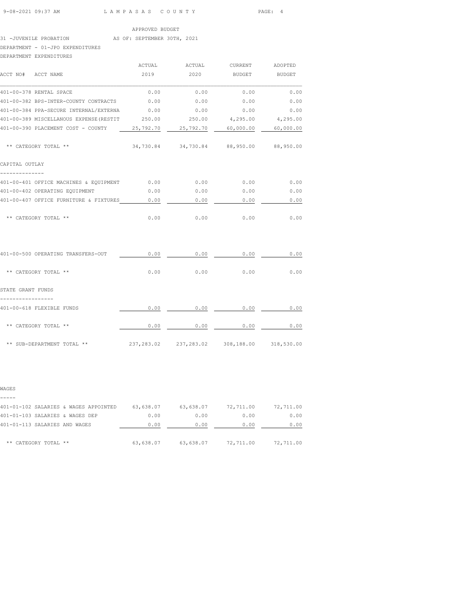# 31 -JUVENILE PROBATION AS OF: SEPTEMBER 30TH, 2021

DEPARTMENT - 01-JPO EXPENDITURES DEPARTMENT EXPENDITURES

| DEPARTMENT EXPENDITURES                                                                |        |                                             |               |      |
|----------------------------------------------------------------------------------------|--------|---------------------------------------------|---------------|------|
|                                                                                        | ACTUAL | ACTUAL CURRENT ADOPTED                      |               |      |
| ACCT NO# ACCT NAME                                                                     | 2019   | 2020                                        | BUDGET BUDGET |      |
| 401-00-378 RENTAL SPACE                                                                | 0.00   | 0.00                                        | 0.00          | 0.00 |
| 401-00-382 BPS-INTER-COUNTY CONTRACTS 0.00                                             |        | 0.00                                        | 0.00          | 0.00 |
| 401-00-384 PPA-SECURE INTERNAL/EXTERNA                                                 | 0.00   | 0.00                                        | 0.00          | 0.00 |
| 401-00-389 MISCELLANOUS EXPENSE (RESTIT 4250.00 250.00 4,295.00 4,295.00               |        |                                             |               |      |
| 401-00-390 PLACEMENT COST - COUNTY 25,792.70 25,792.70 60,000.00 60,000.00             |        |                                             |               |      |
| ** CATEGORY TOTAL **                                                                   |        | 34,730.84 34,730.84 88,950.00 88,950.00     |               |      |
| CAPITAL OUTLAY                                                                         |        |                                             |               |      |
| --------------<br>401-00-401 OFFICE MACHINES & EQUIPMENT 0.00 0.00 0.00 0.00 0.00 0.00 |        |                                             |               |      |
| 401-00-402 OPERATING EQUIPMENT                                                         | 0.00   | 0.00                                        | 0.00          | 0.00 |
| 401-00-407 OFFICE FURNITURE & FIXTURES 0.00                                            |        | 0.00                                        | 0.00          | 0.00 |
| ** CATEGORY TOTAL **                                                                   | 0.00   | 0.00                                        | 0.00          | 0.00 |
| 401-00-500 OPERATING TRANSFERS-OUT                                                     | 0.00   | 0.00                                        | 0.00          | 0.00 |
| ** CATEGORY TOTAL **                                                                   | 0.00   | $0.00$ 0.00                                 |               | 0.00 |
| STATE GRANT FUNDS                                                                      |        |                                             |               |      |
| -----------------<br>401-00-618 FLEXIBLE FUNDS                                         | 0.00   | 0.00                                        | 0.00          | 0.00 |
| ** CATEGORY TOTAL **                                                                   | 0.00   | 0.00                                        | 0.00          | 0.00 |
| ** SUB-DEPARTMENT TOTAL **                                                             |        | 237,283.02 237,283.02 308,188.00 318,530.00 |               |      |

W.

| WAGES                                 |           |           |           |           |
|---------------------------------------|-----------|-----------|-----------|-----------|
|                                       |           |           |           |           |
| 401-01-102 SALARIES & WAGES APPOINTED | 63,638.07 | 63,638.07 | 72,711.00 | 72,711.00 |
| 401-01-103 SALARIES & WAGES DEP       | 0.00      | 0.00      | 0.00      | 0.00      |
| 401-01-113 SALARIES AND WAGES         | 0.00      | 0.00      | 0.00      | 0.00      |
| ** CATEGORY TOTAL **                  | 63,638.07 | 63,638.07 | 72,711.00 | 72,711.00 |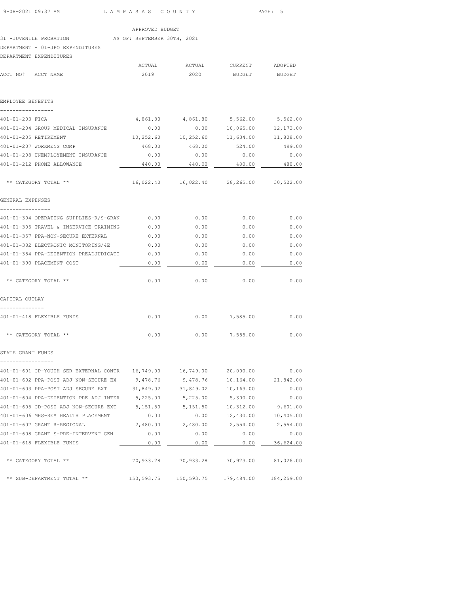| 9-08-2021 09:37 AM                                                                           | LAMPASAS COUNTY |                                            |                                | PAGE: 5           |
|----------------------------------------------------------------------------------------------|-----------------|--------------------------------------------|--------------------------------|-------------------|
|                                                                                              | APPROVED BUDGET |                                            |                                |                   |
| 31 -JUVENILE PROBATION AS OF: SEPTEMBER 30TH, 2021                                           |                 |                                            |                                |                   |
| DEPARTMENT - 01-JPO EXPENDITURES                                                             |                 |                                            |                                |                   |
| DEPARTMENT EXPENDITURES                                                                      |                 |                                            |                                |                   |
|                                                                                              |                 |                                            |                                |                   |
| ACCT NO# ACCT NAME                                                                           | 2019            | 2020                                       | BUDGET BUDGET                  |                   |
| EMPLOYEE BENEFITS                                                                            |                 |                                            |                                |                   |
| ----------------                                                                             |                 |                                            |                                |                   |
| 401-01-203 FICA                                                                              |                 | 4,861.80  4,861.80  5,562.00  5,562.00     |                                |                   |
| 401-01-204 GROUP MEDICAL INSURANCE                                                           | 0.00            |                                            | $0.00$ 10,065.00 12,173.00     |                   |
| 401-01-205 RETIREMENT                                                                        |                 | 10,252.60  10,252.60  11,634.00  11,808.00 |                                |                   |
| 401-01-207 WORKMENS COMP                                                                     | 468.00          | 468.00                                     | 524.00                         | 499.00            |
| 401-01-208 UNEMPLOYEMENT INSURANCE                                                           | 0.00            | 0.00                                       | 0.00                           | 0.00              |
| 401-01-212 PHONE ALLOWANCE                                                                   | 440.00          | 440.00                                     | 480.00                         | 480.00            |
| ** CATEGORY TOTAL **                                                                         |                 | 16,022.40  16,022.40  28,265.00  30,522.00 |                                |                   |
| GENERAL EXPENSES                                                                             |                 |                                            |                                |                   |
| ----------------                                                                             |                 |                                            |                                |                   |
| 401-01-305 TRAVEL & INSERVICE TRAINING 0.00                                                  |                 | 0.00                                       | 0.00                           | 0.00              |
| 401-01-357 PPA-NON-SECURE EXTERNAL                                                           | 0.00            | 0.00                                       | 0.00                           | 0.00              |
| 401-01-382 ELECTRONIC MONITORING/4E 0.00                                                     |                 | 0.00                                       | 0.00                           | 0.00              |
| 401-01-384 PPA-DETENTION PREADJUDICATI 0.00                                                  |                 | 0.00                                       | 0.00                           | 0.00              |
| 401-01-390 PLACEMENT COST                                                                    | 0.00            | 0.00                                       | 0.00                           | 0.00              |
| ** CATEGORY TOTAL **                                                                         | 0.00            | 0.00                                       | 0.00                           | 0.00              |
| CAPITAL OUTLAY                                                                               |                 |                                            |                                |                   |
|                                                                                              |                 |                                            |                                |                   |
| 401-01-418 FLEXIBLE FUNDS                                                                    | 0.00            |                                            | $0.00$ 7,585.00 0.00           |                   |
| ** CATEGORY TOTAL **                                                                         | 0.00            |                                            | $0.00$ 7,585.00                | 0.00              |
| STATE GRANT FUNDS                                                                            |                 |                                            |                                |                   |
| -----------------<br>401-01-601 CP-YOUTH SER EXTERNAL CONTR  16,749.00  16,749.00  20,000.00 |                 |                                            |                                | 0.00              |
|                                                                                              |                 |                                            | 10,164.00                      | 21,842.00         |
| 401-01-603 PPA-POST ADJ SECURE EXT 31,849.02 31,849.02 10,163.00                             |                 |                                            |                                | 0.00              |
| 401-01-604 PPA-DETENTION PRE ADJ INTER 5,225.00 5,225.00                                     |                 |                                            | 5,300.00                       | 0.00              |
| 401-01-605 CD-POST ADJ NON-SECURE EXT 5,151.50 5,151.50 10,312.00 9,601.00                   |                 |                                            |                                |                   |
| 401-01-606 MHS-RES HEALTH PLACEMENT                                                          | 0.00            |                                            | $0.00$ $12,430.00$ $10,405.00$ |                   |
| 401-01-607 GRANT R-REGIONAL                                                                  |                 | 2,480.00 2,480.00                          |                                | 2,554.00 2,554.00 |
| 401-01-608 GRANT S-PRE-INTERVENT GEN                                                         | 0.00            | 0.00                                       | 0.00                           | 0.00              |
| 401-01-618 FLEXIBLE FUNDS                                                                    | 0.00            | 0.00                                       | 0.00                           | 36,624.00         |
|                                                                                              |                 |                                            |                                |                   |
| ** CATEGORY TOTAL **                                                                         |                 | 70,933.28 70,933.28 70,923.00 81,026.00    |                                |                   |
| ** SUB-DEPARTMENT TOTAL **                                                                   |                 |                                            |                                |                   |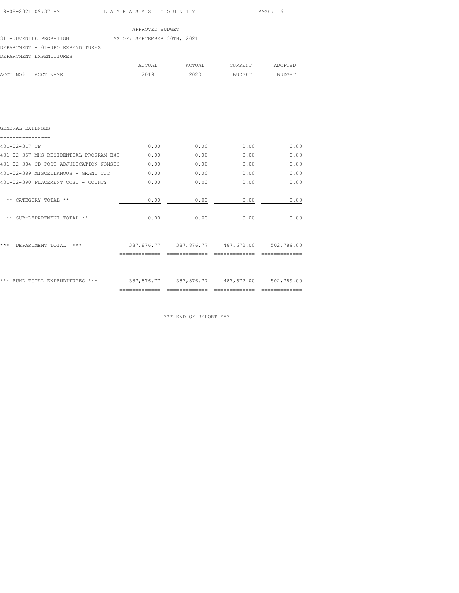| 9-08-2021 09:37 AM | LAMPASAS COUNTY<br>$\sim$ $\sim$ $\sim$ $\sim$ $\sim$ $\sim$ | PAGE: 6 |
|--------------------|--------------------------------------------------------------|---------|

31 -JUVENILE PROBATION AS OF: SEPTEMBER 30TH, 2021

DEPARTMENT - 01-JPO EXPENDITURES

|                    | DEPARTMENT EXPENDITURES |        |        |         |         |
|--------------------|-------------------------|--------|--------|---------|---------|
|                    |                         | ACTUAL | ACTUAL | CURRENT | ADOPTED |
| ACCT NO# ACCT NAME |                         | 2019   | 2020   | BUDGET  | BUDGET  |

 $\mathcal{L}_\text{max}$ 

| GENERAL EXPENSES                       |               |               |                                             |      |
|----------------------------------------|---------------|---------------|---------------------------------------------|------|
| 401-02-317 CP                          | 0.00          | 0.00          | 0.00                                        | 0.00 |
| 401-02-357 MHS-RESIDENTIAL PROGRAM EXT | 0.00          | 0.00          | 0.00                                        | 0.00 |
| 401-02-384 CD-POST ADJUDICATION NONSEC | 0.00          | 0.00          | 0.00                                        | 0.00 |
| 401-02-389 MISCELLANOUS - GRANT CJD    | 0.00          | 0.00          | 0.00                                        | 0.00 |
| 401-02-390 PLACEMENT COST - COUNTY     | 0.00          | 0.00          | 0.00                                        | 0.00 |
| ** CATEGORY TOTAL **                   | 0.00          | 0.00          | 0.00                                        | 0.00 |
| ** SUB-DEPARTMENT TOTAL **             | 0.00          | 0.00          | 0.00                                        | 0.00 |
| ***<br>***<br>DEPARTMENT TOTAL         |               |               | 387,876.77 387,876.77 487,672.00 502,789.00 |      |
| *** FUND TOTAL EXPENDITURES ***        |               |               | 387,876.77 387,876.77 487,672.00 502,789.00 |      |
|                                        | ============= | ============= |                                             |      |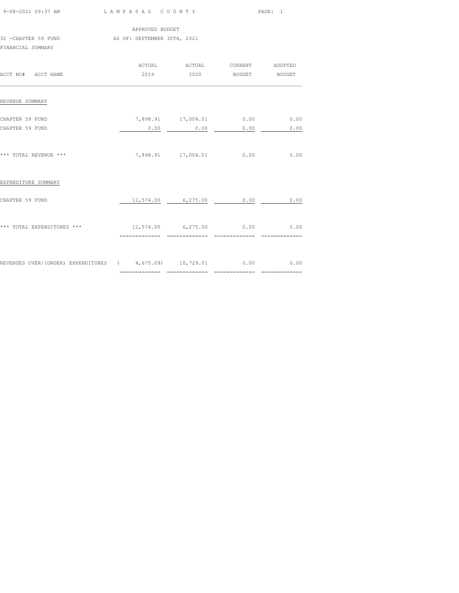| 9-08-2021 09:37 AM                                           | LAMPASAS COUNTY                           |                    |                                 | PAGE: 1 |  |
|--------------------------------------------------------------|-------------------------------------------|--------------------|---------------------------------|---------|--|
|                                                              | APPROVED BUDGET                           |                    |                                 |         |  |
| 32 - CHAPTER 59 FUND<br>FINANCIAL SUMMARY                    | AS OF: SEPTEMBER 30TH, 2021               |                    |                                 |         |  |
|                                                              | ACTUAL                                    |                    | ACTUAL CURRENT ADOPTED          |         |  |
| ACCT NO# ACCT NAME                                           | 2019                                      | 2020               | BUDGET BUDGET                   |         |  |
| REVENUE SUMMARY                                              |                                           |                    |                                 |         |  |
| CHAPTER 59 FUND                                              |                                           |                    | 7,898.91  17,004.01  0.00  0.00 |         |  |
| CHAPTER 59 FUND                                              | 0.00                                      | 0.00               | 0.00                            | 0.00    |  |
| *** TOTAL REVENUE ***                                        |                                           | 7,898.91 17,004.01 | 0.00                            | 0.00    |  |
| EXPENDITURE SUMMARY                                          |                                           |                    |                                 |         |  |
| CHAPTER 59 FUND                                              |                                           | 12,574.00 6,275.00 | 0.00                            | 0.00    |  |
| *** TOTAL EXPENDITURES ***                                   | 12,574.00 6,275.00 0.00<br>============== | _______________    | ==============                  | 0.00    |  |
|                                                              |                                           |                    |                                 |         |  |
| REVENUES OVER/(UNDER) EXPENDITURES (4,675.09) 10,729.01 0.00 |                                           |                    |                                 | 0.00    |  |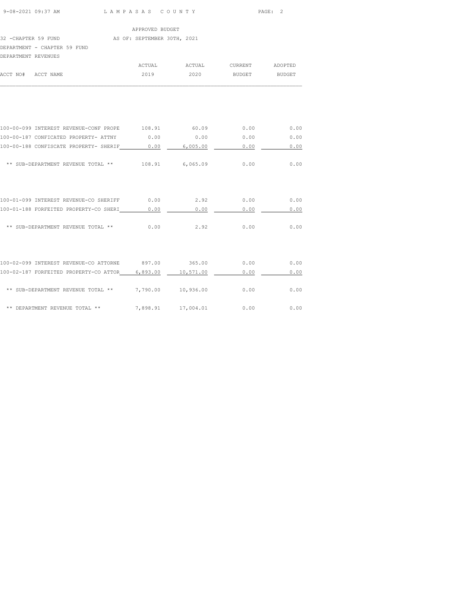|                     |                                                                    |      |                 |                               | PAGE: 2       |
|---------------------|--------------------------------------------------------------------|------|-----------------|-------------------------------|---------------|
|                     |                                                                    |      | APPROVED BUDGET |                               |               |
|                     | 32 -CHAPTER 59 FUND AS OF: SEPTEMBER 30TH, 2021                    |      |                 |                               |               |
|                     | DEPARTMENT - CHAPTER 59 FUND                                       |      |                 |                               |               |
| DEPARTMENT REVENUES |                                                                    |      |                 |                               |               |
|                     |                                                                    |      |                 | ACTUAL ACTUAL CURRENT ADOPTED |               |
|                     | ACCT NO# ACCT NAME                                                 | 2019 | 2020            |                               | BUDGET BUDGET |
|                     |                                                                    |      |                 |                               |               |
|                     |                                                                    |      |                 |                               |               |
|                     | 100-00-099 INTEREST REVENUE-CONF PROPE 108.91 60.09 0.00           |      |                 |                               | 0.00          |
|                     | 100-00-187 CONFICATED PROPERTY- ATTNY $0.00$ 0.00 0.00 0.00        |      |                 |                               | 0.00          |
|                     | 100-00-188 CONFISCATE PROPERTY- SHERIF 0.00 6,005.00               |      |                 | 0.00                          | 0.00          |
|                     | ** SUB-DEPARTMENT REVENUE TOTAL ** $108.91$ 6,065.09 0.00          |      |                 |                               | 0.00          |
|                     |                                                                    |      |                 |                               |               |
|                     | 100-01-099 INTEREST REVENUE-CO SHERIFF 0.00                        |      |                 | $2.92$ 0.00                   | 0.00          |
|                     | 100-01-188 FORFEITED PROPERTY-CO SHERI 0.00                        |      |                 | 0.00<br>0.00                  | 0.00          |
|                     | ** SUB-DEPARTMENT REVENUE TOTAL ** 0.00                            |      |                 | 2.92<br>0.00                  | 0.00          |
|                     |                                                                    |      |                 |                               |               |
|                     | 100-02-099 INTEREST REVENUE-CO ATTORNE 897.00 365.00               |      |                 | 0.00                          | 0.00          |
|                     | 100-02-187 FORFEITED PROPERTY-CO ATTOR_____6,893.00 ____ 10,571.00 |      |                 | 0.00                          | 0.00          |
|                     | ** SUB-DEPARTMENT REVENUE TOTAL ** $7,790.00$ $10,936.00$ $0.00$   |      |                 |                               | 0.00          |

\*\* DEPARTMENT REVENUE TOTAL \*\* 7,898.91 17,004.01 0.00 0.00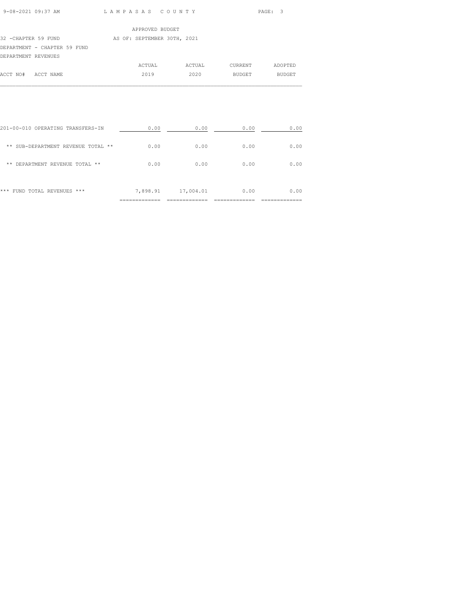| 9-08-2021 09·37 AM |  |
|--------------------|--|

L A M P A S A S C O U N T Y PAGE: 3

|                              | APPROVED BUDGET             |        |         |         |
|------------------------------|-----------------------------|--------|---------|---------|
| 32 - CHAPTER 59 FUND         | AS OF: SEPTEMBER 30TH, 2021 |        |         |         |
| DEPARTMENT - CHAPTER 59 FUND |                             |        |         |         |
| DEPARTMENT REVENUES          |                             |        |         |         |
|                              | ACTUAL                      | ACTUAL | CURRENT | ADOPTED |
| ACCT NO#<br>ACCT NAME        | 2019                        | 2020   | BUDGET  | BUDGET  |
|                              |                             |        |         |         |

| ***<br>FUND TOTAL REVENUES<br>***  | 7,898.91 | 17,004.01 | 0.00 | 0.00 |
|------------------------------------|----------|-----------|------|------|
| **<br>DEPARTMENT REVENUE TOTAL **  | 0.00     | 0.00      | 0.00 | 0.00 |
| ** SUB-DEPARTMENT REVENUE TOTAL ** | 0.00     | 0.00      | 0.00 | 0.00 |
| 201-00-010 OPERATING TRANSFERS-IN  | 0.00     | 0.00      | 0.00 | 0.00 |

 $\mathcal{L}_\text{max}$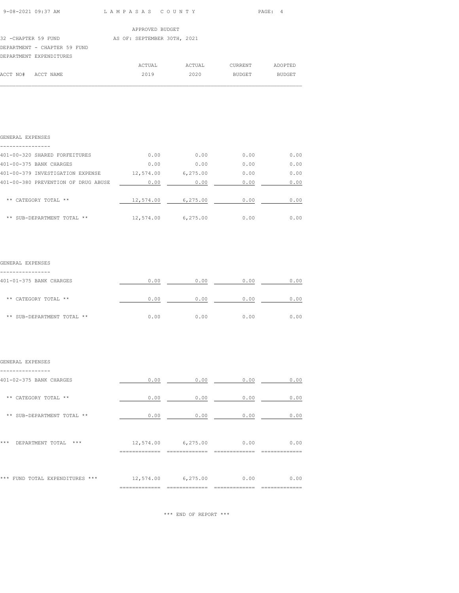| 9-08-2021 09:37 AM | LAMPASAS COUNTY | PAGE : |
|--------------------|-----------------|--------|

 $\mathcal{L}_\text{max}$ 

|                              | APPROVED BUDGET             |        |         |               |
|------------------------------|-----------------------------|--------|---------|---------------|
| 32 -CHAPTER 59 FUND          | AS OF: SEPTEMBER 30TH, 2021 |        |         |               |
| DEPARTMENT - CHAPTER 59 FUND |                             |        |         |               |
| DEPARTMENT EXPENDITURES      |                             |        |         |               |
|                              | ACTUAL                      | ACTUAL | CURRENT | ADOPTED       |
| ACCT NO#<br>ACCT NAME        | 2019                        | 2020   | BUDGET  | <b>BUDGET</b> |

| GENERAL EXPENSES                    |           |          |      |      |
|-------------------------------------|-----------|----------|------|------|
| 401-00-320 SHARED FORFEITURES       | 0.00      | 0.00     | 0.00 | 0.00 |
| 401-00-375 BANK CHARGES             | 0.00      | 0.00     | 0.00 | 0.00 |
| 401-00-379 INVESTIGATION EXPENSE    | 12,574.00 | 6,275.00 | 0.00 | 0.00 |
| 401-00-380 PREVENTION OF DRUG ABUSE | 0.00      | 0.00     | 0.00 | 0.00 |
| ** CATEGORY TOTAL **                | 12,574.00 | 6,275.00 | 0.00 | 0.00 |
| ** SUB-DEPARTMENT TOTAL **          | 12,574.00 | 6,275.00 | 0.00 | 0.00 |

## GENERAL EXPENSES

| 401-01-375 BANK CHARGES    | 0.00 | 0.00 | 0.00 | 0.00 |
|----------------------------|------|------|------|------|
| ** CATEGORY TOTAL **       | 0.00 | 0.00 | 0.00 | 0.00 |
| ** SUB-DEPARTMENT TOTAL ** | 0.00 | 0.00 | 0.00 | 0.00 |

## GENERAL EXPENSES

| 401-02-375 BANK CHARGES            | 0.00      | 0.00      | 0.00 | 0.00 |
|------------------------------------|-----------|-----------|------|------|
| CATEGORY TOTAL **<br>$* *$         | 0.00      | 0.00      | 0.00 | 0.00 |
| ** SUB-DEPARTMENT TOTAL **         | 0.00      | 0.00      | 0.00 | 0.00 |
| $***$<br>DEPARTMENT TOTAL<br>$***$ | 12,574.00 | 6, 275.00 | 0.00 | 0.00 |
| *** FUND TOTAL EXPENDITURES ***    | 12,574.00 | 6,275.00  | 0.00 | 0.00 |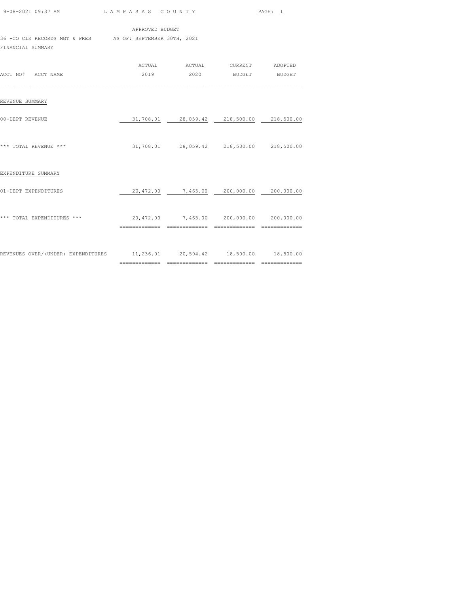| 9-08-2021 09:37 AM LAMPASAS COUNTY                                              |                                                  |                                                           | PAGE: 1 |
|---------------------------------------------------------------------------------|--------------------------------------------------|-----------------------------------------------------------|---------|
|                                                                                 | APPROVED BUDGET                                  |                                                           |         |
| 36 - CO CLK RECORDS MGT & PRES AS OF: SEPTEMBER 30TH, 2021<br>FINANCIAL SUMMARY |                                                  |                                                           |         |
| ACCT NO# ACCT NAME                                                              |                                                  | ACTUAL ACTUAL CURRENT ADOPTED<br>2019  2020 BUDGET BUDGET |         |
| REVENUE SUMMARY                                                                 |                                                  |                                                           |         |
| 00-DEPT REVENUE                                                                 |                                                  | 31,708.01  28,059.42  218,500.00  218,500.00              |         |
| *** TOTAL REVENUE ***                                                           |                                                  | 31,708.01  28,059.42  218,500.00  218,500.00              |         |
| EXPENDITURE SUMMARY                                                             |                                                  |                                                           |         |
| 01-DEPT EXPENDITURES                                                            |                                                  | $20,472.00$ $7,465.00$ $200,000.00$ $200,000.00$          |         |
| *** TOTAL EXPENDITURES ***                                                      | $20,472.00$ $7,465.00$ $200,000.00$ $200,000.00$ |                                                           |         |
| REVENUES OVER/(UNDER) EXPENDITURES 11,236.01 20,594.42 18,500.00 18,500.00      |                                                  |                                                           |         |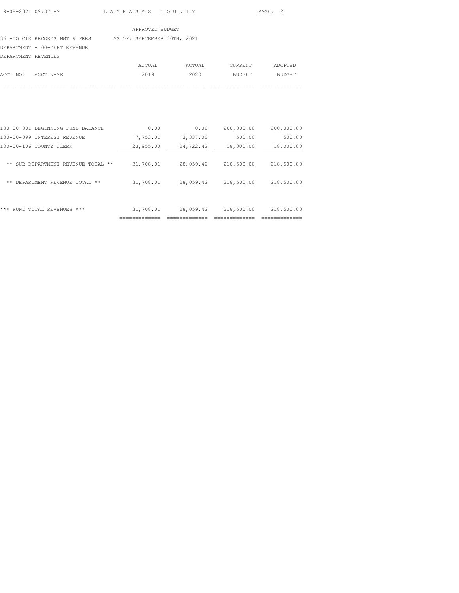## 36 -CO CLK RECORDS MGT & PRES AS OF: SEPTEMBER 30TH, 2021

DEPARTMENT - 00-DEPT REVENUE

| DEPARTMENT REVENUES |  |        |        |         |         |
|---------------------|--|--------|--------|---------|---------|
|                     |  | ACTUAL | ACTUAL | CURRENT | ADOPTED |
| ACCT NO# ACCT NAME  |  | 2019   | 2020   | BUDGET  | BUDGET  |
|                     |  |        |        |         |         |

| ***<br>FUND TOTAL REVENUES<br>***          | 31,708.01 | 28,059.42 | 218,500.00 | 218,500.00 |
|--------------------------------------------|-----------|-----------|------------|------------|
| DEPARTMENT REVENUE TOTAL<br>**<br>**       | 31,708.01 | 28,059.42 | 218,500.00 | 218,500.00 |
| SUB-DEPARTMENT<br>**<br>REVENUE TOTAL **   | 31,708.01 | 28,059.42 | 218,500.00 | 218,500.00 |
| 100-00-106 COUNTY CLERK                    | 23,955.00 | 24,722.42 | 18,000.00  | 18,000.00  |
| 100-00-099 INTEREST REVENUE                | 7,753.01  | 3,337.00  | 500.00     | 500.00     |
| $100 - 00 - 001$<br>BEGINNING FUND BALANCE | 0.00      | 0.00      | 200,000.00 | 200,000.00 |
|                                            |           |           |            |            |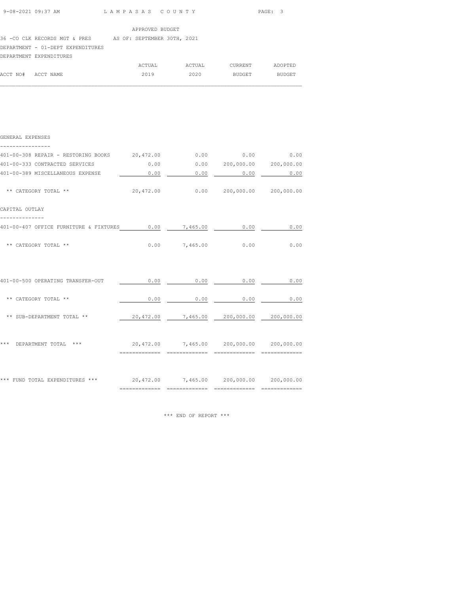36 -CO CLK RECORDS MGT & PRES AS OF: SEPTEMBER 30TH, 2021

DEPARTMENT - 01-DEPT EXPENDITURES

| DEPARTMENT EXPENDITURES |  |
|-------------------------|--|
|                         |  |

|                    | ACTUAL | ACTUAL | CURRENT | ADOPTED |
|--------------------|--------|--------|---------|---------|
| ACCT NO# ACCT NAME | 2019   | 2020   | BUDGET  | BUDGET  |
|                    |        |        |         |         |

| GENERAL EXPENSES                                                               |      |                                  |                                                  |             |
|--------------------------------------------------------------------------------|------|----------------------------------|--------------------------------------------------|-------------|
| 401-00-308 REPAIR - RESTORING BOOKS 20,472.00 0.00 0.00 0.00 0.00 0.00         |      |                                  |                                                  |             |
| 401-00-333 CONTRACTED SERVICES                                                 |      |                                  | $0.00$ $0.00$ $200,000.00$ $200,000.00$          |             |
| 401-00-389 MISCELLANEOUS EXPENSE 6.00 0.00 0.00 0.00 0.00 0.00 0.00            |      |                                  |                                                  |             |
| ** CATEGORY TOTAL **                                                           |      |                                  | 20,472.00   0.00   200,000.00   200,000.00       |             |
| CAPITAL OUTLAY                                                                 |      |                                  |                                                  |             |
| 401-00-407 OFFICE FURNITURE & FIXTURES 0.00 7,465.00                           |      |                                  | 0.00                                             | $\sim$ 0.00 |
| ** CATEGORY TOTAL **                                                           |      |                                  | $0.00$ $7,465.00$ $0.00$ $0.00$                  |             |
|                                                                                |      |                                  |                                                  |             |
| 401-00-500 OPERATING TRANSFER-OUT                                              |      |                                  | $0.00$ 0.00 0.00 0.00                            | 0.00        |
| ** CATEGORY TOTAL **                                                           | 0.00 |                                  | $0.00$ 0.00                                      | 0.00        |
| ** SUB-DEPARTMENT TOTAL **                                                     |      |                                  | $20,472.00$ $7,465.00$ $200,000.00$ $200,000.00$ |             |
| DEPARTMENT TOTAL ***<br>20,472.00 7,465.00 200,000.00 200,000.00<br>***        |      |                                  |                                                  |             |
|                                                                                |      | ================================ |                                                  |             |
| *** FUND TOTAL EXPENDITURES *** $20,472.00$ 7,465.00 $200,000.00$ $200,000.00$ |      |                                  |                                                  |             |
|                                                                                |      |                                  |                                                  |             |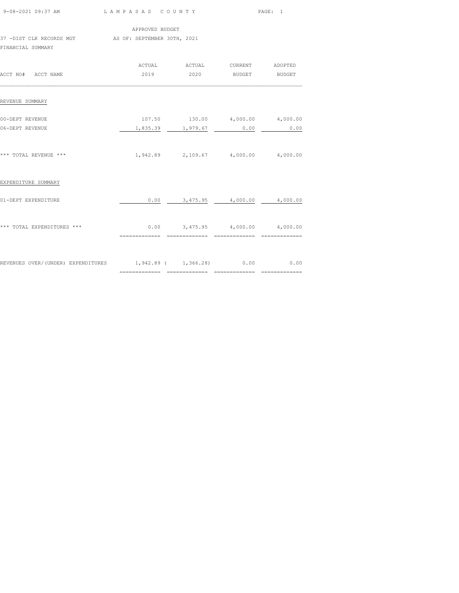| 9-08-2021 09:37 AM                                          | LAMPASAS COUNTY |                       |                                             | PAGE: 1       |
|-------------------------------------------------------------|-----------------|-----------------------|---------------------------------------------|---------------|
|                                                             | APPROVED BUDGET |                       |                                             |               |
| 37 -DIST CLK RECORDS MGT AS OF: SEPTEMBER 30TH, 2021        |                 |                       |                                             |               |
| FINANCIAL SUMMARY                                           |                 |                       |                                             |               |
|                                                             |                 | ACTUAL ACTUAL CURRENT |                                             | ADOPTED       |
| ACCT NO# ACCT NAME                                          | 2019            | 2020                  | <b>BUDGET</b>                               | <b>BUDGET</b> |
| REVENUE SUMMARY                                             |                 |                       |                                             |               |
| 00-DEPT REVENUE                                             |                 |                       | 107.50  130.00  4,000.00  4,000.00          |               |
| 06-DEPT REVENUE                                             | 1,835.39        | 1,979.67              | 0.00                                        | 0.00          |
| *** TOTAL REVENUE ***                                       |                 |                       | $1,942.89$ $2,109.67$ $4,000.00$ $4,000.00$ |               |
| EXPENDITURE SUMMARY                                         |                 |                       |                                             |               |
| 01-DEPT EXPENDITURE                                         | 0.00            |                       | $3,475.95$ $4,000.00$ $4,000.00$            |               |
| *** TOTAL EXPENDITURES ***                                  |                 |                       | $0.00$ $3,475.95$ $4,000.00$ $4,000.00$     |               |
|                                                             |                 |                       |                                             |               |
| REVENUES OVER/(UNDER) EXPENDITURES 1,942.89 (1,366.28) 0.00 |                 |                       |                                             | 0.00          |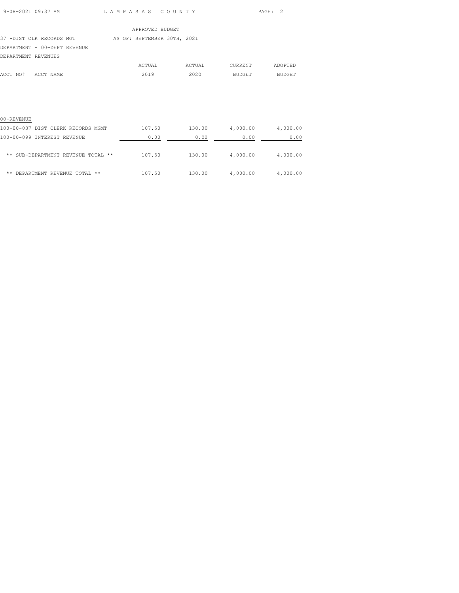| $9 - 08 - 2021$ 09:37 AM |  |
|--------------------------|--|

L A M P A S A S C O U N T Y PAGE: 2

|                              | APPROVED BUDGET             |        |                |               |
|------------------------------|-----------------------------|--------|----------------|---------------|
| 37 -DIST CLK RECORDS MGT     | AS OF: SEPTEMBER 30TH, 2021 |        |                |               |
| DEPARTMENT - 00-DEPT REVENUE |                             |        |                |               |
| DEPARTMENT REVENUES          |                             |        |                |               |
|                              | ACTUAL                      | ACTUAL | <b>CURRENT</b> | ADOPTED       |
| ACCT NO#<br>ACCT NAME        | 2019                        | 2020   | <b>BUDGET</b>  | <b>BUDGET</b> |
|                              |                             |        |                |               |

| 00-REVENUE                         |        |        |          |          |
|------------------------------------|--------|--------|----------|----------|
| 100-00-037 DIST CLERK RECORDS MGMT | 107.50 | 130.00 | 4,000.00 | 4,000.00 |
| 100-00-099 INTEREST REVENUE        | 0.00   | 0.00   | 0.00     | 0.00     |
| ** SUB-DEPARTMENT REVENUE TOTAL ** | 107.50 | 130.00 | 4,000.00 | 4,000.00 |
| **<br>DEPARTMENT REVENUE TOTAL **  | 107.50 | 130.00 | 4,000.00 | 4,000.00 |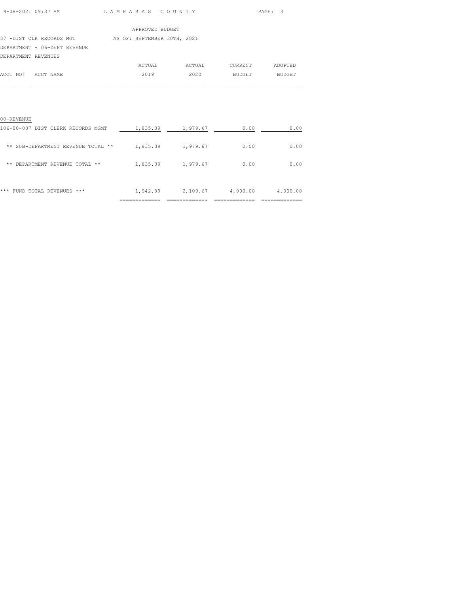| $9 - 08 - 2021$ $09 \cdot 37$ AM |  |
|----------------------------------|--|

L A M P A S A S C O U N T Y PAGE: 3

|                              | APPROVED BUDGET             |
|------------------------------|-----------------------------|
| 37 -DIST CLK RECORDS MGT     | AS OF: SEPTEMBER 30TH, 2021 |
| DEPARTMENT - 06-DEPT REVENUE |                             |
| DEPARTMENT REVENUES          |                             |

|                    | ACTUAL | ACTUAL | CURRENT | ADOPTED       |
|--------------------|--------|--------|---------|---------------|
| ACCT NO# ACCT NAME | 2019   | 2020   | BUDGET  | <b>BUDGET</b> |
|                    |        |        |         |               |

| 00-REVENUE                                     |                           |                           |                            |                           |
|------------------------------------------------|---------------------------|---------------------------|----------------------------|---------------------------|
| 106-00-037 DIST CLERK RECORDS MGMT             | 1,835.39                  | 1,979.67                  | 0.00                       | 0.00                      |
| SUB-DEPARTMENT REVENUE TOTAL<br>* *<br>**      | 1,835.39                  | 1,979.67                  | 0.00                       | 0.00                      |
| REVENUE TOTAL<br><b>DEPARTMENT</b><br>**<br>** | 1,835.39                  | 1,979.67                  | 0.00                       | 0.00                      |
| ***<br>FUND TOTAL REVENUES<br>***              | 1,942.89<br>------------- | 2,109.67<br>------------- | 4,000.00<br>-------------- | 4,000.00<br>------------- |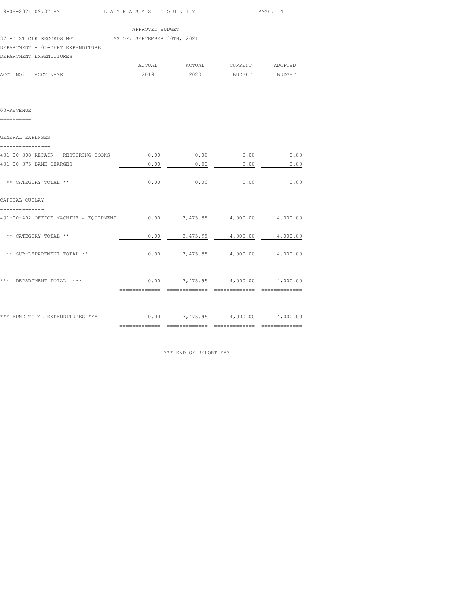| 9-08-2021 09:37 AM                                   | LAMPASAS COUNTY |          |                                         | PAGE: 4  |
|------------------------------------------------------|-----------------|----------|-----------------------------------------|----------|
|                                                      | APPROVED BUDGET |          |                                         |          |
| 37 -DIST CLK RECORDS MGT AS OF: SEPTEMBER 30TH, 2021 |                 |          |                                         |          |
| DEPARTMENT - 01-DEPT EXPENDITURE                     |                 |          |                                         |          |
| DEPARTMENT EXPENDITURES                              |                 |          |                                         |          |
|                                                      |                 |          |                                         |          |
| ACCT NO# ACCT NAME                                   |                 |          | 2019  2020 BUDGET BUDGET                |          |
|                                                      |                 |          |                                         |          |
| 00-REVENUE<br>==========                             |                 |          |                                         |          |
| GENERAL EXPENSES                                     |                 |          |                                         |          |
| ----------------                                     |                 |          |                                         |          |
| 401-00-308 REPAIR - RESTORING BOOKS                  |                 |          | $0.00$ $0.00$ $0.00$ $0.00$             | 0.00     |
| 401-00-375 BANK CHARGES                              | 0.00            | 0.00     | 0.00                                    | 0.00     |
|                                                      |                 |          |                                         |          |
| ** CATEGORY TOTAL **                                 |                 |          | $0.00$ 0.00 0.00                        | 0.00     |
| CAPITAL OUTLAY                                       |                 |          |                                         |          |
| 401-00-402 OFFICE MACHINE & EQUIPMENT 0.00           |                 | 3,475.95 | 4,000.00                                | 4,000.00 |
| ** CATEGORY TOTAL **                                 | 0.00            |          | $3,475.95$ $4,000.00$ $4,000.00$        |          |
| ** SUB-DEPARTMENT TOTAL **                           |                 |          | $0.00$ $3,475.95$ $4,000.00$ $4,000.00$ |          |
|                                                      |                 |          |                                         |          |
| *** DEPARTMENT TOTAL ***                             |                 |          | $0.00$ $3,475.95$ $4,000.00$ $4,000.00$ |          |
|                                                      |                 |          |                                         |          |
| *** FUND TOTAL EXPENDITURES ***                      |                 |          | $0.00$ $3,475.95$ $4,000.00$ $4,000.00$ |          |
|                                                      |                 |          |                                         |          |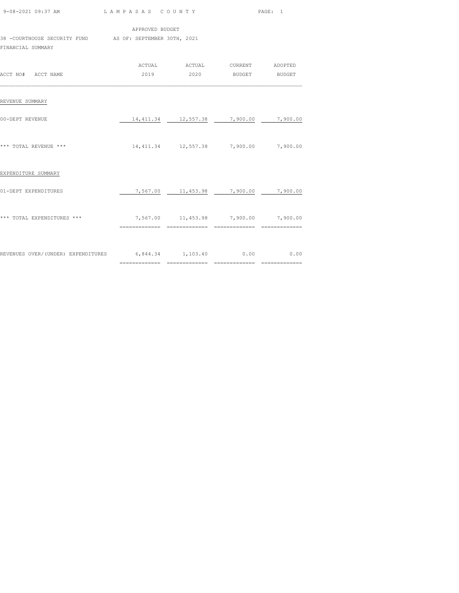| 9-08-2021 09:37 AM LAMPASAS COUNTY                                            |                                        |                                                                                       | PAGE: 1 |
|-------------------------------------------------------------------------------|----------------------------------------|---------------------------------------------------------------------------------------|---------|
| 38 -COURTHOUSE SECURITY FUND AS OF: SEPTEMBER 30TH, 2021<br>FINANCIAL SUMMARY | APPROVED BUDGET                        |                                                                                       |         |
| ACCT NO# ACCT NAME                                                            |                                        | ACTUAL ACTUAL CURRENT ADOPTED<br>2019 2020 BUDGET BUDGET                              |         |
| REVENUE SUMMARY                                                               |                                        |                                                                                       |         |
| 00-DEPT REVENUE                                                               |                                        | $\frac{14,411.34}{2}$ $\frac{12,557.38}{2}$ $\frac{7,900.00}{2}$ $\frac{7,900.00}{2}$ |         |
| *** TOTAL REVENUE ***                                                         |                                        | 14,411.34  12,557.38  7,900.00  7,900.00                                              |         |
| EXPENDITURE SUMMARY                                                           |                                        |                                                                                       |         |
| 01-DEPT EXPENDITURES                                                          |                                        | $\frac{7,567.00}{2,567.00}$ 11,453.98 7,900.00 7,900.00                               |         |
| *** TOTAL EXPENDITURES ***                                                    | $7,567.00$ 11,453.98 7,900.00 7,900.00 |                                                                                       |         |
| REVENUES OVER/(UNDER) EXPENDITURES 6,844.34 1,103.40 0.00 0.00 0.00           |                                        |                                                                                       |         |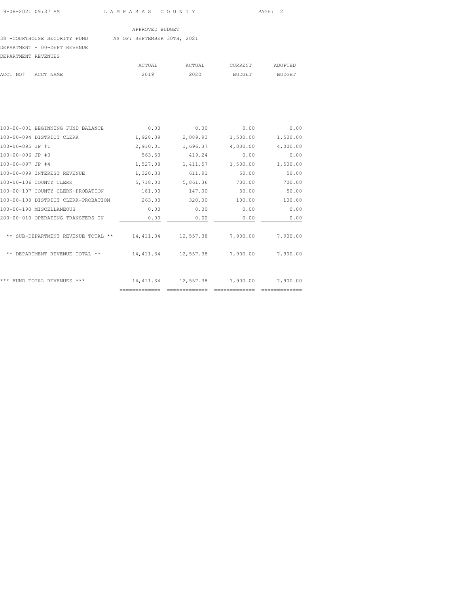#### 38 -COURTHOUSE SECURITY FUND AS OF: SEPTEMBER 30TH, 2021

## DEPARTMENT - 00-DEPT REVENUE

| DEPARTMENT REVENUES |        |        |         |         |
|---------------------|--------|--------|---------|---------|
|                     | ACTUAL | ACTUAL | CURRENT | ADOPTED |
| ACCT NO# ACCT NAME  | 2019   | 2020   | BUDGET  | BUDGET  |
|                     |        |        |         |         |

| 100-00-001 BEGINNING FUND BALANCE   | 0.00                         | 0.00      | 0.00     | 0.00     |
|-------------------------------------|------------------------------|-----------|----------|----------|
| 100-00-094 DISTRICT CLERK           | 1,928.39                     | 2,089.93  | 1,500.00 | 1,500.00 |
| 100-00-095 JP #1                    | 2,910.01                     | 1,696.37  | 4,000.00 | 4,000.00 |
| 100-00-096 JP #3                    | 563.53                       | 419.24    | 0.00     | 0.00     |
| 100-00-097 JP #4                    | 1,527.08                     | 1,411.57  | 1,500.00 | 1,500.00 |
| 100-00-099 INTEREST REVENUE         | 1,320.33                     | 611.91    | 50.00    | 50.00    |
| 100-00-106 COUNTY CLERK             | 5,718.00                     | 5,861.36  | 700.00   | 700.00   |
| 100-00-107 COUNTY CLERK-PROBATION   | 181.00                       | 147.00    | 50.00    | 50.00    |
| 100-00-108 DISTRICT CLERK-PROBATION | 263.00                       | 320.00    | 100.00   | 100.00   |
| 100-00-190 MISCELLANEOUS            | 0.00                         | 0.00      | 0.00     | 0.00     |
| 200-00-010 OPERATING TRANSFERS IN   | 0.00                         | 0.00      | 0.00     | 0.00     |
| ** SUB-DEPARTMENT REVENUE TOTAL **  | 14, 411.34                   | 12,557.38 | 7,900.00 | 7,900.00 |
| DEPARTMENT REVENUE TOTAL **<br>**   | 14, 411.34                   | 12,557.38 | 7,900.00 | 7,900.00 |
| ***                                 |                              |           |          |          |
| FUND TOTAL REVENUES ***             | 14, 411.34<br>============== | 12,557.38 | 7,900.00 | 7,900.00 |
|                                     |                              |           |          |          |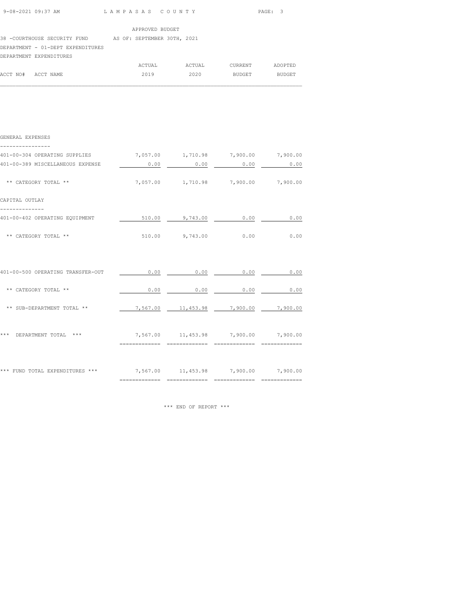| 9-08-2021 09:37 AM | LAMPASAS COUNTY | PAGE :<br>$\cdot$ |
|--------------------|-----------------|-------------------|
|                    |                 |                   |

|  |  | APPROVED BUDGE |  |
|--|--|----------------|--|

| APPROVED BUDGET |
|-----------------|
|                 |

#### 38 -COURTHOUSE SECURITY FUND AS OF: SEPTEMBER 30TH, 2021

## DEPARTMENT - 01-DEPT EXPENDITURES

|                    | DEPARTMENT EXPENDITURES |        |        |         |               |
|--------------------|-------------------------|--------|--------|---------|---------------|
|                    |                         | ACTUAL | ACTUAL | CURRENT | ADOPTED       |
| ACCT NO# ACCT NAME |                         | 2019   | 2020   | BUDGET  | <b>BUDGET</b> |

 $\mathcal{L}_\text{max}$ 

| GENERAL EXPENSES<br>----------------                                    |                                          |                                         |      |      |
|-------------------------------------------------------------------------|------------------------------------------|-----------------------------------------|------|------|
| 401-00-304 OPERATING SUPPLIES $7,057.00$ 1,710.98 7,900.00 7,900.00     |                                          |                                         |      |      |
| 401-00-389 MISCELLANEOUS EXPENSE                                        |                                          | $0.00$ $0.00$ $0.00$ $0.00$             |      | 0.00 |
| ** CATEGORY TOTAL **                                                    |                                          | 7,057.00  1,710.98  7,900.00  7,900.00  |      |      |
| CAPITAL OUTLAY                                                          |                                          |                                         |      |      |
| 401-00-402 OPERATING EQUIPMENT                                          | $\frac{510.00}{0.00}$ 9,743.00 0.00 0.00 |                                         |      |      |
| ** CATEGORY TOTAL **                                                    | $510.00$ 9,743.00 0.00 0.00              |                                         |      |      |
| 401-00-500 OPERATING TRANSFER-OUT                                       |                                          | $0.00$ $0.00$ $0.00$ $0.00$ $0.00$      |      |      |
| ** CATEGORY TOTAL **                                                    |                                          | $0.00$ 0.00                             | 0.00 | 0.00 |
| ** SUB-DEPARTMENT TOTAL **                                              |                                          | 7,567.00  11,453.98  7,900.00  7,900.00 |      |      |
| *** DEPARTMENT TOTAL *** $7,567.00$ 11,453.98 7,900.00 7,900.00         |                                          |                                         |      |      |
| *** FUND TOTAL EXPENDITURES ***<br>7,567.00 11,453.98 7,900.00 7,900.00 |                                          |                                         |      |      |
|                                                                         |                                          |                                         |      |      |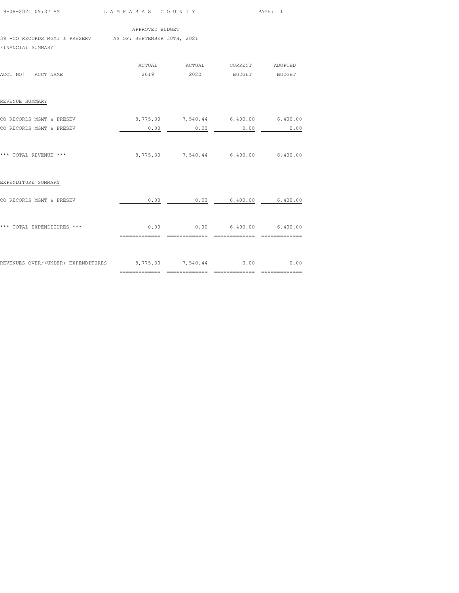|                                                                                 |                                                                      | 9-08-2021 09:37 AM LAMPASAS COUNTY  |      | PAGE: 1 |  |  |
|---------------------------------------------------------------------------------|----------------------------------------------------------------------|-------------------------------------|------|---------|--|--|
|                                                                                 | APPROVED BUDGET                                                      |                                     |      |         |  |  |
| 39 - CO RECORDS MGMT & PRESERV AS OF: SEPTEMBER 30TH, 2021<br>FINANCIAL SUMMARY |                                                                      |                                     |      |         |  |  |
|                                                                                 |                                                                      | ACTUAL ACTUAL CURRENT ADOPTED       |      |         |  |  |
| ACCT NO# ACCT NAME                                                              |                                                                      | 2019 2020 BUDGET BUDGET             |      |         |  |  |
| REVENUE SUMMARY                                                                 |                                                                      |                                     |      |         |  |  |
| CO RECORDS MGMT & PRESEV                                                        |                                                                      | 8,775.30 7,540.44 6,400.00 6,400.00 |      |         |  |  |
| CO RECORDS MGMT & PRESEV                                                        | 0.00                                                                 | 0.00                                | 0.00 | 0.00    |  |  |
| *** TOTAL REVENUE ***                                                           |                                                                      | 8,775.30 7,540.44 6,400.00 6,400.00 |      |         |  |  |
| EXPENDITURE SUMMARY                                                             |                                                                      |                                     |      |         |  |  |
| CO RECORDS MGMT & PRESEV                                                        |                                                                      | $0.00$ 0.00 6,400.00 6,400.00       |      |         |  |  |
| *** TOTAL EXPENDITURES ***                                                      | $0.00$ $0.00$ $6,400.00$ $6,400.00$<br>============================= |                                     |      |         |  |  |
| REVENUES OVER/(UNDER) EXPENDITURES 8,775.30 7,540.44 0.00 0.00 0.00             |                                                                      |                                     |      |         |  |  |

============= ============= ============= =============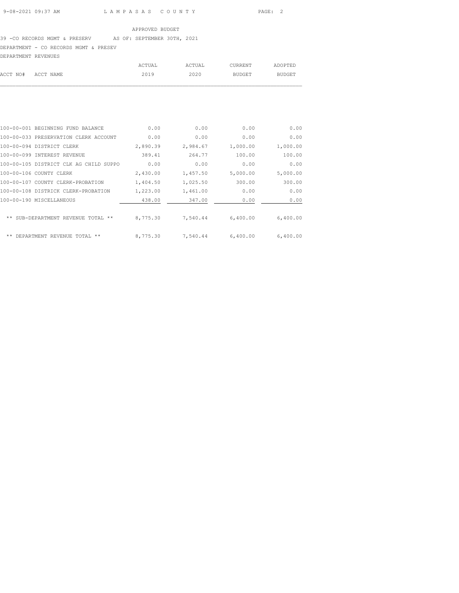## 39 -CO RECORDS MGMT & PRESERV AS OF: SEPTEMBER 30TH, 2021 DEPARTMENT - CO RECORDS MGMT & PRESEV DEPARTMENT REVENUES

| ACCT NO# ACCT NAME  | 2019   | 2020   | BUDGET  | <b>BUDGET</b> |
|---------------------|--------|--------|---------|---------------|
|                     |        |        |         |               |
|                     | ACTUAL | ACTUAL | CURRENT | ADOPTED       |
| DEPAKTMENT KEVENUES |        |        |         |               |

| 100-00-001 BEGINNING FUND BALANCE      | 0.00     | 0.00     | 0.00     | 0.00     |
|----------------------------------------|----------|----------|----------|----------|
| 100-00-033 PRESERVATION CLERK ACCOUNT  | 0.00     | 0.00     | 0.00     | 0.00     |
| 100-00-094 DISTRICT CLERK              | 2,890.39 | 2,984.67 | 1,000.00 | 1,000.00 |
| 100-00-099 INTEREST REVENUE            | 389.41   | 264.77   | 100.00   | 100.00   |
| 100-00-105 DISTRICT CLK AG CHILD SUPPO | 0.00     | 0.00     | 0.00     | 0.00     |
| 100-00-106 COUNTY CLERK                | 2,430.00 | 1,457.50 | 5,000.00 | 5,000.00 |
| 100-00-107 COUNTY CLERK-PROBATION      | 1,404.50 | 1,025.50 | 300.00   | 300.00   |
| 100-00-108 DISTRICK CLERK-PROBATION    | 1,223.00 | 1,461.00 | 0.00     | 0.00     |
| 100-00-190 MISCELLANEOUS               | 438.00   | 347.00   | 0.00     | 0.00     |
|                                        |          |          |          |          |
| ** SUB-DEPARTMENT REVENUE TOTAL **     | 8,775.30 | 7,540.44 | 6,400.00 | 6,400.00 |
|                                        |          |          |          |          |
| **<br>DEPARTMENT REVENUE TOTAL **      | 8,775.30 | 7,540.44 | 6,400.00 | 6,400.00 |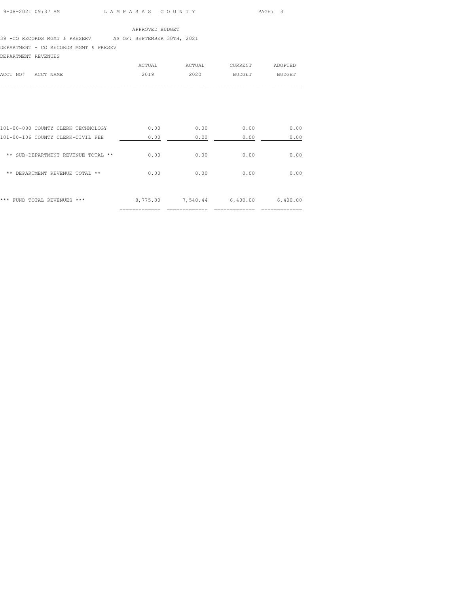## 39 -CO RECORDS MGMT & PRESERV AS OF: SEPTEMBER 30TH, 2021 DEPARTMENT - CO RECORDS MGMT & PRESEV

DEPARTMENT REVENUES

|                    | ACTUAL | ACTUAL | CURRENT | ADOPTED |
|--------------------|--------|--------|---------|---------|
| ACCT NO# ACCT NAME | 2019   | 2020   | BUDGET  | BUDGET  |
|                    |        |        |         |         |

|                                       | ------------ | ___________ | ___________ | --------------- |
|---------------------------------------|--------------|-------------|-------------|-----------------|
| ***<br>FUND TOTAL REVENUES<br>***     | 8,775.30     | 7,540.44    | 6,400.00    | 6,400.00        |
| $* *$<br>DEPARTMENT REVENUE TOTAL **  | 0.00         | 0.00        | 0.00        | 0.00            |
| **<br>SUB-DEPARTMENT REVENUE TOTAL ** | 0.00         | 0.00        | 0.00        | 0.00            |
| 101-00-106 COUNTY CLERK-CIVIL FEE     | 0.00         | 0.00        | 0.00        | 0.00            |
| 101-00-080 COUNTY CLERK TECHNOLOGY    | 0.00         | 0.00        | 0.00        | 0.00            |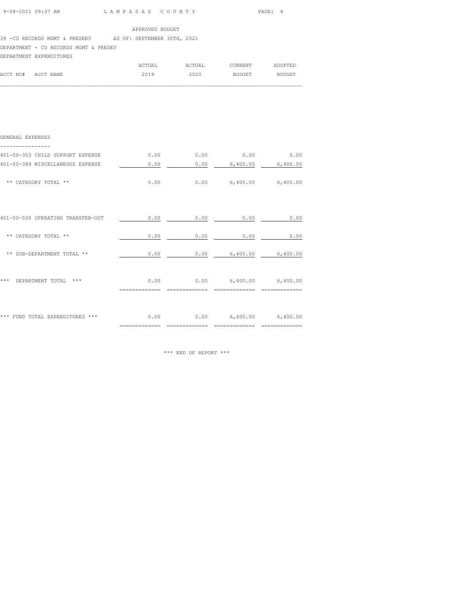| 9-08-2021 09:37 AM | LAMPASAS COUNTY | PAGE : |
|--------------------|-----------------|--------|

| APPROVED BUDGET |  |
|-----------------|--|

39 -CO RECORDS MGMT & PRESERV AS OF: SEPTEMBER 30TH, 2021

DEPARTMENT - CO RECORDS MGMT & PRESEV

DEPARTMENT EXPENDITURES

|                    | ACTUAL | ACTUAL | CURRENT | ADOPTED |
|--------------------|--------|--------|---------|---------|
| ACCT NO# ACCT NAME | 2019   | 2020   | BUDGET  | BUDGET  |
|                    |        |        |         |         |

| GENERAL EXPENSES                  |      |      |                               |          |
|-----------------------------------|------|------|-------------------------------|----------|
| 401-00-353 CHILD SUPPORT EXPENSE  | 0.00 | 0.00 | 0.00                          | 0.00     |
| 401-00-389 MISCELLANEOUS EXPENSE  | 0.00 | 0.00 | 6,400.00                      | 6,400.00 |
| ** CATEGORY TOTAL **              | 0.00 |      | $0.00$ 6,400.00 6,400.00      |          |
|                                   |      |      |                               |          |
| 401-00-500 OPERATING TRANSFER-OUT | 0.00 | 0.00 | 0.00                          | 0.00     |
| ** CATEGORY TOTAL **              | 0.00 | 0.00 | 0.00                          | 0.00     |
| ** SUB-DEPARTMENT TOTAL **        | 0.00 |      | $0.00$ 6,400.00 6,400.00      |          |
| DEPARTMENT TOTAL<br>***<br>***    |      |      | $0.00$ 0.00 6,400.00 6,400.00 |          |
| *** FUND TOTAL EXPENDITURES ***   |      | 0.00 | $0.00$ 6,400.00 6,400.00      |          |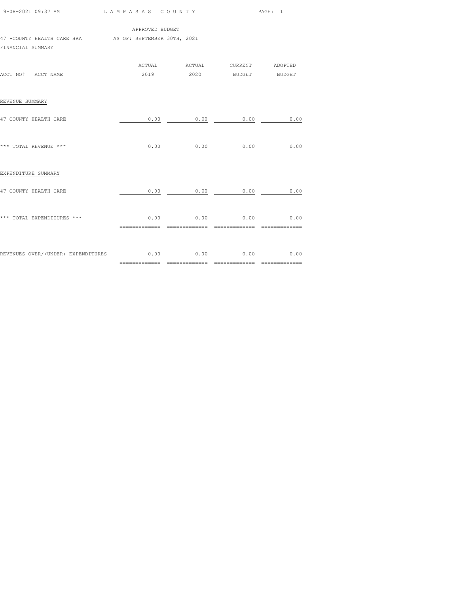|                                                               | 9-08-2021 09:37 AM LAMPASAS COUNTY |                                                           | PAGE: 1 |  |
|---------------------------------------------------------------|------------------------------------|-----------------------------------------------------------|---------|--|
| 47 -COUNTY HEALTH CARE HRA AS OF: SEPTEMBER 30TH, 2021        | APPROVED BUDGET                    |                                                           |         |  |
| FINANCIAL SUMMARY                                             |                                    |                                                           |         |  |
| ACCT NO# ACCT NAME                                            |                                    | ACTUAL ACTUAL CURRENT ADOPTED<br>2019  2020 BUDGET BUDGET |         |  |
| REVENUE SUMMARY                                               |                                    |                                                           |         |  |
| 47 COUNTY HEALTH CARE                                         |                                    | $0.00$ 0.00 0.00 0.00                                     |         |  |
| *** TOTAL REVENUE ***                                         |                                    | $0.00$ 0.00 0.00 0.00 0.00                                |         |  |
| EXPENDITURE SUMMARY                                           |                                    |                                                           |         |  |
| 47 COUNTY HEALTH CARE                                         |                                    | $0.00$ 0.00 0.00 0.00 0.00                                |         |  |
| *** TOTAL EXPENDITURES ***                                    |                                    | $0.00$ 0.00 0.00 0.00 0.00                                |         |  |
| REVENUES OVER/(UNDER) EXPENDITURES $0.00$ 0.00 0.00 0.00 0.00 |                                    |                                                           |         |  |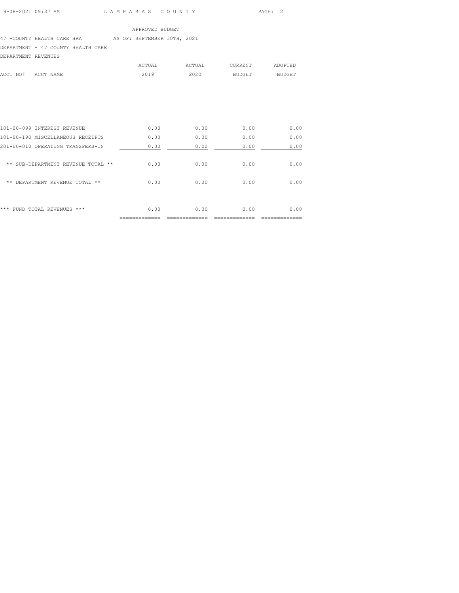## 47 -COUNTY HEALTH CARE HRA AS OF: SEPTEMBER 30TH, 2021

DEPARTMENT - 47 COUNTY HEALTH CARE

## DEPARTMENT REVENUES

|                    | ACTUAL | ACTUAL | CURRENT | ADOPTED |
|--------------------|--------|--------|---------|---------|
| ACCT NO# ACCT NAME | 2019   | 2020   | BUDGET  | BUDGET  |
|                    |        |        |         |         |

| ***<br>$***$<br>FIIND.<br>TOTAL.<br><b>REVENUES</b> | 0.00 | 0.00 | 0.00 | 0.00 |
|-----------------------------------------------------|------|------|------|------|
| $* *$<br>DEPARTMENT REVENUE TOTAL **                | 0.00 | 0.00 | 0.00 | 0.00 |
| ** SUB-DEPARTMENT REVENUE TOTAL **                  | 0.00 | 0.00 | 0.00 | 0.00 |
| 201-00-010 OPERATING TRANSFERS-IN                   | 0.00 | 0.00 | 0.00 | 0.00 |
| 101-00-190 MISCELLANEOUS RECEIPTS                   | 0.00 | 0.00 | 0.00 | 0.00 |
| 101-00-099 INTEREST REVENUE                         | 0.00 | 0.00 | 0.00 | 0.00 |
|                                                     |      |      |      |      |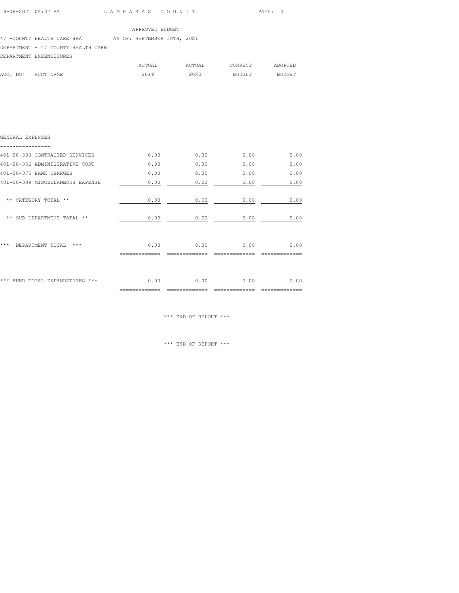$\mathcal{L}_\text{max}$ 

### 47 -COUNTY HEALTH CARE HRA AS OF: SEPTEMBER 30TH, 2021

## DEPARTMENT - 47 COUNTY HEALTH CARE

|          | DEPARTMENT EXPENDITURES |        |        |         |               |
|----------|-------------------------|--------|--------|---------|---------------|
|          |                         | ACTUAL | ACTUAL | CURRENT | ADOPTED       |
| ACCT NO# | ACCT NAME               | 2019   | 2020   | BUDGET  | <b>BUDGET</b> |

| GENERAL EXPENSES                 |      |      |      |      |
|----------------------------------|------|------|------|------|
| 401-00-333 CONTRACTED SERVICES   | 0.00 | 0.00 | 0.00 | 0.00 |
| 401-00-356 ADMINISTRATIVE COST   | 0.00 | 0.00 | 0.00 | 0.00 |
| 401-00-375 BANK CHARGES          | 0.00 | 0.00 | 0.00 | 0.00 |
| 401-00-389 MISCELLANEOUS EXPENSE | 0.00 | 0.00 | 0.00 | 0.00 |
| ** CATEGORY TOTAL **             | 0.00 | 0.00 | 0.00 | 0.00 |
| ** SUB-DEPARTMENT TOTAL **       | 0.00 | 0.00 | 0.00 | 0.00 |
| ***<br>***<br>DEPARTMENT TOTAL   | 0.00 | 0.00 | 0.00 | 0.00 |
| *** FUND TOTAL EXPENDITURES ***  | 0.00 | 0.00 | 0.00 | 0.00 |

\*\*\* END OF REPORT \*\*\*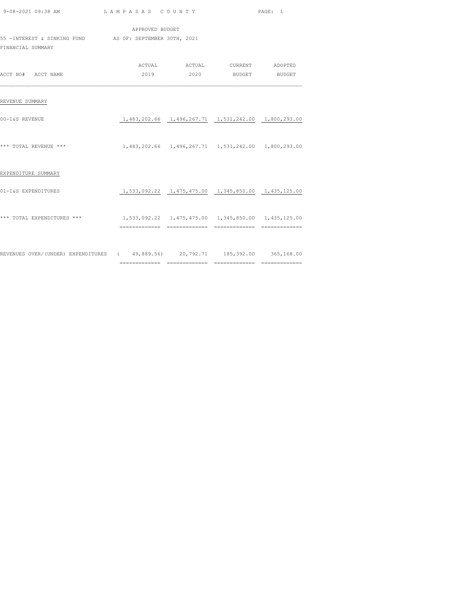| 9-08-2021 09:38 AM LAMPASAS COUNTY                                             |                                                        |  |                                                           | PAGE: 1 |  |  |  |
|--------------------------------------------------------------------------------|--------------------------------------------------------|--|-----------------------------------------------------------|---------|--|--|--|
| APPROVED BUDGET<br>55 - INTEREST & SINKING FUND AS OF: SEPTEMBER 30TH, 2021    |                                                        |  |                                                           |         |  |  |  |
| FINANCIAL SUMMARY                                                              |                                                        |  |                                                           |         |  |  |  |
| ACCT NO# ACCT NAME                                                             |                                                        |  | ACTUAL ACTUAL CURRENT ADOPTED<br>2019  2020 BUDGET BUDGET |         |  |  |  |
| REVENUE SUMMARY                                                                |                                                        |  |                                                           |         |  |  |  |
| 00-I&S REVENUE                                                                 |                                                        |  | 1,483,202.66 1,496,267.71 1,531,242.00 1,800,293.00       |         |  |  |  |
| *** TOTAL REVENUE ***                                                          | 1,483,202.66  1,496,267.71  1,531,242.00  1,800,293.00 |  |                                                           |         |  |  |  |
| EXPENDITURE SUMMARY                                                            |                                                        |  |                                                           |         |  |  |  |
| 01-I&S EXPENDITURES                                                            | 1,533,092.22  1,475,475.00  1,345,850.00  1,435,125.00 |  |                                                           |         |  |  |  |
| *** TOTAL EXPENDITURES ***                                                     | 1,533,092.22  1,475,475.00  1,345,850.00  1,435,125.00 |  |                                                           |         |  |  |  |
| REVENUES OVER/(UNDER) EXPENDITURES (49,889.56) 20,792.71 185,392.00 365,168.00 |                                                        |  |                                                           |         |  |  |  |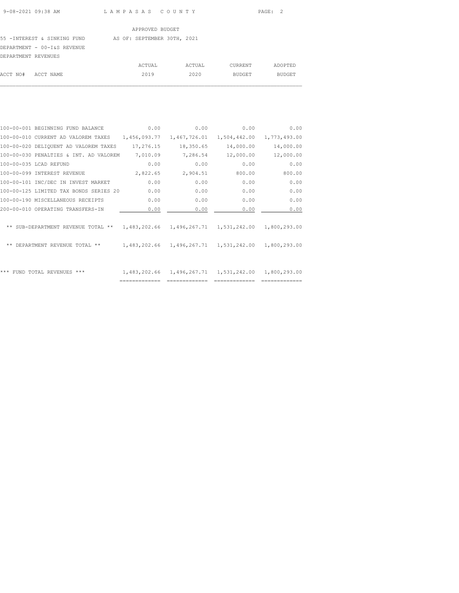# 55 -INTEREST & SINKING FUND AS OF: SEPTEMBER 30TH, 2021

## DEPARTMENT - 00-I&S REVENUE

| DEPARTMENT REVENUES |  |        |        |         |         |
|---------------------|--|--------|--------|---------|---------|
|                     |  | ACTUAL | ACTUAL | CURRENT | ADOPTED |
| ACCT NO# ACCT NAME  |  | 2019   | 2020   | BUDGET  | BUDGET  |
|                     |  |        |        |         |         |

| 100-00-001 BEGINNING FUND BALANCE      | 0.00         | 0.00         | 0.00                                                | 0.00         |
|----------------------------------------|--------------|--------------|-----------------------------------------------------|--------------|
| 100-00-010 CURRENT AD VALOREM TAXES    | 1,456,093.77 | 1,467,726.01 | 1,504,442.00                                        | 1,773,493.00 |
| 100-00-020 DELIQUENT AD VALOREM TAXES  | 17,276.15    | 18,350.65    | 14,000.00                                           | 14,000.00    |
| 100-00-030 PENALTIES & INT. AD VALOREM | 7,010.09     | 7,286.54     | 12,000.00                                           | 12,000.00    |
| 100-00-035 LCAD REFUND                 | 0.00         | 0.00         | 0.00                                                | 0.00         |
| 100-00-099 INTEREST REVENUE            | 2,822.65     | 2,904.51     | 800.00                                              | 800.00       |
| 100-00-101 INC/DEC IN INVEST MARKET    | 0.00         | 0.00         | 0.00                                                | 0.00         |
| 100-00-125 LIMITED TAX BONDS SERIES 20 | 0.00         | 0.00         | 0.00                                                | 0.00         |
| 100-00-190 MISCELLANEOUS RECEIPTS      | 0.00         | 0.00         | 0.00                                                | 0.00         |
| 200-00-010 OPERATING TRANSFERS-IN      | 0.00         | 0.00         | 0.00                                                | 0.00         |
| ** SUB-DEPARTMENT REVENUE TOTAL **     |              |              | 1,483,202.66 1,496,267.71 1,531,242.00 1,800,293.00 |              |
| ** DEPARTMENT REVENUE TOTAL **         |              |              | 1,483,202.66 1,496,267.71 1,531,242.00 1,800,293.00 |              |
| ***<br>FUND TOTAL REVENUES ***         |              |              | 1,483,202.66 1,496,267.71 1,531,242.00              | 1,800,293.00 |
|                                        |              |              |                                                     |              |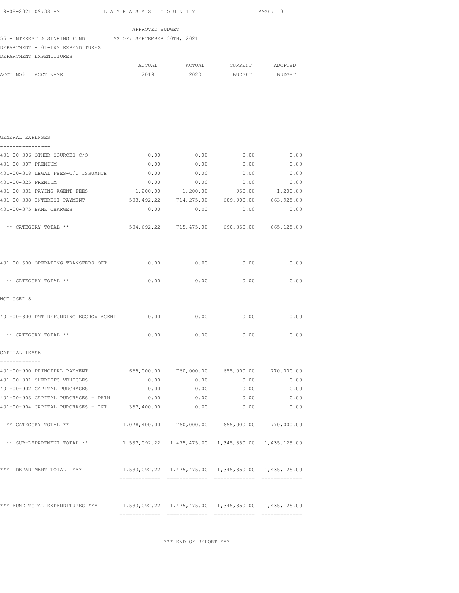55 -INTEREST & SINKING FUND AS OF: SEPTEMBER 30TH, 2021

DEPARTMENT - 01-I&S EXPENDITURES DEPARTMENT EXPENDITURES

|                    | DEPARTMENT EXPENDITURES |        |        |         |         |
|--------------------|-------------------------|--------|--------|---------|---------|
|                    |                         | ACTUAL | ACTUAL | CURRENT | ADOPTED |
| ACCT NO# ACCT NAME |                         | 2019   | 2020   | BUDGET  | BUDGET  |

 $\mathcal{L}_\text{max}$ 

| GENERAL EXPENSES<br>. <u>.</u> .           |            |                                                        |            |            |
|--------------------------------------------|------------|--------------------------------------------------------|------------|------------|
| 401-00-306 OTHER SOURCES C/O               | 0.00       | 0.00                                                   | 0.00       | 0.00       |
| 401-00-307 PREMIUM                         | 0.00       | 0.00                                                   | 0.00       | 0.00       |
| 401-00-318 LEGAL FEES-C/O ISSUANCE         | 0.00       | 0.00                                                   | 0.00       | 0.00       |
| 401-00-325 PREMIUM                         | 0.00       | 0.00                                                   | 0.00       | 0.00       |
| 401-00-331 PAYING AGENT FEES               | 1,200.00   | 1,200.00                                               | 950.00     | 1,200.00   |
| 401-00-338 INTEREST PAYMENT                |            | 503,492.22 714,275.00 689,900.00 663,925.00            |            |            |
| 401-00-375 BANK CHARGES                    | 0.00       | 0.00                                                   | 0.00       | 0.00       |
| ** CATEGORY TOTAL **                       | 504,692.22 | 715,475.00                                             | 690,850.00 | 665,125.00 |
| 401-00-500 OPERATING TRANSFERS OUT         | 0.00       | 0.00                                                   | 0.00       | 0.00       |
|                                            |            |                                                        |            |            |
| ** CATEGORY TOTAL **                       | 0.00       | 0.00                                                   | 0.00       | 0.00       |
| NOT USED 8                                 |            |                                                        |            |            |
| 401-00-800 PMT REFUNDING ESCROW AGENT 0.00 |            | 0.00                                                   | 0.00       | 0.00       |
| ** CATEGORY TOTAL **                       | 0.00       | 0.00                                                   | 0.00       | 0.00       |
| CAPITAL LEASE<br>-------------             |            |                                                        |            |            |
| 401-00-900 PRINCIPAL PAYMENT               |            | 665,000.00 760,000.00 655,000.00 770,000.00            |            |            |
| 401-00-901 SHERIFFS VEHICLES               | 0.00       | 0.00                                                   | 0.00       | 0.00       |
| 401-00-902 CAPITAL PURCHASES               | 0.00       | 0.00                                                   | 0.00       | 0.00       |
| 401-00-903 CAPITAL PURCHASES - PRIN        | 0.00       | 0.00                                                   | 0.00       | 0.00       |
| 401-00-904 CAPITAL PURCHASES - INT         | 363,400.00 | 0.00                                                   | 0.00       | 0.00       |
| ** CATEGORY TOTAL **                       |            | $1,028,400.00$ $760,000.00$ $655,000.00$ $770,000.00$  |            |            |
| ** SUB-DEPARTMENT TOTAL **                 |            | 1,533,092.22  1,475,475.00  1,345,850.00  1,435,125.00 |            |            |
| *** DEPARTMENT TOTAL ***                   |            | 1,533,092.22  1,475,475.00  1,345,850.00  1,435,125.00 |            |            |
| *** FUND TOTAL EXPENDITURES ***            |            | 1,533,092.22 1,475,475.00 1,345,850.00 1,435,125.00    |            |            |

============= ============= ============= =============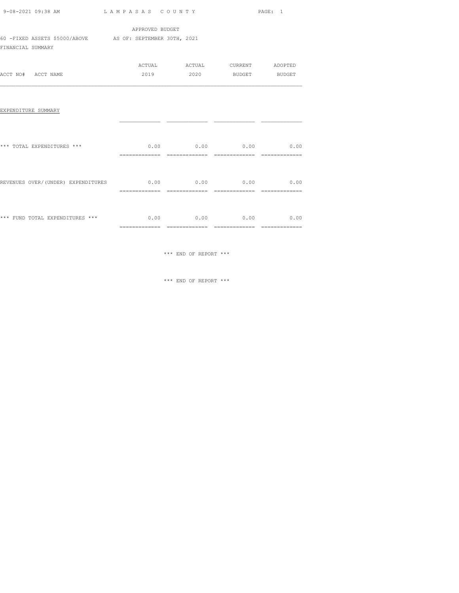|                                                                                                                                   |                 |                               |                                                           | PAGE: 1        |
|-----------------------------------------------------------------------------------------------------------------------------------|-----------------|-------------------------------|-----------------------------------------------------------|----------------|
|                                                                                                                                   | APPROVED BUDGET |                               |                                                           |                |
| 60 -FIXED ASSETS \$5000/ABOVE AS OF: SEPTEMBER 30TH, 2021<br>FINANCIAL SUMMARY                                                    |                 |                               |                                                           |                |
| ACCT NO# ACCT NAME                                                                                                                |                 |                               | ACTUAL ACTUAL CURRENT ADOPTED<br>2019  2020 BUDGET BUDGET |                |
| EXPENDITURE SUMMARY                                                                                                               |                 |                               |                                                           |                |
| *** TOTAL EXPENDITURES ***                                                                                                        |                 | ============================= | $0.00$ 0.00 0.00 0.00 0.00                                |                |
| REVENUES OVER/(UNDER) EXPENDITURES $0.00$ $0.00$ $0.00$ $0.00$ $0.00$                                                             |                 |                               |                                                           | ============== |
| $\star\star\star$ FUND TOTAL EXPENDITURES $\star\star\star$ $\hfill$ 0.00 $\hfill$ 0.00 $\hfill$ 0.00 $\hfill$ 0.00 $\hfill$ 0.00 |                 |                               |                                                           |                |

\*\*\* END OF REPORT \*\*\*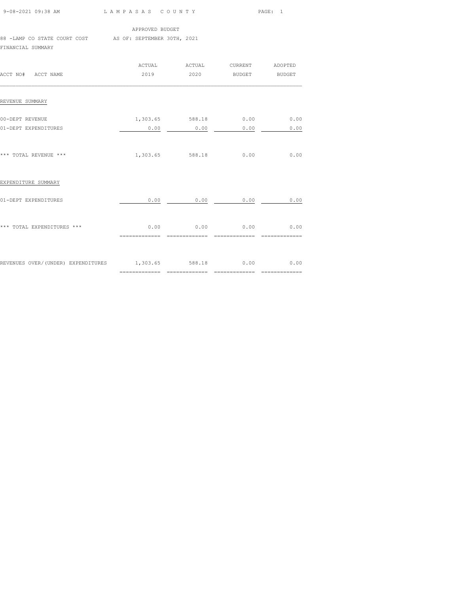| 9-08-2021 09:38 AM LAMPASAS COUNTY                                            |                                           |                                    | PAGE: 1 |      |  |
|-------------------------------------------------------------------------------|-------------------------------------------|------------------------------------|---------|------|--|
|                                                                               | APPROVED BUDGET                           |                                    |         |      |  |
| 88 -LAMP CO STATE COURT COST AS OF: SEPTEMBER 30TH, 2021<br>FINANCIAL SUMMARY |                                           |                                    |         |      |  |
|                                                                               |                                           | ACTUAL ACTUAL CURRENT ADOPTED      |         |      |  |
| ACCT NO# ACCT NAME                                                            |                                           | 2019  2020 BUDGET BUDGET           |         |      |  |
| REVENUE SUMMARY                                                               |                                           |                                    |         |      |  |
| 00-DEPT REVENUE                                                               |                                           | 1,303.65 588.18 0.00 0.00          |         |      |  |
| 01-DEPT EXPENDITURES                                                          |                                           | $0.00$ $0.00$ $0.00$ $0.00$ $0.00$ |         |      |  |
| *** TOTAL REVENUE ***                                                         |                                           | 1,303.65 588.18                    | 0.00    | 0.00 |  |
| EXPENDITURE SUMMARY                                                           |                                           |                                    |         |      |  |
| 01-DEPT EXPENDITURES                                                          |                                           | $0.00$ 0.00 0.00 0.00 0.00         |         |      |  |
| *** TOTAL EXPENDITURES ***                                                    | $0.00$ $0.00$ $0.00$ $0.00$ $0.00$ $0.00$ |                                    |         |      |  |
| REVENUES OVER/(UNDER) EXPENDITURES 1,303.65 588.18 0.00 0.00 0.00             |                                           |                                    |         |      |  |

============= ============= ============= =============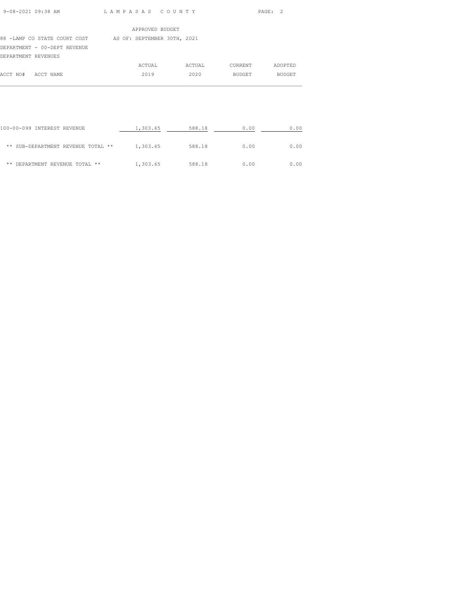| $9 - 08 - 2021$ $09 - 38$ am |  |
|------------------------------|--|

L A M P A S A S C O U N T Y PAGE: 2

|                     |                              | APPROVED BUDGET             |        |               |               |
|---------------------|------------------------------|-----------------------------|--------|---------------|---------------|
|                     | 88 -LAMP CO STATE COURT COST | AS OF: SEPTEMBER 30TH, 2021 |        |               |               |
|                     | DEPARTMENT - 00-DEPT REVENUE |                             |        |               |               |
| DEPARTMENT REVENUES |                              |                             |        |               |               |
|                     |                              | ACTUAL                      | ACTUAL | CURRENT       | ADOPTED       |
| ACCT NO#            | ACCT NAME                    | 2019                        | 2020   | <b>BUDGET</b> | <b>BUDGET</b> |
|                     |                              |                             |        |               |               |

| 100-00-099 INTEREST REVENUE        | 1,303.65 | 588.18 | 0.00 | 0.00 |
|------------------------------------|----------|--------|------|------|
| ** SUB-DEPARTMENT REVENUE TOTAL ** | 1,303.65 | 588.18 | 0.00 | 0.00 |
| DEPARTMENT REVENUE TOTAL **<br>**  | 1,303.65 | 588.18 | 0.00 | 0.00 |

 $\mathcal{L}_\text{max}$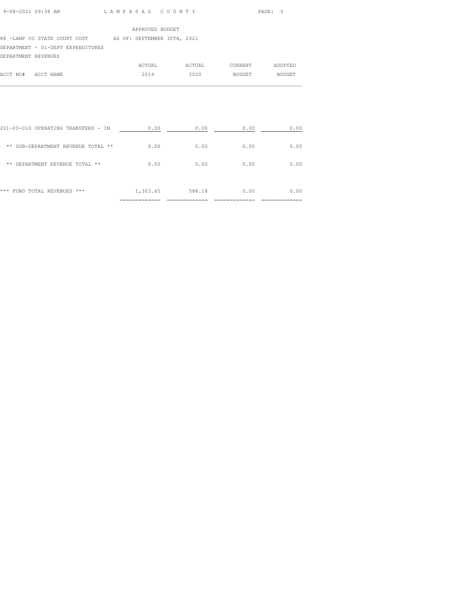#### 88 -LAMP CO STATE COURT COST AS OF: SEPTEMBER 30TH, 2021

## DEPARTMENT - 01-DEPT EXPENDITURES

DEPARTMENT REVENUES

|                    | ACTUAL | ACTUAL | CURRENT | ADOPTED |
|--------------------|--------|--------|---------|---------|
| ACCT NO# ACCT NAME | 2019   | 2020   | BUDGET  | BUDGET  |
|                    |        |        |         |         |

| ***<br>FUND TOTAL REVENUES<br>***   | 1,303.65 | 588.18 | 0.00 | 0.00 |
|-------------------------------------|----------|--------|------|------|
| DEPARTMENT REVENUE TOTAL **<br>**   | 0.00     | 0.00   | 0.00 | 0.00 |
| ** SUB-DEPARTMENT REVENUE TOTAL **  | 0.00     | 0.00   | 0.00 | 0.00 |
| 201-00-010 OPERATING TRANSFERS - IN | 0.00     | 0.00   | 0.00 | 0.00 |